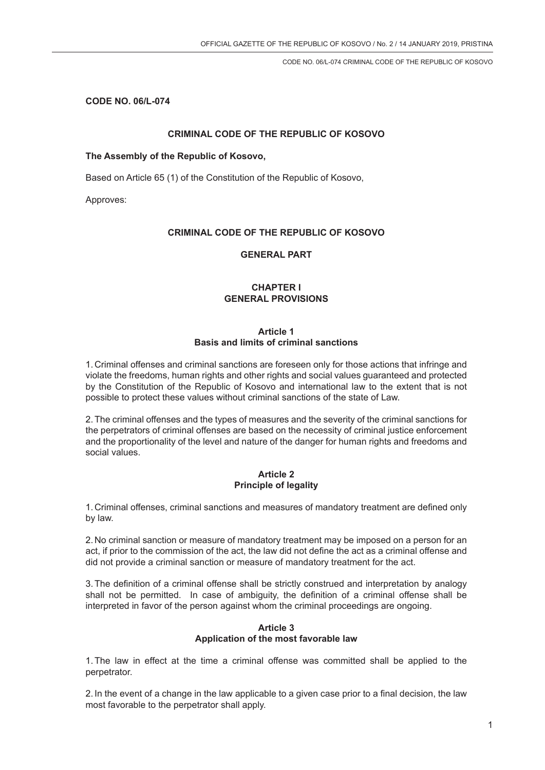**CODE NO. 06/L-074**

## **CRIMINAL CODE OF THE REPUBLIC OF KOSOVO**

### **The Assembly of the Republic of Kosovo,**

Based on Article 65 (1) of the Constitution of the Republic of Kosovo,

Approves:

## **CRIMINAL CODE OF THE REPUBLIC OF KOSOVO**

## **GENERAL PART**

# **CHAPTER I GENERAL PROVISIONS**

## **Article 1 Basis and limits of criminal sanctions**

1. Criminal offenses and criminal sanctions are foreseen only for those actions that infringe and violate the freedoms, human rights and other rights and social values guaranteed and protected by the Constitution of the Republic of Kosovo and international law to the extent that is not possible to protect these values without criminal sanctions of the state of Law.

2.The criminal offenses and the types of measures and the severity of the criminal sanctions for the perpetrators of criminal offenses are based on the necessity of criminal justice enforcement and the proportionality of the level and nature of the danger for human rights and freedoms and social values.

## **Article 2 Principle of legality**

1. Criminal offenses, criminal sanctions and measures of mandatory treatment are defined only by law.

2. No criminal sanction or measure of mandatory treatment may be imposed on a person for an act, if prior to the commission of the act, the law did not define the act as a criminal offense and did not provide a criminal sanction or measure of mandatory treatment for the act.

3.The definition of a criminal offense shall be strictly construed and interpretation by analogy shall not be permitted. In case of ambiguity, the definition of a criminal offense shall be interpreted in favor of the person against whom the criminal proceedings are ongoing.

# **Article 3 Application of the most favorable law**

1.The law in effect at the time a criminal offense was committed shall be applied to the perpetrator.

2. In the event of a change in the law applicable to a given case prior to a final decision, the law most favorable to the perpetrator shall apply.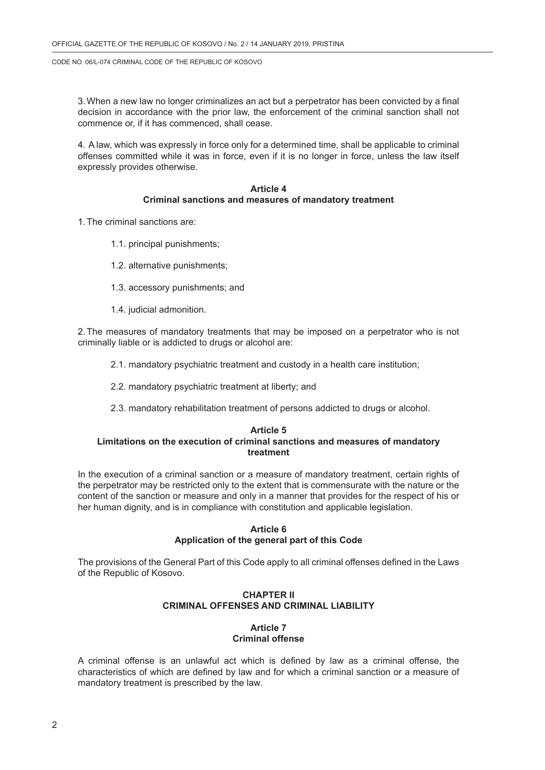3.When a new law no longer criminalizes an act but a perpetrator has been convicted by a final decision in accordance with the prior law, the enforcement of the criminal sanction shall not commence or, if it has commenced, shall cease.

4. A law, which was expressly in force only for a determined time, shall be applicable to criminal offenses committed while it was in force, even if it is no longer in force, unless the law itself expressly provides otherwise.

## **Article 4 Criminal sanctions and measures of mandatory treatment**

1.The criminal sanctions are:

- 1.1. principal punishments;
- 1.2. alternative punishments;
- 1.3. accessory punishments; and
- 1.4. judicial admonition.

2.The measures of mandatory treatments that may be imposed on a perpetrator who is not criminally liable or is addicted to drugs or alcohol are:

- 2.1. mandatory psychiatric treatment and custody in a health care institution;
- 2.2. mandatory psychiatric treatment at liberty; and
- 2.3. mandatory rehabilitation treatment of persons addicted to drugs or alcohol.

#### **Article 5 Limitations on the execution of criminal sanctions and measures of mandatory treatment**

In the execution of a criminal sanction or a measure of mandatory treatment, certain rights of the perpetrator may be restricted only to the extent that is commensurate with the nature or the content of the sanction or measure and only in a manner that provides for the respect of his or her human dignity, and is in compliance with constitution and applicable legislation.

### **Article 6 Application of the general part of this Code**

The provisions of the General Part of this Code apply to all criminal offenses defined in the Laws of the Republic of Kosovo.

# **CHAPTER II CRIMINAL OFFENSES AND CRIMINAL LIABILITY**

# **Article 7 Criminal offense**

A criminal offense is an unlawful act which is defined by law as a criminal offense, the characteristics of which are defined by law and for which a criminal sanction or a measure of mandatory treatment is prescribed by the law.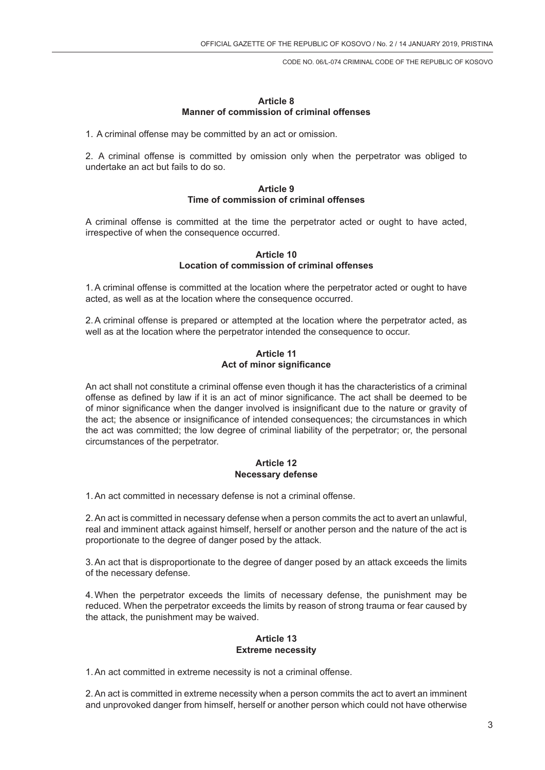## **Article 8 Manner of commission of criminal offenses**

1. A criminal offense may be committed by an act or omission.

2. A criminal offense is committed by omission only when the perpetrator was obliged to undertake an act but fails to do so.

## **Article 9 Time of commission of criminal offenses**

A criminal offense is committed at the time the perpetrator acted or ought to have acted, irrespective of when the consequence occurred.

## **Article 10 Location of commission of criminal offenses**

1.A criminal offense is committed at the location where the perpetrator acted or ought to have acted, as well as at the location where the consequence occurred.

2.A criminal offense is prepared or attempted at the location where the perpetrator acted, as well as at the location where the perpetrator intended the consequence to occur.

**Article 11 Act of minor significance**

An act shall not constitute a criminal offense even though it has the characteristics of a criminal offense as defined by law if it is an act of minor significance. The act shall be deemed to be of minor significance when the danger involved is insignificant due to the nature or gravity of the act; the absence or insignificance of intended consequences; the circumstances in which the act was committed; the low degree of criminal liability of the perpetrator; or, the personal circumstances of the perpetrator.

# **Article 12 Necessary defense**

1.An act committed in necessary defense is not a criminal offense.

2.An act is committed in necessary defense when a person commits the act to avert an unlawful, real and imminent attack against himself, herself or another person and the nature of the act is proportionate to the degree of danger posed by the attack.

3.An act that is disproportionate to the degree of danger posed by an attack exceeds the limits of the necessary defense.

4.When the perpetrator exceeds the limits of necessary defense, the punishment may be reduced. When the perpetrator exceeds the limits by reason of strong trauma or fear caused by the attack, the punishment may be waived.

## **Article 13 Extreme necessity**

1.An act committed in extreme necessity is not a criminal offense.

2.An act is committed in extreme necessity when a person commits the act to avert an imminent and unprovoked danger from himself, herself or another person which could not have otherwise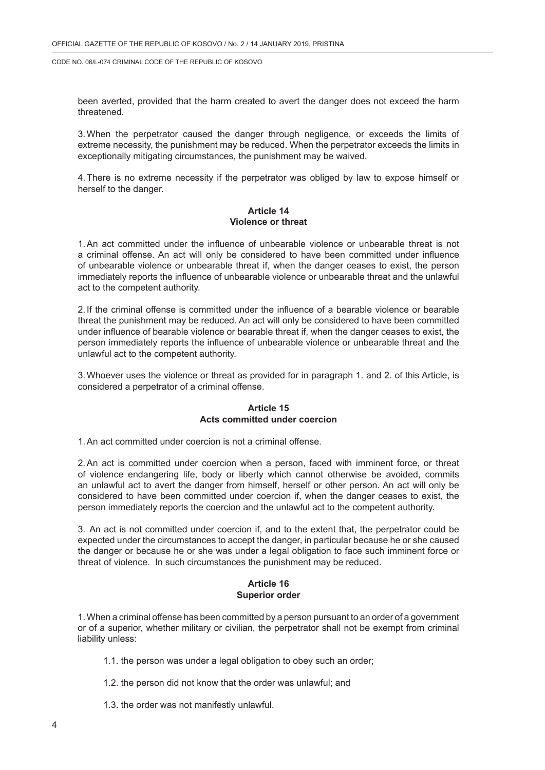been averted, provided that the harm created to avert the danger does not exceed the harm threatened.

3.When the perpetrator caused the danger through negligence, or exceeds the limits of extreme necessity, the punishment may be reduced. When the perpetrator exceeds the limits in exceptionally mitigating circumstances, the punishment may be waived.

4.There is no extreme necessity if the perpetrator was obliged by law to expose himself or herself to the danger.

### **Article 14 Violence or threat**

1.An act committed under the influence of unbearable violence or unbearable threat is not a criminal offense. An act will only be considered to have been committed under influence of unbearable violence or unbearable threat if, when the danger ceases to exist, the person immediately reports the influence of unbearable violence or unbearable threat and the unlawful act to the competent authority.

2. If the criminal offense is committed under the influence of a bearable violence or bearable threat the punishment may be reduced. An act will only be considered to have been committed under influence of bearable violence or bearable threat if, when the danger ceases to exist, the person immediately reports the influence of unbearable violence or unbearable threat and the unlawful act to the competent authority.

3.Whoever uses the violence or threat as provided for in paragraph 1. and 2. of this Article, is considered a perpetrator of a criminal offense.

### **Article 15 Acts committed under coercion**

1.An act committed under coercion is not a criminal offense.

2.An act is committed under coercion when a person, faced with imminent force, or threat of violence endangering life, body or liberty which cannot otherwise be avoided, commits an unlawful act to avert the danger from himself, herself or other person. An act will only be considered to have been committed under coercion if, when the danger ceases to exist, the person immediately reports the coercion and the unlawful act to the competent authority.

3. An act is not committed under coercion if, and to the extent that, the perpetrator could be expected under the circumstances to accept the danger, in particular because he or she caused the danger or because he or she was under a legal obligation to face such imminent force or threat of violence. In such circumstances the punishment may be reduced.

## **Article 16 Superior order**

1.When a criminal offense has been committed by a person pursuant to an order of a government or of a superior, whether military or civilian, the perpetrator shall not be exempt from criminal liability unless:

1.1. the person was under a legal obligation to obey such an order;

- 1.2. the person did not know that the order was unlawful; and
- 1.3. the order was not manifestly unlawful.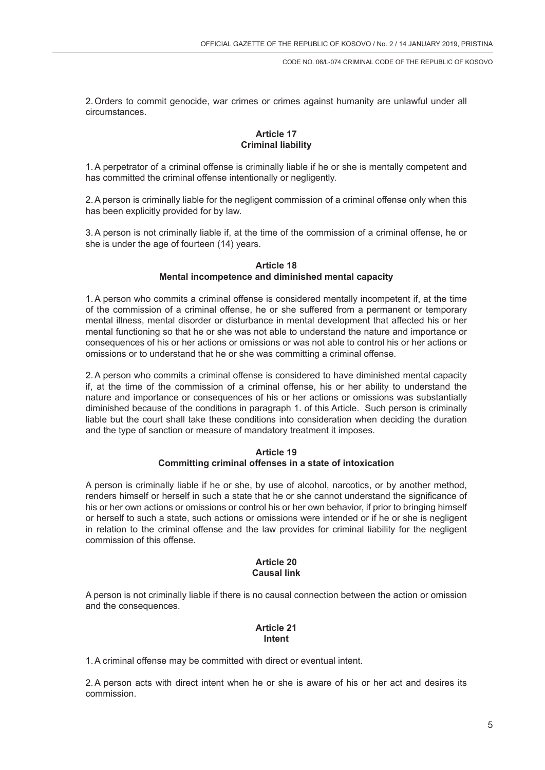2.Orders to commit genocide, war crimes or crimes against humanity are unlawful under all circumstances.

# **Article 17 Criminal liability**

1.A perpetrator of a criminal offense is criminally liable if he or she is mentally competent and has committed the criminal offense intentionally or negligently.

2.A person is criminally liable for the negligent commission of a criminal offense only when this has been explicitly provided for by law.

3.A person is not criminally liable if, at the time of the commission of a criminal offense, he or she is under the age of fourteen (14) years.

### **Article 18 Mental incompetence and diminished mental capacity**

1.A person who commits a criminal offense is considered mentally incompetent if, at the time of the commission of a criminal offense, he or she suffered from a permanent or temporary mental illness, mental disorder or disturbance in mental development that affected his or her mental functioning so that he or she was not able to understand the nature and importance or consequences of his or her actions or omissions or was not able to control his or her actions or omissions or to understand that he or she was committing a criminal offense.

2.A person who commits a criminal offense is considered to have diminished mental capacity if, at the time of the commission of a criminal offense, his or her ability to understand the nature and importance or consequences of his or her actions or omissions was substantially diminished because of the conditions in paragraph 1. of this Article. Such person is criminally liable but the court shall take these conditions into consideration when deciding the duration and the type of sanction or measure of mandatory treatment it imposes.

## **Article 19 Committing criminal offenses in a state of intoxication**

A person is criminally liable if he or she, by use of alcohol, narcotics, or by another method, renders himself or herself in such a state that he or she cannot understand the significance of his or her own actions or omissions or control his or her own behavior, if prior to bringing himself or herself to such a state, such actions or omissions were intended or if he or she is negligent in relation to the criminal offense and the law provides for criminal liability for the negligent commission of this offense.

### **Article 20 Causal link**

A person is not criminally liable if there is no causal connection between the action or omission and the consequences.

# **Article 21 Intent**

1.A criminal offense may be committed with direct or eventual intent.

2.A person acts with direct intent when he or she is aware of his or her act and desires its commission.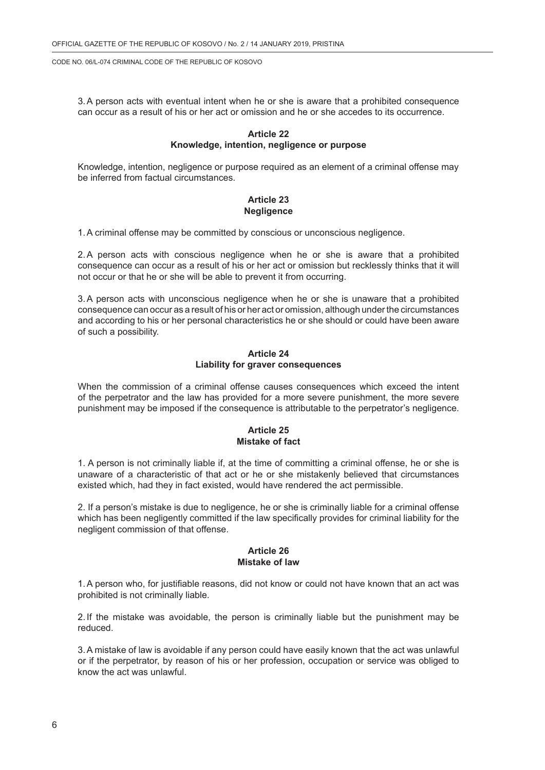3.A person acts with eventual intent when he or she is aware that a prohibited consequence can occur as a result of his or her act or omission and he or she accedes to its occurrence.

### **Article 22 Knowledge, intention, negligence or purpose**

Knowledge, intention, negligence or purpose required as an element of a criminal offense may be inferred from factual circumstances.

## **Article 23 Negligence**

1.A criminal offense may be committed by conscious or unconscious negligence.

2.A person acts with conscious negligence when he or she is aware that a prohibited consequence can occur as a result of his or her act or omission but recklessly thinks that it will not occur or that he or she will be able to prevent it from occurring.

3.A person acts with unconscious negligence when he or she is unaware that a prohibited consequence can occur as a result of his or her act or omission, although under the circumstances and according to his or her personal characteristics he or she should or could have been aware of such a possibility.

### **Article 24 Liability for graver consequences**

When the commission of a criminal offense causes consequences which exceed the intent of the perpetrator and the law has provided for a more severe punishment, the more severe punishment may be imposed if the consequence is attributable to the perpetrator's negligence.

### **Article 25 Mistake of fact**

1. A person is not criminally liable if, at the time of committing a criminal offense, he or she is unaware of a characteristic of that act or he or she mistakenly believed that circumstances existed which, had they in fact existed, would have rendered the act permissible.

2. If a person's mistake is due to negligence, he or she is criminally liable for a criminal offense which has been negligently committed if the law specifically provides for criminal liability for the negligent commission of that offense.

### **Article 26 Mistake of law**

1.A person who, for justifiable reasons, did not know or could not have known that an act was prohibited is not criminally liable.

2. If the mistake was avoidable, the person is criminally liable but the punishment may be reduced.

3.A mistake of law is avoidable if any person could have easily known that the act was unlawful or if the perpetrator, by reason of his or her profession, occupation or service was obliged to know the act was unlawful.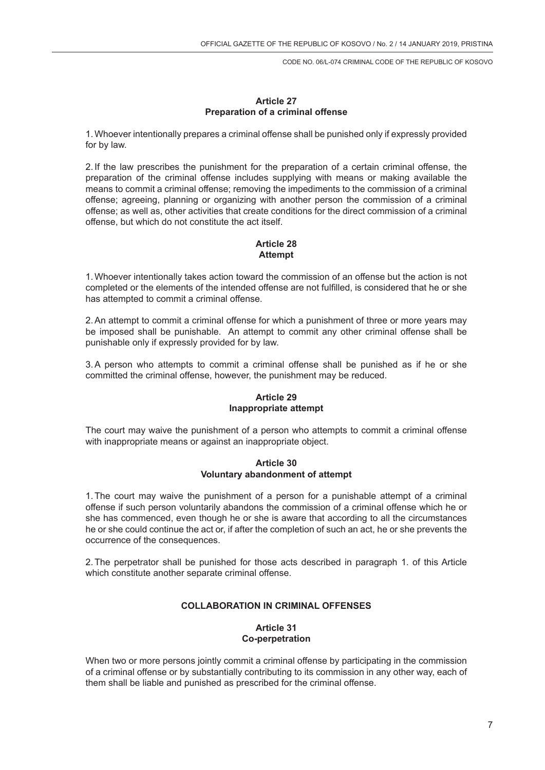## **Article 27 Preparation of a criminal offense**

1.Whoever intentionally prepares a criminal offense shall be punished only if expressly provided for by law.

2. If the law prescribes the punishment for the preparation of a certain criminal offense, the preparation of the criminal offense includes supplying with means or making available the means to commit a criminal offense; removing the impediments to the commission of a criminal offense; agreeing, planning or organizing with another person the commission of a criminal offense; as well as, other activities that create conditions for the direct commission of a criminal offense, but which do not constitute the act itself.

# **Article 28 Attempt**

1.Whoever intentionally takes action toward the commission of an offense but the action is not completed or the elements of the intended offense are not fulfilled, is considered that he or she has attempted to commit a criminal offense.

2.An attempt to commit a criminal offense for which a punishment of three or more years may be imposed shall be punishable. An attempt to commit any other criminal offense shall be punishable only if expressly provided for by law.

3.A person who attempts to commit a criminal offense shall be punished as if he or she committed the criminal offense, however, the punishment may be reduced.

# **Article 29 Inappropriate attempt**

The court may waive the punishment of a person who attempts to commit a criminal offense with inappropriate means or against an inappropriate object.

## **Article 30 Voluntary abandonment of attempt**

1.The court may waive the punishment of a person for a punishable attempt of a criminal offense if such person voluntarily abandons the commission of a criminal offense which he or she has commenced, even though he or she is aware that according to all the circumstances he or she could continue the act or, if after the completion of such an act, he or she prevents the occurrence of the consequences.

2.The perpetrator shall be punished for those acts described in paragraph 1. of this Article which constitute another separate criminal offense.

# **COLLABORATION IN CRIMINAL OFFENSES**

# **Article 31 Co-perpetration**

When two or more persons jointly commit a criminal offense by participating in the commission of a criminal offense or by substantially contributing to its commission in any other way, each of them shall be liable and punished as prescribed for the criminal offense.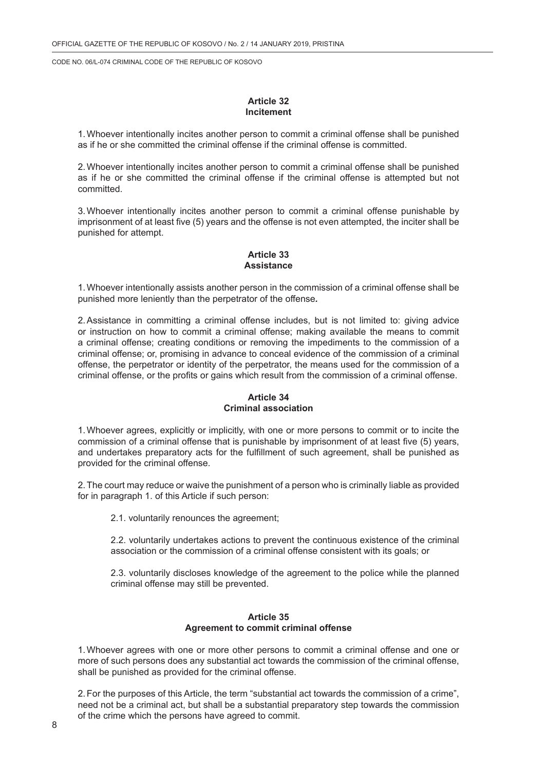#### **Article 32 Incitement**

1.Whoever intentionally incites another person to commit a criminal offense shall be punished as if he or she committed the criminal offense if the criminal offense is committed.

2.Whoever intentionally incites another person to commit a criminal offense shall be punished as if he or she committed the criminal offense if the criminal offense is attempted but not committed.

3.Whoever intentionally incites another person to commit a criminal offense punishable by imprisonment of at least five (5) years and the offense is not even attempted, the inciter shall be punished for attempt.

## **Article 33 Assistance**

1.Whoever intentionally assists another person in the commission of a criminal offense shall be punished more leniently than the perpetrator of the offense*.*

2.Assistance in committing a criminal offense includes, but is not limited to: giving advice or instruction on how to commit a criminal offense; making available the means to commit a criminal offense; creating conditions or removing the impediments to the commission of a criminal offense; or, promising in advance to conceal evidence of the commission of a criminal offense, the perpetrator or identity of the perpetrator, the means used for the commission of a criminal offense, or the profits or gains which result from the commission of a criminal offense.

## **Article 34 Criminal association**

1.Whoever agrees, explicitly or implicitly, with one or more persons to commit or to incite the commission of a criminal offense that is punishable by imprisonment of at least five (5) years, and undertakes preparatory acts for the fulfillment of such agreement, shall be punished as provided for the criminal offense.

2.The court may reduce or waive the punishment of a person who is criminally liable as provided for in paragraph 1. of this Article if such person:

2.1. voluntarily renounces the agreement;

2.2. voluntarily undertakes actions to prevent the continuous existence of the criminal association or the commission of a criminal offense consistent with its goals; or

2.3. voluntarily discloses knowledge of the agreement to the police while the planned criminal offense may still be prevented.

### **Article 35 Agreement to commit criminal offense**

1.Whoever agrees with one or more other persons to commit a criminal offense and one or more of such persons does any substantial act towards the commission of the criminal offense, shall be punished as provided for the criminal offense.

2.For the purposes of this Article, the term "substantial act towards the commission of a crime", need not be a criminal act, but shall be a substantial preparatory step towards the commission of the crime which the persons have agreed to commit.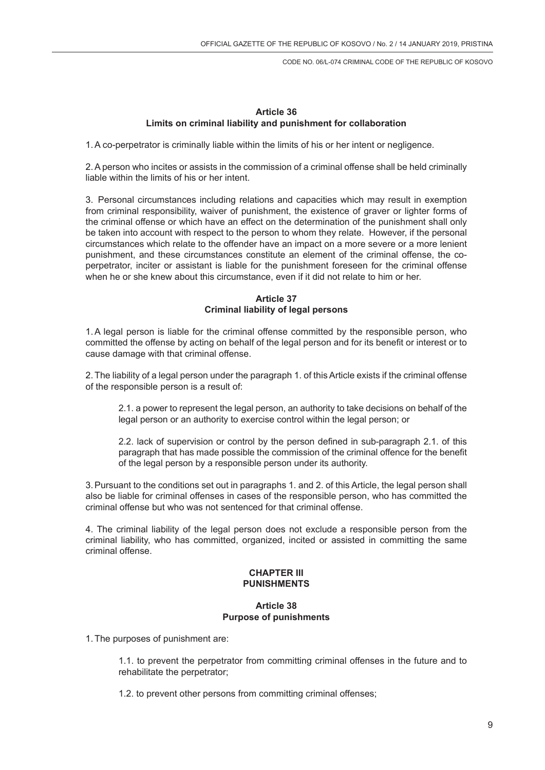# **Article 36 Limits on criminal liability and punishment for collaboration**

1.A co-perpetrator is criminally liable within the limits of his or her intent or negligence.

2.A person who incites or assists in the commission of a criminal offense shall be held criminally liable within the limits of his or her intent.

3. Personal circumstances including relations and capacities which may result in exemption from criminal responsibility, waiver of punishment, the existence of graver or lighter forms of the criminal offense or which have an effect on the determination of the punishment shall only be taken into account with respect to the person to whom they relate. However, if the personal circumstances which relate to the offender have an impact on a more severe or a more lenient punishment, and these circumstances constitute an element of the criminal offense, the coperpetrator, inciter or assistant is liable for the punishment foreseen for the criminal offense when he or she knew about this circumstance, even if it did not relate to him or her.

# **Article 37 Criminal liability of legal persons**

1.A legal person is liable for the criminal offense committed by the responsible person, who committed the offense by acting on behalf of the legal person and for its benefit or interest or to cause damage with that criminal offense.

2.The liability of a legal person under the paragraph 1. of this Article exists if the criminal offense of the responsible person is a result of:

2.1. a power to represent the legal person, an authority to take decisions on behalf of the legal person or an authority to exercise control within the legal person; or

2.2. lack of supervision or control by the person defined in sub-paragraph 2.1. of this paragraph that has made possible the commission of the criminal offence for the benefit of the legal person by a responsible person under its authority.

3.Pursuant to the conditions set out in paragraphs 1. and 2. of this Article, the legal person shall also be liable for criminal offenses in cases of the responsible person, who has committed the criminal offense but who was not sentenced for that criminal offense.

4. The criminal liability of the legal person does not exclude a responsible person from the criminal liability, who has committed, organized, incited or assisted in committing the same criminal offense.

## **CHAPTER III PUNISHMENTS**

# **Article 38 Purpose of punishments**

1.The purposes of punishment are:

1.1. to prevent the perpetrator from committing criminal offenses in the future and to rehabilitate the perpetrator;

1.2. to prevent other persons from committing criminal offenses;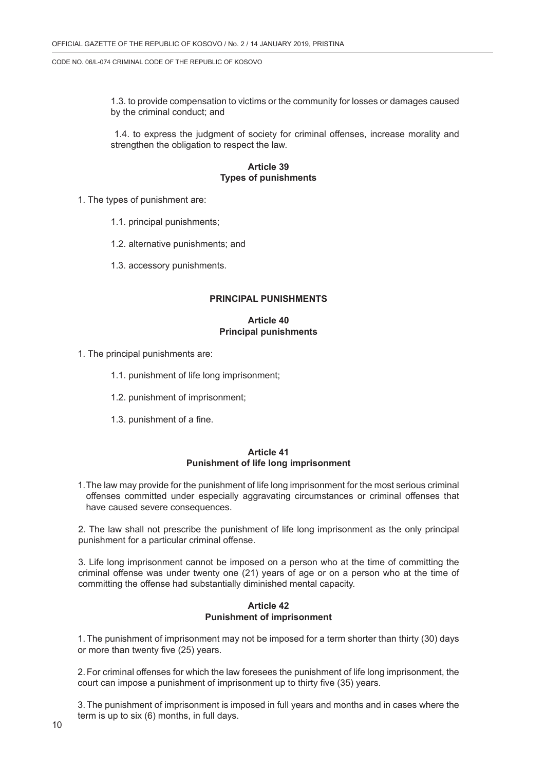1.3. to provide compensation to victims or the community for losses or damages caused by the criminal conduct; and

 1.4. to express the judgment of society for criminal offenses, increase morality and strengthen the obligation to respect the law.

## **Article 39 Types of punishments**

- 1. The types of punishment are:
	- 1.1. principal punishments;
	- 1.2. alternative punishments; and
	- 1.3. accessory punishments.

#### **PRINCIPAL PUNISHMENTS**

### **Article 40 Principal punishments**

1. The principal punishments are:

- 1.1. punishment of life long imprisonment;
- 1.2. punishment of imprisonment;
- 1.3. punishment of a fine.

#### **Article 41 Punishment of life long imprisonment**

1.The law may provide for the punishment of life long imprisonment for the most serious criminal offenses committed under especially aggravating circumstances or criminal offenses that have caused severe consequences.

2. The law shall not prescribe the punishment of life long imprisonment as the only principal punishment for a particular criminal offense.

3. Life long imprisonment cannot be imposed on a person who at the time of committing the criminal offense was under twenty one (21) years of age or on a person who at the time of committing the offense had substantially diminished mental capacity.

### **Article 42 Punishment of imprisonment**

1.The punishment of imprisonment may not be imposed for a term shorter than thirty (30) days or more than twenty five (25) years.

2.For criminal offenses for which the law foresees the punishment of life long imprisonment, the court can impose a punishment of imprisonment up to thirty five (35) years.

3.The punishment of imprisonment is imposed in full years and months and in cases where the term is up to six (6) months, in full days.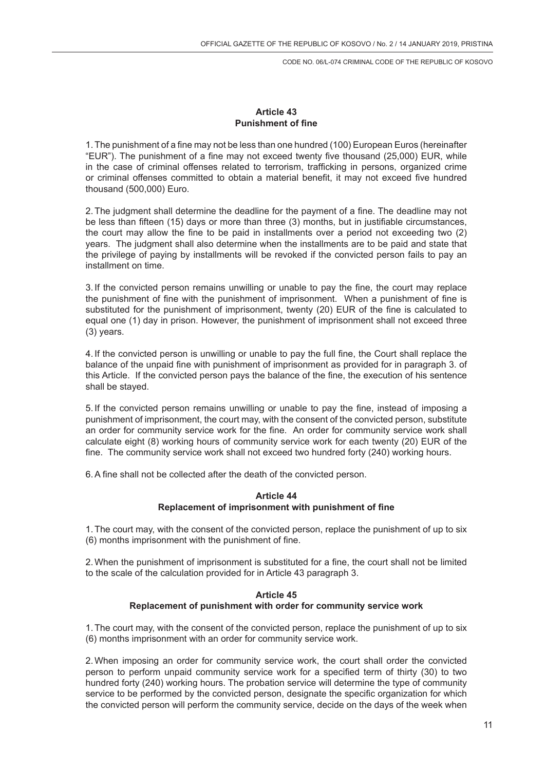# **Article 43 Punishment of fine**

1.The punishment of a fine may not be less than one hundred (100) European Euros (hereinafter "EUR"). The punishment of a fine may not exceed twenty five thousand (25,000) EUR, while in the case of criminal offenses related to terrorism, trafficking in persons, organized crime or criminal offenses committed to obtain a material benefit, it may not exceed five hundred thousand (500,000) Euro.

2.The judgment shall determine the deadline for the payment of a fine. The deadline may not be less than fifteen (15) days or more than three (3) months, but in justifiable circumstances, the court may allow the fine to be paid in installments over a period not exceeding two (2) years. The judgment shall also determine when the installments are to be paid and state that the privilege of paying by installments will be revoked if the convicted person fails to pay an installment on time.

3. If the convicted person remains unwilling or unable to pay the fine, the court may replace the punishment of fine with the punishment of imprisonment. When a punishment of fine is substituted for the punishment of imprisonment, twenty (20) EUR of the fine is calculated to equal one (1) day in prison. However, the punishment of imprisonment shall not exceed three (3) years.

4. If the convicted person is unwilling or unable to pay the full fine, the Court shall replace the balance of the unpaid fine with punishment of imprisonment as provided for in paragraph 3. of this Article. If the convicted person pays the balance of the fine, the execution of his sentence shall be stayed.

5. If the convicted person remains unwilling or unable to pay the fine, instead of imposing a punishment of imprisonment, the court may, with the consent of the convicted person, substitute an order for community service work for the fine. An order for community service work shall calculate eight (8) working hours of community service work for each twenty (20) EUR of the fine. The community service work shall not exceed two hundred forty (240) working hours.

6.A fine shall not be collected after the death of the convicted person.

# **Article 44 Replacement of imprisonment with punishment of fine**

1.The court may, with the consent of the convicted person, replace the punishment of up to six (6) months imprisonment with the punishment of fine.

2.When the punishment of imprisonment is substituted for a fine, the court shall not be limited to the scale of the calculation provided for in Article 43 paragraph 3.

## **Article 45 Replacement of punishment with order for community service work**

1.The court may, with the consent of the convicted person, replace the punishment of up to six (6) months imprisonment with an order for community service work.

2.When imposing an order for community service work, the court shall order the convicted person to perform unpaid community service work for a specified term of thirty (30) to two hundred forty (240) working hours. The probation service will determine the type of community service to be performed by the convicted person, designate the specific organization for which the convicted person will perform the community service, decide on the days of the week when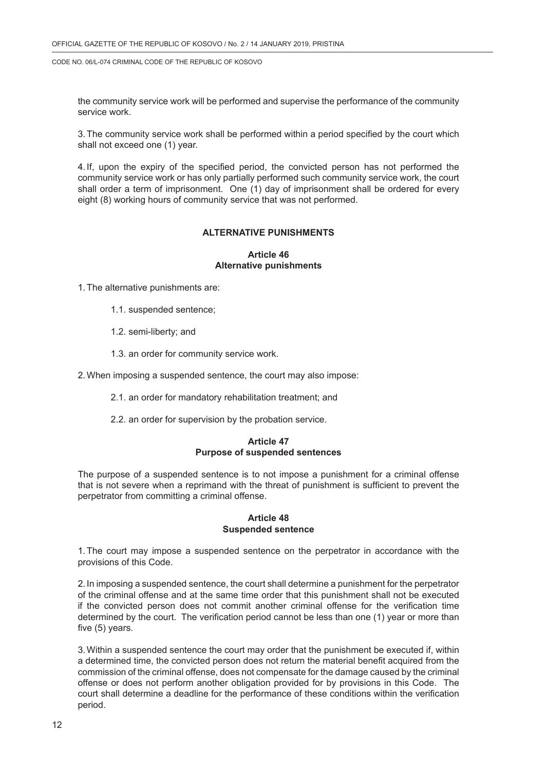the community service work will be performed and supervise the performance of the community service work.

3.The community service work shall be performed within a period specified by the court which shall not exceed one (1) year.

4. If, upon the expiry of the specified period, the convicted person has not performed the community service work or has only partially performed such community service work, the court shall order a term of imprisonment. One (1) day of imprisonment shall be ordered for every eight (8) working hours of community service that was not performed.

### **ALTERNATIVE PUNISHMENTS**

### **Article 46 Alternative punishments**

1.The alternative punishments are:

- 1.1. suspended sentence;
- 1.2. semi-liberty; and
- 1.3. an order for community service work.
- 2.When imposing a suspended sentence, the court may also impose:
	- 2.1. an order for mandatory rehabilitation treatment; and
	- 2.2. an order for supervision by the probation service.

### **Article 47 Purpose of suspended sentences**

The purpose of a suspended sentence is to not impose a punishment for a criminal offense that is not severe when a reprimand with the threat of punishment is sufficient to prevent the perpetrator from committing a criminal offense.

### **Article 48 Suspended sentence**

1.The court may impose a suspended sentence on the perpetrator in accordance with the provisions of this Code.

2. In imposing a suspended sentence, the court shall determine a punishment for the perpetrator of the criminal offense and at the same time order that this punishment shall not be executed if the convicted person does not commit another criminal offense for the verification time determined by the court. The verification period cannot be less than one (1) year or more than five (5) years.

3.Within a suspended sentence the court may order that the punishment be executed if, within a determined time, the convicted person does not return the material benefit acquired from the commission of the criminal offense, does not compensate for the damage caused by the criminal offense or does not perform another obligation provided for by provisions in this Code. The court shall determine a deadline for the performance of these conditions within the verification period.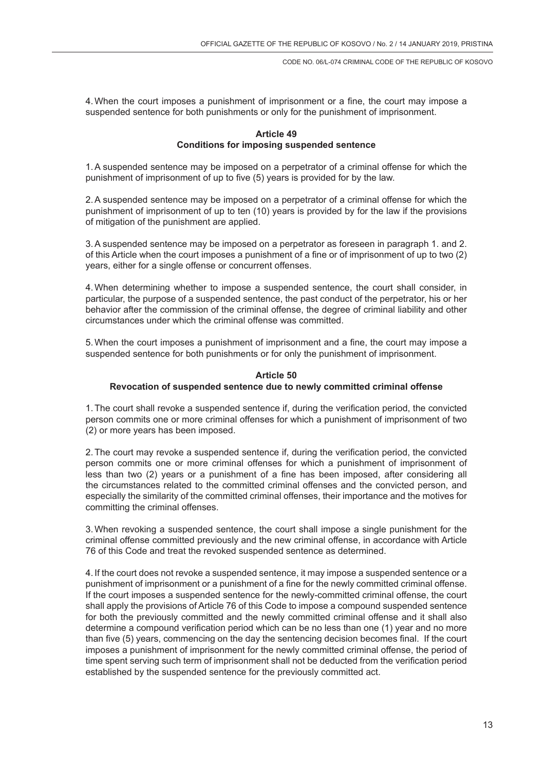4.When the court imposes a punishment of imprisonment or a fine, the court may impose a suspended sentence for both punishments or only for the punishment of imprisonment.

## **Article 49 Conditions for imposing suspended sentence**

1.A suspended sentence may be imposed on a perpetrator of a criminal offense for which the punishment of imprisonment of up to five (5) years is provided for by the law.

2.A suspended sentence may be imposed on a perpetrator of a criminal offense for which the punishment of imprisonment of up to ten (10) years is provided by for the law if the provisions of mitigation of the punishment are applied.

3.A suspended sentence may be imposed on a perpetrator as foreseen in paragraph 1. and 2. of this Article when the court imposes a punishment of a fine or of imprisonment of up to two (2) years, either for a single offense or concurrent offenses.

4.When determining whether to impose a suspended sentence, the court shall consider, in particular, the purpose of a suspended sentence, the past conduct of the perpetrator, his or her behavior after the commission of the criminal offense, the degree of criminal liability and other circumstances under which the criminal offense was committed.

5.When the court imposes a punishment of imprisonment and a fine, the court may impose a suspended sentence for both punishments or for only the punishment of imprisonment.

### **Article 50 Revocation of suspended sentence due to newly committed criminal offense**

1.The court shall revoke a suspended sentence if, during the verification period, the convicted person commits one or more criminal offenses for which a punishment of imprisonment of two (2) or more years has been imposed.

2.The court may revoke a suspended sentence if, during the verification period, the convicted person commits one or more criminal offenses for which a punishment of imprisonment of less than two (2) years or a punishment of a fine has been imposed, after considering all the circumstances related to the committed criminal offenses and the convicted person, and especially the similarity of the committed criminal offenses, their importance and the motives for committing the criminal offenses.

3.When revoking a suspended sentence, the court shall impose a single punishment for the criminal offense committed previously and the new criminal offense, in accordance with Article 76 of this Code and treat the revoked suspended sentence as determined.

4. If the court does not revoke a suspended sentence, it may impose a suspended sentence or a punishment of imprisonment or a punishment of a fine for the newly committed criminal offense. If the court imposes a suspended sentence for the newly-committed criminal offense, the court shall apply the provisions of Article 76 of this Code to impose a compound suspended sentence for both the previously committed and the newly committed criminal offense and it shall also determine a compound verification period which can be no less than one (1) year and no more than five (5) years, commencing on the day the sentencing decision becomes final. If the court imposes a punishment of imprisonment for the newly committed criminal offense, the period of time spent serving such term of imprisonment shall not be deducted from the verification period established by the suspended sentence for the previously committed act.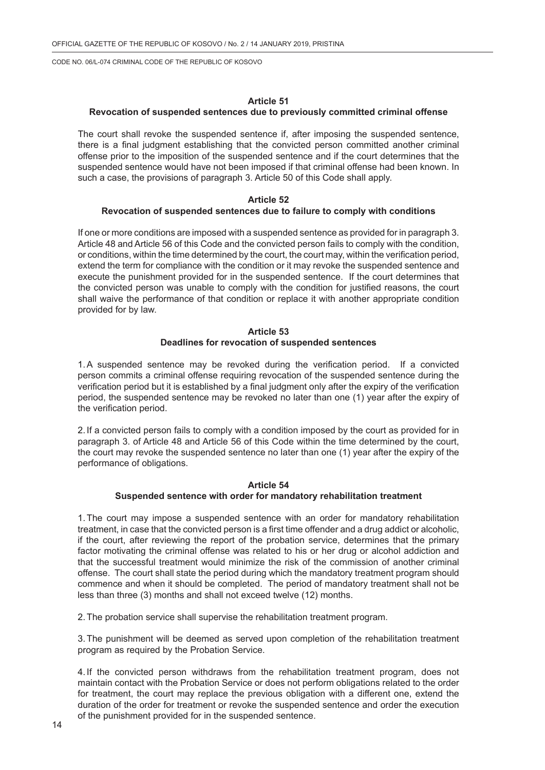## **Article 51**

### **Revocation of suspended sentences due to previously committed criminal offense**

The court shall revoke the suspended sentence if, after imposing the suspended sentence, there is a final judgment establishing that the convicted person committed another criminal offense prior to the imposition of the suspended sentence and if the court determines that the suspended sentence would have not been imposed if that criminal offense had been known. In such a case, the provisions of paragraph 3. Article 50 of this Code shall apply.

# **Article 52**

### **Revocation of suspended sentences due to failure to comply with conditions**

If one or more conditions are imposed with a suspended sentence as provided for in paragraph 3. Article 48 and Article 56 of this Code and the convicted person fails to comply with the condition, or conditions, within the time determined by the court, the court may, within the verification period, extend the term for compliance with the condition or it may revoke the suspended sentence and execute the punishment provided for in the suspended sentence. If the court determines that the convicted person was unable to comply with the condition for justified reasons, the court shall waive the performance of that condition or replace it with another appropriate condition provided for by law.

## **Article 53 Deadlines for revocation of suspended sentences**

1.A suspended sentence may be revoked during the verification period. If a convicted person commits a criminal offense requiring revocation of the suspended sentence during the verification period but it is established by a final judgment only after the expiry of the verification period, the suspended sentence may be revoked no later than one (1) year after the expiry of the verification period.

2. If a convicted person fails to comply with a condition imposed by the court as provided for in paragraph 3. of Article 48 and Article 56 of this Code within the time determined by the court, the court may revoke the suspended sentence no later than one (1) year after the expiry of the performance of obligations.

## **Article 54 Suspended sentence with order for mandatory rehabilitation treatment**

1.The court may impose a suspended sentence with an order for mandatory rehabilitation treatment, in case that the convicted person is a first time offender and a drug addict or alcoholic, if the court, after reviewing the report of the probation service, determines that the primary factor motivating the criminal offense was related to his or her drug or alcohol addiction and that the successful treatment would minimize the risk of the commission of another criminal offense. The court shall state the period during which the mandatory treatment program should commence and when it should be completed. The period of mandatory treatment shall not be less than three (3) months and shall not exceed twelve (12) months.

2.The probation service shall supervise the rehabilitation treatment program.

3.The punishment will be deemed as served upon completion of the rehabilitation treatment program as required by the Probation Service.

4. If the convicted person withdraws from the rehabilitation treatment program, does not maintain contact with the Probation Service or does not perform obligations related to the order for treatment, the court may replace the previous obligation with a different one, extend the duration of the order for treatment or revoke the suspended sentence and order the execution of the punishment provided for in the suspended sentence.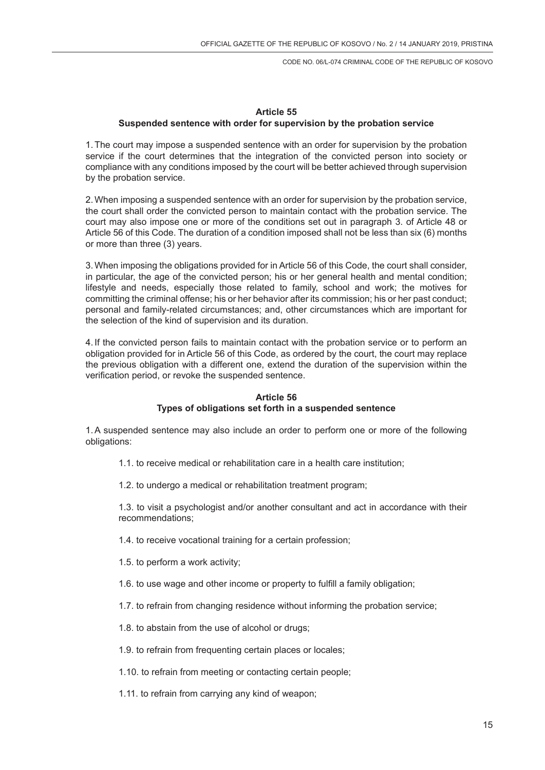# **Article 55 Suspended sentence with order for supervision by the probation service**

1.The court may impose a suspended sentence with an order for supervision by the probation service if the court determines that the integration of the convicted person into society or compliance with any conditions imposed by the court will be better achieved through supervision by the probation service.

2.When imposing a suspended sentence with an order for supervision by the probation service, the court shall order the convicted person to maintain contact with the probation service. The court may also impose one or more of the conditions set out in paragraph 3. of Article 48 or Article 56 of this Code. The duration of a condition imposed shall not be less than six (6) months or more than three (3) years.

3.When imposing the obligations provided for in Article 56 of this Code, the court shall consider, in particular, the age of the convicted person; his or her general health and mental condition; lifestyle and needs, especially those related to family, school and work; the motives for committing the criminal offense; his or her behavior after its commission; his or her past conduct; personal and family-related circumstances; and, other circumstances which are important for the selection of the kind of supervision and its duration.

4. If the convicted person fails to maintain contact with the probation service or to perform an obligation provided for in Article 56 of this Code, as ordered by the court, the court may replace the previous obligation with a different one, extend the duration of the supervision within the verification period, or revoke the suspended sentence.

# **Article 56 Types of obligations set forth in a suspended sentence**

1.A suspended sentence may also include an order to perform one or more of the following obligations:

- 1.1. to receive medical or rehabilitation care in a health care institution;
- 1.2. to undergo a medical or rehabilitation treatment program;

1.3. to visit a psychologist and/or another consultant and act in accordance with their recommendations;

- 1.4. to receive vocational training for a certain profession;
- 1.5. to perform a work activity;
- 1.6. to use wage and other income or property to fulfill a family obligation;
- 1.7. to refrain from changing residence without informing the probation service;
- 1.8. to abstain from the use of alcohol or drugs;
- 1.9. to refrain from frequenting certain places or locales;
- 1.10. to refrain from meeting or contacting certain people;
- 1.11. to refrain from carrying any kind of weapon;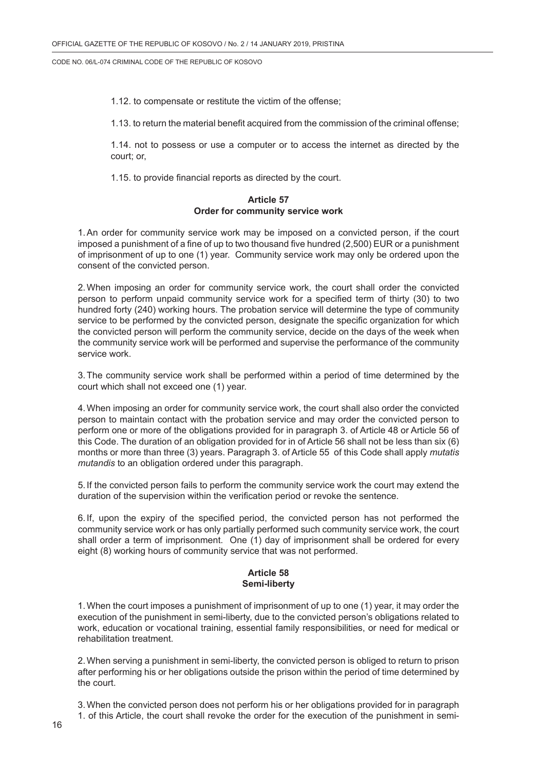1.12. to compensate or restitute the victim of the offense;

1.13. to return the material benefit acquired from the commission of the criminal offense;

1.14. not to possess or use a computer or to access the internet as directed by the court; or,

1.15. to provide financial reports as directed by the court.

### **Article 57 Order for community service work**

1.An order for community service work may be imposed on a convicted person, if the court imposed a punishment of a fine of up to two thousand five hundred (2,500) EUR or a punishment of imprisonment of up to one (1) year. Community service work may only be ordered upon the consent of the convicted person.

2.When imposing an order for community service work, the court shall order the convicted person to perform unpaid community service work for a specified term of thirty (30) to two hundred forty (240) working hours. The probation service will determine the type of community service to be performed by the convicted person, designate the specific organization for which the convicted person will perform the community service, decide on the days of the week when the community service work will be performed and supervise the performance of the community service work.

3.The community service work shall be performed within a period of time determined by the court which shall not exceed one (1) year.

4.When imposing an order for community service work, the court shall also order the convicted person to maintain contact with the probation service and may order the convicted person to perform one or more of the obligations provided for in paragraph 3. of Article 48 or Article 56 of this Code. The duration of an obligation provided for in of Article 56 shall not be less than six (6) months or more than three (3) years. Paragraph 3. of Article 55 of this Code shall apply *mutatis mutandis* to an obligation ordered under this paragraph.

5. If the convicted person fails to perform the community service work the court may extend the duration of the supervision within the verification period or revoke the sentence.

6. If, upon the expiry of the specified period, the convicted person has not performed the community service work or has only partially performed such community service work, the court shall order a term of imprisonment. One (1) day of imprisonment shall be ordered for every eight (8) working hours of community service that was not performed.

### **Article 58 Semi-liberty**

1.When the court imposes a punishment of imprisonment of up to one (1) year, it may order the execution of the punishment in semi-liberty, due to the convicted person's obligations related to work, education or vocational training, essential family responsibilities, or need for medical or rehabilitation treatment.

2.When serving a punishment in semi-liberty, the convicted person is obliged to return to prison after performing his or her obligations outside the prison within the period of time determined by the court.

3.When the convicted person does not perform his or her obligations provided for in paragraph 1. of this Article, the court shall revoke the order for the execution of the punishment in semi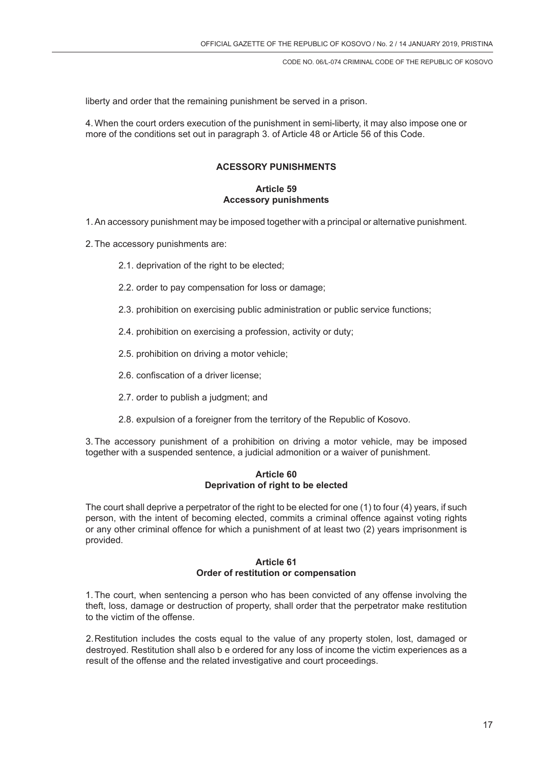liberty and order that the remaining punishment be served in a prison.

4.When the court orders execution of the punishment in semi-liberty, it may also impose one or more of the conditions set out in paragraph 3. of Article 48 or Article 56 of this Code.

# **ACESSORY PUNISHMENTS**

## **Article 59 Accessory punishments**

1.An accessory punishment may be imposed together with a principal or alternative punishment.

2.The accessory punishments are:

- 2.1. deprivation of the right to be elected:
- 2.2. order to pay compensation for loss or damage;
- 2.3. prohibition on exercising public administration or public service functions;
- 2.4. prohibition on exercising a profession, activity or duty;
- 2.5. prohibition on driving a motor vehicle;
- 2.6. confiscation of a driver license;
- 2.7. order to publish a judgment; and
- 2.8. expulsion of a foreigner from the territory of the Republic of Kosovo.

3.The accessory punishment of a prohibition on driving a motor vehicle, may be imposed together with a suspended sentence, a judicial admonition or a waiver of punishment.

### **Article 60 Deprivation of right to be elected**

The court shall deprive a perpetrator of the right to be elected for one (1) to four (4) years, if such person, with the intent of becoming elected, commits a criminal offence against voting rights or any other criminal offence for which a punishment of at least two (2) years imprisonment is provided.

# **Article 61 Order of restitution or compensation**

1.The court, when sentencing a person who has been convicted of any offense involving the theft, loss, damage or destruction of property, shall order that the perpetrator make restitution to the victim of the offense.

2.Restitution includes the costs equal to the value of any property stolen, lost, damaged or destroyed. Restitution shall also b e ordered for any loss of income the victim experiences as a result of the offense and the related investigative and court proceedings.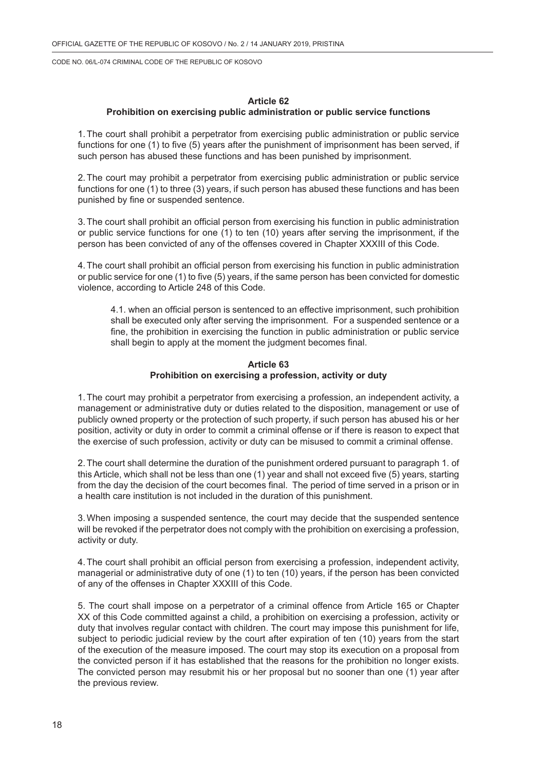### **Article 62**

# **Prohibition on exercising public administration or public service functions**

1.The court shall prohibit a perpetrator from exercising public administration or public service functions for one (1) to five (5) years after the punishment of imprisonment has been served, if such person has abused these functions and has been punished by imprisonment.

2.The court may prohibit a perpetrator from exercising public administration or public service functions for one (1) to three (3) years, if such person has abused these functions and has been punished by fine or suspended sentence.

3.The court shall prohibit an official person from exercising his function in public administration or public service functions for one (1) to ten (10) years after serving the imprisonment, if the person has been convicted of any of the offenses covered in Chapter XXXIII of this Code.

4.The court shall prohibit an official person from exercising his function in public administration or public service for one (1) to five (5) years, if the same person has been convicted for domestic violence, according to Article 248 of this Code.

4.1. when an official person is sentenced to an effective imprisonment, such prohibition shall be executed only after serving the imprisonment. For a suspended sentence or a fine, the prohibition in exercising the function in public administration or public service shall begin to apply at the moment the judgment becomes final.

## **Article 63 Prohibition on exercising a profession, activity or duty**

1.The court may prohibit a perpetrator from exercising a profession, an independent activity, a management or administrative duty or duties related to the disposition, management or use of publicly owned property or the protection of such property, if such person has abused his or her position, activity or duty in order to commit a criminal offense or if there is reason to expect that the exercise of such profession, activity or duty can be misused to commit a criminal offense.

2.The court shall determine the duration of the punishment ordered pursuant to paragraph 1. of this Article, which shall not be less than one (1) year and shall not exceed five (5) years, starting from the day the decision of the court becomes final. The period of time served in a prison or in a health care institution is not included in the duration of this punishment.

3.When imposing a suspended sentence, the court may decide that the suspended sentence will be revoked if the perpetrator does not comply with the prohibition on exercising a profession, activity or duty.

4.The court shall prohibit an official person from exercising a profession, independent activity, managerial or administrative duty of one (1) to ten (10) years, if the person has been convicted of any of the offenses in Chapter XXXIII of this Code.

5. The court shall impose on a perpetrator of a criminal offence from Article 165 or Chapter XX of this Code committed against a child, a prohibition on exercising a profession, activity or duty that involves regular contact with children. The court may impose this punishment for life, subject to periodic judicial review by the court after expiration of ten (10) years from the start of the execution of the measure imposed. The court may stop its execution on a proposal from the convicted person if it has established that the reasons for the prohibition no longer exists. The convicted person may resubmit his or her proposal but no sooner than one (1) year after the previous review.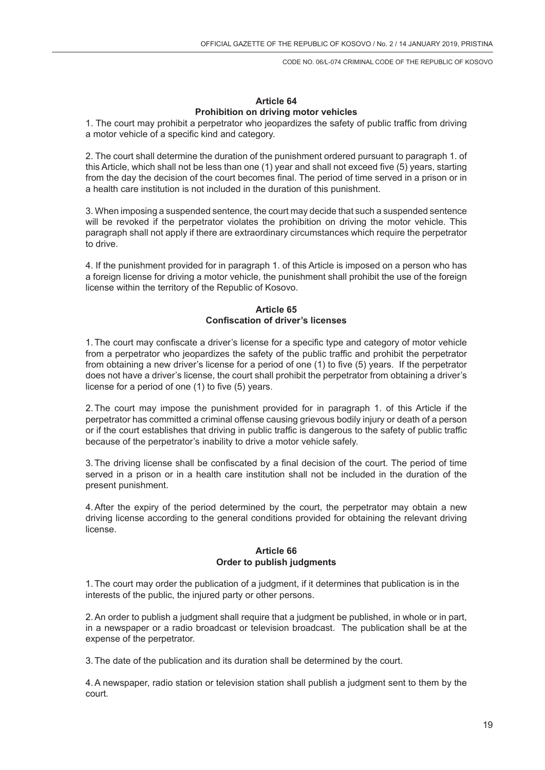# **Article 64 Prohibition on driving motor vehicles**

1. The court may prohibit a perpetrator who jeopardizes the safety of public traffic from driving a motor vehicle of a specific kind and category.

2. The court shall determine the duration of the punishment ordered pursuant to paragraph 1. of this Article, which shall not be less than one (1) year and shall not exceed five (5) years, starting from the day the decision of the court becomes final. The period of time served in a prison or in a health care institution is not included in the duration of this punishment.

3. When imposing a suspended sentence, the court may decide that such a suspended sentence will be revoked if the perpetrator violates the prohibition on driving the motor vehicle. This paragraph shall not apply if there are extraordinary circumstances which require the perpetrator to drive.

4. If the punishment provided for in paragraph 1. of this Article is imposed on a person who has a foreign license for driving a motor vehicle, the punishment shall prohibit the use of the foreign license within the territory of the Republic of Kosovo.

# **Article 65 Confiscation of driver's licenses**

1.The court may confiscate a driver's license for a specific type and category of motor vehicle from a perpetrator who jeopardizes the safety of the public traffic and prohibit the perpetrator from obtaining a new driver's license for a period of one (1) to five (5) years. If the perpetrator does not have a driver's license, the court shall prohibit the perpetrator from obtaining a driver's license for a period of one (1) to five (5) years.

2.The court may impose the punishment provided for in paragraph 1. of this Article if the perpetrator has committed a criminal offense causing grievous bodily injury or death of a person or if the court establishes that driving in public traffic is dangerous to the safety of public traffic because of the perpetrator's inability to drive a motor vehicle safely.

3.The driving license shall be confiscated by a final decision of the court. The period of time served in a prison or in a health care institution shall not be included in the duration of the present punishment.

4.After the expiry of the period determined by the court, the perpetrator may obtain a new driving license according to the general conditions provided for obtaining the relevant driving license.

## **Article 66 Order to publish judgments**

1.The court may order the publication of a judgment, if it determines that publication is in the interests of the public, the injured party or other persons.

2.An order to publish a judgment shall require that a judgment be published, in whole or in part, in a newspaper or a radio broadcast or television broadcast. The publication shall be at the expense of the perpetrator.

3.The date of the publication and its duration shall be determined by the court.

4.A newspaper, radio station or television station shall publish a judgment sent to them by the court.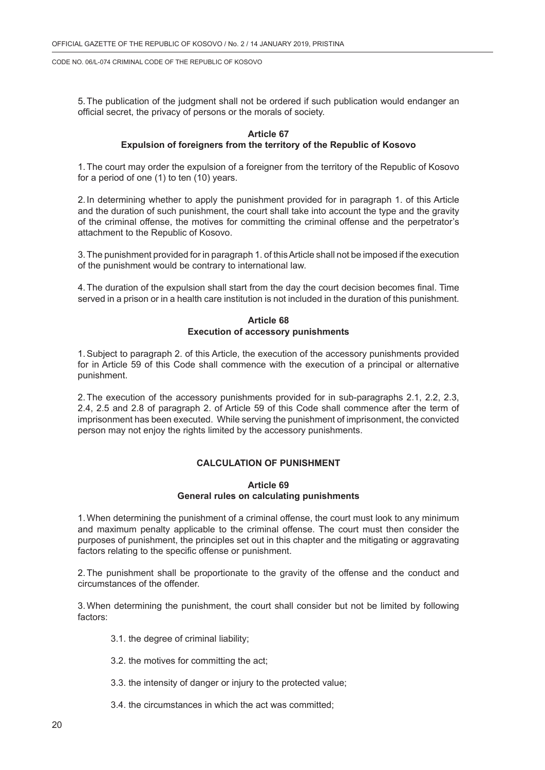5.The publication of the judgment shall not be ordered if such publication would endanger an official secret, the privacy of persons or the morals of society.

### **Article 67**

### **Expulsion of foreigners from the territory of the Republic of Kosovo**

1.The court may order the expulsion of a foreigner from the territory of the Republic of Kosovo for a period of one (1) to ten (10) years.

2. In determining whether to apply the punishment provided for in paragraph 1. of this Article and the duration of such punishment, the court shall take into account the type and the gravity of the criminal offense, the motives for committing the criminal offense and the perpetrator's attachment to the Republic of Kosovo.

3.The punishment provided for in paragraph 1. of this Article shall not be imposed if the execution of the punishment would be contrary to international law.

4.The duration of the expulsion shall start from the day the court decision becomes final. Time served in a prison or in a health care institution is not included in the duration of this punishment.

**Article 68 Execution of accessory punishments**

1.Subject to paragraph 2. of this Article, the execution of the accessory punishments provided for in Article 59 of this Code shall commence with the execution of a principal or alternative punishment.

2.The execution of the accessory punishments provided for in sub-paragraphs 2.1, 2.2, 2.3, 2.4, 2.5 and 2.8 of paragraph 2. of Article 59 of this Code shall commence after the term of imprisonment has been executed. While serving the punishment of imprisonment, the convicted person may not enjoy the rights limited by the accessory punishments.

### **CALCULATION OF PUNISHMENT**

### **Article 69 General rules on calculating punishments**

1.When determining the punishment of a criminal offense, the court must look to any minimum and maximum penalty applicable to the criminal offense. The court must then consider the purposes of punishment, the principles set out in this chapter and the mitigating or aggravating factors relating to the specific offense or punishment.

2.The punishment shall be proportionate to the gravity of the offense and the conduct and circumstances of the offender.

3.When determining the punishment, the court shall consider but not be limited by following factors:

- 3.1. the degree of criminal liability;
- 3.2. the motives for committing the act;
- 3.3. the intensity of danger or injury to the protected value;
- 3.4. the circumstances in which the act was committed;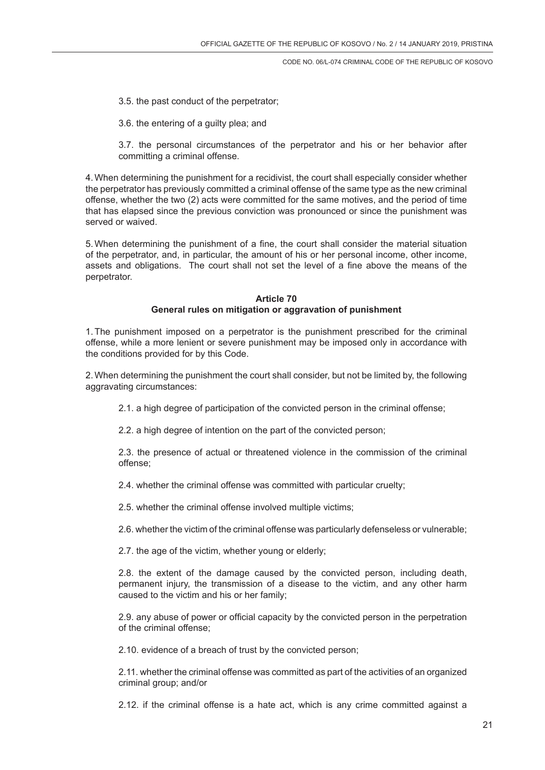- 3.5. the past conduct of the perpetrator;
- 3.6. the entering of a guilty plea; and

3.7. the personal circumstances of the perpetrator and his or her behavior after committing a criminal offense.

4.When determining the punishment for a recidivist, the court shall especially consider whether the perpetrator has previously committed a criminal offense of the same type as the new criminal offense, whether the two (2) acts were committed for the same motives, and the period of time that has elapsed since the previous conviction was pronounced or since the punishment was served or waived.

5.When determining the punishment of a fine, the court shall consider the material situation of the perpetrator, and, in particular, the amount of his or her personal income, other income, assets and obligations. The court shall not set the level of a fine above the means of the perpetrator.

# **Article 70 General rules on mitigation or aggravation of punishment**

1.The punishment imposed on a perpetrator is the punishment prescribed for the criminal offense, while a more lenient or severe punishment may be imposed only in accordance with the conditions provided for by this Code.

2.When determining the punishment the court shall consider, but not be limited by, the following aggravating circumstances:

- 2.1. a high degree of participation of the convicted person in the criminal offense;
- 2.2. a high degree of intention on the part of the convicted person:

2.3. the presence of actual or threatened violence in the commission of the criminal offense;

2.4. whether the criminal offense was committed with particular cruelty;

2.5. whether the criminal offense involved multiple victims;

2.6. whether the victim of the criminal offense was particularly defenseless or vulnerable;

2.7. the age of the victim, whether young or elderly;

2.8. the extent of the damage caused by the convicted person, including death, permanent injury, the transmission of a disease to the victim, and any other harm caused to the victim and his or her family;

2.9. any abuse of power or official capacity by the convicted person in the perpetration of the criminal offense;

2.10. evidence of a breach of trust by the convicted person;

2.11. whether the criminal offense was committed as part of the activities of an organized criminal group; and/or

2.12. if the criminal offense is a hate act, which is any crime committed against a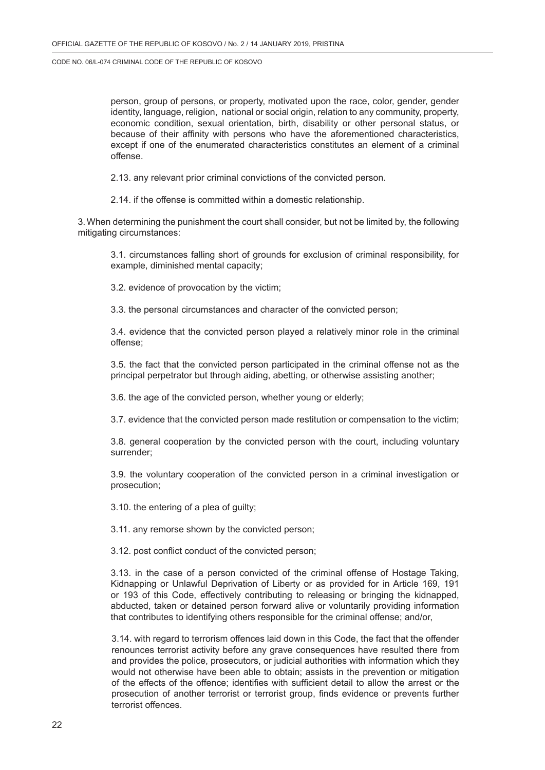person, group of persons, or property, motivated upon the race, color, gender, gender identity, language, religion, national or social origin, relation to any community, property, economic condition, sexual orientation, birth, disability or other personal status, or because of their affinity with persons who have the aforementioned characteristics, except if one of the enumerated characteristics constitutes an element of a criminal offense.

2.13. any relevant prior criminal convictions of the convicted person.

2.14. if the offense is committed within a domestic relationship.

3.When determining the punishment the court shall consider, but not be limited by, the following mitigating circumstances:

3.1. circumstances falling short of grounds for exclusion of criminal responsibility, for example, diminished mental capacity;

3.2. evidence of provocation by the victim;

3.3. the personal circumstances and character of the convicted person;

3.4. evidence that the convicted person played a relatively minor role in the criminal offense;

3.5. the fact that the convicted person participated in the criminal offense not as the principal perpetrator but through aiding, abetting, or otherwise assisting another;

3.6. the age of the convicted person, whether young or elderly;

3.7. evidence that the convicted person made restitution or compensation to the victim;

3.8. general cooperation by the convicted person with the court, including voluntary surrender;

3.9. the voluntary cooperation of the convicted person in a criminal investigation or prosecution;

3.10. the entering of a plea of guilty;

3.11. any remorse shown by the convicted person;

3.12. post conflict conduct of the convicted person;

3.13. in the case of a person convicted of the criminal offense of Hostage Taking, Kidnapping or Unlawful Deprivation of Liberty or as provided for in Article 169, 191 or 193 of this Code, effectively contributing to releasing or bringing the kidnapped, abducted, taken or detained person forward alive or voluntarily providing information that contributes to identifying others responsible for the criminal offense; and/or,

3.14. with regard to terrorism offences laid down in this Code, the fact that the offender renounces terrorist activity before any grave consequences have resulted there from and provides the police, prosecutors, or judicial authorities with information which they would not otherwise have been able to obtain; assists in the prevention or mitigation of the effects of the offence; identifies with sufficient detail to allow the arrest or the prosecution of another terrorist or terrorist group, finds evidence or prevents further terrorist offences.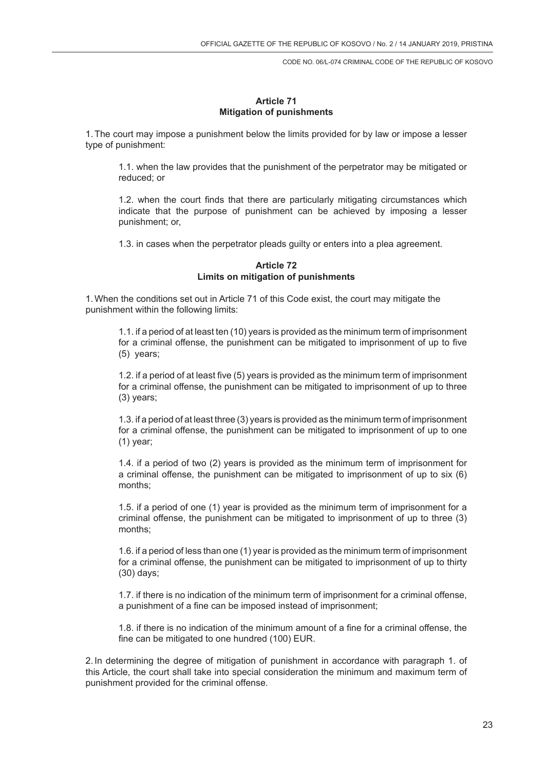### **Article 71 Mitigation of punishments**

1.The court may impose a punishment below the limits provided for by law or impose a lesser type of punishment:

1.1. when the law provides that the punishment of the perpetrator may be mitigated or reduced; or

1.2. when the court finds that there are particularly mitigating circumstances which indicate that the purpose of punishment can be achieved by imposing a lesser punishment; or,

1.3. in cases when the perpetrator pleads guilty or enters into a plea agreement.

### **Article 72 Limits on mitigation of punishments**

1.When the conditions set out in Article 71 of this Code exist, the court may mitigate the punishment within the following limits:

1.1. if a period of at least ten (10) years is provided as the minimum term of imprisonment for a criminal offense, the punishment can be mitigated to imprisonment of up to five (5) years;

1.2. if a period of at least five (5) years is provided as the minimum term of imprisonment for a criminal offense, the punishment can be mitigated to imprisonment of up to three (3) years;

1.3. if a period of at least three (3) years is provided as the minimum term of imprisonment for a criminal offense, the punishment can be mitigated to imprisonment of up to one (1) year;

1.4. if a period of two (2) years is provided as the minimum term of imprisonment for a criminal offense, the punishment can be mitigated to imprisonment of up to six (6) months;

1.5. if a period of one (1) year is provided as the minimum term of imprisonment for a criminal offense, the punishment can be mitigated to imprisonment of up to three (3) months;

1.6. if a period of less than one (1) year is provided as the minimum term of imprisonment for a criminal offense, the punishment can be mitigated to imprisonment of up to thirty (30) days;

1.7. if there is no indication of the minimum term of imprisonment for a criminal offense, a punishment of a fine can be imposed instead of imprisonment;

1.8. if there is no indication of the minimum amount of a fine for a criminal offense, the fine can be mitigated to one hundred (100) EUR.

2. In determining the degree of mitigation of punishment in accordance with paragraph 1. of this Article, the court shall take into special consideration the minimum and maximum term of punishment provided for the criminal offense.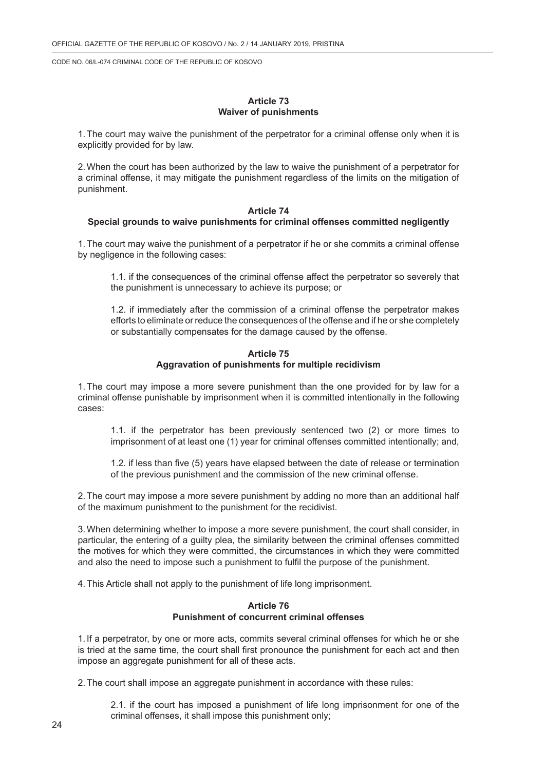### **Article 73 Waiver of punishments**

1.The court may waive the punishment of the perpetrator for a criminal offense only when it is explicitly provided for by law.

2.When the court has been authorized by the law to waive the punishment of a perpetrator for a criminal offense, it may mitigate the punishment regardless of the limits on the mitigation of punishment.

#### **Article 74**

### **Special grounds to waive punishments for criminal offenses committed negligently**

1.The court may waive the punishment of a perpetrator if he or she commits a criminal offense by negligence in the following cases:

1.1. if the consequences of the criminal offense affect the perpetrator so severely that the punishment is unnecessary to achieve its purpose; or

1.2. if immediately after the commission of a criminal offense the perpetrator makes efforts to eliminate or reduce the consequences of the offense and if he or she completely or substantially compensates for the damage caused by the offense.

#### **Article 75 Aggravation of punishments for multiple recidivism**

1.The court may impose a more severe punishment than the one provided for by law for a criminal offense punishable by imprisonment when it is committed intentionally in the following cases:

1.1. if the perpetrator has been previously sentenced two (2) or more times to imprisonment of at least one (1) year for criminal offenses committed intentionally; and,

1.2. if less than five (5) years have elapsed between the date of release or termination of the previous punishment and the commission of the new criminal offense.

2.The court may impose a more severe punishment by adding no more than an additional half of the maximum punishment to the punishment for the recidivist.

3.When determining whether to impose a more severe punishment, the court shall consider, in particular, the entering of a guilty plea, the similarity between the criminal offenses committed the motives for which they were committed, the circumstances in which they were committed and also the need to impose such a punishment to fulfil the purpose of the punishment.

4.This Article shall not apply to the punishment of life long imprisonment.

### **Article 76 Punishment of concurrent criminal offenses**

1. If a perpetrator, by one or more acts, commits several criminal offenses for which he or she is tried at the same time, the court shall first pronounce the punishment for each act and then impose an aggregate punishment for all of these acts.

2.The court shall impose an aggregate punishment in accordance with these rules:

2.1. if the court has imposed a punishment of life long imprisonment for one of the criminal offenses, it shall impose this punishment only;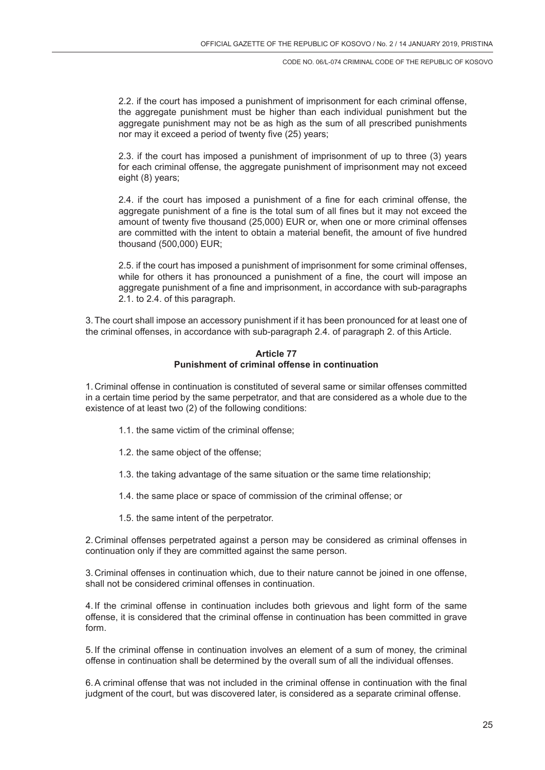2.2. if the court has imposed a punishment of imprisonment for each criminal offense, the aggregate punishment must be higher than each individual punishment but the aggregate punishment may not be as high as the sum of all prescribed punishments nor may it exceed a period of twenty five (25) years;

2.3. if the court has imposed a punishment of imprisonment of up to three (3) years for each criminal offense, the aggregate punishment of imprisonment may not exceed eight (8) years;

2.4. if the court has imposed a punishment of a fine for each criminal offense, the aggregate punishment of a fine is the total sum of all fines but it may not exceed the amount of twenty five thousand (25,000) EUR or, when one or more criminal offenses are committed with the intent to obtain a material benefit, the amount of five hundred thousand (500,000) EUR;

2.5. if the court has imposed a punishment of imprisonment for some criminal offenses, while for others it has pronounced a punishment of a fine, the court will impose an aggregate punishment of a fine and imprisonment, in accordance with sub-paragraphs 2.1. to 2.4. of this paragraph.

3.The court shall impose an accessory punishment if it has been pronounced for at least one of the criminal offenses, in accordance with sub-paragraph 2.4. of paragraph 2. of this Article.

## **Article 77 Punishment of criminal offense in continuation**

1. Criminal offense in continuation is constituted of several same or similar offenses committed in a certain time period by the same perpetrator, and that are considered as a whole due to the existence of at least two (2) of the following conditions:

- 1.1. the same victim of the criminal offense;
- 1.2. the same object of the offense;
- 1.3. the taking advantage of the same situation or the same time relationship;
- 1.4. the same place or space of commission of the criminal offense; or
- 1.5. the same intent of the perpetrator.

2. Criminal offenses perpetrated against a person may be considered as criminal offenses in continuation only if they are committed against the same person.

3. Criminal offenses in continuation which, due to their nature cannot be joined in one offense, shall not be considered criminal offenses in continuation.

4. If the criminal offense in continuation includes both grievous and light form of the same offense, it is considered that the criminal offense in continuation has been committed in grave form.

5. If the criminal offense in continuation involves an element of a sum of money, the criminal offense in continuation shall be determined by the overall sum of all the individual offenses.

6.A criminal offense that was not included in the criminal offense in continuation with the final judgment of the court, but was discovered later, is considered as a separate criminal offense.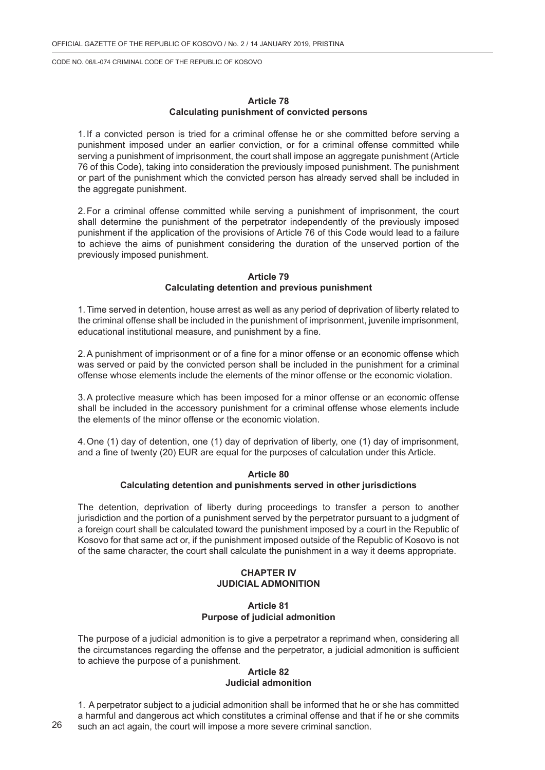### **Article 78 Calculating punishment of convicted persons**

1. If a convicted person is tried for a criminal offense he or she committed before serving a punishment imposed under an earlier conviction, or for a criminal offense committed while serving a punishment of imprisonment, the court shall impose an aggregate punishment (Article 76 of this Code), taking into consideration the previously imposed punishment. The punishment or part of the punishment which the convicted person has already served shall be included in the aggregate punishment.

2.For a criminal offense committed while serving a punishment of imprisonment, the court shall determine the punishment of the perpetrator independently of the previously imposed punishment if the application of the provisions of Article 76 of this Code would lead to a failure to achieve the aims of punishment considering the duration of the unserved portion of the previously imposed punishment.

### **Article 79 Calculating detention and previous punishment**

1.Time served in detention, house arrest as well as any period of deprivation of liberty related to the criminal offense shall be included in the punishment of imprisonment, juvenile imprisonment, educational institutional measure, and punishment by a fine.

2.A punishment of imprisonment or of a fine for a minor offense or an economic offense which was served or paid by the convicted person shall be included in the punishment for a criminal offense whose elements include the elements of the minor offense or the economic violation.

3.A protective measure which has been imposed for a minor offense or an economic offense shall be included in the accessory punishment for a criminal offense whose elements include the elements of the minor offense or the economic violation.

4.One (1) day of detention, one (1) day of deprivation of liberty, one (1) day of imprisonment, and a fine of twenty (20) EUR are equal for the purposes of calculation under this Article.

### **Article 80 Calculating detention and punishments served in other jurisdictions**

The detention, deprivation of liberty during proceedings to transfer a person to another jurisdiction and the portion of a punishment served by the perpetrator pursuant to a judgment of a foreign court shall be calculated toward the punishment imposed by a court in the Republic of Kosovo for that same act or, if the punishment imposed outside of the Republic of Kosovo is not of the same character, the court shall calculate the punishment in a way it deems appropriate.

## **CHAPTER IV JUDICIAL ADMONITION**

## **Article 81 Purpose of judicial admonition**

The purpose of a judicial admonition is to give a perpetrator a reprimand when, considering all the circumstances regarding the offense and the perpetrator, a judicial admonition is sufficient to achieve the purpose of a punishment.

#### **Article 82 Judicial admonition**

1. A perpetrator subject to a judicial admonition shall be informed that he or she has committed a harmful and dangerous act which constitutes a criminal offense and that if he or she commits such an act again, the court will impose a more severe criminal sanction.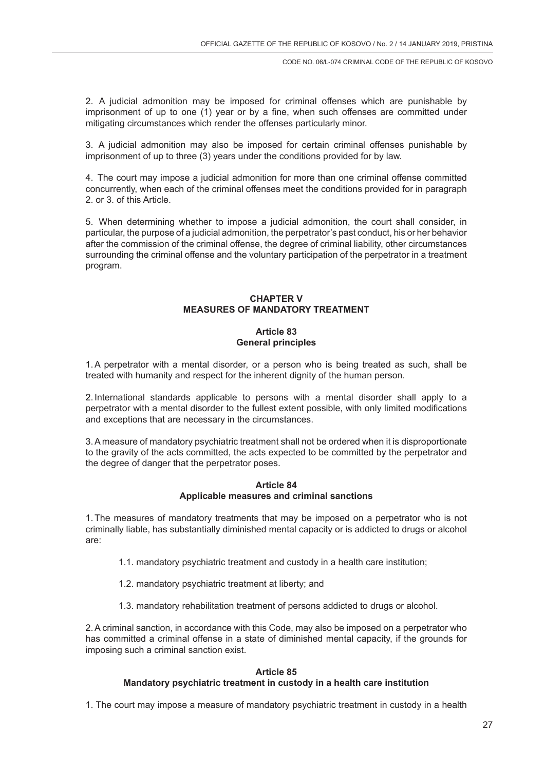2. A judicial admonition may be imposed for criminal offenses which are punishable by imprisonment of up to one (1) year or by a fine, when such offenses are committed under mitigating circumstances which render the offenses particularly minor.

3. A judicial admonition may also be imposed for certain criminal offenses punishable by imprisonment of up to three (3) years under the conditions provided for by law.

4. The court may impose a judicial admonition for more than one criminal offense committed concurrently, when each of the criminal offenses meet the conditions provided for in paragraph 2. or 3. of this Article.

5. When determining whether to impose a judicial admonition, the court shall consider, in particular, the purpose of a judicial admonition, the perpetrator's past conduct, his or her behavior after the commission of the criminal offense, the degree of criminal liability, other circumstances surrounding the criminal offense and the voluntary participation of the perpetrator in a treatment program.

# **CHAPTER V MEASURES OF MANDATORY TREATMENT**

# **Article 83 General principles**

1.A perpetrator with a mental disorder, or a person who is being treated as such, shall be treated with humanity and respect for the inherent dignity of the human person.

2. International standards applicable to persons with a mental disorder shall apply to a perpetrator with a mental disorder to the fullest extent possible, with only limited modifications and exceptions that are necessary in the circumstances.

3.A measure of mandatory psychiatric treatment shall not be ordered when it is disproportionate to the gravity of the acts committed, the acts expected to be committed by the perpetrator and the degree of danger that the perpetrator poses.

## **Article 84 Applicable measures and criminal sanctions**

1.The measures of mandatory treatments that may be imposed on a perpetrator who is not criminally liable, has substantially diminished mental capacity or is addicted to drugs or alcohol are:

- 1.1. mandatory psychiatric treatment and custody in a health care institution;
- 1.2. mandatory psychiatric treatment at liberty; and
- 1.3. mandatory rehabilitation treatment of persons addicted to drugs or alcohol.

2.A criminal sanction, in accordance with this Code, may also be imposed on a perpetrator who has committed a criminal offense in a state of diminished mental capacity, if the grounds for imposing such a criminal sanction exist.

## **Article 85 Mandatory psychiatric treatment in custody in a health care institution**

1. The court may impose a measure of mandatory psychiatric treatment in custody in a health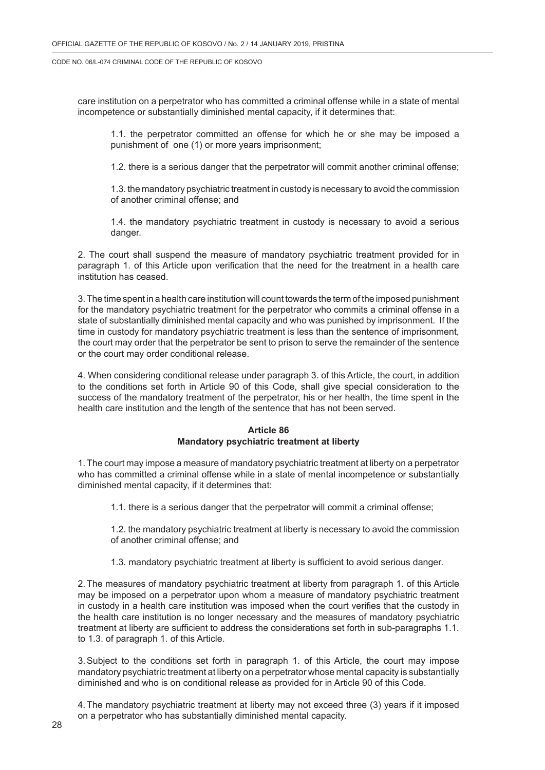care institution on a perpetrator who has committed a criminal offense while in a state of mental incompetence or substantially diminished mental capacity, if it determines that:

1.1. the perpetrator committed an offense for which he or she may be imposed a punishment of one (1) or more years imprisonment;

1.2. there is a serious danger that the perpetrator will commit another criminal offense;

1.3. the mandatory psychiatric treatment in custody is necessary to avoid the commission of another criminal offense; and

1.4. the mandatory psychiatric treatment in custody is necessary to avoid a serious danger.

2. The court shall suspend the measure of mandatory psychiatric treatment provided for in paragraph 1. of this Article upon verification that the need for the treatment in a health care institution has ceased.

3. The time spent in a health care institution will count towards the term of the imposed punishment for the mandatory psychiatric treatment for the perpetrator who commits a criminal offense in a state of substantially diminished mental capacity and who was punished by imprisonment. If the time in custody for mandatory psychiatric treatment is less than the sentence of imprisonment, the court may order that the perpetrator be sent to prison to serve the remainder of the sentence or the court may order conditional release.

4. When considering conditional release under paragraph 3. of this Article, the court, in addition to the conditions set forth in Article 90 of this Code, shall give special consideration to the success of the mandatory treatment of the perpetrator, his or her health, the time spent in the health care institution and the length of the sentence that has not been served.

## **Article 86 Mandatory psychiatric treatment at liberty**

1.The court may impose a measure of mandatory psychiatric treatment at liberty on a perpetrator who has committed a criminal offense while in a state of mental incompetence or substantially diminished mental capacity, if it determines that:

1.1. there is a serious danger that the perpetrator will commit a criminal offense;

1.2. the mandatory psychiatric treatment at liberty is necessary to avoid the commission of another criminal offense; and

1.3. mandatory psychiatric treatment at liberty is sufficient to avoid serious danger.

2.The measures of mandatory psychiatric treatment at liberty from paragraph 1. of this Article may be imposed on a perpetrator upon whom a measure of mandatory psychiatric treatment in custody in a health care institution was imposed when the court verifies that the custody in the health care institution is no longer necessary and the measures of mandatory psychiatric treatment at liberty are sufficient to address the considerations set forth in sub-paragraphs 1.1. to 1.3. of paragraph 1. of this Article.

3.Subject to the conditions set forth in paragraph 1. of this Article, the court may impose mandatory psychiatric treatment at liberty on a perpetrator whose mental capacity is substantially diminished and who is on conditional release as provided for in Article 90 of this Code.

4.The mandatory psychiatric treatment at liberty may not exceed three (3) years if it imposed on a perpetrator who has substantially diminished mental capacity.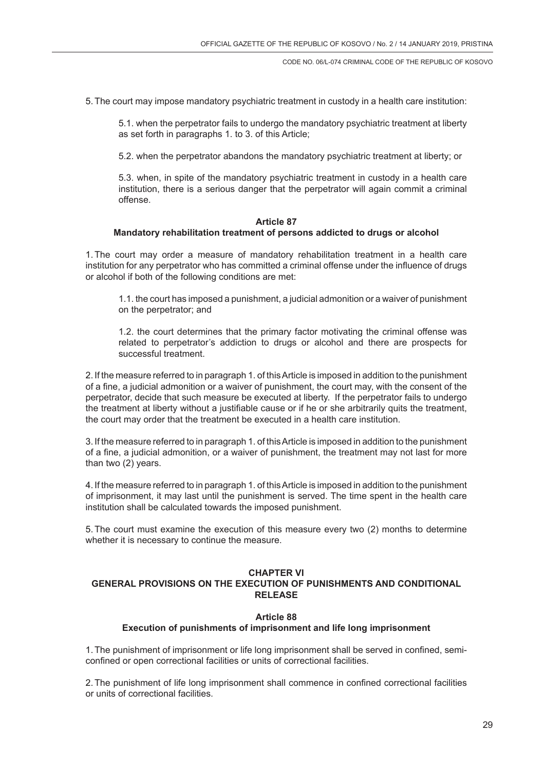5.The court may impose mandatory psychiatric treatment in custody in a health care institution:

5.1. when the perpetrator fails to undergo the mandatory psychiatric treatment at liberty as set forth in paragraphs 1. to 3. of this Article;

5.2. when the perpetrator abandons the mandatory psychiatric treatment at liberty; or

5.3. when, in spite of the mandatory psychiatric treatment in custody in a health care institution, there is a serious danger that the perpetrator will again commit a criminal offense.

### **Article 87 Mandatory rehabilitation treatment of persons addicted to drugs or alcohol**

1.The court may order a measure of mandatory rehabilitation treatment in a health care institution for any perpetrator who has committed a criminal offense under the influence of drugs or alcohol if both of the following conditions are met:

1.1. the court has imposed a punishment, a judicial admonition or a waiver of punishment on the perpetrator; and

1.2. the court determines that the primary factor motivating the criminal offense was related to perpetrator's addiction to drugs or alcohol and there are prospects for successful treatment.

2. If the measure referred to in paragraph 1. of this Article is imposed in addition to the punishment of a fine, a judicial admonition or a waiver of punishment, the court may, with the consent of the perpetrator, decide that such measure be executed at liberty. If the perpetrator fails to undergo the treatment at liberty without a justifiable cause or if he or she arbitrarily quits the treatment, the court may order that the treatment be executed in a health care institution.

3. If the measure referred to in paragraph 1. of this Article is imposed in addition to the punishment of a fine, a judicial admonition, or a waiver of punishment, the treatment may not last for more than two (2) years.

4. If the measure referred to in paragraph 1. of this Article is imposed in addition to the punishment of imprisonment, it may last until the punishment is served. The time spent in the health care institution shall be calculated towards the imposed punishment.

5.The court must examine the execution of this measure every two (2) months to determine whether it is necessary to continue the measure.

# **CHAPTER VI**

# **GENERAL PROVISIONS ON THE EXECUTION OF PUNISHMENTS AND CONDITIONAL RELEASE**

# **Article 88**

# **Execution of punishments of imprisonment and life long imprisonment**

1.The punishment of imprisonment or life long imprisonment shall be served in confined, semiconfined or open correctional facilities or units of correctional facilities.

2.The punishment of life long imprisonment shall commence in confined correctional facilities or units of correctional facilities.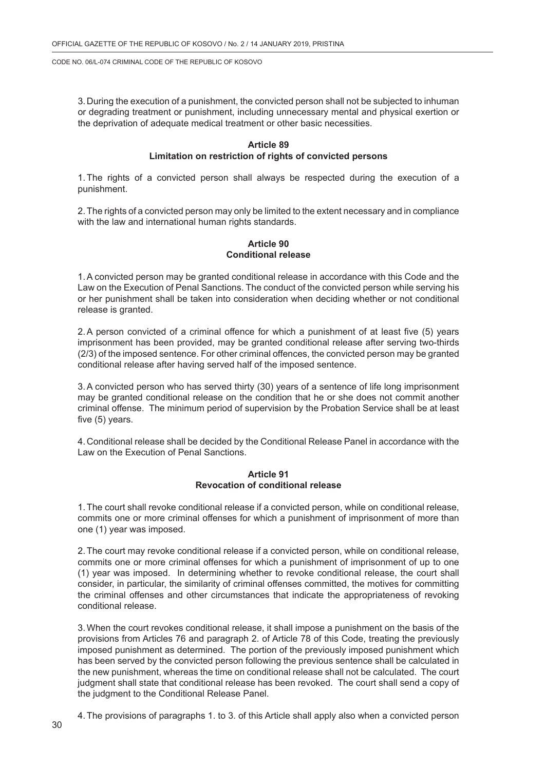3. During the execution of a punishment, the convicted person shall not be subjected to inhuman or degrading treatment or punishment, including unnecessary mental and physical exertion or the deprivation of adequate medical treatment or other basic necessities.

## **Article 89 Limitation on restriction of rights of convicted persons**

1.The rights of a convicted person shall always be respected during the execution of a punishment.

2.The rights of a convicted person may only be limited to the extent necessary and in compliance with the law and international human rights standards.

## **Article 90 Conditional release**

1.A convicted person may be granted conditional release in accordance with this Code and the Law on the Execution of Penal Sanctions. The conduct of the convicted person while serving his or her punishment shall be taken into consideration when deciding whether or not conditional release is granted.

2.A person convicted of a criminal offence for which a punishment of at least five (5) years imprisonment has been provided, may be granted conditional release after serving two-thirds (2/3) of the imposed sentence. For other criminal offences, the convicted person may be granted conditional release after having served half of the imposed sentence.

3.A convicted person who has served thirty (30) years of a sentence of life long imprisonment may be granted conditional release on the condition that he or she does not commit another criminal offense. The minimum period of supervision by the Probation Service shall be at least five (5) years.

4. Conditional release shall be decided by the Conditional Release Panel in accordance with the Law on the Execution of Penal Sanctions.

### **Article 91 Revocation of conditional release**

1.The court shall revoke conditional release if a convicted person, while on conditional release, commits one or more criminal offenses for which a punishment of imprisonment of more than one (1) year was imposed.

2.The court may revoke conditional release if a convicted person, while on conditional release, commits one or more criminal offenses for which a punishment of imprisonment of up to one (1) year was imposed. In determining whether to revoke conditional release, the court shall consider, in particular, the similarity of criminal offenses committed, the motives for committing the criminal offenses and other circumstances that indicate the appropriateness of revoking conditional release.

3.When the court revokes conditional release, it shall impose a punishment on the basis of the provisions from Articles 76 and paragraph 2. of Article 78 of this Code, treating the previously imposed punishment as determined. The portion of the previously imposed punishment which has been served by the convicted person following the previous sentence shall be calculated in the new punishment, whereas the time on conditional release shall not be calculated. The court judgment shall state that conditional release has been revoked. The court shall send a copy of the judgment to the Conditional Release Panel.

4.The provisions of paragraphs 1. to 3. of this Article shall apply also when a convicted person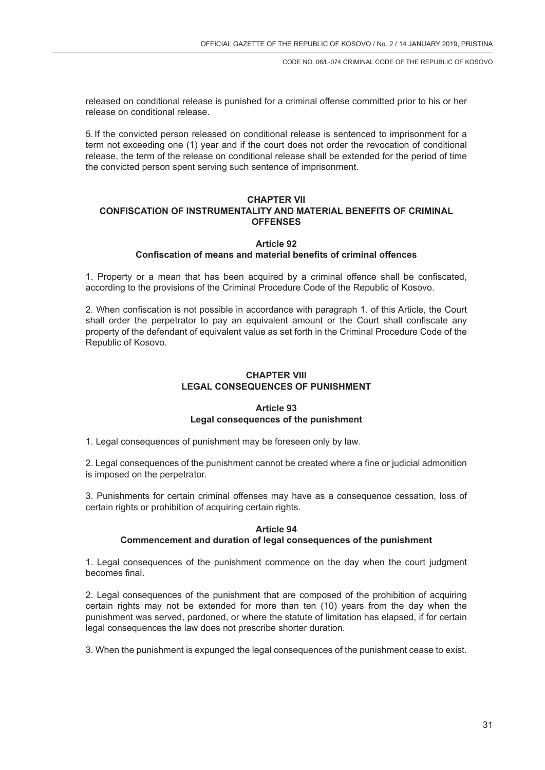released on conditional release is punished for a criminal offense committed prior to his or her release on conditional release.

5. If the convicted person released on conditional release is sentenced to imprisonment for a term not exceeding one (1) year and if the court does not order the revocation of conditional release, the term of the release on conditional release shall be extended for the period of time the convicted person spent serving such sentence of imprisonment.

## **CHAPTER VII CONFISCATION OF INSTRUMENTALITY AND MATERIAL BENEFITS OF CRIMINAL OFFENSES**

## **Article 92 Confiscation of means and material benefits of criminal offences**

1. Property or a mean that has been acquired by a criminal offence shall be confiscated, according to the provisions of the Criminal Procedure Code of the Republic of Kosovo.

2. When confiscation is not possible in accordance with paragraph 1. of this Article, the Court shall order the perpetrator to pay an equivalent amount or the Court shall confiscate any property of the defendant of equivalent value as set forth in the Criminal Procedure Code of the Republic of Kosovo.

# **CHAPTER VIII LEGAL CONSEQUENCES OF PUNISHMENT**

# **Article 93 Legal consequences of the punishment**

1. Legal consequences of punishment may be foreseen only by law.

2. Legal consequences of the punishment cannot be created where a fine or judicial admonition is imposed on the perpetrator.

3. Punishments for certain criminal offenses may have as a consequence cessation, loss of certain rights or prohibition of acquiring certain rights.

## **Article 94 Commencement and duration of legal consequences of the punishment**

1. Legal consequences of the punishment commence on the day when the court judgment becomes final.

2. Legal consequences of the punishment that are composed of the prohibition of acquiring certain rights may not be extended for more than ten (10) years from the day when the punishment was served, pardoned, or where the statute of limitation has elapsed, if for certain legal consequences the law does not prescribe shorter duration.

3. When the punishment is expunged the legal consequences of the punishment cease to exist.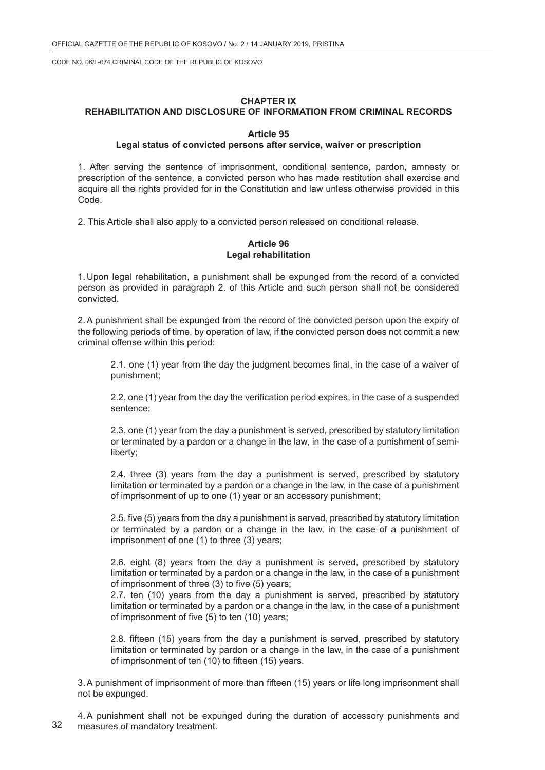### **CHAPTER IX**

# **REHABILITATION AND DISCLOSURE OF INFORMATION FROM CRIMINAL RECORDS**

### **Article 95**

## **Legal status of convicted persons after service, waiver or prescription**

1. After serving the sentence of imprisonment, conditional sentence, pardon, amnesty or prescription of the sentence, a convicted person who has made restitution shall exercise and acquire all the rights provided for in the Constitution and law unless otherwise provided in this Code.

2. This Article shall also apply to a convicted person released on conditional release.

### **Article 96 Legal rehabilitation**

1. Upon legal rehabilitation, a punishment shall be expunged from the record of a convicted person as provided in paragraph 2. of this Article and such person shall not be considered convicted.

2.A punishment shall be expunged from the record of the convicted person upon the expiry of the following periods of time, by operation of law, if the convicted person does not commit a new criminal offense within this period:

2.1. one (1) year from the day the judgment becomes final, in the case of a waiver of punishment;

2.2. one (1) year from the day the verification period expires, in the case of a suspended sentence;

2.3. one (1) year from the day a punishment is served, prescribed by statutory limitation or terminated by a pardon or a change in the law, in the case of a punishment of semiliberty;

2.4. three (3) years from the day a punishment is served, prescribed by statutory limitation or terminated by a pardon or a change in the law, in the case of a punishment of imprisonment of up to one (1) year or an accessory punishment;

2.5. five (5) years from the day a punishment is served, prescribed by statutory limitation or terminated by a pardon or a change in the law, in the case of a punishment of imprisonment of one (1) to three (3) years;

2.6. eight (8) years from the day a punishment is served, prescribed by statutory limitation or terminated by a pardon or a change in the law, in the case of a punishment of imprisonment of three (3) to five (5) years;

2.7. ten (10) years from the day a punishment is served, prescribed by statutory limitation or terminated by a pardon or a change in the law, in the case of a punishment of imprisonment of five (5) to ten (10) years;

2.8. fifteen (15) years from the day a punishment is served, prescribed by statutory limitation or terminated by pardon or a change in the law, in the case of a punishment of imprisonment of ten (10) to fifteen (15) years.

3.A punishment of imprisonment of more than fifteen (15) years or life long imprisonment shall not be expunged.

32 4.A punishment shall not be expunged during the duration of accessory punishments and measures of mandatory treatment.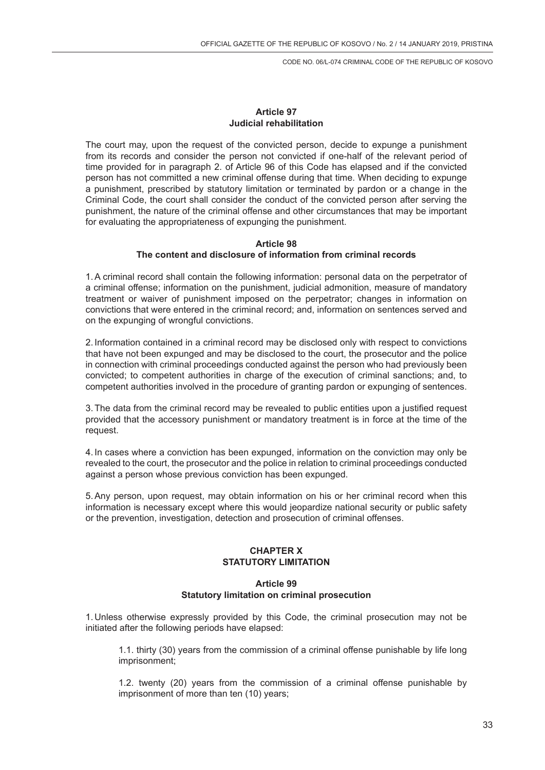# **Article 97 Judicial rehabilitation**

The court may, upon the request of the convicted person, decide to expunge a punishment from its records and consider the person not convicted if one-half of the relevant period of time provided for in paragraph 2. of Article 96 of this Code has elapsed and if the convicted person has not committed a new criminal offense during that time. When deciding to expunge a punishment, prescribed by statutory limitation or terminated by pardon or a change in the Criminal Code, the court shall consider the conduct of the convicted person after serving the punishment, the nature of the criminal offense and other circumstances that may be important for evaluating the appropriateness of expunging the punishment.

## **Article 98 The content and disclosure of information from criminal records**

1.A criminal record shall contain the following information: personal data on the perpetrator of a criminal offense; information on the punishment, judicial admonition, measure of mandatory treatment or waiver of punishment imposed on the perpetrator; changes in information on convictions that were entered in the criminal record; and, information on sentences served and on the expunging of wrongful convictions.

2. Information contained in a criminal record may be disclosed only with respect to convictions that have not been expunged and may be disclosed to the court, the prosecutor and the police in connection with criminal proceedings conducted against the person who had previously been convicted; to competent authorities in charge of the execution of criminal sanctions; and, to competent authorities involved in the procedure of granting pardon or expunging of sentences.

3.The data from the criminal record may be revealed to public entities upon a justified request provided that the accessory punishment or mandatory treatment is in force at the time of the request.

4. In cases where a conviction has been expunged, information on the conviction may only be revealed to the court, the prosecutor and the police in relation to criminal proceedings conducted against a person whose previous conviction has been expunged.

5.Any person, upon request, may obtain information on his or her criminal record when this information is necessary except where this would jeopardize national security or public safety or the prevention, investigation, detection and prosecution of criminal offenses.

### **CHAPTER X STATUTORY LIMITATION**

## **Article 99 Statutory limitation on criminal prosecution**

1. Unless otherwise expressly provided by this Code, the criminal prosecution may not be initiated after the following periods have elapsed:

1.1. thirty (30) years from the commission of a criminal offense punishable by life long imprisonment;

1.2. twenty (20) years from the commission of a criminal offense punishable by imprisonment of more than ten (10) years;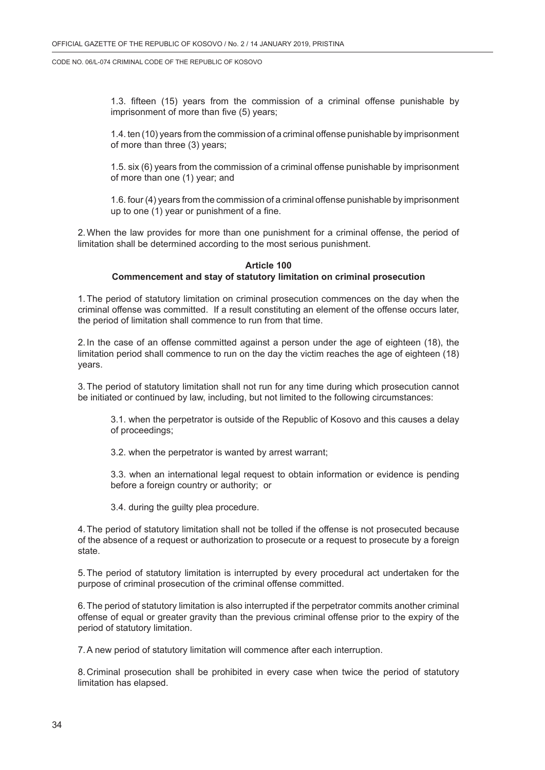1.3. fifteen (15) years from the commission of a criminal offense punishable by imprisonment of more than five (5) years;

1.4. ten (10) years from the commission of a criminal offense punishable by imprisonment of more than three (3) years;

1.5. six (6) years from the commission of a criminal offense punishable by imprisonment of more than one (1) year; and

1.6. four (4) years from the commission of a criminal offense punishable by imprisonment up to one (1) year or punishment of a fine.

2.When the law provides for more than one punishment for a criminal offense, the period of limitation shall be determined according to the most serious punishment.

## **Article 100**

### **Commencement and stay of statutory limitation on criminal prosecution**

1.The period of statutory limitation on criminal prosecution commences on the day when the criminal offense was committed. If a result constituting an element of the offense occurs later, the period of limitation shall commence to run from that time.

2. In the case of an offense committed against a person under the age of eighteen (18), the limitation period shall commence to run on the day the victim reaches the age of eighteen (18) years.

3.The period of statutory limitation shall not run for any time during which prosecution cannot be initiated or continued by law, including, but not limited to the following circumstances:

3.1. when the perpetrator is outside of the Republic of Kosovo and this causes a delay of proceedings;

3.2. when the perpetrator is wanted by arrest warrant;

3.3. when an international legal request to obtain information or evidence is pending before a foreign country or authority; or

3.4. during the guilty plea procedure.

4.The period of statutory limitation shall not be tolled if the offense is not prosecuted because of the absence of a request or authorization to prosecute or a request to prosecute by a foreign state.

5.The period of statutory limitation is interrupted by every procedural act undertaken for the purpose of criminal prosecution of the criminal offense committed.

6.The period of statutory limitation is also interrupted if the perpetrator commits another criminal offense of equal or greater gravity than the previous criminal offense prior to the expiry of the period of statutory limitation.

7.A new period of statutory limitation will commence after each interruption.

8. Criminal prosecution shall be prohibited in every case when twice the period of statutory limitation has elapsed.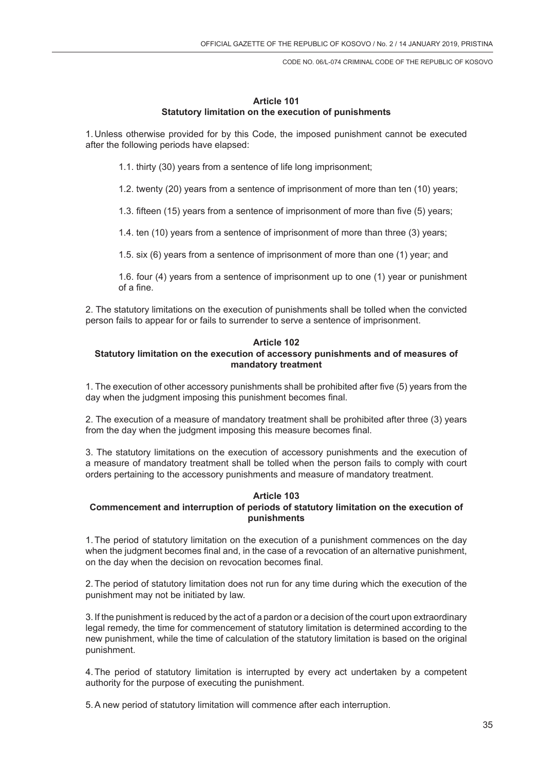## **Article 101 Statutory limitation on the execution of punishments**

1. Unless otherwise provided for by this Code, the imposed punishment cannot be executed after the following periods have elapsed:

1.1. thirty (30) years from a sentence of life long imprisonment;

1.2. twenty (20) years from a sentence of imprisonment of more than ten (10) years;

1.3. fifteen (15) years from a sentence of imprisonment of more than five (5) years;

1.4. ten (10) years from a sentence of imprisonment of more than three (3) years;

1.5. six (6) years from a sentence of imprisonment of more than one (1) year; and

1.6. four (4) years from a sentence of imprisonment up to one (1) year or punishment of a fine.

2. The statutory limitations on the execution of punishments shall be tolled when the convicted person fails to appear for or fails to surrender to serve a sentence of imprisonment.

### **Article 102 Statutory limitation on the execution of accessory punishments and of measures of mandatory treatment**

1. The execution of other accessory punishments shall be prohibited after five (5) years from the day when the judgment imposing this punishment becomes final.

2. The execution of a measure of mandatory treatment shall be prohibited after three (3) years from the day when the judgment imposing this measure becomes final.

3. The statutory limitations on the execution of accessory punishments and the execution of a measure of mandatory treatment shall be tolled when the person fails to comply with court orders pertaining to the accessory punishments and measure of mandatory treatment.

### **Article 103**

# **Commencement and interruption of periods of statutory limitation on the execution of punishments**

1.The period of statutory limitation on the execution of a punishment commences on the day when the judgment becomes final and, in the case of a revocation of an alternative punishment, on the day when the decision on revocation becomes final.

2.The period of statutory limitation does not run for any time during which the execution of the punishment may not be initiated by law.

3. If the punishment is reduced by the act of a pardon or a decision of the court upon extraordinary legal remedy, the time for commencement of statutory limitation is determined according to the new punishment, while the time of calculation of the statutory limitation is based on the original punishment.

4.The period of statutory limitation is interrupted by every act undertaken by a competent authority for the purpose of executing the punishment.

5.A new period of statutory limitation will commence after each interruption.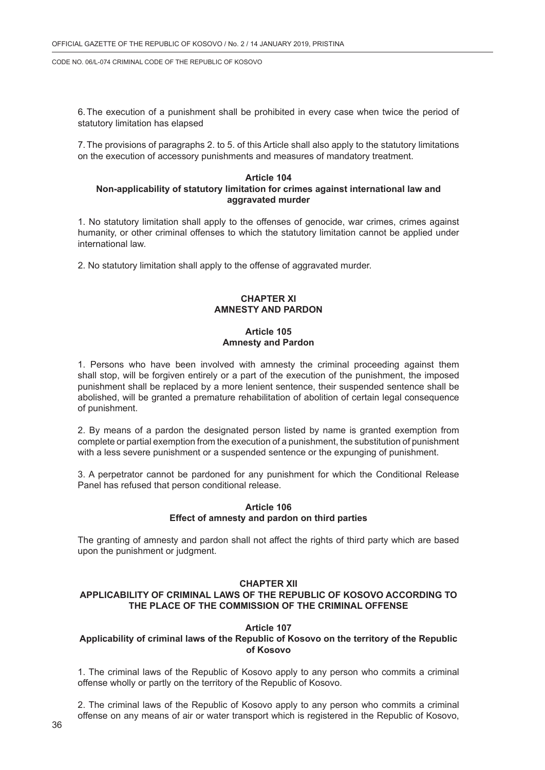6.The execution of a punishment shall be prohibited in every case when twice the period of statutory limitation has elapsed

7.The provisions of paragraphs 2. to 5. of this Article shall also apply to the statutory limitations on the execution of accessory punishments and measures of mandatory treatment.

### **Article 104 Non-applicability of statutory limitation for crimes against international law and aggravated murder**

1. No statutory limitation shall apply to the offenses of genocide, war crimes, crimes against humanity, or other criminal offenses to which the statutory limitation cannot be applied under international law.

2. No statutory limitation shall apply to the offense of aggravated murder.

# **CHAPTER XI AMNESTY AND PARDON**

## **Article 105 Amnesty and Pardon**

1. Persons who have been involved with amnesty the criminal proceeding against them shall stop, will be forgiven entirely or a part of the execution of the punishment, the imposed punishment shall be replaced by a more lenient sentence, their suspended sentence shall be abolished, will be granted a premature rehabilitation of abolition of certain legal consequence of punishment.

2. By means of a pardon the designated person listed by name is granted exemption from complete or partial exemption from the execution of a punishment, the substitution of punishment with a less severe punishment or a suspended sentence or the expunging of punishment.

3. A perpetrator cannot be pardoned for any punishment for which the Conditional Release Panel has refused that person conditional release.

## **Article 106 Effect of amnesty and pardon on third parties**

The granting of amnesty and pardon shall not affect the rights of third party which are based upon the punishment or judgment.

# **CHAPTER XII**

# **APPLICABILITY OF CRIMINAL LAWS OF THE REPUBLIC OF KOSOVO ACCORDING TO THE PLACE OF THE COMMISSION OF THE CRIMINAL OFFENSE**

### **Article 107**

# **Applicability of criminal laws of the Republic of Kosovo on the territory of the Republic of Kosovo**

1. The criminal laws of the Republic of Kosovo apply to any person who commits a criminal offense wholly or partly on the territory of the Republic of Kosovo.

2. The criminal laws of the Republic of Kosovo apply to any person who commits a criminal offense on any means of air or water transport which is registered in the Republic of Kosovo,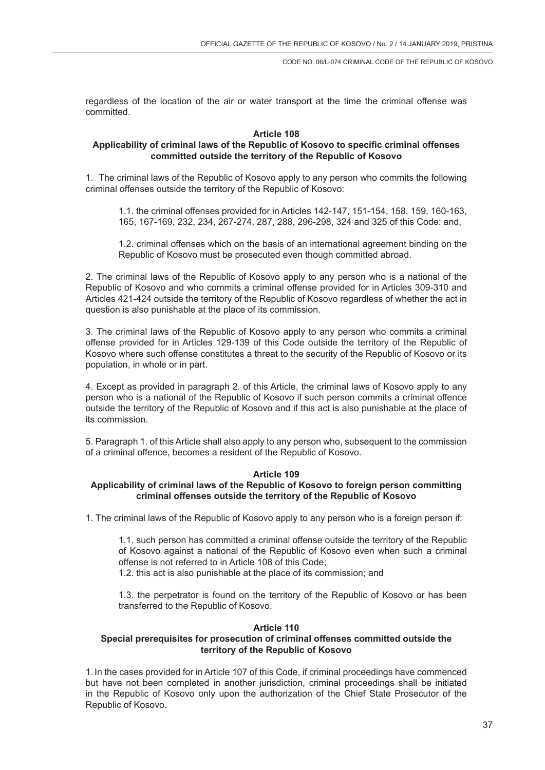regardless of the location of the air or water transport at the time the criminal offense was committed.

## **Article 108**

## **Applicability of criminal laws of the Republic of Kosovo to specific criminal offenses committed outside the territory of the Republic of Kosovo**

1. The criminal laws of the Republic of Kosovo apply to any person who commits the following criminal offenses outside the territory of the Republic of Kosovo:

1.1. the criminal offenses provided for in Articles 142-147, 151-154, 158, 159, 160-163, 165, 167-169, 232, 234, 267-274, 287, 288, 296-298, 324 and 325 of this Code: and,

1.2. criminal offenses which on the basis of an international agreement binding on the Republic of Kosovo must be prosecuted even though committed abroad.

2. The criminal laws of the Republic of Kosovo apply to any person who is a national of the Republic of Kosovo and who commits a criminal offense provided for in Articles 309-310 and Articles 421-424 outside the territory of the Republic of Kosovo regardless of whether the act in question is also punishable at the place of its commission.

3. The criminal laws of the Republic of Kosovo apply to any person who commits a criminal offense provided for in Articles 129-139 of this Code outside the territory of the Republic of Kosovo where such offense constitutes a threat to the security of the Republic of Kosovo or its population, in whole or in part.

4. Except as provided in paragraph 2. of this Article, the criminal laws of Kosovo apply to any person who is a national of the Republic of Kosovo if such person commits a criminal offence outside the territory of the Republic of Kosovo and if this act is also punishable at the place of its commission.

5. Paragraph 1. of this Article shall also apply to any person who, subsequent to the commission of a criminal offence, becomes a resident of the Republic of Kosovo.

#### **Article 109**

### **Applicability of criminal laws of the Republic of Kosovo to foreign person committing criminal offenses outside the territory of the Republic of Kosovo**

1. The criminal laws of the Republic of Kosovo apply to any person who is a foreign person if:

1.1. such person has committed a criminal offense outside the territory of the Republic of Kosovo against a national of the Republic of Kosovo even when such a criminal offense is not referred to in Article 108 of this Code;

1.2. this act is also punishable at the place of its commission; and

1.3. the perpetrator is found on the territory of the Republic of Kosovo or has been transferred to the Republic of Kosovo.

### **Article 110**

# **Special prerequisites for prosecution of criminal offenses committed outside the territory of the Republic of Kosovo**

1. In the cases provided for in Article 107 of this Code, if criminal proceedings have commenced but have not been completed in another jurisdiction, criminal proceedings shall be initiated in the Republic of Kosovo only upon the authorization of the Chief State Prosecutor of the Republic of Kosovo.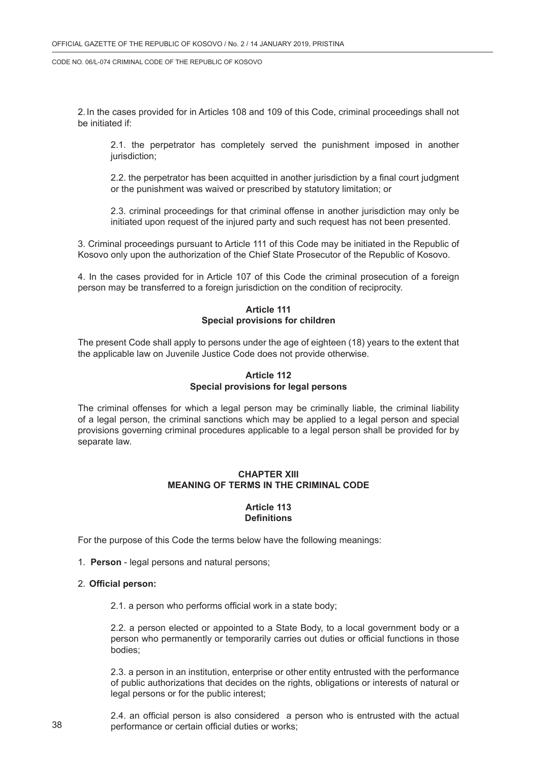2. In the cases provided for in Articles 108 and 109 of this Code, criminal proceedings shall not be initiated if:

2.1. the perpetrator has completely served the punishment imposed in another jurisdiction;

2.2. the perpetrator has been acquitted in another jurisdiction by a final court judgment or the punishment was waived or prescribed by statutory limitation; or

2.3. criminal proceedings for that criminal offense in another jurisdiction may only be initiated upon request of the injured party and such request has not been presented.

3. Criminal proceedings pursuant to Article 111 of this Code may be initiated in the Republic of Kosovo only upon the authorization of the Chief State Prosecutor of the Republic of Kosovo.

4. In the cases provided for in Article 107 of this Code the criminal prosecution of a foreign person may be transferred to a foreign jurisdiction on the condition of reciprocity.

## **Article 111 Special provisions for children**

The present Code shall apply to persons under the age of eighteen (18) years to the extent that the applicable law on Juvenile Justice Code does not provide otherwise.

## **Article 112 Special provisions for legal persons**

The criminal offenses for which a legal person may be criminally liable, the criminal liability of a legal person, the criminal sanctions which may be applied to a legal person and special provisions governing criminal procedures applicable to a legal person shall be provided for by separate law.

## **CHAPTER XIII MEANING OF TERMS IN THE CRIMINAL CODE**

## **Article 113 Definitions**

For the purpose of this Code the terms below have the following meanings:

1. **Person** - legal persons and natural persons;

#### 2. **Official person:**

2.1. a person who performs official work in a state body;

2.2. a person elected or appointed to a State Body, to a local government body or a person who permanently or temporarily carries out duties or official functions in those bodies;

2.3. a person in an institution, enterprise or other entity entrusted with the performance of public authorizations that decides on the rights, obligations or interests of natural or legal persons or for the public interest;

2.4. an official person is also considered a person who is entrusted with the actual performance or certain official duties or works;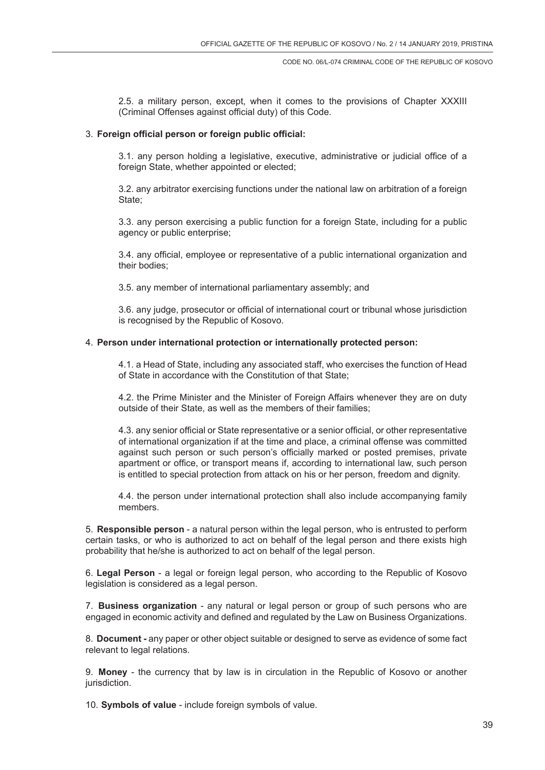2.5. a military person, except, when it comes to the provisions of Chapter XXXIII (Criminal Offenses against official duty) of this Code.

## 3. **Foreign official person or foreign public official:**

3.1. any person holding a legislative, executive, administrative or judicial office of a foreign State, whether appointed or elected;

3.2. any arbitrator exercising functions under the national law on arbitration of a foreign State;

3.3. any person exercising a public function for a foreign State, including for a public agency or public enterprise;

3.4. any official, employee or representative of a public international organization and their bodies;

3.5. any member of international parliamentary assembly; and

3.6. any judge, prosecutor or official of international court or tribunal whose jurisdiction is recognised by the Republic of Kosovo.

### 4. **Person under international protection or internationally protected person:**

4.1. a Head of State, including any associated staff, who exercises the function of Head of State in accordance with the Constitution of that State;

4.2. the Prime Minister and the Minister of Foreign Affairs whenever they are on duty outside of their State, as well as the members of their families;

4.3. any senior official or State representative or a senior official, or other representative of international organization if at the time and place, a criminal offense was committed against such person or such person's officially marked or posted premises, private apartment or office, or transport means if, according to international law, such person is entitled to special protection from attack on his or her person, freedom and dignity.

4.4. the person under international protection shall also include accompanying family members.

5. **Responsible person** - a natural person within the legal person, who is entrusted to perform certain tasks, or who is authorized to act on behalf of the legal person and there exists high probability that he/she is authorized to act on behalf of the legal person.

6. **Legal Person** - a legal or foreign legal person, who according to the Republic of Kosovo legislation is considered as a legal person.

7. **Business organization** - any natural or legal person or group of such persons who are engaged in economic activity and defined and regulated by the Law on Business Organizations.

8. **Document -** any paper or other object suitable or designed to serve as evidence of some fact relevant to legal relations.

9. **Money** - the currency that by law is in circulation in the Republic of Kosovo or another jurisdiction.

10. **Symbols of value** - include foreign symbols of value.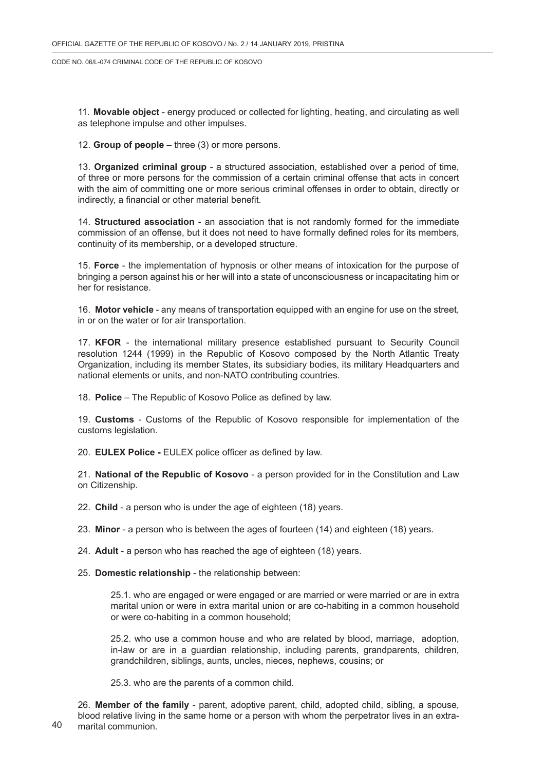11. **Movable object** - energy produced or collected for lighting, heating, and circulating as well as telephone impulse and other impulses.

12. **Group of people** – three (3) or more persons.

13. **Organized criminal group** - a structured association, established over a period of time, of three or more persons for the commission of a certain criminal offense that acts in concert with the aim of committing one or more serious criminal offenses in order to obtain, directly or indirectly, a financial or other material benefit.

14. **Structured association** - an association that is not randomly formed for the immediate commission of an offense, but it does not need to have formally defined roles for its members, continuity of its membership, or a developed structure.

15. **Force** - the implementation of hypnosis or other means of intoxication for the purpose of bringing a person against his or her will into a state of unconsciousness or incapacitating him or her for resistance.

16. **Motor vehicle** - any means of transportation equipped with an engine for use on the street, in or on the water or for air transportation.

17. **KFOR** - the international military presence established pursuant to Security Council resolution 1244 (1999) in the Republic of Kosovo composed by the North Atlantic Treaty Organization, including its member States, its subsidiary bodies, its military Headquarters and national elements or units, and non-NATO contributing countries.

18. **Police** – The Republic of Kosovo Police as defined by law.

19. **Customs** - Customs of the Republic of Kosovo responsible for implementation of the customs legislation.

20. **EULEX Police -** EULEX police officer as defined by law.

21. **National of the Republic of Kosovo** - a person provided for in the Constitution and Law on Citizenship.

22. **Child** - a person who is under the age of eighteen (18) years.

23. **Minor** - a person who is between the ages of fourteen (14) and eighteen (18) years.

24. **Adult** - a person who has reached the age of eighteen (18) years.

25. **Domestic relationship** - the relationship between:

25.1. who are engaged or were engaged or are married or were married or are in extra marital union or were in extra marital union or are co-habiting in a common household or were co-habiting in a common household;

25.2. who use a common house and who are related by blood, marriage, adoption, in-law or are in a guardian relationship, including parents, grandparents, children, grandchildren, siblings, aunts, uncles, nieces, nephews, cousins; or

25.3. who are the parents of a common child.

26. **Member of the family** - parent, adoptive parent, child, adopted child, sibling, a spouse, blood relative living in the same home or a person with whom the perpetrator lives in an extramarital communion.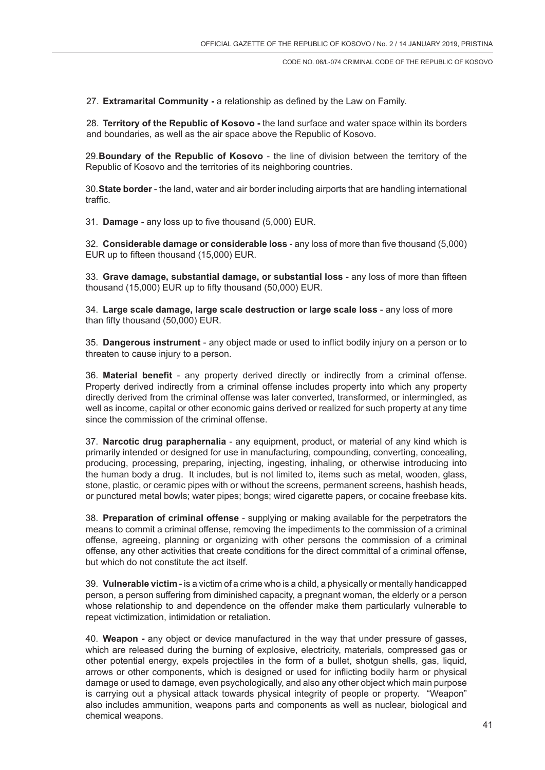27. **Extramarital Community -** a relationship as defined by the Law on Family.

28. **Territory of the Republic of Kosovo -** the land surface and water space within its borders and boundaries, as well as the air space above the Republic of Kosovo.

29.**Boundary of the Republic of Kosovo** - the line of division between the territory of the Republic of Kosovo and the territories of its neighboring countries.

30.**State border** - the land, water and air border including airports that are handling international traffic.

31. **Damage -** any loss up to five thousand (5,000) EUR.

32. **Considerable damage or considerable loss** - any loss of more than five thousand (5,000) EUR up to fifteen thousand (15,000) EUR.

33. **Grave damage, substantial damage, or substantial loss** - any loss of more than fifteen thousand (15,000) EUR up to fifty thousand (50,000) EUR.

34. **Large scale damage, large scale destruction or large scale loss** - any loss of more than fifty thousand (50,000) EUR.

35. **Dangerous instrument** - any object made or used to inflict bodily injury on a person or to threaten to cause injury to a person.

36. **Material benefit** - any property derived directly or indirectly from a criminal offense. Property derived indirectly from a criminal offense includes property into which any property directly derived from the criminal offense was later converted, transformed, or intermingled, as well as income, capital or other economic gains derived or realized for such property at any time since the commission of the criminal offense.

37. **Narcotic drug paraphernalia** - any equipment, product, or material of any kind which is primarily intended or designed for use in manufacturing, compounding, converting, concealing, producing, processing, preparing, injecting, ingesting, inhaling, or otherwise introducing into the human body a drug. It includes, but is not limited to, items such as metal, wooden, glass, stone, plastic, or ceramic pipes with or without the screens, permanent screens, hashish heads, or punctured metal bowls; water pipes; bongs; wired cigarette papers, or cocaine freebase kits.

38. **Preparation of criminal offense** - supplying or making available for the perpetrators the means to commit a criminal offense, removing the impediments to the commission of a criminal offense, agreeing, planning or organizing with other persons the commission of a criminal offense, any other activities that create conditions for the direct committal of a criminal offense, but which do not constitute the act itself.

39. **Vulnerable victim** - is a victim of a crime who is a child, a physically or mentally handicapped person, a person suffering from diminished capacity, a pregnant woman, the elderly or a person whose relationship to and dependence on the offender make them particularly vulnerable to repeat victimization, intimidation or retaliation.

40. **Weapon -** any object or device manufactured in the way that under pressure of gasses, which are released during the burning of explosive, electricity, materials, compressed gas or other potential energy, expels projectiles in the form of a bullet, shotgun shells, gas, liquid, arrows or other components, which is designed or used for inflicting bodily harm or physical damage or used to damage, even psychologically, and also any other object which main purpose is carrying out a physical attack towards physical integrity of people or property. "Weapon" also includes ammunition, weapons parts and components as well as nuclear, biological and chemical weapons.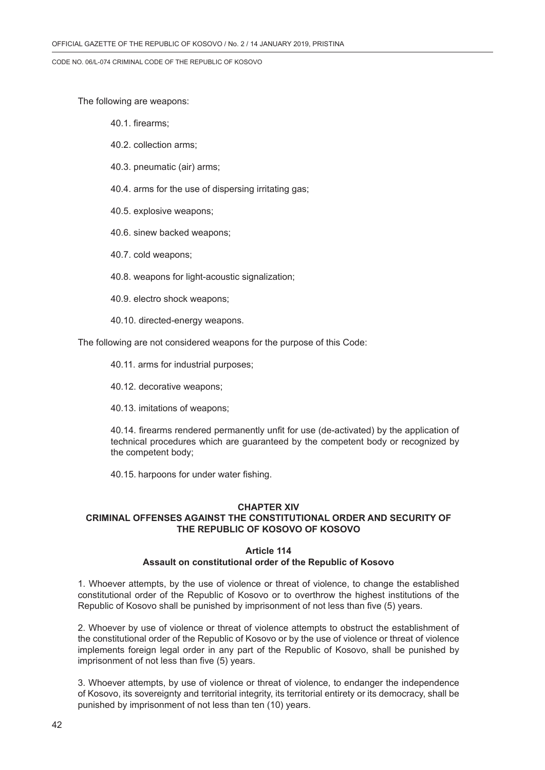The following are weapons:

- 40.1. firearms;
- 40.2. collection arms;
- 40.3. pneumatic (air) arms;
- 40.4. arms for the use of dispersing irritating gas;
- 40.5. explosive weapons;
- 40.6. sinew backed weapons;
- 40.7. cold weapons;
- 40.8. weapons for light-acoustic signalization;
- 40.9. electro shock weapons;
- 40.10. directed-energy weapons.

The following are not considered weapons for the purpose of this Code:

- 40.11. arms for industrial purposes;
- 40.12. decorative weapons;
- 40.13. imitations of weapons;

40.14. firearms rendered permanently unfit for use (de-activated) by the application of technical procedures which are guaranteed by the competent body or recognized by the competent body;

40.15. harpoons for under water fishing.

#### **CHAPTER XIV**

## **CRIMINAL OFFENSES AGAINST THE CONSTITUTIONAL ORDER AND SECURITY OF THE REPUBLIC OF KOSOVO OF KOSOVO**

#### **Article 114 Assault on constitutional order of the Republic of Kosovo**

1. Whoever attempts, by the use of violence or threat of violence, to change the established constitutional order of the Republic of Kosovo or to overthrow the highest institutions of the Republic of Kosovo shall be punished by imprisonment of not less than five (5) years.

2. Whoever by use of violence or threat of violence attempts to obstruct the establishment of the constitutional order of the Republic of Kosovo or by the use of violence or threat of violence implements foreign legal order in any part of the Republic of Kosovo, shall be punished by imprisonment of not less than five (5) years.

3. Whoever attempts, by use of violence or threat of violence, to endanger the independence of Kosovo, its sovereignty and territorial integrity, its territorial entirety or its democracy, shall be punished by imprisonment of not less than ten (10) years.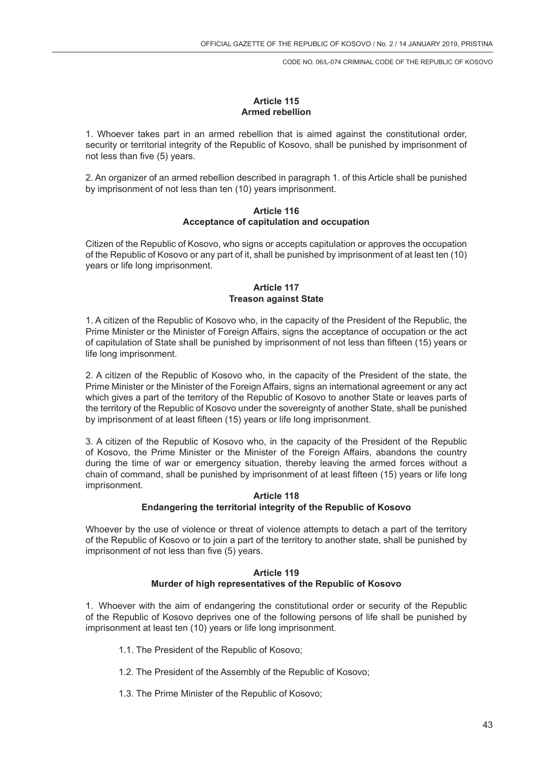### **Article 115 Armed rebellion**

1. Whoever takes part in an armed rebellion that is aimed against the constitutional order, security or territorial integrity of the Republic of Kosovo, shall be punished by imprisonment of not less than five (5) years.

2. An organizer of an armed rebellion described in paragraph 1. of this Article shall be punished by imprisonment of not less than ten (10) years imprisonment.

### **Article 116 Acceptance of capitulation and occupation**

Citizen of the Republic of Kosovo, who signs or accepts capitulation or approves the occupation of the Republic of Kosovo or any part of it, shall be punished by imprisonment of at least ten (10) years or life long imprisonment.

### **Article 117 Treason against State**

1. A citizen of the Republic of Kosovo who, in the capacity of the President of the Republic, the Prime Minister or the Minister of Foreign Affairs, signs the acceptance of occupation or the act of capitulation of State shall be punished by imprisonment of not less than fifteen (15) years or life long imprisonment.

2. A citizen of the Republic of Kosovo who, in the capacity of the President of the state, the Prime Minister or the Minister of the Foreign Affairs, signs an international agreement or any act which gives a part of the territory of the Republic of Kosovo to another State or leaves parts of the territory of the Republic of Kosovo under the sovereignty of another State, shall be punished by imprisonment of at least fifteen (15) years or life long imprisonment.

3. A citizen of the Republic of Kosovo who, in the capacity of the President of the Republic of Kosovo, the Prime Minister or the Minister of the Foreign Affairs, abandons the country during the time of war or emergency situation, thereby leaving the armed forces without a chain of command, shall be punished by imprisonment of at least fifteen (15) years or life long imprisonment.

### **Article 118 Endangering the territorial integrity of the Republic of Kosovo**

Whoever by the use of violence or threat of violence attempts to detach a part of the territory of the Republic of Kosovo or to join a part of the territory to another state, shall be punished by imprisonment of not less than five (5) years.

### **Article 119 Murder of high representatives of the Republic of Kosovo**

1. Whoever with the aim of endangering the constitutional order or security of the Republic of the Republic of Kosovo deprives one of the following persons of life shall be punished by imprisonment at least ten (10) years or life long imprisonment.

- 1.1. The President of the Republic of Kosovo;
- 1.2. The President of the Assembly of the Republic of Kosovo;
- 1.3. The Prime Minister of the Republic of Kosovo;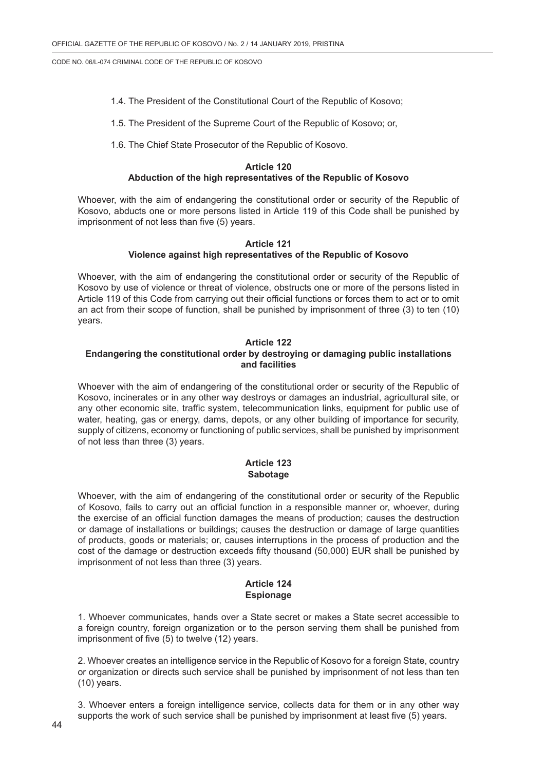- 1.4. The President of the Constitutional Court of the Republic of Kosovo;
- 1.5. The President of the Supreme Court of the Republic of Kosovo; or,
- 1.6. The Chief State Prosecutor of the Republic of Kosovo.

## **Article 120**

# **Abduction of the high representatives of the Republic of Kosovo**

Whoever, with the aim of endangering the constitutional order or security of the Republic of Kosovo, abducts one or more persons listed in Article 119 of this Code shall be punished by imprisonment of not less than five (5) years.

#### **Article 121 Violence against high representatives of the Republic of Kosovo**

Whoever, with the aim of endangering the constitutional order or security of the Republic of Kosovo by use of violence or threat of violence, obstructs one or more of the persons listed in Article 119 of this Code from carrying out their official functions or forces them to act or to omit an act from their scope of function, shall be punished by imprisonment of three (3) to ten (10) years.

#### **Article 122 Endangering the constitutional order by destroying or damaging public installations and facilities**

Whoever with the aim of endangering of the constitutional order or security of the Republic of Kosovo, incinerates or in any other way destroys or damages an industrial, agricultural site, or any other economic site, traffic system, telecommunication links, equipment for public use of water, heating, gas or energy, dams, depots, or any other building of importance for security, supply of citizens, economy or functioning of public services, shall be punished by imprisonment of not less than three (3) years.

### **Article 123 Sabotage**

Whoever, with the aim of endangering of the constitutional order or security of the Republic of Kosovo, fails to carry out an official function in a responsible manner or, whoever, during the exercise of an official function damages the means of production; causes the destruction or damage of installations or buildings; causes the destruction or damage of large quantities of products, goods or materials; or, causes interruptions in the process of production and the cost of the damage or destruction exceeds fifty thousand (50,000) EUR shall be punished by imprisonment of not less than three (3) years.

## **Article 124 Espionage**

1. Whoever communicates, hands over a State secret or makes a State secret accessible to a foreign country, foreign organization or to the person serving them shall be punished from imprisonment of five (5) to twelve (12) years.

2. Whoever creates an intelligence service in the Republic of Kosovo for a foreign State, country or organization or directs such service shall be punished by imprisonment of not less than ten (10) years.

3. Whoever enters a foreign intelligence service, collects data for them or in any other way supports the work of such service shall be punished by imprisonment at least five (5) years.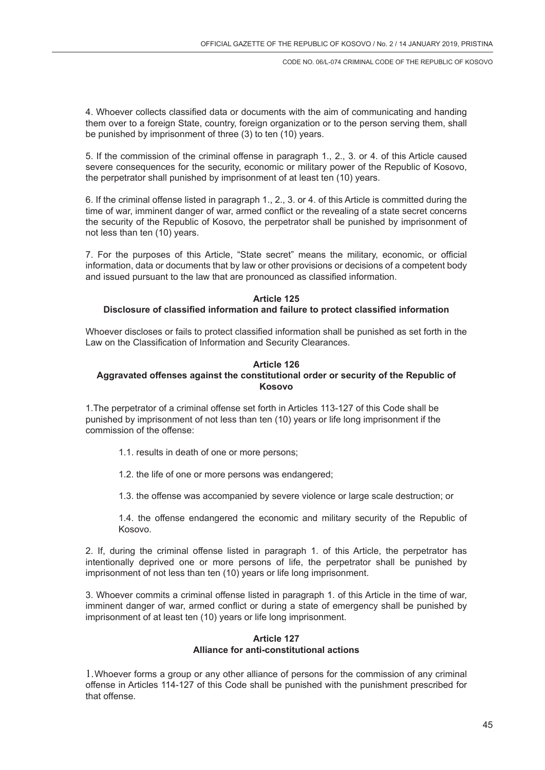4. Whoever collects classified data or documents with the aim of communicating and handing them over to a foreign State, country, foreign organization or to the person serving them, shall be punished by imprisonment of three (3) to ten (10) years.

5. If the commission of the criminal offense in paragraph 1., 2., 3. or 4. of this Article caused severe consequences for the security, economic or military power of the Republic of Kosovo, the perpetrator shall punished by imprisonment of at least ten (10) years.

6. If the criminal offense listed in paragraph 1., 2., 3. or 4. of this Article is committed during the time of war, imminent danger of war, armed conflict or the revealing of a state secret concerns the security of the Republic of Kosovo, the perpetrator shall be punished by imprisonment of not less than ten (10) years.

7. For the purposes of this Article, "State secret" means the military, economic, or official information, data or documents that by law or other provisions or decisions of a competent body and issued pursuant to the law that are pronounced as classified information.

#### **Article 125**

### **Disclosure of classified information and failure to protect classified information**

Whoever discloses or fails to protect classified information shall be punished as set forth in the Law on the Classification of Information and Security Clearances.

### **Article 126**

## **Aggravated offenses against the constitutional order or security of the Republic of Kosovo**

1.The perpetrator of a criminal offense set forth in Articles 113-127 of this Code shall be punished by imprisonment of not less than ten (10) years or life long imprisonment if the commission of the offense:

- 1.1. results in death of one or more persons;
- 1.2. the life of one or more persons was endangered;
- 1.3. the offense was accompanied by severe violence or large scale destruction; or

1.4. the offense endangered the economic and military security of the Republic of Kosovo.

2. If, during the criminal offense listed in paragraph 1. of this Article, the perpetrator has intentionally deprived one or more persons of life, the perpetrator shall be punished by imprisonment of not less than ten (10) years or life long imprisonment.

3. Whoever commits a criminal offense listed in paragraph 1. of this Article in the time of war, imminent danger of war, armed conflict or during a state of emergency shall be punished by imprisonment of at least ten (10) years or life long imprisonment.

### **Article 127 Alliance for anti-constitutional actions**

1.Whoever forms a group or any other alliance of persons for the commission of any criminal offense in Articles 114-127 of this Code shall be punished with the punishment prescribed for that offense.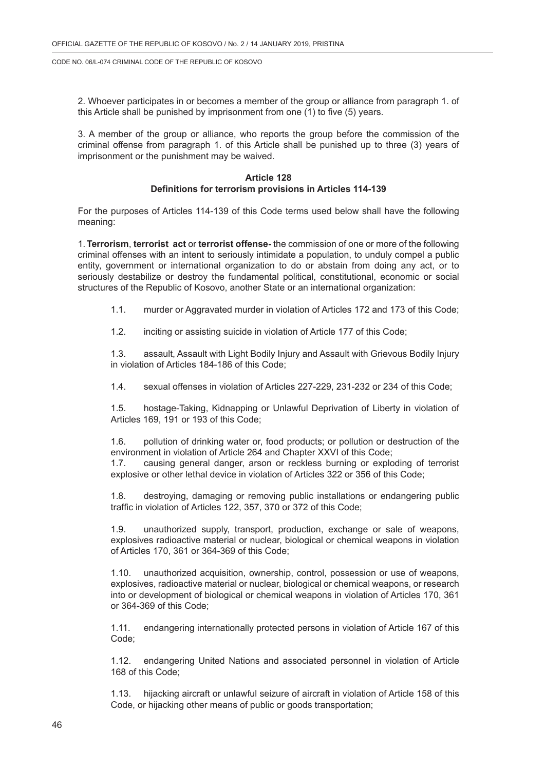2. Whoever participates in or becomes a member of the group or alliance from paragraph 1. of this Article shall be punished by imprisonment from one (1) to five (5) years.

3. A member of the group or alliance, who reports the group before the commission of the criminal offense from paragraph 1. of this Article shall be punished up to three (3) years of imprisonment or the punishment may be waived.

#### **Article 128 Definitions for terrorism provisions in Articles 114-139**

For the purposes of Articles 114-139 of this Code terms used below shall have the following meaning:

1.**Terrorism**, **terrorist act** or **terrorist offense-** the commission of one or more of the following criminal offenses with an intent to seriously intimidate a population, to unduly compel a public entity, government or international organization to do or abstain from doing any act, or to seriously destabilize or destroy the fundamental political, constitutional, economic or social structures of the Republic of Kosovo, another State or an international organization:

1.1. murder or Aggravated murder in violation of Articles 172 and 173 of this Code;

1.2. inciting or assisting suicide in violation of Article 177 of this Code;

1.3. assault, Assault with Light Bodily Injury and Assault with Grievous Bodily Injury in violation of Articles 184-186 of this Code;

1.4. sexual offenses in violation of Articles 227-229, 231-232 or 234 of this Code;

1.5. hostage-Taking, Kidnapping or Unlawful Deprivation of Liberty in violation of Articles 169, 191 or 193 of this Code;

1.6. pollution of drinking water or, food products; or pollution or destruction of the environment in violation of Article 264 and Chapter XXVI of this Code;

1.7. causing general danger, arson or reckless burning or exploding of terrorist explosive or other lethal device in violation of Articles 322 or 356 of this Code;

1.8. destroying, damaging or removing public installations or endangering public traffic in violation of Articles 122, 357, 370 or 372 of this Code;

1.9. unauthorized supply, transport, production, exchange or sale of weapons, explosives radioactive material or nuclear, biological or chemical weapons in violation of Articles 170, 361 or 364-369 of this Code;

1.10. unauthorized acquisition, ownership, control, possession or use of weapons, explosives, radioactive material or nuclear, biological or chemical weapons, or research into or development of biological or chemical weapons in violation of Articles 170, 361 or 364-369 of this Code;

1.11. endangering internationally protected persons in violation of Article 167 of this Code;

1.12. endangering United Nations and associated personnel in violation of Article 168 of this Code;

1.13. hijacking aircraft or unlawful seizure of aircraft in violation of Article 158 of this Code, or hijacking other means of public or goods transportation;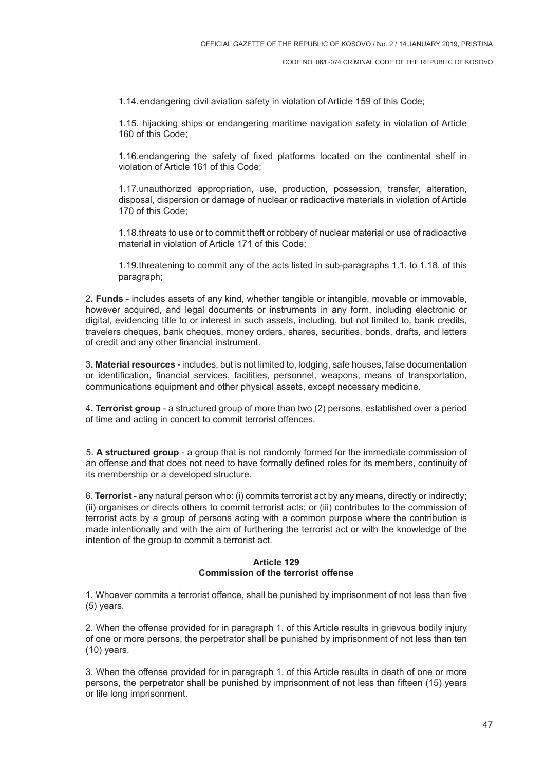1.14.endangering civil aviation safety in violation of Article 159 of this Code;

1.15. hijacking ships or endangering maritime navigation safety in violation of Article 160 of this Code;

1.16.endangering the safety of fixed platforms located on the continental shelf in violation of Article 161 of this Code;

1.17.unauthorized appropriation, use, production, possession, transfer, alteration, disposal, dispersion or damage of nuclear or radioactive materials in violation of Article 170 of this Code;

1.18.threats to use or to commit theft or robbery of nuclear material or use of radioactive material in violation of Article 171 of this Code;

1.19.threatening to commit any of the acts listed in sub-paragraphs 1.1. to 1.18. of this paragraph;

2**. Funds** - includes assets of any kind, whether tangible or intangible, movable or immovable, however acquired, and legal documents or instruments in any form, including electronic or digital, evidencing title to or interest in such assets, including, but not limited to, bank credits, travelers cheques, bank cheques, money orders, shares, securities, bonds, drafts, and letters of credit and any other financial instrument.

3**. Material resources -** includes, but is not limited to, lodging, safe houses, false documentation or identification, financial services, facilities, personnel, weapons, means of transportation, communications equipment and other physical assets, except necessary medicine.

4**. Terrorist group** - a structured group of more than two (2) persons, established over a period of time and acting in concert to commit terrorist offences.

5. **A structured group** - a group that is not randomly formed for the immediate commission of an offense and that does not need to have formally defined roles for its members, continuity of its membership or a developed structure.

6. **Terrorist** - any natural person who: (i) commits terrorist act by any means, directly or indirectly; (ii) organises or directs others to commit terrorist acts; or (iii) contributes to the commission of terrorist acts by a group of persons acting with a common purpose where the contribution is made intentionally and with the aim of furthering the terrorist act or with the knowledge of the intention of the group to commit a terrorist act.

# **Article 129 Commission of the terrorist offense**

1. Whoever commits a terrorist offence, shall be punished by imprisonment of not less than five (5) years.

2. When the offense provided for in paragraph 1. of this Article results in grievous bodily injury of one or more persons, the perpetrator shall be punished by imprisonment of not less than ten (10) years.

3. When the offense provided for in paragraph 1. of this Article results in death of one or more persons, the perpetrator shall be punished by imprisonment of not less than fifteen (15) years or life long imprisonment.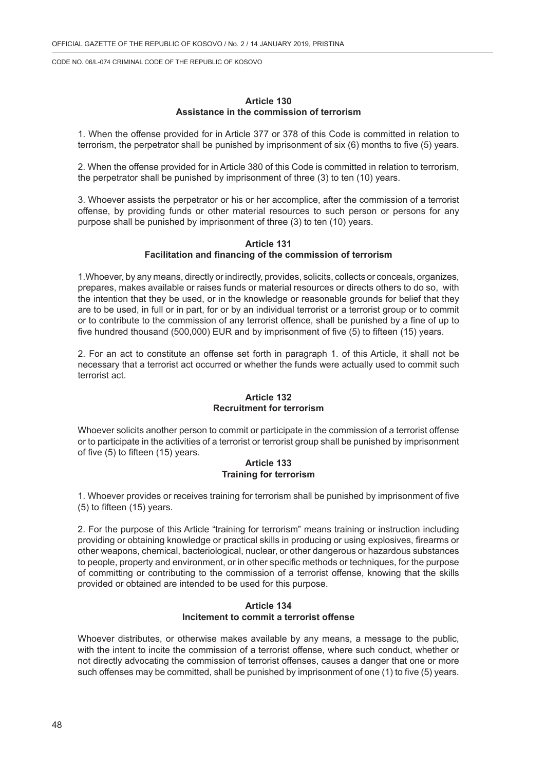### **Article 130 Assistance in the commission of terrorism**

1. When the offense provided for in Article 377 or 378 of this Code is committed in relation to terrorism, the perpetrator shall be punished by imprisonment of six (6) months to five (5) years.

2. When the offense provided for in Article 380 of this Code is committed in relation to terrorism, the perpetrator shall be punished by imprisonment of three (3) to ten (10) years.

3. Whoever assists the perpetrator or his or her accomplice, after the commission of a terrorist offense, by providing funds or other material resources to such person or persons for any purpose shall be punished by imprisonment of three (3) to ten (10) years.

#### **Article 131 Facilitation and financing of the commission of terrorism**

1.Whoever, by any means, directly or indirectly, provides, solicits, collects or conceals, organizes, prepares, makes available or raises funds or material resources or directs others to do so, with the intention that they be used, or in the knowledge or reasonable grounds for belief that they are to be used, in full or in part, for or by an individual terrorist or a terrorist group or to commit or to contribute to the commission of any terrorist offence, shall be punished by a fine of up to five hundred thousand (500,000) EUR and by imprisonment of five (5) to fifteen (15) years.

2. For an act to constitute an offense set forth in paragraph 1. of this Article, it shall not be necessary that a terrorist act occurred or whether the funds were actually used to commit such terrorist act.

#### **Article 132 Recruitment for terrorism**

Whoever solicits another person to commit or participate in the commission of a terrorist offense or to participate in the activities of a terrorist or terrorist group shall be punished by imprisonment of five (5) to fifteen (15) years.

### **Article 133 Training for terrorism**

1. Whoever provides or receives training for terrorism shall be punished by imprisonment of five (5) to fifteen (15) years.

2. For the purpose of this Article "training for terrorism" means training or instruction including providing or obtaining knowledge or practical skills in producing or using explosives, firearms or other weapons, chemical, bacteriological, nuclear, or other dangerous or hazardous substances to people, property and environment, or in other specific methods or techniques, for the purpose of committing or contributing to the commission of a terrorist offense, knowing that the skills provided or obtained are intended to be used for this purpose.

#### **Article 134 Incitement to commit a terrorist offense**

Whoever distributes, or otherwise makes available by any means, a message to the public, with the intent to incite the commission of a terrorist offense, where such conduct, whether or not directly advocating the commission of terrorist offenses, causes a danger that one or more such offenses may be committed, shall be punished by imprisonment of one (1) to five (5) years.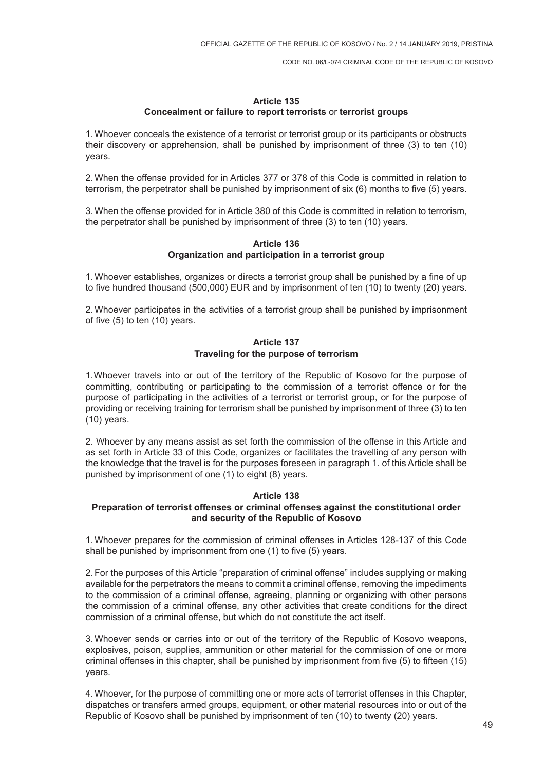## **Article 135 Concealment or failure to report terrorists** or **terrorist groups**

1.Whoever conceals the existence of a terrorist or terrorist group or its participants or obstructs their discovery or apprehension, shall be punished by imprisonment of three (3) to ten (10) years.

2.When the offense provided for in Articles 377 or 378 of this Code is committed in relation to terrorism, the perpetrator shall be punished by imprisonment of six (6) months to five (5) years.

3.When the offense provided for in Article 380 of this Code is committed in relation to terrorism, the perpetrator shall be punished by imprisonment of three (3) to ten (10) years.

### **Article 136 Organization and participation in a terrorist group**

1.Whoever establishes, organizes or directs a terrorist group shall be punished by a fine of up to five hundred thousand (500,000) EUR and by imprisonment of ten (10) to twenty (20) years.

2.Whoever participates in the activities of a terrorist group shall be punished by imprisonment of five (5) to ten (10) years.

## **Article 137 Traveling for the purpose of terrorism**

1.Whoever travels into or out of the territory of the Republic of Kosovo for the purpose of committing, contributing or participating to the commission of a terrorist offence or for the purpose of participating in the activities of a terrorist or terrorist group, or for the purpose of providing or receiving training for terrorism shall be punished by imprisonment of three (3) to ten (10) years.

2. Whoever by any means assist as set forth the commission of the offense in this Article and as set forth in Article 33 of this Code, organizes or facilitates the travelling of any person with the knowledge that the travel is for the purposes foreseen in paragraph 1. of this Article shall be punished by imprisonment of one (1) to eight (8) years.

### **Article 138**

## **Preparation of terrorist offenses or criminal offenses against the constitutional order and security of the Republic of Kosovo**

1.Whoever prepares for the commission of criminal offenses in Articles 128-137 of this Code shall be punished by imprisonment from one (1) to five (5) years.

2.For the purposes of this Article "preparation of criminal offense" includes supplying or making available for the perpetrators the means to commit a criminal offense, removing the impediments to the commission of a criminal offense, agreeing, planning or organizing with other persons the commission of a criminal offense, any other activities that create conditions for the direct commission of a criminal offense, but which do not constitute the act itself.

3.Whoever sends or carries into or out of the territory of the Republic of Kosovo weapons, explosives, poison, supplies, ammunition or other material for the commission of one or more criminal offenses in this chapter, shall be punished by imprisonment from five (5) to fifteen (15) years.

4.Whoever, for the purpose of committing one or more acts of terrorist offenses in this Chapter, dispatches or transfers armed groups, equipment, or other material resources into or out of the Republic of Kosovo shall be punished by imprisonment of ten (10) to twenty (20) years.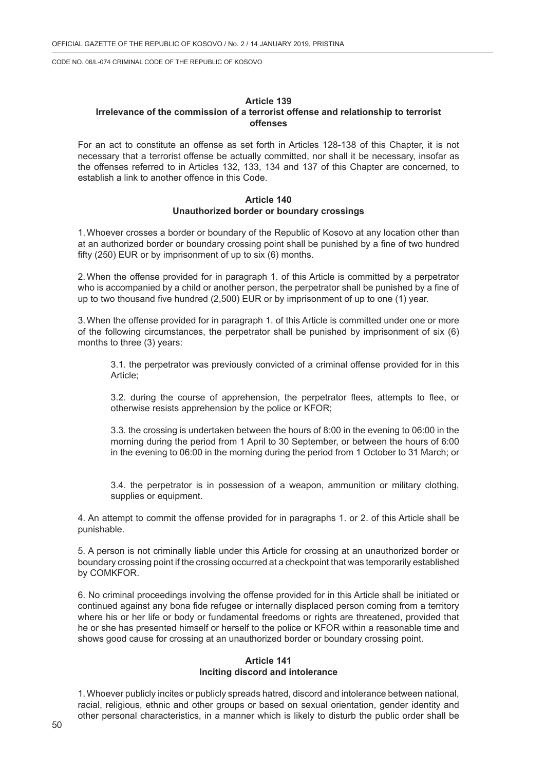### **Article 139 Irrelevance of the commission of a terrorist offense and relationship to terrorist offenses**

For an act to constitute an offense as set forth in Articles 128-138 of this Chapter, it is not necessary that a terrorist offense be actually committed, nor shall it be necessary, insofar as the offenses referred to in Articles 132, 133, 134 and 137 of this Chapter are concerned, to establish a link to another offence in this Code.

#### **Article 140 Unauthorized border or boundary crossings**

1.Whoever crosses a border or boundary of the Republic of Kosovo at any location other than at an authorized border or boundary crossing point shall be punished by a fine of two hundred fifty (250) EUR or by imprisonment of up to six (6) months.

2.When the offense provided for in paragraph 1. of this Article is committed by a perpetrator who is accompanied by a child or another person, the perpetrator shall be punished by a fine of up to two thousand five hundred (2,500) EUR or by imprisonment of up to one (1) year.

3.When the offense provided for in paragraph 1. of this Article is committed under one or more of the following circumstances, the perpetrator shall be punished by imprisonment of six (6) months to three (3) years:

3.1. the perpetrator was previously convicted of a criminal offense provided for in this Article;

3.2. during the course of apprehension, the perpetrator flees, attempts to flee, or otherwise resists apprehension by the police or KFOR;

3.3. the crossing is undertaken between the hours of 8:00 in the evening to 06:00 in the morning during the period from 1 April to 30 September, or between the hours of 6:00 in the evening to 06:00 in the morning during the period from 1 October to 31 March; or

3.4. the perpetrator is in possession of a weapon, ammunition or military clothing, supplies or equipment.

4. An attempt to commit the offense provided for in paragraphs 1. or 2. of this Article shall be punishable.

5. A person is not criminally liable under this Article for crossing at an unauthorized border or boundary crossing point if the crossing occurred at a checkpoint that was temporarily established by COMKFOR.

6. No criminal proceedings involving the offense provided for in this Article shall be initiated or continued against any bona fide refugee or internally displaced person coming from a territory where his or her life or body or fundamental freedoms or rights are threatened, provided that he or she has presented himself or herself to the police or KFOR within a reasonable time and shows good cause for crossing at an unauthorized border or boundary crossing point.

## **Article 141 Inciting discord and intolerance**

1.Whoever publicly incites or publicly spreads hatred, discord and intolerance between national, racial, religious, ethnic and other groups or based on sexual orientation, gender identity and other personal characteristics, in a manner which is likely to disturb the public order shall be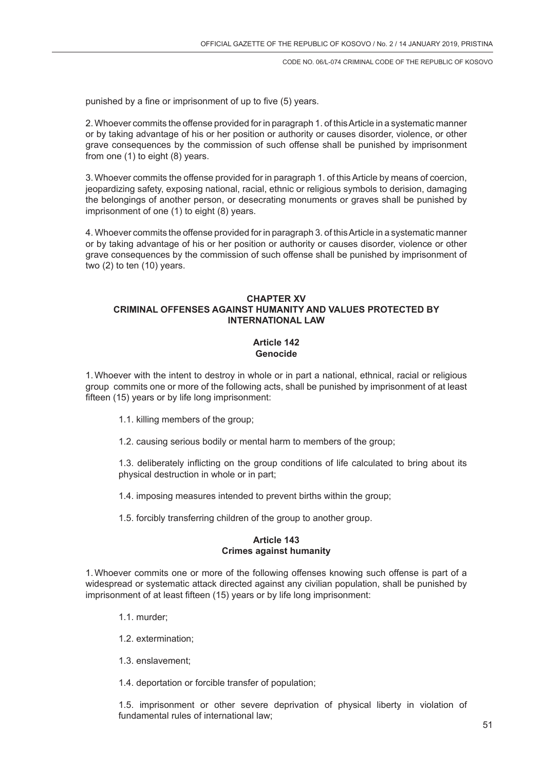punished by a fine or imprisonment of up to five (5) years.

2.Whoever commits the offense provided for in paragraph 1. of this Article in a systematic manner or by taking advantage of his or her position or authority or causes disorder, violence, or other grave consequences by the commission of such offense shall be punished by imprisonment from one (1) to eight (8) years.

3.Whoever commits the offense provided for in paragraph 1. of this Article by means of coercion, jeopardizing safety, exposing national, racial, ethnic or religious symbols to derision, damaging the belongings of another person, or desecrating monuments or graves shall be punished by imprisonment of one (1) to eight (8) years.

4. Whoever commits the offense provided for in paragraph 3. of this Article in a systematic manner or by taking advantage of his or her position or authority or causes disorder, violence or other grave consequences by the commission of such offense shall be punished by imprisonment of two (2) to ten (10) years.

# **CHAPTER XV CRIMINAL OFFENSES AGAINST HUMANITY AND VALUES PROTECTED BY INTERNATIONAL LAW**

### **Article 142 Genocide**

1.Whoever with the intent to destroy in whole or in part a national, ethnical, racial or religious group commits one or more of the following acts, shall be punished by imprisonment of at least fifteen (15) years or by life long imprisonment:

- 1.1. killing members of the group;
- 1.2. causing serious bodily or mental harm to members of the group;

1.3. deliberately inflicting on the group conditions of life calculated to bring about its physical destruction in whole or in part;

- 1.4. imposing measures intended to prevent births within the group;
- 1.5. forcibly transferring children of the group to another group.

#### **Article 143 Crimes against humanity**

1.Whoever commits one or more of the following offenses knowing such offense is part of a widespread or systematic attack directed against any civilian population, shall be punished by imprisonment of at least fifteen (15) years or by life long imprisonment:

- 1.1. murder;
- 1.2. extermination;
- 1.3. enslavement;

1.4. deportation or forcible transfer of population;

1.5. imprisonment or other severe deprivation of physical liberty in violation of fundamental rules of international law;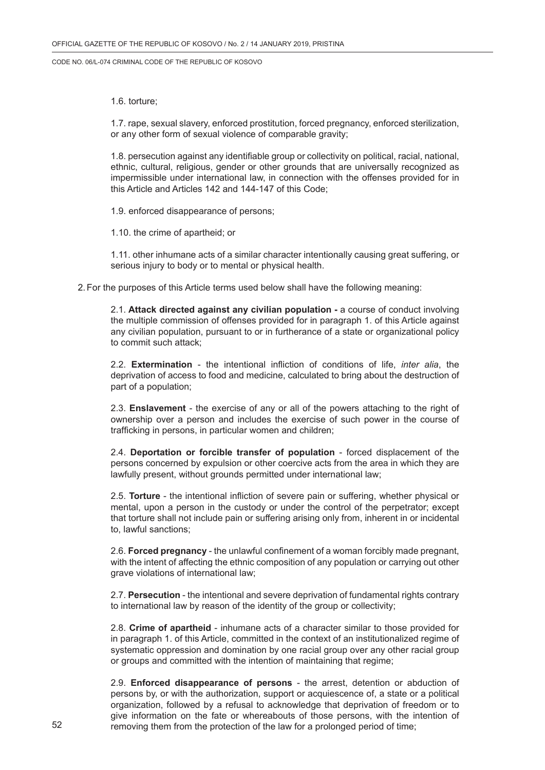1.6. torture;

1.7. rape, sexual slavery, enforced prostitution, forced pregnancy, enforced sterilization, or any other form of sexual violence of comparable gravity;

1.8. persecution against any identifiable group or collectivity on political, racial, national, ethnic, cultural, religious, gender or other grounds that are universally recognized as impermissible under international law, in connection with the offenses provided for in this Article and Articles 142 and 144-147 of this Code;

1.9. enforced disappearance of persons;

1.10. the crime of apartheid; or

1.11. other inhumane acts of a similar character intentionally causing great suffering, or serious injury to body or to mental or physical health.

2.For the purposes of this Article terms used below shall have the following meaning:

2.1. **Attack directed against any civilian population -** a course of conduct involving the multiple commission of offenses provided for in paragraph 1. of this Article against any civilian population, pursuant to or in furtherance of a state or organizational policy to commit such attack;

2.2. **Extermination** - the intentional infliction of conditions of life, *inter alia*, the deprivation of access to food and medicine, calculated to bring about the destruction of part of a population;

2.3. **Enslavement** - the exercise of any or all of the powers attaching to the right of ownership over a person and includes the exercise of such power in the course of trafficking in persons, in particular women and children;

2.4. **Deportation or forcible transfer of population** - forced displacement of the persons concerned by expulsion or other coercive acts from the area in which they are lawfully present, without grounds permitted under international law;

2.5. **Torture** - the intentional infliction of severe pain or suffering, whether physical or mental, upon a person in the custody or under the control of the perpetrator; except that torture shall not include pain or suffering arising only from, inherent in or incidental to, lawful sanctions;

2.6. **Forced pregnancy** - the unlawful confinement of a woman forcibly made pregnant, with the intent of affecting the ethnic composition of any population or carrying out other grave violations of international law;

2.7. **Persecution** - the intentional and severe deprivation of fundamental rights contrary to international law by reason of the identity of the group or collectivity;

2.8. **Crime of apartheid** - inhumane acts of a character similar to those provided for in paragraph 1. of this Article, committed in the context of an institutionalized regime of systematic oppression and domination by one racial group over any other racial group or groups and committed with the intention of maintaining that regime;

2.9. **Enforced disappearance of persons** - the arrest, detention or abduction of persons by, or with the authorization, support or acquiescence of, a state or a political organization, followed by a refusal to acknowledge that deprivation of freedom or to give information on the fate or whereabouts of those persons, with the intention of removing them from the protection of the law for a prolonged period of time;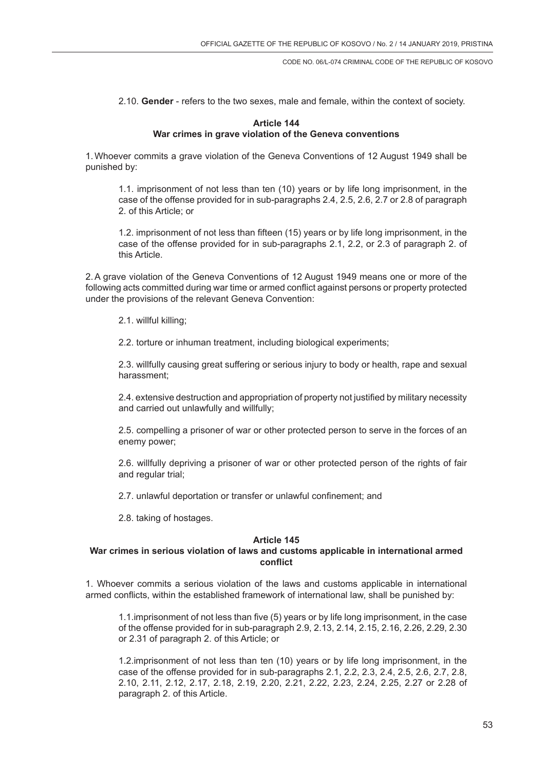2.10. **Gender** - refers to the two sexes, male and female, within the context of society.

#### **Article 144 War crimes in grave violation of the Geneva conventions**

1.Whoever commits a grave violation of the Geneva Conventions of 12 August 1949 shall be punished by:

1.1. imprisonment of not less than ten (10) years or by life long imprisonment, in the case of the offense provided for in sub-paragraphs 2.4, 2.5, 2.6, 2.7 or 2.8 of paragraph 2. of this Article; or

1.2. imprisonment of not less than fifteen (15) years or by life long imprisonment, in the case of the offense provided for in sub-paragraphs 2.1, 2.2, or 2.3 of paragraph 2. of this Article.

2.A grave violation of the Geneva Conventions of 12 August 1949 means one or more of the following acts committed during war time or armed conflict against persons or property protected under the provisions of the relevant Geneva Convention:

2.1. willful killing;

2.2. torture or inhuman treatment, including biological experiments;

2.3. willfully causing great suffering or serious injury to body or health, rape and sexual harassment;

2.4. extensive destruction and appropriation of property not justified by military necessity and carried out unlawfully and willfully;

2.5. compelling a prisoner of war or other protected person to serve in the forces of an enemy power;

2.6. willfully depriving a prisoner of war or other protected person of the rights of fair and regular trial;

2.7. unlawful deportation or transfer or unlawful confinement; and

2.8. taking of hostages.

## **Article 145**

### **War crimes in serious violation of laws and customs applicable in international armed conflict**

1. Whoever commits a serious violation of the laws and customs applicable in international armed conflicts, within the established framework of international law, shall be punished by:

1.1.imprisonment of not less than five (5) years or by life long imprisonment, in the case of the offense provided for in sub-paragraph 2.9, 2.13, 2.14, 2.15, 2.16, 2.26, 2.29, 2.30 or 2.31 of paragraph 2. of this Article; or

1.2.imprisonment of not less than ten (10) years or by life long imprisonment, in the case of the offense provided for in sub-paragraphs 2.1, 2.2, 2.3, 2.4, 2.5, 2.6, 2.7, 2.8, 2.10, 2.11, 2.12, 2.17, 2.18, 2.19, 2.20, 2.21, 2.22, 2.23, 2.24, 2.25, 2.27 or 2.28 of paragraph 2. of this Article.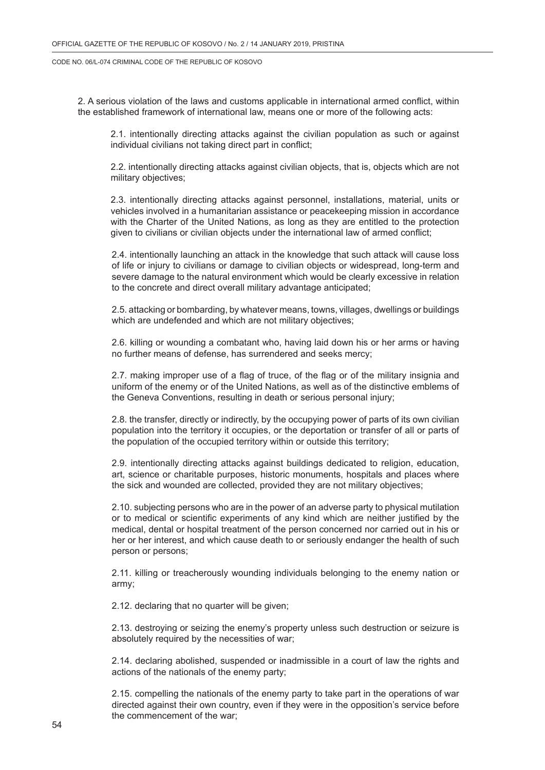2. A serious violation of the laws and customs applicable in international armed conflict, within the established framework of international law, means one or more of the following acts:

2.1. intentionally directing attacks against the civilian population as such or against individual civilians not taking direct part in conflict;

2.2. intentionally directing attacks against civilian objects, that is, objects which are not military objectives;

2.3. intentionally directing attacks against personnel, installations, material, units or vehicles involved in a humanitarian assistance or peacekeeping mission in accordance with the Charter of the United Nations, as long as they are entitled to the protection given to civilians or civilian objects under the international law of armed conflict;

2.4. intentionally launching an attack in the knowledge that such attack will cause loss of life or injury to civilians or damage to civilian objects or widespread, long-term and severe damage to the natural environment which would be clearly excessive in relation to the concrete and direct overall military advantage anticipated;

2.5. attacking or bombarding, by whatever means, towns, villages, dwellings or buildings which are undefended and which are not military objectives;

2.6. killing or wounding a combatant who, having laid down his or her arms or having no further means of defense, has surrendered and seeks mercy;

2.7. making improper use of a flag of truce, of the flag or of the military insignia and uniform of the enemy or of the United Nations, as well as of the distinctive emblems of the Geneva Conventions, resulting in death or serious personal injury;

2.8. the transfer, directly or indirectly, by the occupying power of parts of its own civilian population into the territory it occupies, or the deportation or transfer of all or parts of the population of the occupied territory within or outside this territory;

2.9. intentionally directing attacks against buildings dedicated to religion, education, art, science or charitable purposes, historic monuments, hospitals and places where the sick and wounded are collected, provided they are not military objectives;

2.10. subjecting persons who are in the power of an adverse party to physical mutilation or to medical or scientific experiments of any kind which are neither justified by the medical, dental or hospital treatment of the person concerned nor carried out in his or her or her interest, and which cause death to or seriously endanger the health of such person or persons;

2.11. killing or treacherously wounding individuals belonging to the enemy nation or army;

2.12. declaring that no quarter will be given;

2.13. destroying or seizing the enemy's property unless such destruction or seizure is absolutely required by the necessities of war;

2.14. declaring abolished, suspended or inadmissible in a court of law the rights and actions of the nationals of the enemy party;

2.15. compelling the nationals of the enemy party to take part in the operations of war directed against their own country, even if they were in the opposition's service before the commencement of the war;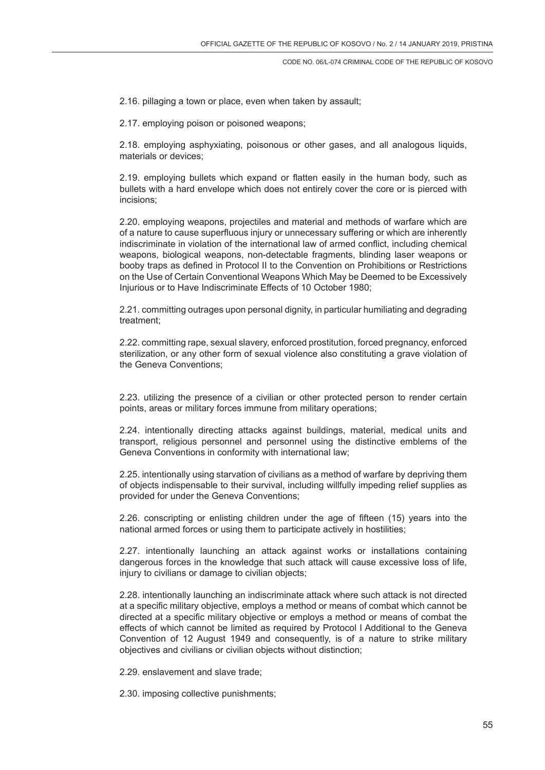2.16. pillaging a town or place, even when taken by assault;

2.17. employing poison or poisoned weapons;

2.18. employing asphyxiating, poisonous or other gases, and all analogous liquids, materials or devices;

2.19. employing bullets which expand or flatten easily in the human body, such as bullets with a hard envelope which does not entirely cover the core or is pierced with incisions;

2.20. employing weapons, projectiles and material and methods of warfare which are of a nature to cause superfluous injury or unnecessary suffering or which are inherently indiscriminate in violation of the international law of armed conflict, including chemical weapons, biological weapons, non-detectable fragments, blinding laser weapons or booby traps as defined in Protocol II to the Convention on Prohibitions or Restrictions on the Use of Certain Conventional Weapons Which May be Deemed to be Excessively Injurious or to Have Indiscriminate Effects of 10 October 1980;

2.21. committing outrages upon personal dignity, in particular humiliating and degrading treatment;

2.22. committing rape, sexual slavery, enforced prostitution, forced pregnancy, enforced sterilization, or any other form of sexual violence also constituting a grave violation of the Geneva Conventions;

2.23. utilizing the presence of a civilian or other protected person to render certain points, areas or military forces immune from military operations;

2.24. intentionally directing attacks against buildings, material, medical units and transport, religious personnel and personnel using the distinctive emblems of the Geneva Conventions in conformity with international law;

2.25. intentionally using starvation of civilians as a method of warfare by depriving them of objects indispensable to their survival, including willfully impeding relief supplies as provided for under the Geneva Conventions;

2.26. conscripting or enlisting children under the age of fifteen (15) years into the national armed forces or using them to participate actively in hostilities;

2.27. intentionally launching an attack against works or installations containing dangerous forces in the knowledge that such attack will cause excessive loss of life, injury to civilians or damage to civilian objects;

2.28. intentionally launching an indiscriminate attack where such attack is not directed at a specific military objective, employs a method or means of combat which cannot be directed at a specific military objective or employs a method or means of combat the effects of which cannot be limited as required by Protocol I Additional to the Geneva Convention of 12 August 1949 and consequently, is of a nature to strike military objectives and civilians or civilian objects without distinction;

2.29. enslavement and slave trade;

2.30. imposing collective punishments;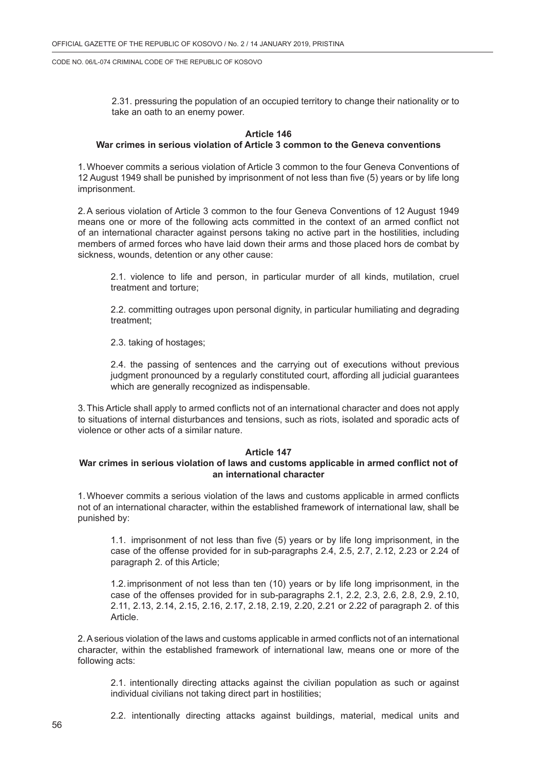2.31. pressuring the population of an occupied territory to change their nationality or to take an oath to an enemy power.

### **Article 146**

### **War crimes in serious violation of Article 3 common to the Geneva conventions**

1.Whoever commits a serious violation of Article 3 common to the four Geneva Conventions of 12 August 1949 shall be punished by imprisonment of not less than five (5) years or by life long imprisonment.

2.A serious violation of Article 3 common to the four Geneva Conventions of 12 August 1949 means one or more of the following acts committed in the context of an armed conflict not of an international character against persons taking no active part in the hostilities, including members of armed forces who have laid down their arms and those placed hors de combat by sickness, wounds, detention or any other cause:

2.1. violence to life and person, in particular murder of all kinds, mutilation, cruel treatment and torture;

2.2. committing outrages upon personal dignity, in particular humiliating and degrading treatment;

2.3. taking of hostages;

2.4. the passing of sentences and the carrying out of executions without previous judgment pronounced by a regularly constituted court, affording all judicial guarantees which are generally recognized as indispensable.

3.This Article shall apply to armed conflicts not of an international character and does not apply to situations of internal disturbances and tensions, such as riots, isolated and sporadic acts of violence or other acts of a similar nature.

#### **Article 147**

### **War crimes in serious violation of laws and customs applicable in armed conflict not of an international character**

1.Whoever commits a serious violation of the laws and customs applicable in armed conflicts not of an international character, within the established framework of international law, shall be punished by:

1.1. imprisonment of not less than five (5) years or by life long imprisonment, in the case of the offense provided for in sub-paragraphs 2.4, 2.5, 2.7, 2.12, 2.23 or 2.24 of paragraph 2. of this Article;

1.2.imprisonment of not less than ten (10) years or by life long imprisonment, in the case of the offenses provided for in sub-paragraphs 2.1, 2.2, 2.3, 2.6, 2.8, 2.9, 2.10, 2.11, 2.13, 2.14, 2.15, 2.16, 2.17, 2.18, 2.19, 2.20, 2.21 or 2.22 of paragraph 2. of this Article.

2.A serious violation of the laws and customs applicable in armed conflicts not of an international character, within the established framework of international law, means one or more of the following acts:

2.1. intentionally directing attacks against the civilian population as such or against individual civilians not taking direct part in hostilities;

2.2. intentionally directing attacks against buildings, material, medical units and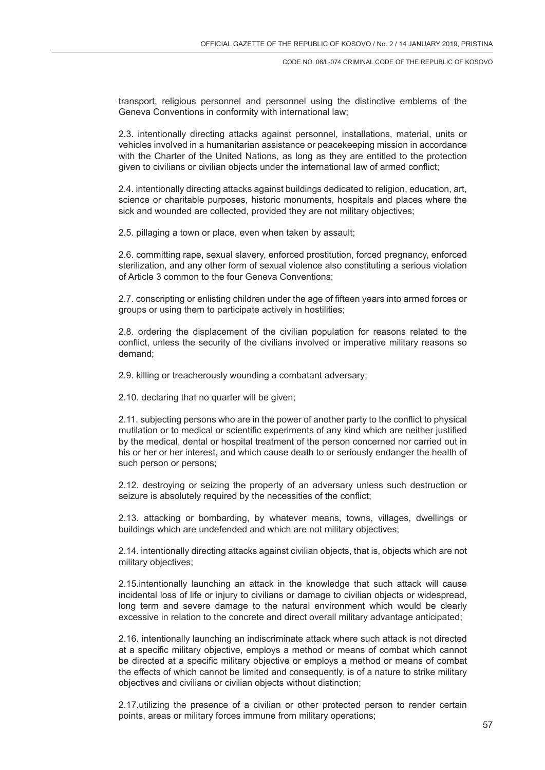transport, religious personnel and personnel using the distinctive emblems of the Geneva Conventions in conformity with international law;

2.3. intentionally directing attacks against personnel, installations, material, units or vehicles involved in a humanitarian assistance or peacekeeping mission in accordance with the Charter of the United Nations, as long as they are entitled to the protection given to civilians or civilian objects under the international law of armed conflict;

2.4. intentionally directing attacks against buildings dedicated to religion, education, art, science or charitable purposes, historic monuments, hospitals and places where the sick and wounded are collected, provided they are not military objectives;

2.5. pillaging a town or place, even when taken by assault;

2.6. committing rape, sexual slavery, enforced prostitution, forced pregnancy, enforced sterilization, and any other form of sexual violence also constituting a serious violation of Article 3 common to the four Geneva Conventions;

2.7. conscripting or enlisting children under the age of fifteen years into armed forces or groups or using them to participate actively in hostilities;

2.8. ordering the displacement of the civilian population for reasons related to the conflict, unless the security of the civilians involved or imperative military reasons so demand;

2.9. killing or treacherously wounding a combatant adversary;

2.10. declaring that no quarter will be given;

2.11. subjecting persons who are in the power of another party to the conflict to physical mutilation or to medical or scientific experiments of any kind which are neither justified by the medical, dental or hospital treatment of the person concerned nor carried out in his or her or her interest, and which cause death to or seriously endanger the health of such person or persons;

2.12. destroying or seizing the property of an adversary unless such destruction or seizure is absolutely required by the necessities of the conflict:

2.13. attacking or bombarding, by whatever means, towns, villages, dwellings or buildings which are undefended and which are not military objectives;

2.14. intentionally directing attacks against civilian objects, that is, objects which are not military objectives;

2.15.intentionally launching an attack in the knowledge that such attack will cause incidental loss of life or injury to civilians or damage to civilian objects or widespread, long term and severe damage to the natural environment which would be clearly excessive in relation to the concrete and direct overall military advantage anticipated;

2.16. intentionally launching an indiscriminate attack where such attack is not directed at a specific military objective, employs a method or means of combat which cannot be directed at a specific military objective or employs a method or means of combat the effects of which cannot be limited and consequently, is of a nature to strike military objectives and civilians or civilian objects without distinction;

2.17.utilizing the presence of a civilian or other protected person to render certain points, areas or military forces immune from military operations;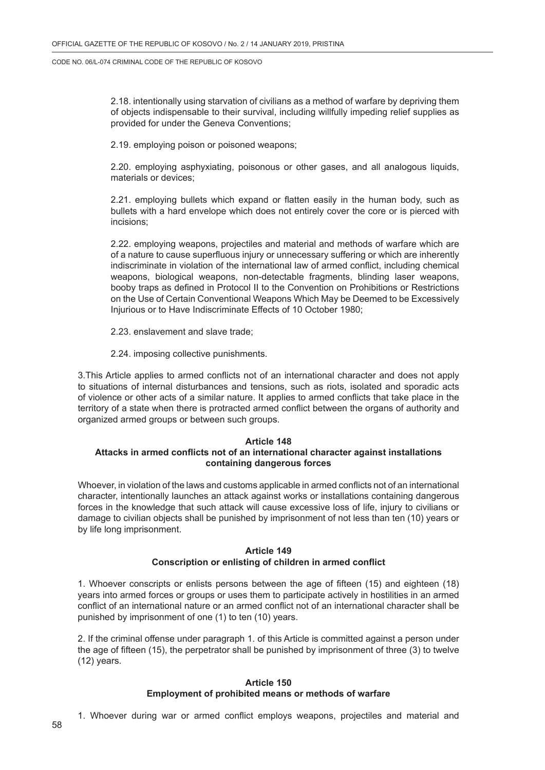2.18. intentionally using starvation of civilians as a method of warfare by depriving them of objects indispensable to their survival, including willfully impeding relief supplies as provided for under the Geneva Conventions;

2.19. employing poison or poisoned weapons;

2.20. employing asphyxiating, poisonous or other gases, and all analogous liquids, materials or devices;

2.21. employing bullets which expand or flatten easily in the human body, such as bullets with a hard envelope which does not entirely cover the core or is pierced with incisions;

2.22. employing weapons, projectiles and material and methods of warfare which are of a nature to cause superfluous injury or unnecessary suffering or which are inherently indiscriminate in violation of the international law of armed conflict, including chemical weapons, biological weapons, non-detectable fragments, blinding laser weapons, booby traps as defined in Protocol II to the Convention on Prohibitions or Restrictions on the Use of Certain Conventional Weapons Which May be Deemed to be Excessively Injurious or to Have Indiscriminate Effects of 10 October 1980;

- 2.23. enslavement and slave trade;
- 2.24. imposing collective punishments.

3.This Article applies to armed conflicts not of an international character and does not apply to situations of internal disturbances and tensions, such as riots, isolated and sporadic acts of violence or other acts of a similar nature. It applies to armed conflicts that take place in the territory of a state when there is protracted armed conflict between the organs of authority and organized armed groups or between such groups.

#### **Article 148 Attacks in armed conflicts not of an international character against installations containing dangerous forces**

Whoever, in violation of the laws and customs applicable in armed conflicts not of an international character, intentionally launches an attack against works or installations containing dangerous forces in the knowledge that such attack will cause excessive loss of life, injury to civilians or damage to civilian objects shall be punished by imprisonment of not less than ten (10) years or by life long imprisonment.

### **Article 149 Conscription or enlisting of children in armed conflict**

1. Whoever conscripts or enlists persons between the age of fifteen (15) and eighteen (18) years into armed forces or groups or uses them to participate actively in hostilities in an armed conflict of an international nature or an armed conflict not of an international character shall be punished by imprisonment of one (1) to ten (10) years.

2. If the criminal offense under paragraph 1. of this Article is committed against a person under the age of fifteen (15), the perpetrator shall be punished by imprisonment of three (3) to twelve (12) years.

## **Article 150 Employment of prohibited means or methods of warfare**

1. Whoever during war or armed conflict employs weapons, projectiles and material and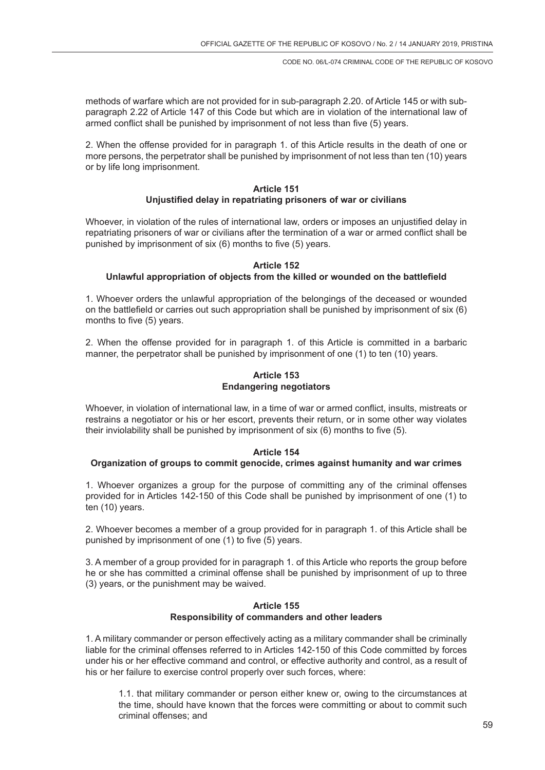methods of warfare which are not provided for in sub-paragraph 2.20. of Article 145 or with subparagraph 2.22 of Article 147 of this Code but which are in violation of the international law of armed conflict shall be punished by imprisonment of not less than five (5) years.

2. When the offense provided for in paragraph 1. of this Article results in the death of one or more persons, the perpetrator shall be punished by imprisonment of not less than ten (10) years or by life long imprisonment.

#### **Article 151 Unjustified delay in repatriating prisoners of war or civilians**

Whoever, in violation of the rules of international law, orders or imposes an unjustified delay in repatriating prisoners of war or civilians after the termination of a war or armed conflict shall be punished by imprisonment of six (6) months to five (5) years.

#### **Article 152**

#### **Unlawful appropriation of objects from the killed or wounded on the battlefield**

1. Whoever orders the unlawful appropriation of the belongings of the deceased or wounded on the battlefield or carries out such appropriation shall be punished by imprisonment of six (6) months to five (5) years.

2. When the offense provided for in paragraph 1. of this Article is committed in a barbaric manner, the perpetrator shall be punished by imprisonment of one (1) to ten (10) years.

## **Article 153 Endangering negotiators**

Whoever, in violation of international law, in a time of war or armed conflict, insults, mistreats or restrains a negotiator or his or her escort, prevents their return, or in some other way violates their inviolability shall be punished by imprisonment of six (6) months to five (5).

#### **Article 154**

#### **Organization of groups to commit genocide, crimes against humanity and war crimes**

1. Whoever organizes a group for the purpose of committing any of the criminal offenses provided for in Articles 142-150 of this Code shall be punished by imprisonment of one (1) to ten (10) years.

2. Whoever becomes a member of a group provided for in paragraph 1. of this Article shall be punished by imprisonment of one (1) to five (5) years.

3. A member of a group provided for in paragraph 1. of this Article who reports the group before he or she has committed a criminal offense shall be punished by imprisonment of up to three (3) years, or the punishment may be waived.

#### **Article 155 Responsibility of commanders and other leaders**

1. A military commander or person effectively acting as a military commander shall be criminally liable for the criminal offenses referred to in Articles 142-150 of this Code committed by forces under his or her effective command and control, or effective authority and control, as a result of his or her failure to exercise control properly over such forces, where:

1.1. that military commander or person either knew or, owing to the circumstances at the time, should have known that the forces were committing or about to commit such criminal offenses; and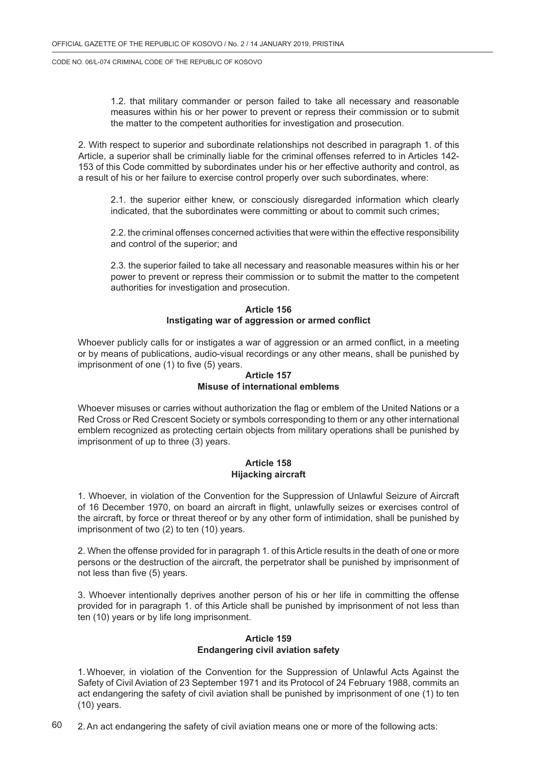1.2. that military commander or person failed to take all necessary and reasonable measures within his or her power to prevent or repress their commission or to submit the matter to the competent authorities for investigation and prosecution.

2. With respect to superior and subordinate relationships not described in paragraph 1. of this Article, a superior shall be criminally liable for the criminal offenses referred to in Articles 142- 153 of this Code committed by subordinates under his or her effective authority and control, as a result of his or her failure to exercise control properly over such subordinates, where:

2.1. the superior either knew, or consciously disregarded information which clearly indicated, that the subordinates were committing or about to commit such crimes;

2.2. the criminal offenses concerned activities that were within the effective responsibility and control of the superior; and

2.3. the superior failed to take all necessary and reasonable measures within his or her power to prevent or repress their commission or to submit the matter to the competent authorities for investigation and prosecution.

## **Article 156 Instigating war of aggression or armed conflict**

Whoever publicly calls for or instigates a war of aggression or an armed conflict, in a meeting or by means of publications, audio-visual recordings or any other means, shall be punished by imprisonment of one (1) to five (5) years.

### **Article 157 Misuse of international emblems**

Whoever misuses or carries without authorization the flag or emblem of the United Nations or a Red Cross or Red Crescent Society or symbols corresponding to them or any other international emblem recognized as protecting certain objects from military operations shall be punished by imprisonment of up to three (3) years.

### **Article 158 Hijacking aircraft**

1. Whoever, in violation of the Convention for the Suppression of Unlawful Seizure of Aircraft of 16 December 1970, on board an aircraft in flight, unlawfully seizes or exercises control of the aircraft, by force or threat thereof or by any other form of intimidation, shall be punished by imprisonment of two (2) to ten (10) years.

2. When the offense provided for in paragraph 1. of this Article results in the death of one or more persons or the destruction of the aircraft, the perpetrator shall be punished by imprisonment of not less than five (5) years.

3. Whoever intentionally deprives another person of his or her life in committing the offense provided for in paragraph 1. of this Article shall be punished by imprisonment of not less than ten (10) years or by life long imprisonment.

## **Article 159 Endangering civil aviation safety**

1.Whoever, in violation of the Convention for the Suppression of Unlawful Acts Against the Safety of Civil Aviation of 23 September 1971 and its Protocol of 24 February 1988, commits an act endangering the safety of civil aviation shall be punished by imprisonment of one (1) to ten (10) years.

60 2.An act endangering the safety of civil aviation means one or more of the following acts: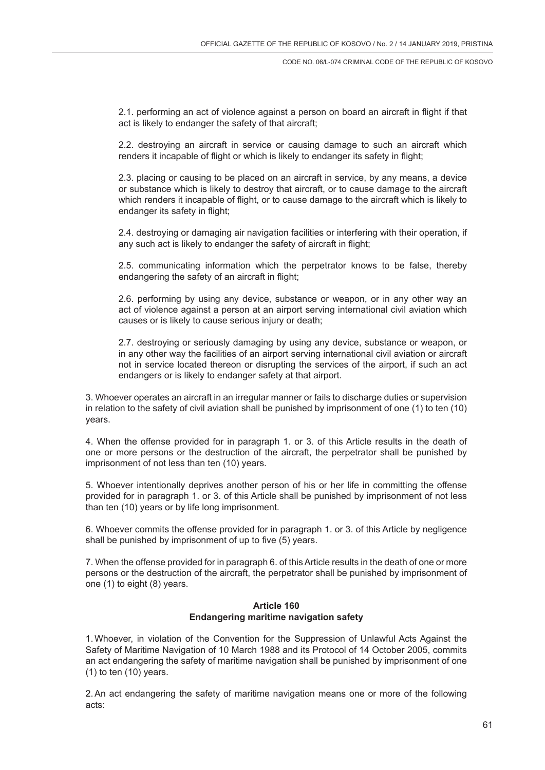2.1. performing an act of violence against a person on board an aircraft in flight if that act is likely to endanger the safety of that aircraft;

2.2. destroying an aircraft in service or causing damage to such an aircraft which renders it incapable of flight or which is likely to endanger its safety in flight;

2.3. placing or causing to be placed on an aircraft in service, by any means, a device or substance which is likely to destroy that aircraft, or to cause damage to the aircraft which renders it incapable of flight, or to cause damage to the aircraft which is likely to endanger its safety in flight;

2.4. destroying or damaging air navigation facilities or interfering with their operation, if any such act is likely to endanger the safety of aircraft in flight;

2.5. communicating information which the perpetrator knows to be false, thereby endangering the safety of an aircraft in flight;

2.6. performing by using any device, substance or weapon, or in any other way an act of violence against a person at an airport serving international civil aviation which causes or is likely to cause serious injury or death;

2.7. destroying or seriously damaging by using any device, substance or weapon, or in any other way the facilities of an airport serving international civil aviation or aircraft not in service located thereon or disrupting the services of the airport, if such an act endangers or is likely to endanger safety at that airport.

3. Whoever operates an aircraft in an irregular manner or fails to discharge duties or supervision in relation to the safety of civil aviation shall be punished by imprisonment of one (1) to ten (10) years.

4. When the offense provided for in paragraph 1. or 3. of this Article results in the death of one or more persons or the destruction of the aircraft, the perpetrator shall be punished by imprisonment of not less than ten (10) years.

5. Whoever intentionally deprives another person of his or her life in committing the offense provided for in paragraph 1. or 3. of this Article shall be punished by imprisonment of not less than ten (10) years or by life long imprisonment.

6. Whoever commits the offense provided for in paragraph 1. or 3. of this Article by negligence shall be punished by imprisonment of up to five (5) years.

7. When the offense provided for in paragraph 6. of this Article results in the death of one or more persons or the destruction of the aircraft, the perpetrator shall be punished by imprisonment of one (1) to eight (8) years.

### **Article 160 Endangering maritime navigation safety**

1.Whoever, in violation of the Convention for the Suppression of Unlawful Acts Against the Safety of Maritime Navigation of 10 March 1988 and its Protocol of 14 October 2005, commits an act endangering the safety of maritime navigation shall be punished by imprisonment of one (1) to ten (10) years.

2.An act endangering the safety of maritime navigation means one or more of the following acts: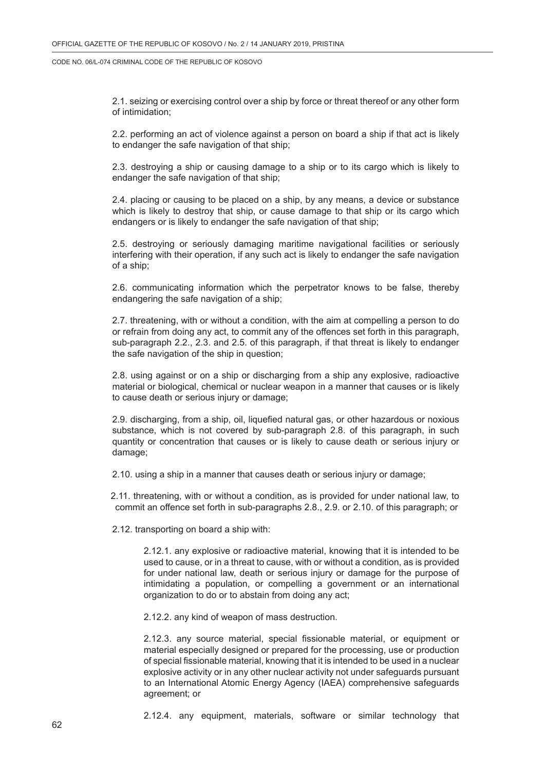2.1. seizing or exercising control over a ship by force or threat thereof or any other form of intimidation;

2.2. performing an act of violence against a person on board a ship if that act is likely to endanger the safe navigation of that ship;

2.3. destroying a ship or causing damage to a ship or to its cargo which is likely to endanger the safe navigation of that ship;

2.4. placing or causing to be placed on a ship, by any means, a device or substance which is likely to destroy that ship, or cause damage to that ship or its cargo which endangers or is likely to endanger the safe navigation of that ship;

2.5. destroying or seriously damaging maritime navigational facilities or seriously interfering with their operation, if any such act is likely to endanger the safe navigation of a ship;

2.6. communicating information which the perpetrator knows to be false, thereby endangering the safe navigation of a ship;

2.7. threatening, with or without a condition, with the aim at compelling a person to do or refrain from doing any act, to commit any of the offences set forth in this paragraph, sub-paragraph 2.2., 2.3. and 2.5. of this paragraph, if that threat is likely to endanger the safe navigation of the ship in question;

2.8. using against or on a ship or discharging from a ship any explosive, radioactive material or biological, chemical or nuclear weapon in a manner that causes or is likely to cause death or serious injury or damage;

2.9. discharging, from a ship, oil, liquefied natural gas, or other hazardous or noxious substance, which is not covered by sub-paragraph 2.8. of this paragraph, in such quantity or concentration that causes or is likely to cause death or serious injury or damage;

2.10. using a ship in a manner that causes death or serious injury or damage;

2.11. threatening, with or without a condition, as is provided for under national law, to commit an offence set forth in sub-paragraphs 2.8., 2.9. or 2.10. of this paragraph; or

2.12. transporting on board a ship with:

2.12.1. any explosive or radioactive material, knowing that it is intended to be used to cause, or in a threat to cause, with or without a condition, as is provided for under national law, death or serious injury or damage for the purpose of intimidating a population, or compelling a government or an international organization to do or to abstain from doing any act;

2.12.2. any kind of weapon of mass destruction.

2.12.3. any source material, special fissionable material, or equipment or material especially designed or prepared for the processing, use or production of special fissionable material, knowing that it is intended to be used in a nuclear explosive activity or in any other nuclear activity not under safeguards pursuant to an International Atomic Energy Agency (IAEA) comprehensive safeguards agreement; or

2.12.4. any equipment, materials, software or similar technology that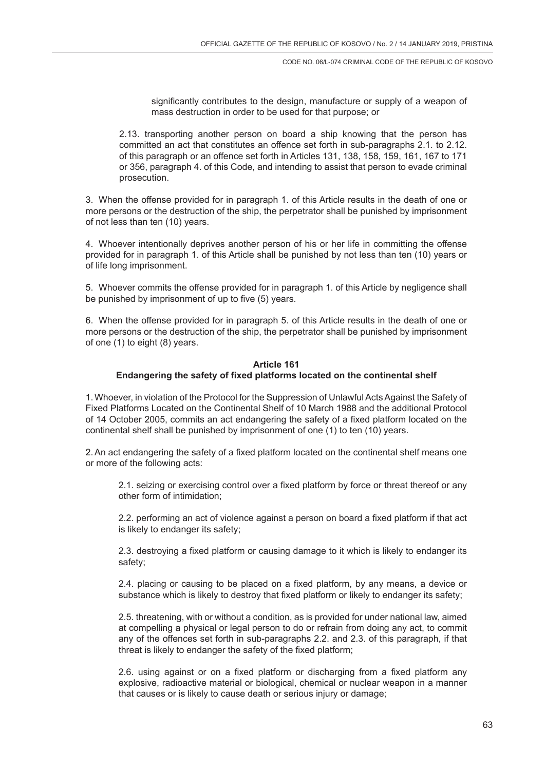significantly contributes to the design, manufacture or supply of a weapon of mass destruction in order to be used for that purpose; or

2.13. transporting another person on board a ship knowing that the person has committed an act that constitutes an offence set forth in sub-paragraphs 2.1. to 2.12. of this paragraph or an offence set forth in Articles 131, 138, 158, 159, 161, 167 to 171 or 356, paragraph 4. of this Code, and intending to assist that person to evade criminal prosecution.

3. When the offense provided for in paragraph 1. of this Article results in the death of one or more persons or the destruction of the ship, the perpetrator shall be punished by imprisonment of not less than ten (10) years.

4. Whoever intentionally deprives another person of his or her life in committing the offense provided for in paragraph 1. of this Article shall be punished by not less than ten (10) years or of life long imprisonment.

5. Whoever commits the offense provided for in paragraph 1. of this Article by negligence shall be punished by imprisonment of up to five (5) years.

6. When the offense provided for in paragraph 5. of this Article results in the death of one or more persons or the destruction of the ship, the perpetrator shall be punished by imprisonment of one (1) to eight (8) years.

## **Article 161 Endangering the safety of fixed platforms located on the continental shelf**

1.Whoever, in violation of the Protocol for the Suppression of Unlawful Acts Against the Safety of Fixed Platforms Located on the Continental Shelf of 10 March 1988 and the additional Protocol of 14 October 2005, commits an act endangering the safety of a fixed platform located on the continental shelf shall be punished by imprisonment of one (1) to ten (10) years.

2.An act endangering the safety of a fixed platform located on the continental shelf means one or more of the following acts:

2.1. seizing or exercising control over a fixed platform by force or threat thereof or any other form of intimidation;

2.2. performing an act of violence against a person on board a fixed platform if that act is likely to endanger its safety;

2.3. destroying a fixed platform or causing damage to it which is likely to endanger its safety;

2.4. placing or causing to be placed on a fixed platform, by any means, a device or substance which is likely to destroy that fixed platform or likely to endanger its safety;

2.5. threatening, with or without a condition, as is provided for under national law, aimed at compelling a physical or legal person to do or refrain from doing any act, to commit any of the offences set forth in sub-paragraphs 2.2. and 2.3. of this paragraph, if that threat is likely to endanger the safety of the fixed platform;

2.6. using against or on a fixed platform or discharging from a fixed platform any explosive, radioactive material or biological, chemical or nuclear weapon in a manner that causes or is likely to cause death or serious injury or damage;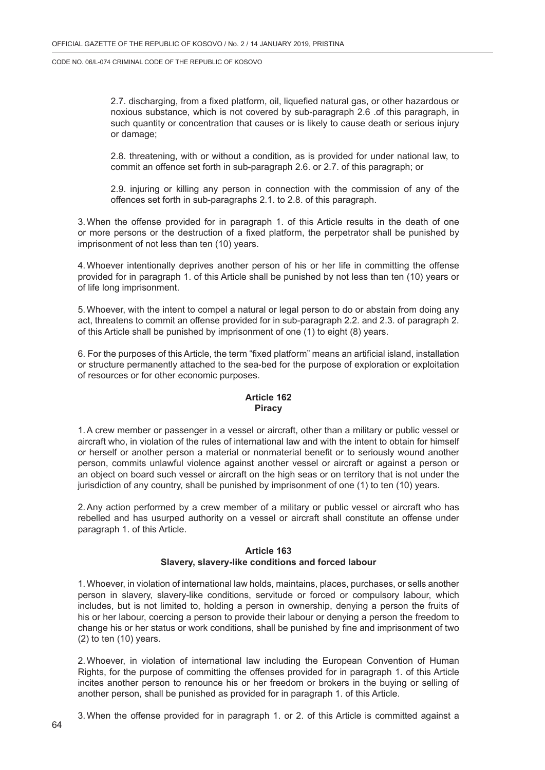2.7. discharging, from a fixed platform, oil, liquefied natural gas, or other hazardous or noxious substance, which is not covered by sub-paragraph 2.6 .of this paragraph, in such quantity or concentration that causes or is likely to cause death or serious injury or damage;

2.8. threatening, with or without a condition, as is provided for under national law, to commit an offence set forth in sub-paragraph 2.6. or 2.7. of this paragraph; or

2.9. injuring or killing any person in connection with the commission of any of the offences set forth in sub-paragraphs 2.1. to 2.8. of this paragraph.

3.When the offense provided for in paragraph 1. of this Article results in the death of one or more persons or the destruction of a fixed platform, the perpetrator shall be punished by imprisonment of not less than ten (10) years.

4.Whoever intentionally deprives another person of his or her life in committing the offense provided for in paragraph 1. of this Article shall be punished by not less than ten (10) years or of life long imprisonment.

5.Whoever, with the intent to compel a natural or legal person to do or abstain from doing any act, threatens to commit an offense provided for in sub-paragraph 2.2. and 2.3. of paragraph 2. of this Article shall be punished by imprisonment of one (1) to eight (8) years.

6. For the purposes of this Article, the term "fixed platform" means an artificial island, installation or structure permanently attached to the sea-bed for the purpose of exploration or exploitation of resources or for other economic purposes.

### **Article 162 Piracy**

1.A crew member or passenger in a vessel or aircraft, other than a military or public vessel or aircraft who, in violation of the rules of international law and with the intent to obtain for himself or herself or another person a material or nonmaterial benefit or to seriously wound another person, commits unlawful violence against another vessel or aircraft or against a person or an object on board such vessel or aircraft on the high seas or on territory that is not under the jurisdiction of any country, shall be punished by imprisonment of one (1) to ten (10) years.

2.Any action performed by a crew member of a military or public vessel or aircraft who has rebelled and has usurped authority on a vessel or aircraft shall constitute an offense under paragraph 1. of this Article.

### **Article 163 Slavery, slavery-like conditions and forced labour**

1.Whoever, in violation of international law holds, maintains, places, purchases, or sells another person in slavery, slavery-like conditions, servitude or forced or compulsory labour, which includes, but is not limited to, holding a person in ownership, denying a person the fruits of his or her labour, coercing a person to provide their labour or denying a person the freedom to change his or her status or work conditions, shall be punished by fine and imprisonment of two  $(2)$  to ten  $(10)$  years.

2.Whoever, in violation of international law including the European Convention of Human Rights, for the purpose of committing the offenses provided for in paragraph 1. of this Article incites another person to renounce his or her freedom or brokers in the buying or selling of another person, shall be punished as provided for in paragraph 1. of this Article.

3.When the offense provided for in paragraph 1. or 2. of this Article is committed against a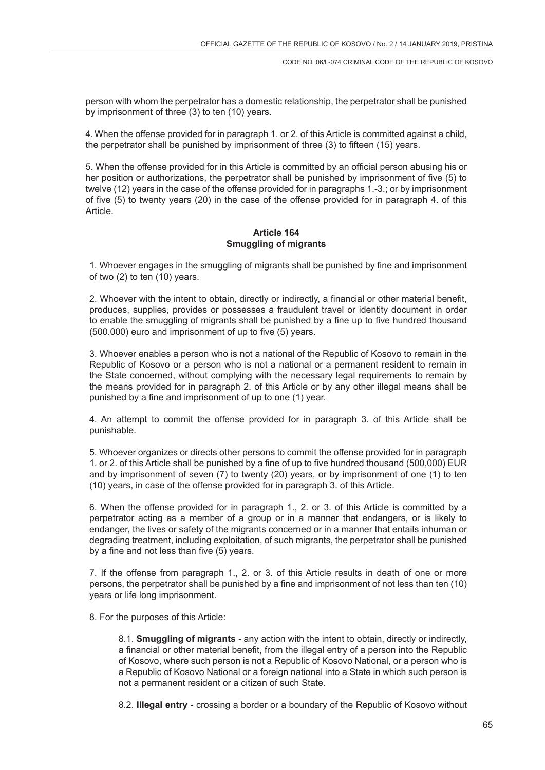person with whom the perpetrator has a domestic relationship, the perpetrator shall be punished by imprisonment of three (3) to ten (10) years.

4.When the offense provided for in paragraph 1. or 2. of this Article is committed against a child, the perpetrator shall be punished by imprisonment of three (3) to fifteen (15) years.

5. When the offense provided for in this Article is committed by an official person abusing his or her position or authorizations, the perpetrator shall be punished by imprisonment of five (5) to twelve (12) years in the case of the offense provided for in paragraphs 1.-3.; or by imprisonment of five (5) to twenty years (20) in the case of the offense provided for in paragraph 4. of this Article.

### **Article 164 Smuggling of migrants**

1. Whoever engages in the smuggling of migrants shall be punished by fine and imprisonment of two (2) to ten (10) years.

2. Whoever with the intent to obtain, directly or indirectly, a financial or other material benefit, produces, supplies, provides or possesses a fraudulent travel or identity document in order to enable the smuggling of migrants shall be punished by a fine up to five hundred thousand (500.000) euro and imprisonment of up to five (5) years.

3. Whoever enables a person who is not a national of the Republic of Kosovo to remain in the Republic of Kosovo or a person who is not a national or a permanent resident to remain in the State concerned, without complying with the necessary legal requirements to remain by the means provided for in paragraph 2. of this Article or by any other illegal means shall be punished by a fine and imprisonment of up to one (1) year.

4. An attempt to commit the offense provided for in paragraph 3. of this Article shall be punishable.

5. Whoever organizes or directs other persons to commit the offense provided for in paragraph 1. or 2. of this Article shall be punished by a fine of up to five hundred thousand (500,000) EUR and by imprisonment of seven (7) to twenty (20) years, or by imprisonment of one (1) to ten (10) years, in case of the offense provided for in paragraph 3. of this Article.

6. When the offense provided for in paragraph 1., 2. or 3. of this Article is committed by a perpetrator acting as a member of a group or in a manner that endangers, or is likely to endanger, the lives or safety of the migrants concerned or in a manner that entails inhuman or degrading treatment, including exploitation, of such migrants, the perpetrator shall be punished by a fine and not less than five (5) years.

7. If the offense from paragraph 1., 2. or 3. of this Article results in death of one or more persons, the perpetrator shall be punished by a fine and imprisonment of not less than ten (10) years or life long imprisonment.

8. For the purposes of this Article:

8.1. **Smuggling of migrants -** any action with the intent to obtain, directly or indirectly, a financial or other material benefit, from the illegal entry of a person into the Republic of Kosovo, where such person is not a Republic of Kosovo National, or a person who is a Republic of Kosovo National or a foreign national into a State in which such person is not a permanent resident or a citizen of such State.

8.2. **Illegal entry** - crossing a border or a boundary of the Republic of Kosovo without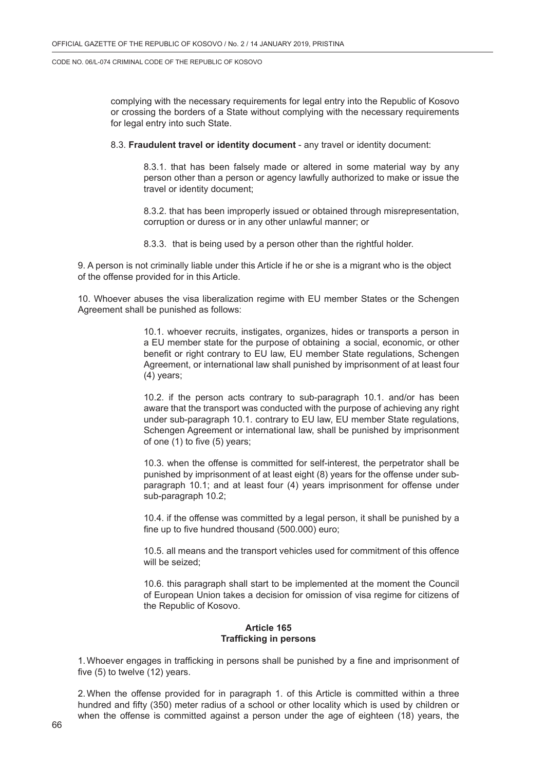complying with the necessary requirements for legal entry into the Republic of Kosovo or crossing the borders of a State without complying with the necessary requirements for legal entry into such State.

8.3. **Fraudulent travel or identity document** - any travel or identity document:

8.3.1. that has been falsely made or altered in some material way by any person other than a person or agency lawfully authorized to make or issue the travel or identity document;

8.3.2. that has been improperly issued or obtained through misrepresentation, corruption or duress or in any other unlawful manner; or

8.3.3. that is being used by a person other than the rightful holder.

9. A person is not criminally liable under this Article if he or she is a migrant who is the object of the offense provided for in this Article.

10. Whoever abuses the visa liberalization regime with EU member States or the Schengen Agreement shall be punished as follows:

> 10.1. whoever recruits, instigates, organizes, hides or transports a person in a EU member state for the purpose of obtaining a social, economic, or other benefit or right contrary to EU law, EU member State regulations, Schengen Agreement, or international law shall punished by imprisonment of at least four (4) years;

> 10.2. if the person acts contrary to sub-paragraph 10.1. and/or has been aware that the transport was conducted with the purpose of achieving any right under sub-paragraph 10.1. contrary to EU law, EU member State regulations, Schengen Agreement or international law, shall be punished by imprisonment of one (1) to five (5) years;

> 10.3. when the offense is committed for self-interest, the perpetrator shall be punished by imprisonment of at least eight (8) years for the offense under subparagraph 10.1; and at least four (4) years imprisonment for offense under sub-paragraph 10.2;

> 10.4. if the offense was committed by a legal person, it shall be punished by a fine up to five hundred thousand (500.000) euro;

> 10.5. all means and the transport vehicles used for commitment of this offence will be seized;

> 10.6. this paragraph shall start to be implemented at the moment the Council of European Union takes a decision for omission of visa regime for citizens of the Republic of Kosovo.

# **Article 165 Trafficking in persons**

1.Whoever engages in trafficking in persons shall be punished by a fine and imprisonment of five (5) to twelve (12) years.

2.When the offense provided for in paragraph 1. of this Article is committed within a three hundred and fifty (350) meter radius of a school or other locality which is used by children or when the offense is committed against a person under the age of eighteen (18) years, the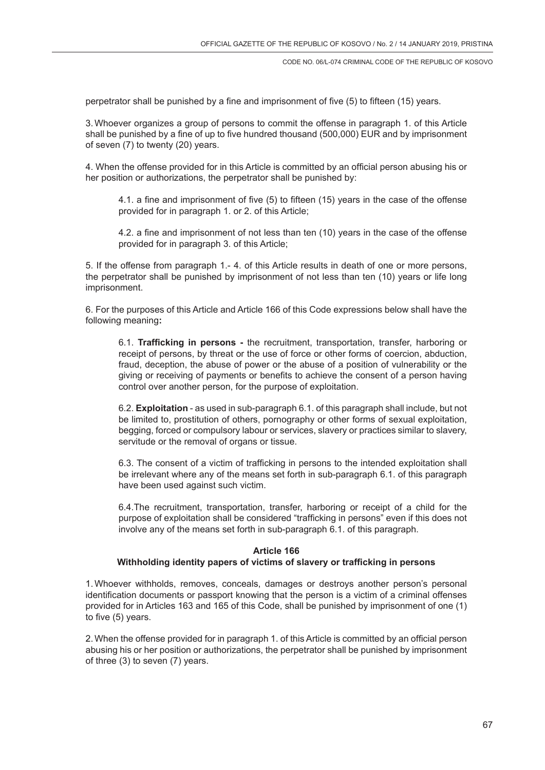perpetrator shall be punished by a fine and imprisonment of five (5) to fifteen (15) years.

3.Whoever organizes a group of persons to commit the offense in paragraph 1. of this Article shall be punished by a fine of up to five hundred thousand (500,000) EUR and by imprisonment of seven (7) to twenty (20) years.

4. When the offense provided for in this Article is committed by an official person abusing his or her position or authorizations, the perpetrator shall be punished by:

4.1. a fine and imprisonment of five (5) to fifteen (15) years in the case of the offense provided for in paragraph 1. or 2. of this Article;

4.2. a fine and imprisonment of not less than ten (10) years in the case of the offense provided for in paragraph 3. of this Article;

5. If the offense from paragraph 1.- 4. of this Article results in death of one or more persons, the perpetrator shall be punished by imprisonment of not less than ten (10) years or life long imprisonment.

6. For the purposes of this Article and Article 166 of this Code expressions below shall have the following meaning**:**

6.1. **Trafficking in persons -** the recruitment, transportation, transfer, harboring or receipt of persons, by threat or the use of force or other forms of coercion, abduction, fraud, deception, the abuse of power or the abuse of a position of vulnerability or the giving or receiving of payments or benefits to achieve the consent of a person having control over another person, for the purpose of exploitation.

6.2. **Exploitation** - as used in sub-paragraph 6.1. of this paragraph shall include, but not be limited to, prostitution of others, pornography or other forms of sexual exploitation, begging, forced or compulsory labour or services, slavery or practices similar to slavery, servitude or the removal of organs or tissue.

6.3. The consent of a victim of trafficking in persons to the intended exploitation shall be irrelevant where any of the means set forth in sub-paragraph 6.1. of this paragraph have been used against such victim.

6.4.The recruitment, transportation, transfer, harboring or receipt of a child for the purpose of exploitation shall be considered "trafficking in persons" even if this does not involve any of the means set forth in sub-paragraph 6.1. of this paragraph.

#### **Article 166**

## **Withholding identity papers of victims of slavery or trafficking in persons**

1.Whoever withholds, removes, conceals, damages or destroys another person's personal identification documents or passport knowing that the person is a victim of a criminal offenses provided for in Articles 163 and 165 of this Code, shall be punished by imprisonment of one (1) to five (5) years.

2.When the offense provided for in paragraph 1. of this Article is committed by an official person abusing his or her position or authorizations, the perpetrator shall be punished by imprisonment of three (3) to seven (7) years.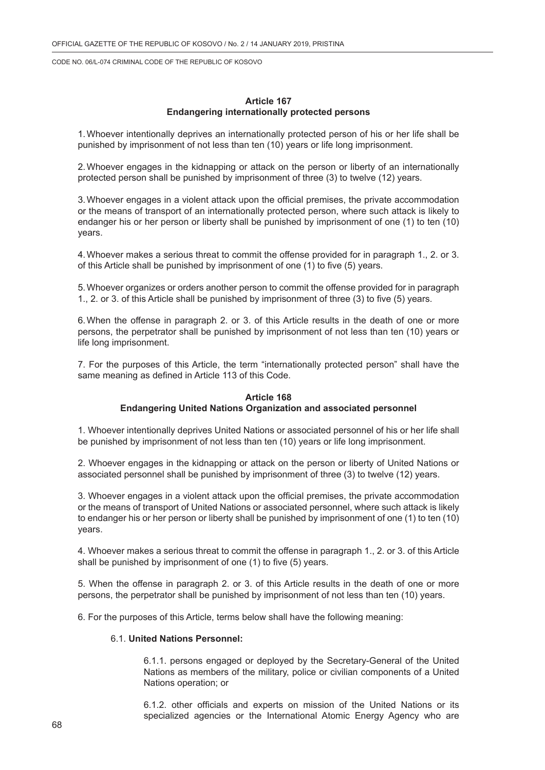### **Article 167 Endangering internationally protected persons**

1.Whoever intentionally deprives an internationally protected person of his or her life shall be punished by imprisonment of not less than ten (10) years or life long imprisonment.

2.Whoever engages in the kidnapping or attack on the person or liberty of an internationally protected person shall be punished by imprisonment of three (3) to twelve (12) years.

3.Whoever engages in a violent attack upon the official premises, the private accommodation or the means of transport of an internationally protected person, where such attack is likely to endanger his or her person or liberty shall be punished by imprisonment of one (1) to ten (10) years.

4.Whoever makes a serious threat to commit the offense provided for in paragraph 1., 2. or 3. of this Article shall be punished by imprisonment of one (1) to five (5) years.

5.Whoever organizes or orders another person to commit the offense provided for in paragraph 1., 2. or 3. of this Article shall be punished by imprisonment of three (3) to five (5) years.

6.When the offense in paragraph 2. or 3. of this Article results in the death of one or more persons, the perpetrator shall be punished by imprisonment of not less than ten (10) years or life long imprisonment.

7. For the purposes of this Article, the term "internationally protected person" shall have the same meaning as defined in Article 113 of this Code.

#### **Article 168 Endangering United Nations Organization and associated personnel**

1. Whoever intentionally deprives United Nations or associated personnel of his or her life shall be punished by imprisonment of not less than ten (10) years or life long imprisonment.

2. Whoever engages in the kidnapping or attack on the person or liberty of United Nations or associated personnel shall be punished by imprisonment of three (3) to twelve (12) years.

3. Whoever engages in a violent attack upon the official premises, the private accommodation or the means of transport of United Nations or associated personnel, where such attack is likely to endanger his or her person or liberty shall be punished by imprisonment of one (1) to ten (10) years.

4. Whoever makes a serious threat to commit the offense in paragraph 1., 2. or 3. of this Article shall be punished by imprisonment of one (1) to five (5) years.

5. When the offense in paragraph 2. or 3. of this Article results in the death of one or more persons, the perpetrator shall be punished by imprisonment of not less than ten (10) years.

6. For the purposes of this Article, terms below shall have the following meaning:

### 6.1. **United Nations Personnel:**

6.1.1. persons engaged or deployed by the Secretary-General of the United Nations as members of the military, police or civilian components of a United Nations operation; or

6.1.2. other officials and experts on mission of the United Nations or its specialized agencies or the International Atomic Energy Agency who are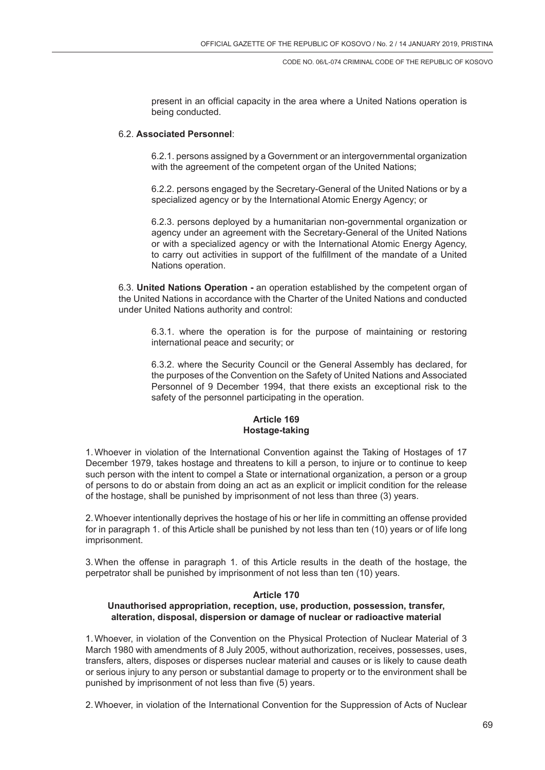present in an official capacity in the area where a United Nations operation is being conducted.

#### 6.2. **Associated Personnel**:

6.2.1. persons assigned by a Government or an intergovernmental organization with the agreement of the competent organ of the United Nations;

6.2.2. persons engaged by the Secretary-General of the United Nations or by a specialized agency or by the International Atomic Energy Agency; or

6.2.3. persons deployed by a humanitarian non-governmental organization or agency under an agreement with the Secretary-General of the United Nations or with a specialized agency or with the International Atomic Energy Agency, to carry out activities in support of the fulfillment of the mandate of a United Nations operation.

6.3. **United Nations Operation -** an operation established by the competent organ of the United Nations in accordance with the Charter of the United Nations and conducted under United Nations authority and control:

6.3.1. where the operation is for the purpose of maintaining or restoring international peace and security; or

6.3.2. where the Security Council or the General Assembly has declared, for the purposes of the Convention on the Safety of United Nations and Associated Personnel of 9 December 1994, that there exists an exceptional risk to the safety of the personnel participating in the operation.

## **Article 169 Hostage-taking**

1.Whoever in violation of the International Convention against the Taking of Hostages of 17 December 1979, takes hostage and threatens to kill a person, to injure or to continue to keep such person with the intent to compel a State or international organization, a person or a group of persons to do or abstain from doing an act as an explicit or implicit condition for the release of the hostage, shall be punished by imprisonment of not less than three (3) years.

2.Whoever intentionally deprives the hostage of his or her life in committing an offense provided for in paragraph 1. of this Article shall be punished by not less than ten (10) years or of life long imprisonment.

3.When the offense in paragraph 1. of this Article results in the death of the hostage, the perpetrator shall be punished by imprisonment of not less than ten (10) years.

#### **Article 170**

# **Unauthorised appropriation, reception, use, production, possession, transfer, alteration, disposal, dispersion or damage of nuclear or radioactive material**

1.Whoever, in violation of the Convention on the Physical Protection of Nuclear Material of 3 March 1980 with amendments of 8 July 2005, without authorization, receives, possesses, uses, transfers, alters, disposes or disperses nuclear material and causes or is likely to cause death or serious injury to any person or substantial damage to property or to the environment shall be punished by imprisonment of not less than five (5) years.

2.Whoever, in violation of the International Convention for the Suppression of Acts of Nuclear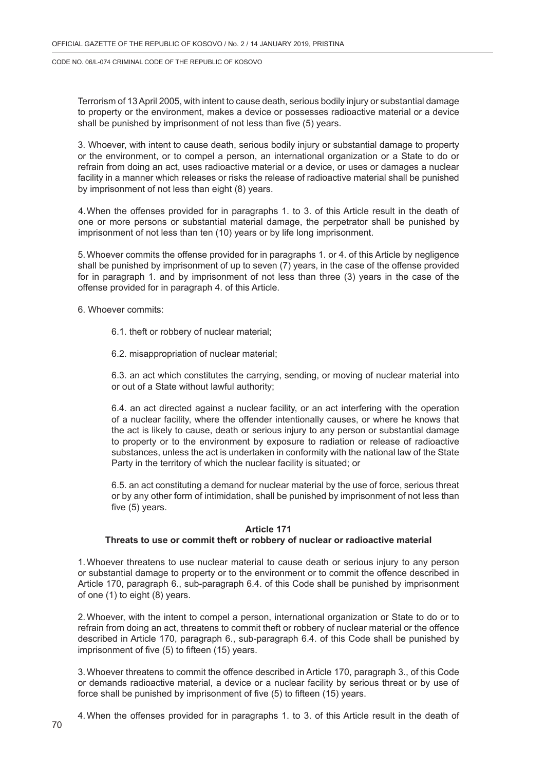Terrorism of 13 April 2005, with intent to cause death, serious bodily injury or substantial damage to property or the environment, makes a device or possesses radioactive material or a device shall be punished by imprisonment of not less than five (5) years.

3. Whoever, with intent to cause death, serious bodily injury or substantial damage to property or the environment, or to compel a person, an international organization or a State to do or refrain from doing an act, uses radioactive material or a device, or uses or damages a nuclear facility in a manner which releases or risks the release of radioactive material shall be punished by imprisonment of not less than eight (8) years.

4.When the offenses provided for in paragraphs 1. to 3. of this Article result in the death of one or more persons or substantial material damage, the perpetrator shall be punished by imprisonment of not less than ten (10) years or by life long imprisonment.

5.Whoever commits the offense provided for in paragraphs 1. or 4. of this Article by negligence shall be punished by imprisonment of up to seven (7) years, in the case of the offense provided for in paragraph 1. and by imprisonment of not less than three (3) years in the case of the offense provided for in paragraph 4. of this Article.

6. Whoever commits:

- 6.1. theft or robbery of nuclear material;
- 6.2. misappropriation of nuclear material;

6.3. an act which constitutes the carrying, sending, or moving of nuclear material into or out of a State without lawful authority;

6.4. an act directed against a nuclear facility, or an act interfering with the operation of a nuclear facility, where the offender intentionally causes, or where he knows that the act is likely to cause, death or serious injury to any person or substantial damage to property or to the environment by exposure to radiation or release of radioactive substances, unless the act is undertaken in conformity with the national law of the State Party in the territory of which the nuclear facility is situated; or

6.5. an act constituting a demand for nuclear material by the use of force, serious threat or by any other form of intimidation, shall be punished by imprisonment of not less than five (5) years.

#### **Article 171**

#### **Threats to use or commit theft or robbery of nuclear or radioactive material**

1.Whoever threatens to use nuclear material to cause death or serious injury to any person or substantial damage to property or to the environment or to commit the offence described in Article 170, paragraph 6., sub-paragraph 6.4. of this Code shall be punished by imprisonment of one (1) to eight (8) years.

2.Whoever, with the intent to compel a person, international organization or State to do or to refrain from doing an act, threatens to commit theft or robbery of nuclear material or the offence described in Article 170, paragraph 6., sub-paragraph 6.4. of this Code shall be punished by imprisonment of five (5) to fifteen (15) years.

3.Whoever threatens to commit the offence described in Article 170, paragraph 3., of this Code or demands radioactive material, a device or a nuclear facility by serious threat or by use of force shall be punished by imprisonment of five (5) to fifteen (15) years.

4.When the offenses provided for in paragraphs 1. to 3. of this Article result in the death of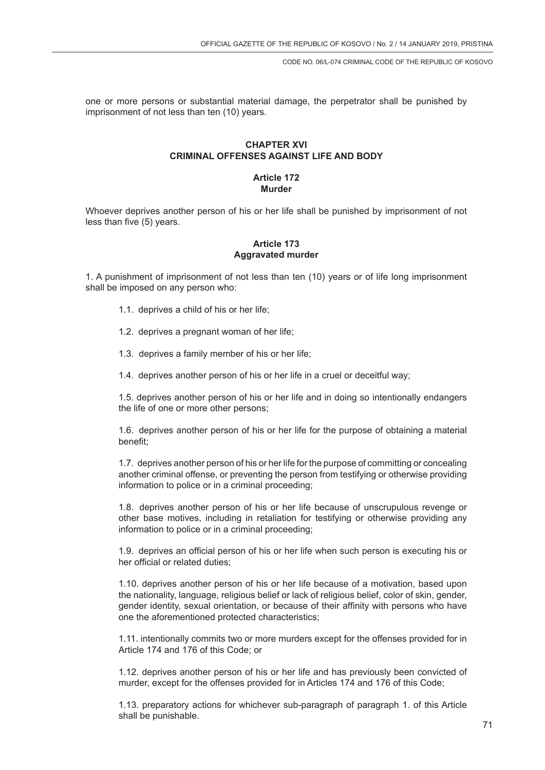one or more persons or substantial material damage, the perpetrator shall be punished by imprisonment of not less than ten (10) years.

# **CHAPTER XVI CRIMINAL OFFENSES AGAINST LIFE AND BODY**

### **Article 172 Murder**

Whoever deprives another person of his or her life shall be punished by imprisonment of not less than five (5) years.

## **Article 173 Aggravated murder**

1. A punishment of imprisonment of not less than ten (10) years or of life long imprisonment shall be imposed on any person who:

- 1.1. deprives a child of his or her life;
- 1.2. deprives a pregnant woman of her life;
- 1.3. deprives a family member of his or her life;
- 1.4. deprives another person of his or her life in a cruel or deceitful way;

1.5. deprives another person of his or her life and in doing so intentionally endangers the life of one or more other persons;

1.6. deprives another person of his or her life for the purpose of obtaining a material benefit;

1.7. deprives another person of his or her life for the purpose of committing or concealing another criminal offense, or preventing the person from testifying or otherwise providing information to police or in a criminal proceeding;

1.8. deprives another person of his or her life because of unscrupulous revenge or other base motives, including in retaliation for testifying or otherwise providing any information to police or in a criminal proceeding;

1.9. deprives an official person of his or her life when such person is executing his or her official or related duties;

1.10. deprives another person of his or her life because of a motivation, based upon the nationality, language, religious belief or lack of religious belief, color of skin, gender, gender identity, sexual orientation, or because of their affinity with persons who have one the aforementioned protected characteristics;

1.11. intentionally commits two or more murders except for the offenses provided for in Article 174 and 176 of this Code; or

1.12. deprives another person of his or her life and has previously been convicted of murder, except for the offenses provided for in Articles 174 and 176 of this Code;

1.13. preparatory actions for whichever sub-paragraph of paragraph 1. of this Article shall be punishable.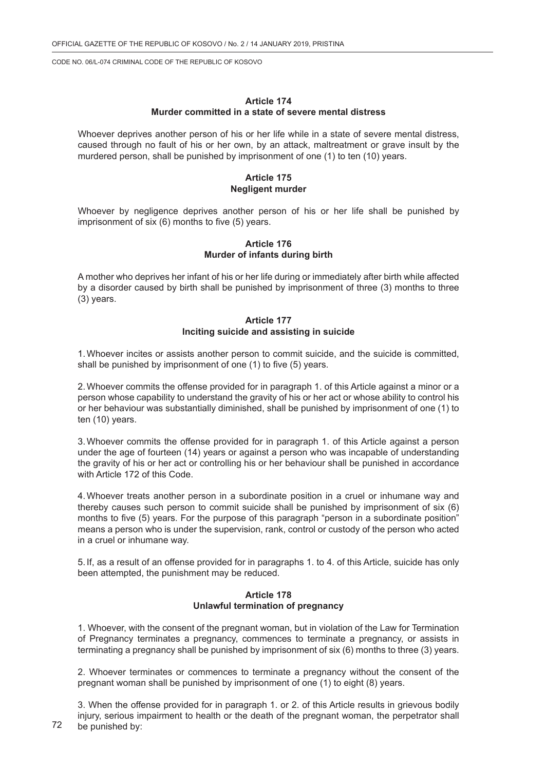### **Article 174 Murder committed in a state of severe mental distress**

Whoever deprives another person of his or her life while in a state of severe mental distress, caused through no fault of his or her own, by an attack, maltreatment or grave insult by the murdered person, shall be punished by imprisonment of one (1) to ten (10) years.

## **Article 175 Negligent murder**

Whoever by negligence deprives another person of his or her life shall be punished by imprisonment of six (6) months to five (5) years.

#### **Article 176 Murder of infants during birth**

A mother who deprives her infant of his or her life during or immediately after birth while affected by a disorder caused by birth shall be punished by imprisonment of three (3) months to three (3) years.

### **Article 177 Inciting suicide and assisting in suicide**

1.Whoever incites or assists another person to commit suicide, and the suicide is committed, shall be punished by imprisonment of one (1) to five (5) years.

2.Whoever commits the offense provided for in paragraph 1. of this Article against a minor or a person whose capability to understand the gravity of his or her act or whose ability to control his or her behaviour was substantially diminished, shall be punished by imprisonment of one (1) to ten (10) years.

3.Whoever commits the offense provided for in paragraph 1. of this Article against a person under the age of fourteen (14) years or against a person who was incapable of understanding the gravity of his or her act or controlling his or her behaviour shall be punished in accordance with Article 172 of this Code.

4.Whoever treats another person in a subordinate position in a cruel or inhumane way and thereby causes such person to commit suicide shall be punished by imprisonment of six (6) months to five (5) years. For the purpose of this paragraph "person in a subordinate position" means a person who is under the supervision, rank, control or custody of the person who acted in a cruel or inhumane way.

5. If, as a result of an offense provided for in paragraphs 1. to 4. of this Article, suicide has only been attempted, the punishment may be reduced.

## **Article 178 Unlawful termination of pregnancy**

1. Whoever, with the consent of the pregnant woman, but in violation of the Law for Termination of Pregnancy terminates a pregnancy, commences to terminate a pregnancy, or assists in terminating a pregnancy shall be punished by imprisonment of six (6) months to three (3) years.

2. Whoever terminates or commences to terminate a pregnancy without the consent of the pregnant woman shall be punished by imprisonment of one (1) to eight (8) years.

3. When the offense provided for in paragraph 1. or 2. of this Article results in grievous bodily injury, serious impairment to health or the death of the pregnant woman, the perpetrator shall be punished by: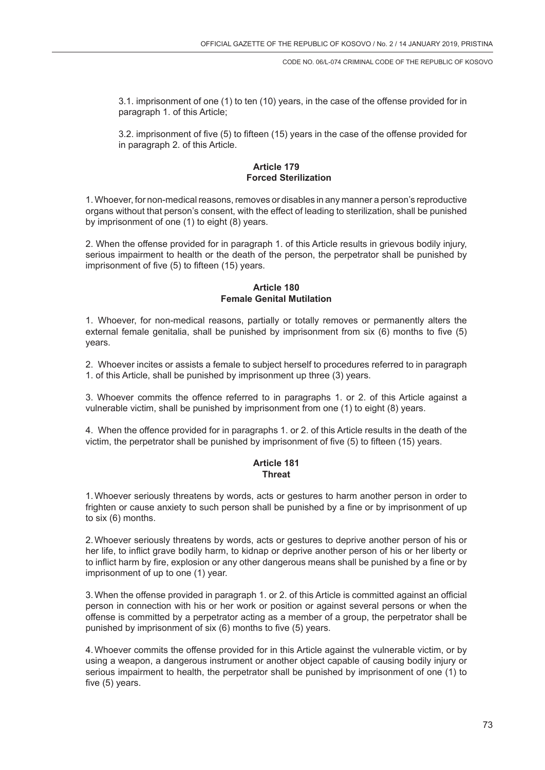3.1. imprisonment of one (1) to ten (10) years, in the case of the offense provided for in paragraph 1. of this Article;

3.2. imprisonment of five (5) to fifteen (15) years in the case of the offense provided for in paragraph 2. of this Article.

## **Article 179 Forced Sterilization**

1. Whoever, for non-medical reasons, removes or disables in any manner a person's reproductive organs without that person's consent, with the effect of leading to sterilization, shall be punished by imprisonment of one (1) to eight (8) years.

2. When the offense provided for in paragraph 1. of this Article results in grievous bodily injury, serious impairment to health or the death of the person, the perpetrator shall be punished by imprisonment of five (5) to fifteen (15) years.

## **Article 180 Female Genital Mutilation**

1. Whoever, for non-medical reasons, partially or totally removes or permanently alters the external female genitalia, shall be punished by imprisonment from six (6) months to five (5) years.

2. Whoever incites or assists a female to subject herself to procedures referred to in paragraph 1. of this Article, shall be punished by imprisonment up three (3) years.

3. Whoever commits the offence referred to in paragraphs 1. or 2. of this Article against a vulnerable victim, shall be punished by imprisonment from one (1) to eight (8) years.

4. When the offence provided for in paragraphs 1. or 2. of this Article results in the death of the victim, the perpetrator shall be punished by imprisonment of five (5) to fifteen (15) years.

## **Article 181 Threat**

1.Whoever seriously threatens by words, acts or gestures to harm another person in order to frighten or cause anxiety to such person shall be punished by a fine or by imprisonment of up to six (6) months.

2.Whoever seriously threatens by words, acts or gestures to deprive another person of his or her life, to inflict grave bodily harm, to kidnap or deprive another person of his or her liberty or to inflict harm by fire, explosion or any other dangerous means shall be punished by a fine or by imprisonment of up to one (1) year.

3.When the offense provided in paragraph 1. or 2. of this Article is committed against an official person in connection with his or her work or position or against several persons or when the offense is committed by a perpetrator acting as a member of a group, the perpetrator shall be punished by imprisonment of six (6) months to five (5) years.

4.Whoever commits the offense provided for in this Article against the vulnerable victim, or by using a weapon, a dangerous instrument or another object capable of causing bodily injury or serious impairment to health, the perpetrator shall be punished by imprisonment of one (1) to five (5) years.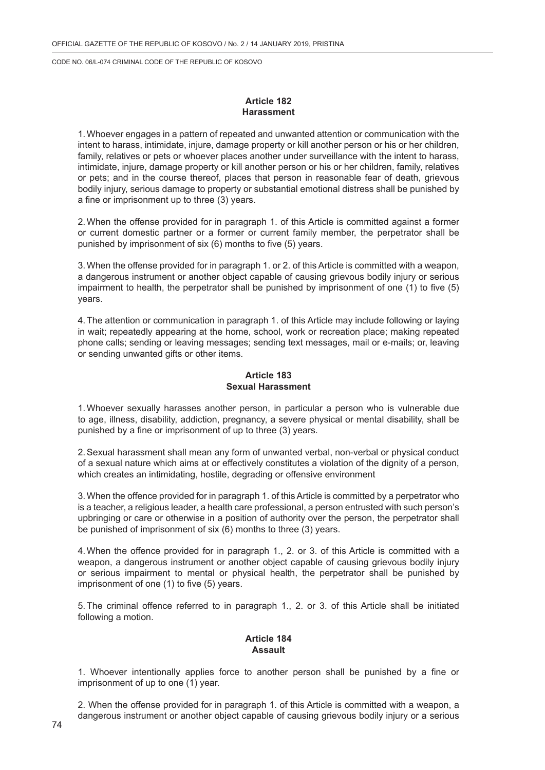## **Article 182 Harassment**

1.Whoever engages in a pattern of repeated and unwanted attention or communication with the intent to harass, intimidate, injure, damage property or kill another person or his or her children, family, relatives or pets or whoever places another under surveillance with the intent to harass, intimidate, injure, damage property or kill another person or his or her children, family, relatives or pets; and in the course thereof, places that person in reasonable fear of death, grievous bodily injury, serious damage to property or substantial emotional distress shall be punished by a fine or imprisonment up to three (3) years.

2.When the offense provided for in paragraph 1. of this Article is committed against a former or current domestic partner or a former or current family member, the perpetrator shall be punished by imprisonment of six (6) months to five (5) years.

3.When the offense provided for in paragraph 1. or 2. of this Article is committed with a weapon, a dangerous instrument or another object capable of causing grievous bodily injury or serious impairment to health, the perpetrator shall be punished by imprisonment of one (1) to five (5) years.

4.The attention or communication in paragraph 1. of this Article may include following or laying in wait; repeatedly appearing at the home, school, work or recreation place; making repeated phone calls; sending or leaving messages; sending text messages, mail or e-mails; or, leaving or sending unwanted gifts or other items.

## **Article 183 Sexual Harassment**

1.Whoever sexually harasses another person, in particular a person who is vulnerable due to age, illness, disability, addiction, pregnancy, a severe physical or mental disability, shall be punished by a fine or imprisonment of up to three (3) years.

2.Sexual harassment shall mean any form of unwanted verbal, non-verbal or physical conduct of a sexual nature which aims at or effectively constitutes a violation of the dignity of a person, which creates an intimidating, hostile, degrading or offensive environment

3.When the offence provided for in paragraph 1. of this Article is committed by a perpetrator who is a teacher, a religious leader, a health care professional, a person entrusted with such person's upbringing or care or otherwise in a position of authority over the person, the perpetrator shall be punished of imprisonment of six (6) months to three (3) years.

4.When the offence provided for in paragraph 1., 2. or 3. of this Article is committed with a weapon, a dangerous instrument or another object capable of causing grievous bodily injury or serious impairment to mental or physical health, the perpetrator shall be punished by imprisonment of one (1) to five (5) years.

5.The criminal offence referred to in paragraph 1., 2. or 3. of this Article shall be initiated following a motion.

## **Article 184 Assault**

1. Whoever intentionally applies force to another person shall be punished by a fine or imprisonment of up to one (1) year.

2. When the offense provided for in paragraph 1. of this Article is committed with a weapon, a dangerous instrument or another object capable of causing grievous bodily injury or a serious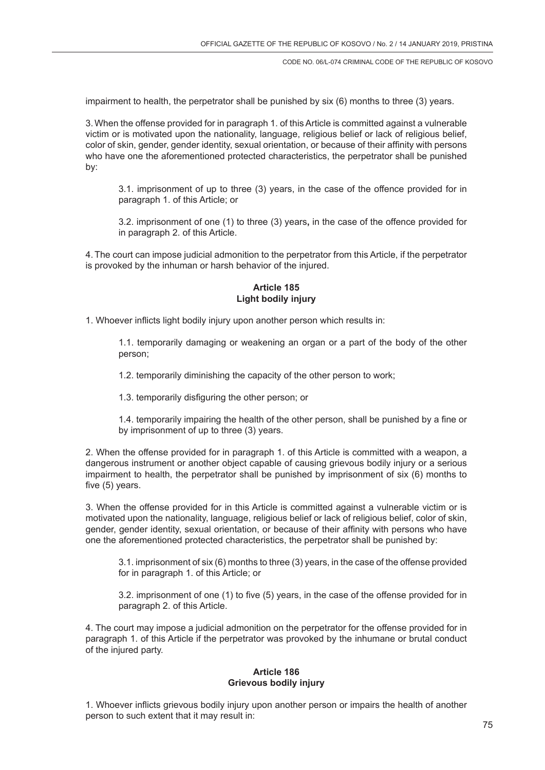impairment to health, the perpetrator shall be punished by six (6) months to three (3) years.

3.When the offense provided for in paragraph 1. of this Article is committed against a vulnerable victim or is motivated upon the nationality, language, religious belief or lack of religious belief, color of skin, gender, gender identity, sexual orientation, or because of their affinity with persons who have one the aforementioned protected characteristics, the perpetrator shall be punished by:

3.1. imprisonment of up to three (3) years, in the case of the offence provided for in paragraph 1. of this Article; or

3.2. imprisonment of one (1) to three (3) years**,** in the case of the offence provided for in paragraph 2. of this Article.

4.The court can impose judicial admonition to the perpetrator from this Article, if the perpetrator is provoked by the inhuman or harsh behavior of the injured.

## **Article 185 Light bodily injury**

1. Whoever inflicts light bodily injury upon another person which results in:

1.1. temporarily damaging or weakening an organ or a part of the body of the other person;

1.2. temporarily diminishing the capacity of the other person to work;

1.3. temporarily disfiguring the other person; or

1.4. temporarily impairing the health of the other person, shall be punished by a fine or by imprisonment of up to three (3) years.

2. When the offense provided for in paragraph 1. of this Article is committed with a weapon, a dangerous instrument or another object capable of causing grievous bodily injury or a serious impairment to health, the perpetrator shall be punished by imprisonment of six (6) months to five (5) years.

3. When the offense provided for in this Article is committed against a vulnerable victim or is motivated upon the nationality, language, religious belief or lack of religious belief, color of skin, gender, gender identity, sexual orientation, or because of their affinity with persons who have one the aforementioned protected characteristics, the perpetrator shall be punished by:

3.1. imprisonment of six (6) months to three (3) years, in the case of the offense provided for in paragraph 1. of this Article; or

3.2. imprisonment of one (1) to five (5) years, in the case of the offense provided for in paragraph 2. of this Article.

4. The court may impose a judicial admonition on the perpetrator for the offense provided for in paragraph 1. of this Article if the perpetrator was provoked by the inhumane or brutal conduct of the injured party.

### **Article 186 Grievous bodily injury**

1. Whoever inflicts grievous bodily injury upon another person or impairs the health of another person to such extent that it may result in: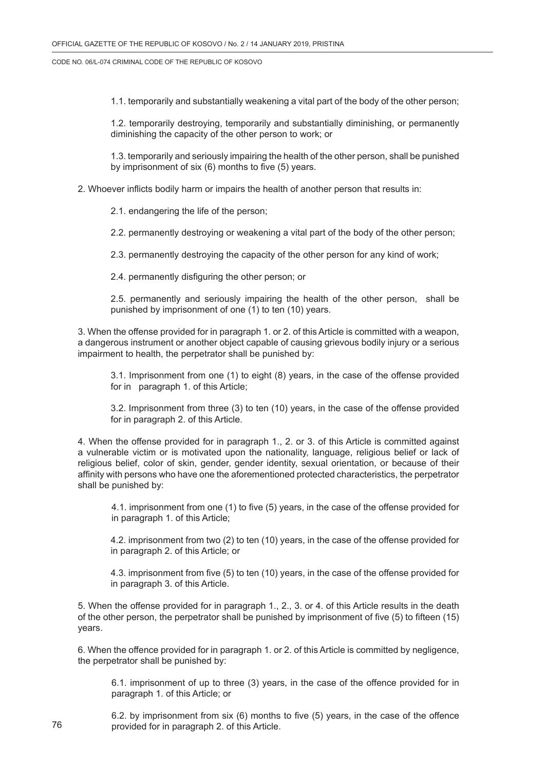1.1. temporarily and substantially weakening a vital part of the body of the other person;

1.2. temporarily destroying, temporarily and substantially diminishing, or permanently diminishing the capacity of the other person to work; or

1.3. temporarily and seriously impairing the health of the other person, shall be punished by imprisonment of six (6) months to five (5) years.

2. Whoever inflicts bodily harm or impairs the health of another person that results in:

2.1. endangering the life of the person;

2.2. permanently destroying or weakening a vital part of the body of the other person;

2.3. permanently destroying the capacity of the other person for any kind of work;

2.4. permanently disfiguring the other person; or

2.5. permanently and seriously impairing the health of the other person, shall be punished by imprisonment of one (1) to ten (10) years.

3. When the offense provided for in paragraph 1. or 2. of this Article is committed with a weapon, a dangerous instrument or another object capable of causing grievous bodily injury or a serious impairment to health, the perpetrator shall be punished by:

3.1. Imprisonment from one (1) to eight (8) years, in the case of the offense provided for in paragraph 1. of this Article;

3.2. Imprisonment from three (3) to ten (10) years, in the case of the offense provided for in paragraph 2. of this Article.

4. When the offense provided for in paragraph 1., 2. or 3. of this Article is committed against a vulnerable victim or is motivated upon the nationality, language, religious belief or lack of religious belief, color of skin, gender, gender identity, sexual orientation, or because of their affinity with persons who have one the aforementioned protected characteristics, the perpetrator shall be punished by:

4.1. imprisonment from one (1) to five (5) years, in the case of the offense provided for in paragraph 1. of this Article;

4.2. imprisonment from two (2) to ten (10) years, in the case of the offense provided for in paragraph 2. of this Article; or

4.3. imprisonment from five (5) to ten (10) years, in the case of the offense provided for in paragraph 3. of this Article.

5. When the offense provided for in paragraph 1., 2., 3. or 4. of this Article results in the death of the other person, the perpetrator shall be punished by imprisonment of five (5) to fifteen (15) years.

6. When the offence provided for in paragraph 1. or 2. of this Article is committed by negligence, the perpetrator shall be punished by:

6.1. imprisonment of up to three (3) years, in the case of the offence provided for in paragraph 1. of this Article; or

6.2. by imprisonment from six (6) months to five (5) years, in the case of the offence provided for in paragraph 2. of this Article.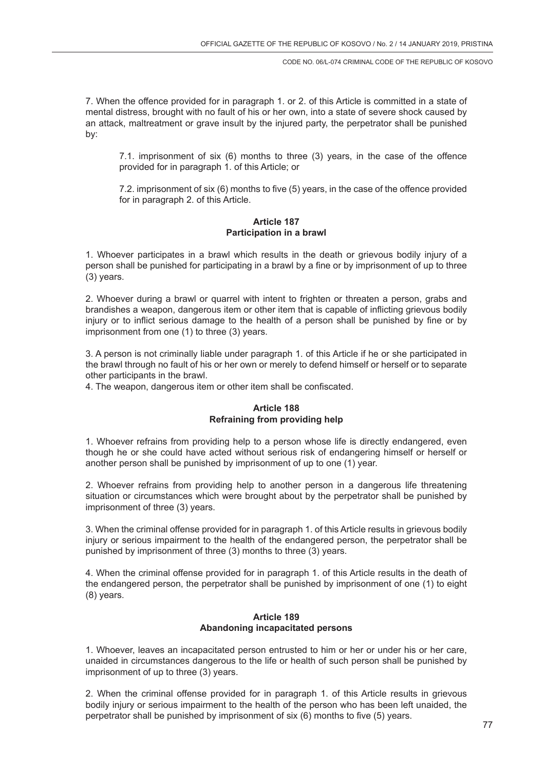7. When the offence provided for in paragraph 1. or 2. of this Article is committed in a state of mental distress, brought with no fault of his or her own, into a state of severe shock caused by an attack, maltreatment or grave insult by the injured party, the perpetrator shall be punished by:

7.1. imprisonment of six (6) months to three (3) years, in the case of the offence provided for in paragraph 1. of this Article; or

7.2. imprisonment of six (6) months to five (5) years, in the case of the offence provided for in paragraph 2. of this Article.

### **Article 187 Participation in a brawl**

1. Whoever participates in a brawl which results in the death or grievous bodily injury of a person shall be punished for participating in a brawl by a fine or by imprisonment of up to three (3) years.

2. Whoever during a brawl or quarrel with intent to frighten or threaten a person, grabs and brandishes a weapon, dangerous item or other item that is capable of inflicting grievous bodily injury or to inflict serious damage to the health of a person shall be punished by fine or by imprisonment from one (1) to three (3) years.

3. A person is not criminally liable under paragraph 1. of this Article if he or she participated in the brawl through no fault of his or her own or merely to defend himself or herself or to separate other participants in the brawl.

4. The weapon, dangerous item or other item shall be confiscated.

# **Article 188 Refraining from providing help**

1. Whoever refrains from providing help to a person whose life is directly endangered, even though he or she could have acted without serious risk of endangering himself or herself or another person shall be punished by imprisonment of up to one (1) year.

2. Whoever refrains from providing help to another person in a dangerous life threatening situation or circumstances which were brought about by the perpetrator shall be punished by imprisonment of three (3) years.

3. When the criminal offense provided for in paragraph 1. of this Article results in grievous bodily injury or serious impairment to the health of the endangered person, the perpetrator shall be punished by imprisonment of three (3) months to three (3) years.

4. When the criminal offense provided for in paragraph 1. of this Article results in the death of the endangered person, the perpetrator shall be punished by imprisonment of one (1) to eight (8) years.

## **Article 189 Abandoning incapacitated persons**

1. Whoever, leaves an incapacitated person entrusted to him or her or under his or her care, unaided in circumstances dangerous to the life or health of such person shall be punished by imprisonment of up to three (3) years.

2. When the criminal offense provided for in paragraph 1. of this Article results in grievous bodily injury or serious impairment to the health of the person who has been left unaided, the perpetrator shall be punished by imprisonment of six (6) months to five (5) years.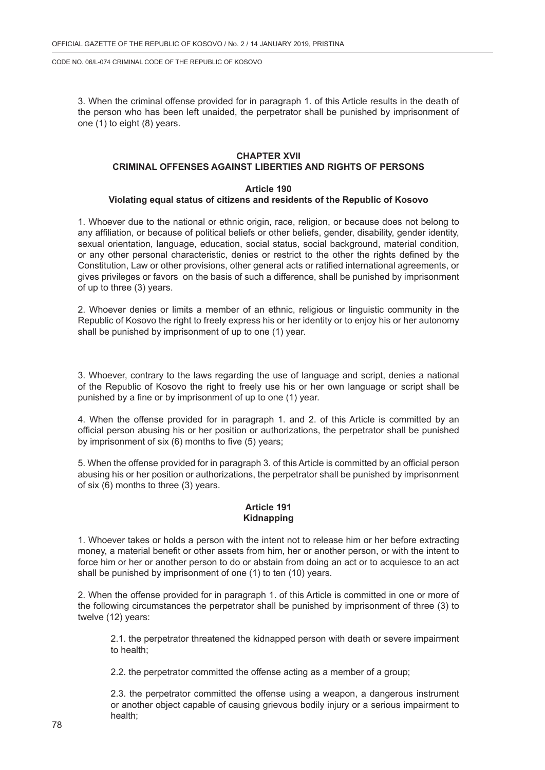3. When the criminal offense provided for in paragraph 1. of this Article results in the death of the person who has been left unaided, the perpetrator shall be punished by imprisonment of one (1) to eight (8) years.

### **CHAPTER XVII CRIMINAL OFFENSES AGAINST LIBERTIES AND RIGHTS OF PERSONS**

#### **Article 190**

## **Violating equal status of citizens and residents of the Republic of Kosovo**

1. Whoever due to the national or ethnic origin, race, religion, or because does not belong to any affiliation, or because of political beliefs or other beliefs, gender, disability, gender identity, sexual orientation, language, education, social status, social background, material condition, or any other personal characteristic, denies or restrict to the other the rights defined by the Constitution, Law or other provisions, other general acts or ratified international agreements, or gives privileges or favors on the basis of such a difference, shall be punished by imprisonment of up to three (3) years.

2. Whoever denies or limits a member of an ethnic, religious or linguistic community in the Republic of Kosovo the right to freely express his or her identity or to enjoy his or her autonomy shall be punished by imprisonment of up to one (1) year.

3. Whoever, contrary to the laws regarding the use of language and script, denies a national of the Republic of Kosovo the right to freely use his or her own language or script shall be punished by a fine or by imprisonment of up to one (1) year.

4. When the offense provided for in paragraph 1. and 2. of this Article is committed by an official person abusing his or her position or authorizations, the perpetrator shall be punished by imprisonment of six (6) months to five (5) years;

5. When the offense provided for in paragraph 3. of this Article is committed by an official person abusing his or her position or authorizations, the perpetrator shall be punished by imprisonment of six (6) months to three (3) years.

## **Article 191 Kidnapping**

1. Whoever takes or holds a person with the intent not to release him or her before extracting money, a material benefit or other assets from him, her or another person, or with the intent to force him or her or another person to do or abstain from doing an act or to acquiesce to an act shall be punished by imprisonment of one (1) to ten (10) years.

2. When the offense provided for in paragraph 1. of this Article is committed in one or more of the following circumstances the perpetrator shall be punished by imprisonment of three (3) to twelve (12) years:

2.1. the perpetrator threatened the kidnapped person with death or severe impairment to health;

2.2. the perpetrator committed the offense acting as a member of a group;

2.3. the perpetrator committed the offense using a weapon, a dangerous instrument or another object capable of causing grievous bodily injury or a serious impairment to health;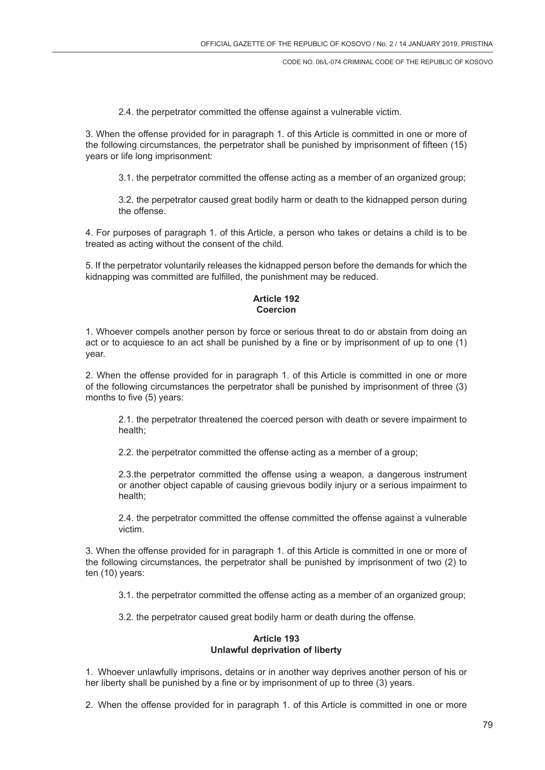2.4. the perpetrator committed the offense against a vulnerable victim.

3. When the offense provided for in paragraph 1. of this Article is committed in one or more of the following circumstances, the perpetrator shall be punished by imprisonment of fifteen (15) years or life long imprisonment:

3.1. the perpetrator committed the offense acting as a member of an organized group;

3.2. the perpetrator caused great bodily harm or death to the kidnapped person during the offense.

4. For purposes of paragraph 1. of this Article, a person who takes or detains a child is to be treated as acting without the consent of the child.

5. If the perpetrator voluntarily releases the kidnapped person before the demands for which the kidnapping was committed are fulfilled, the punishment may be reduced.

## **Article 192 Coercion**

1. Whoever compels another person by force or serious threat to do or abstain from doing an act or to acquiesce to an act shall be punished by a fine or by imprisonment of up to one (1) year.

2. When the offense provided for in paragraph 1. of this Article is committed in one or more of the following circumstances the perpetrator shall be punished by imprisonment of three (3) months to five (5) years:

2.1. the perpetrator threatened the coerced person with death or severe impairment to health;

2.2. the perpetrator committed the offense acting as a member of a group;

2.3.the perpetrator committed the offense using a weapon, a dangerous instrument or another object capable of causing grievous bodily injury or a serious impairment to health;

2.4. the perpetrator committed the offense committed the offense against a vulnerable victim.

3. When the offense provided for in paragraph 1. of this Article is committed in one or more of the following circumstances, the perpetrator shall be punished by imprisonment of two (2) to ten (10) years:

3.1. the perpetrator committed the offense acting as a member of an organized group;

3.2. the perpetrator caused great bodily harm or death during the offense.

### **Article 193 Unlawful deprivation of liberty**

1. Whoever unlawfully imprisons, detains or in another way deprives another person of his or her liberty shall be punished by a fine or by imprisonment of up to three (3) years.

2. When the offense provided for in paragraph 1. of this Article is committed in one or more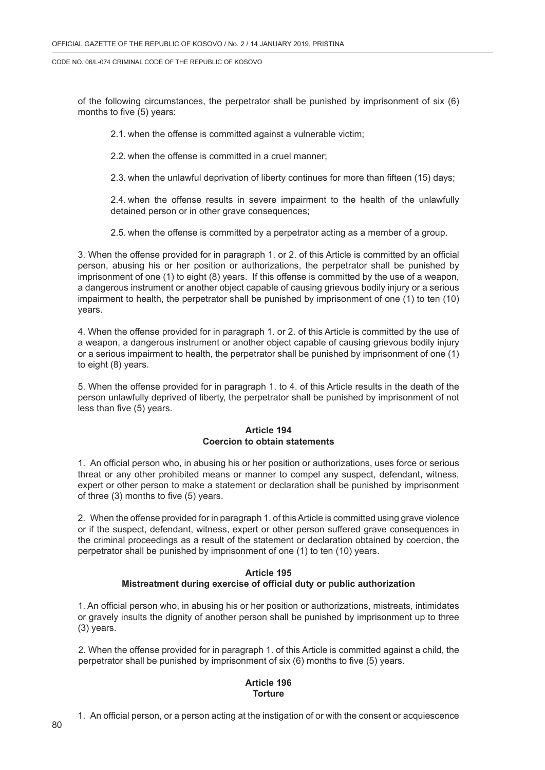of the following circumstances, the perpetrator shall be punished by imprisonment of six (6) months to five (5) years:

2.1. when the offense is committed against a vulnerable victim;

2.2. when the offense is committed in a cruel manner;

2.3. when the unlawful deprivation of liberty continues for more than fifteen (15) days;

2.4. when the offense results in severe impairment to the health of the unlawfully detained person or in other grave consequences;

2.5. when the offense is committed by a perpetrator acting as a member of a group.

3. When the offense provided for in paragraph 1. or 2. of this Article is committed by an official person, abusing his or her position or authorizations, the perpetrator shall be punished by imprisonment of one (1) to eight (8) years. If this offense is committed by the use of a weapon, a dangerous instrument or another object capable of causing grievous bodily injury or a serious impairment to health, the perpetrator shall be punished by imprisonment of one (1) to ten (10) years.

4. When the offense provided for in paragraph 1. or 2. of this Article is committed by the use of a weapon, a dangerous instrument or another object capable of causing grievous bodily injury or a serious impairment to health, the perpetrator shall be punished by imprisonment of one (1) to eight (8) years.

5. When the offense provided for in paragraph 1. to 4. of this Article results in the death of the person unlawfully deprived of liberty, the perpetrator shall be punished by imprisonment of not less than five (5) years.

## **Article 194 Coercion to obtain statements**

1. An official person who, in abusing his or her position or authorizations, uses force or serious threat or any other prohibited means or manner to compel any suspect, defendant, witness, expert or other person to make a statement or declaration shall be punished by imprisonment of three (3) months to five (5) years.

2. When the offense provided for in paragraph 1. of this Article is committed using grave violence or if the suspect, defendant, witness, expert or other person suffered grave consequences in the criminal proceedings as a result of the statement or declaration obtained by coercion, the perpetrator shall be punished by imprisonment of one (1) to ten (10) years.

### **Article 195 Mistreatment during exercise of official duty or public authorization**

1. An official person who, in abusing his or her position or authorizations, mistreats, intimidates or gravely insults the dignity of another person shall be punished by imprisonment up to three (3) years.

2. When the offense provided for in paragraph 1. of this Article is committed against a child, the perpetrator shall be punished by imprisonment of six (6) months to five (5) years.

## **Article 196 Torture**

1. An official person, or a person acting at the instigation of or with the consent or acquiescence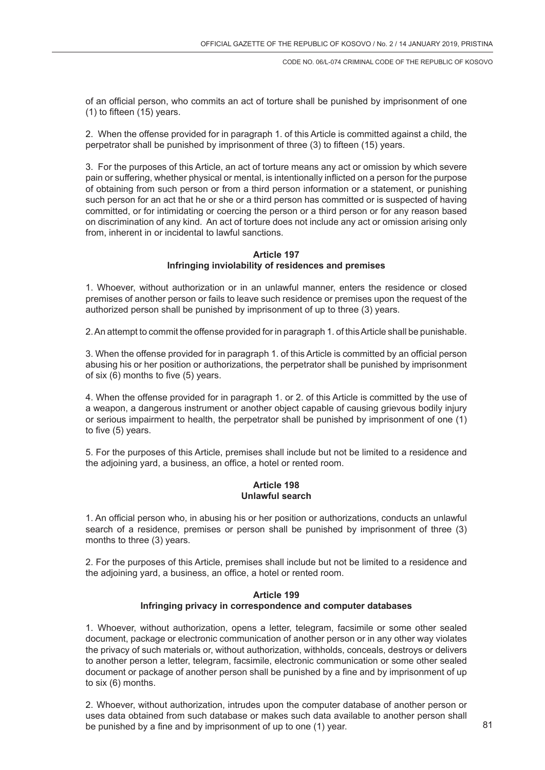of an official person, who commits an act of torture shall be punished by imprisonment of one (1) to fifteen (15) years.

2. When the offense provided for in paragraph 1. of this Article is committed against a child, the perpetrator shall be punished by imprisonment of three (3) to fifteen (15) years.

3. For the purposes of this Article, an act of torture means any act or omission by which severe pain or suffering, whether physical or mental, is intentionally inflicted on a person for the purpose of obtaining from such person or from a third person information or a statement, or punishing such person for an act that he or she or a third person has committed or is suspected of having committed, or for intimidating or coercing the person or a third person or for any reason based on discrimination of any kind. An act of torture does not include any act or omission arising only from, inherent in or incidental to lawful sanctions.

## **Article 197 Infringing inviolability of residences and premises**

1. Whoever, without authorization or in an unlawful manner, enters the residence or closed premises of another person or fails to leave such residence or premises upon the request of the authorized person shall be punished by imprisonment of up to three (3) years.

2. An attempt to commit the offense provided for in paragraph 1. of this Article shall be punishable.

3. When the offense provided for in paragraph 1. of this Article is committed by an official person abusing his or her position or authorizations, the perpetrator shall be punished by imprisonment of six (6) months to five (5) years.

4. When the offense provided for in paragraph 1. or 2. of this Article is committed by the use of a weapon, a dangerous instrument or another object capable of causing grievous bodily injury or serious impairment to health, the perpetrator shall be punished by imprisonment of one (1) to five (5) years.

5. For the purposes of this Article, premises shall include but not be limited to a residence and the adjoining yard, a business, an office, a hotel or rented room.

## **Article 198 Unlawful search**

1. An official person who, in abusing his or her position or authorizations, conducts an unlawful search of a residence, premises or person shall be punished by imprisonment of three (3) months to three (3) years.

2. For the purposes of this Article, premises shall include but not be limited to a residence and the adjoining yard, a business, an office, a hotel or rented room.

## **Article 199 Infringing privacy in correspondence and computer databases**

1. Whoever, without authorization, opens a letter, telegram, facsimile or some other sealed document, package or electronic communication of another person or in any other way violates the privacy of such materials or, without authorization, withholds, conceals, destroys or delivers to another person a letter, telegram, facsimile, electronic communication or some other sealed document or package of another person shall be punished by a fine and by imprisonment of up to six (6) months.

2. Whoever, without authorization, intrudes upon the computer database of another person or uses data obtained from such database or makes such data available to another person shall be punished by a fine and by imprisonment of up to one (1) year.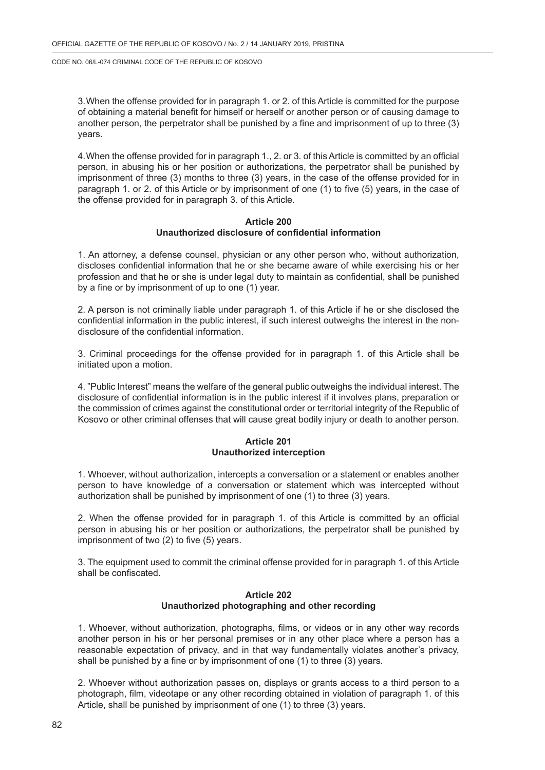3.When the offense provided for in paragraph 1. or 2. of this Article is committed for the purpose of obtaining a material benefit for himself or herself or another person or of causing damage to another person, the perpetrator shall be punished by a fine and imprisonment of up to three (3) years.

4.When the offense provided for in paragraph 1., 2. or 3. of this Article is committed by an official person, in abusing his or her position or authorizations, the perpetrator shall be punished by imprisonment of three (3) months to three (3) years, in the case of the offense provided for in paragraph 1. or 2. of this Article or by imprisonment of one (1) to five (5) years, in the case of the offense provided for in paragraph 3. of this Article.

#### **Article 200 Unauthorized disclosure of confidential information**

1. An attorney, a defense counsel, physician or any other person who, without authorization, discloses confidential information that he or she became aware of while exercising his or her profession and that he or she is under legal duty to maintain as confidential, shall be punished by a fine or by imprisonment of up to one (1) year.

2. A person is not criminally liable under paragraph 1. of this Article if he or she disclosed the confidential information in the public interest, if such interest outweighs the interest in the nondisclosure of the confidential information.

3. Criminal proceedings for the offense provided for in paragraph 1. of this Article shall be initiated upon a motion.

4. "Public Interest" means the welfare of the general public outweighs the individual interest. The disclosure of confidential information is in the public interest if it involves plans, preparation or the commission of crimes against the constitutional order or territorial integrity of the Republic of Kosovo or other criminal offenses that will cause great bodily injury or death to another person.

#### **Article 201 Unauthorized interception**

1. Whoever, without authorization, intercepts a conversation or a statement or enables another person to have knowledge of a conversation or statement which was intercepted without authorization shall be punished by imprisonment of one (1) to three (3) years.

2. When the offense provided for in paragraph 1. of this Article is committed by an official person in abusing his or her position or authorizations, the perpetrator shall be punished by imprisonment of two (2) to five (5) years.

3. The equipment used to commit the criminal offense provided for in paragraph 1. of this Article shall be confiscated.

## **Article 202 Unauthorized photographing and other recording**

1. Whoever, without authorization, photographs, films, or videos or in any other way records another person in his or her personal premises or in any other place where a person has a reasonable expectation of privacy, and in that way fundamentally violates another's privacy, shall be punished by a fine or by imprisonment of one (1) to three (3) years.

2. Whoever without authorization passes on, displays or grants access to a third person to a photograph, film, videotape or any other recording obtained in violation of paragraph 1. of this Article, shall be punished by imprisonment of one (1) to three (3) years.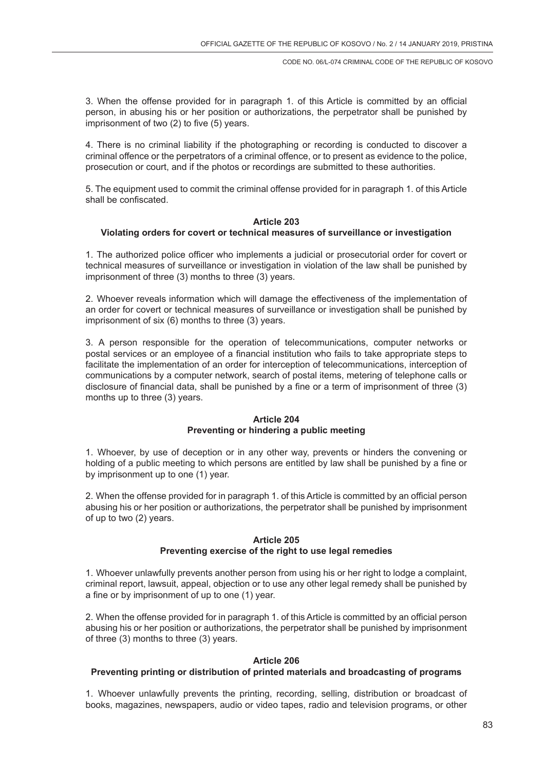3. When the offense provided for in paragraph 1. of this Article is committed by an official person, in abusing his or her position or authorizations, the perpetrator shall be punished by imprisonment of two (2) to five (5) years.

4. There is no criminal liability if the photographing or recording is conducted to discover a criminal offence or the perpetrators of a criminal offence, or to present as evidence to the police, prosecution or court, and if the photos or recordings are submitted to these authorities.

5. The equipment used to commit the criminal offense provided for in paragraph 1. of this Article shall be confiscated.

#### **Article 203**

#### **Violating orders for covert or technical measures of surveillance or investigation**

1. The authorized police officer who implements a judicial or prosecutorial order for covert or technical measures of surveillance or investigation in violation of the law shall be punished by imprisonment of three (3) months to three (3) years.

2. Whoever reveals information which will damage the effectiveness of the implementation of an order for covert or technical measures of surveillance or investigation shall be punished by imprisonment of six (6) months to three (3) years.

3. A person responsible for the operation of telecommunications, computer networks or postal services or an employee of a financial institution who fails to take appropriate steps to facilitate the implementation of an order for interception of telecommunications, interception of communications by a computer network, search of postal items, metering of telephone calls or disclosure of financial data, shall be punished by a fine or a term of imprisonment of three (3) months up to three (3) years.

## **Article 204 Preventing or hindering a public meeting**

1. Whoever, by use of deception or in any other way, prevents or hinders the convening or holding of a public meeting to which persons are entitled by law shall be punished by a fine or by imprisonment up to one (1) year.

2. When the offense provided for in paragraph 1. of this Article is committed by an official person abusing his or her position or authorizations, the perpetrator shall be punished by imprisonment of up to two (2) years.

## **Article 205 Preventing exercise of the right to use legal remedies**

1. Whoever unlawfully prevents another person from using his or her right to lodge a complaint, criminal report, lawsuit, appeal, objection or to use any other legal remedy shall be punished by a fine or by imprisonment of up to one (1) year.

2. When the offense provided for in paragraph 1. of this Article is committed by an official person abusing his or her position or authorizations, the perpetrator shall be punished by imprisonment of three (3) months to three (3) years.

## **Article 206**

#### **Preventing printing or distribution of printed materials and broadcasting of programs**

1. Whoever unlawfully prevents the printing, recording, selling, distribution or broadcast of books, magazines, newspapers, audio or video tapes, radio and television programs, or other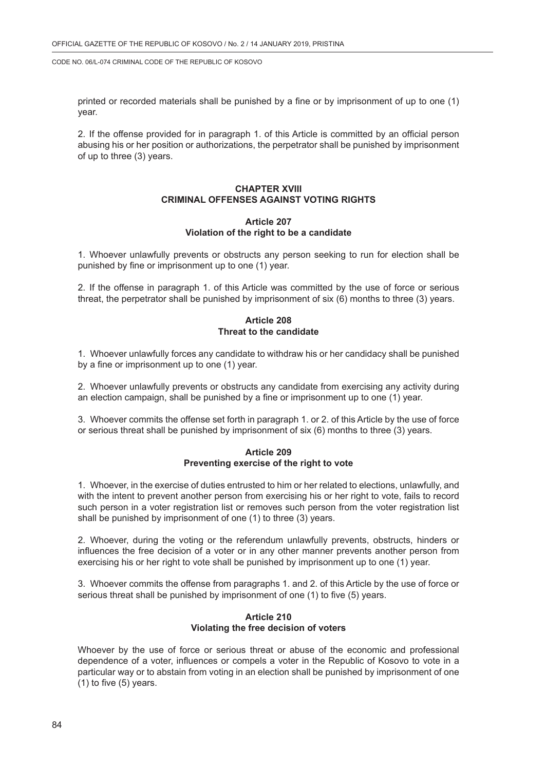printed or recorded materials shall be punished by a fine or by imprisonment of up to one (1) year.

2. If the offense provided for in paragraph 1. of this Article is committed by an official person abusing his or her position or authorizations, the perpetrator shall be punished by imprisonment of up to three (3) years.

# **CHAPTER XVIII CRIMINAL OFFENSES AGAINST VOTING RIGHTS**

### **Article 207 Violation of the right to be a candidate**

1. Whoever unlawfully prevents or obstructs any person seeking to run for election shall be punished by fine or imprisonment up to one (1) year.

2. If the offense in paragraph 1. of this Article was committed by the use of force or serious threat, the perpetrator shall be punished by imprisonment of six (6) months to three (3) years.

## **Article 208 Threat to the candidate**

1. Whoever unlawfully forces any candidate to withdraw his or her candidacy shall be punished by a fine or imprisonment up to one (1) year.

2. Whoever unlawfully prevents or obstructs any candidate from exercising any activity during an election campaign, shall be punished by a fine or imprisonment up to one (1) year.

3. Whoever commits the offense set forth in paragraph 1. or 2. of this Article by the use of force or serious threat shall be punished by imprisonment of six (6) months to three (3) years.

## **Article 209 Preventing exercise of the right to vote**

1. Whoever, in the exercise of duties entrusted to him or her related to elections, unlawfully, and with the intent to prevent another person from exercising his or her right to vote, fails to record such person in a voter registration list or removes such person from the voter registration list shall be punished by imprisonment of one (1) to three (3) years.

2. Whoever, during the voting or the referendum unlawfully prevents, obstructs, hinders or influences the free decision of a voter or in any other manner prevents another person from exercising his or her right to vote shall be punished by imprisonment up to one (1) year.

3. Whoever commits the offense from paragraphs 1. and 2. of this Article by the use of force or serious threat shall be punished by imprisonment of one (1) to five (5) years.

## **Article 210 Violating the free decision of voters**

Whoever by the use of force or serious threat or abuse of the economic and professional dependence of a voter, influences or compels a voter in the Republic of Kosovo to vote in a particular way or to abstain from voting in an election shall be punished by imprisonment of one (1) to five (5) years.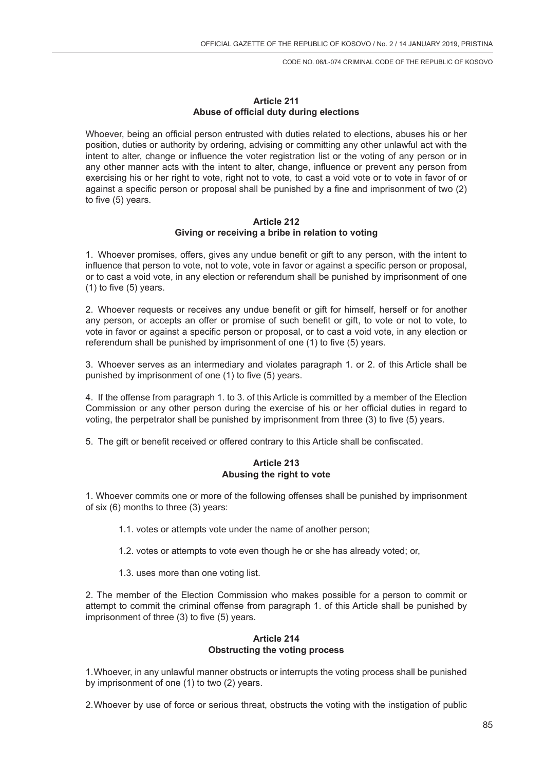## **Article 211 Abuse of official duty during elections**

Whoever, being an official person entrusted with duties related to elections, abuses his or her position, duties or authority by ordering, advising or committing any other unlawful act with the intent to alter, change or influence the voter registration list or the voting of any person or in any other manner acts with the intent to alter, change, influence or prevent any person from exercising his or her right to vote, right not to vote, to cast a void vote or to vote in favor of or against a specific person or proposal shall be punished by a fine and imprisonment of two (2) to five (5) years.

### **Article 212 Giving or receiving a bribe in relation to voting**

1. Whoever promises, offers, gives any undue benefit or gift to any person, with the intent to influence that person to vote, not to vote, vote in favor or against a specific person or proposal, or to cast a void vote, in any election or referendum shall be punished by imprisonment of one (1) to five (5) years.

2. Whoever requests or receives any undue benefit or gift for himself, herself or for another any person, or accepts an offer or promise of such benefit or gift, to vote or not to vote, to vote in favor or against a specific person or proposal, or to cast a void vote, in any election or referendum shall be punished by imprisonment of one (1) to five (5) years.

3. Whoever serves as an intermediary and violates paragraph 1. or 2. of this Article shall be punished by imprisonment of one (1) to five (5) years.

4. If the offense from paragraph 1. to 3. of this Article is committed by a member of the Election Commission or any other person during the exercise of his or her official duties in regard to voting, the perpetrator shall be punished by imprisonment from three (3) to five (5) years.

5. The gift or benefit received or offered contrary to this Article shall be confiscated.

# **Article 213 Abusing the right to vote**

1. Whoever commits one or more of the following offenses shall be punished by imprisonment of six (6) months to three (3) years:

- 1.1. votes or attempts vote under the name of another person;
- 1.2. votes or attempts to vote even though he or she has already voted; or,
- 1.3. uses more than one voting list.

2. The member of the Election Commission who makes possible for a person to commit or attempt to commit the criminal offense from paragraph 1. of this Article shall be punished by imprisonment of three (3) to five (5) years.

## **Article 214 Obstructing the voting process**

1.Whoever, in any unlawful manner obstructs or interrupts the voting process shall be punished by imprisonment of one (1) to two (2) years.

2.Whoever by use of force or serious threat, obstructs the voting with the instigation of public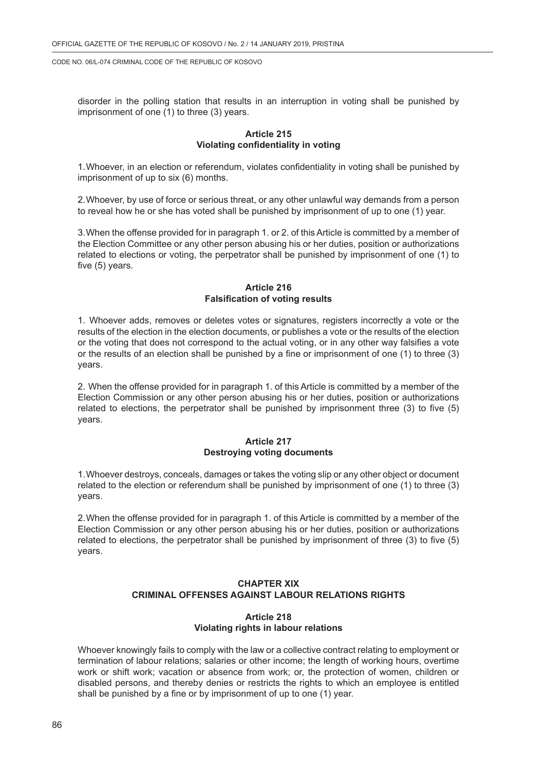disorder in the polling station that results in an interruption in voting shall be punished by imprisonment of one (1) to three (3) years.

#### **Article 215 Violating confidentiality in voting**

1.Whoever, in an election or referendum, violates confidentiality in voting shall be punished by imprisonment of up to six (6) months.

2.Whoever, by use of force or serious threat, or any other unlawful way demands from a person to reveal how he or she has voted shall be punished by imprisonment of up to one (1) year.

3.When the offense provided for in paragraph 1. or 2. of this Article is committed by a member of the Election Committee or any other person abusing his or her duties, position or authorizations related to elections or voting, the perpetrator shall be punished by imprisonment of one (1) to five (5) years.

## **Article 216 Falsification of voting results**

1. Whoever adds, removes or deletes votes or signatures, registers incorrectly a vote or the results of the election in the election documents, or publishes a vote or the results of the election or the voting that does not correspond to the actual voting, or in any other way falsifies a vote or the results of an election shall be punished by a fine or imprisonment of one (1) to three (3) years.

2. When the offense provided for in paragraph 1. of this Article is committed by a member of the Election Commission or any other person abusing his or her duties, position or authorizations related to elections, the perpetrator shall be punished by imprisonment three (3) to five (5) years.

#### **Article 217 Destroying voting documents**

1.Whoever destroys, conceals, damages or takes the voting slip or any other object or document related to the election or referendum shall be punished by imprisonment of one (1) to three (3) years.

2.When the offense provided for in paragraph 1. of this Article is committed by a member of the Election Commission or any other person abusing his or her duties, position or authorizations related to elections, the perpetrator shall be punished by imprisonment of three (3) to five (5) years.

## **CHAPTER XIX CRIMINAL OFFENSES AGAINST LABOUR RELATIONS RIGHTS**

## **Article 218 Violating rights in labour relations**

Whoever knowingly fails to comply with the law or a collective contract relating to employment or termination of labour relations; salaries or other income; the length of working hours, overtime work or shift work; vacation or absence from work; or, the protection of women, children or disabled persons, and thereby denies or restricts the rights to which an employee is entitled shall be punished by a fine or by imprisonment of up to one (1) year.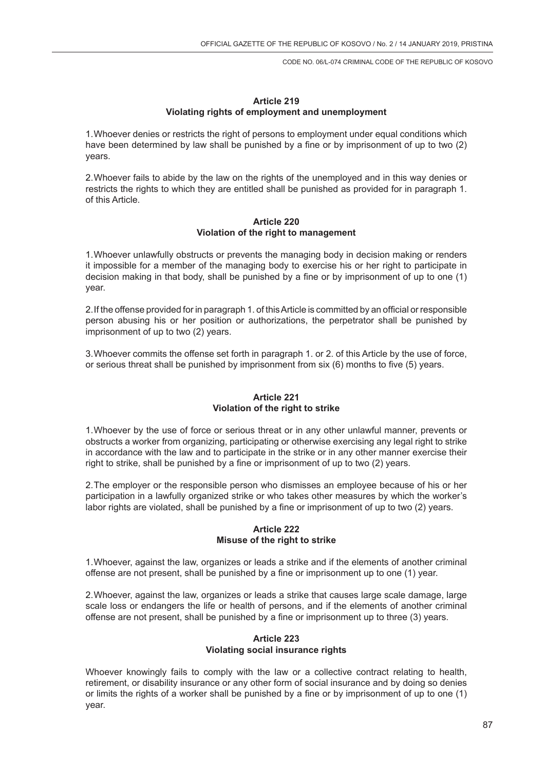## **Article 219 Violating rights of employment and unemployment**

1.Whoever denies or restricts the right of persons to employment under equal conditions which have been determined by law shall be punished by a fine or by imprisonment of up to two (2) years.

2.Whoever fails to abide by the law on the rights of the unemployed and in this way denies or restricts the rights to which they are entitled shall be punished as provided for in paragraph 1. of this Article.

#### **Article 220 Violation of the right to management**

1.Whoever unlawfully obstructs or prevents the managing body in decision making or renders it impossible for a member of the managing body to exercise his or her right to participate in decision making in that body, shall be punished by a fine or by imprisonment of up to one (1) year.

2.If the offense provided for in paragraph 1. of this Article is committed by an official or responsible person abusing his or her position or authorizations, the perpetrator shall be punished by imprisonment of up to two (2) years.

3.Whoever commits the offense set forth in paragraph 1. or 2. of this Article by the use of force, or serious threat shall be punished by imprisonment from six (6) months to five (5) years.

## **Article 221 Violation of the right to strike**

1.Whoever by the use of force or serious threat or in any other unlawful manner, prevents or obstructs a worker from organizing, participating or otherwise exercising any legal right to strike in accordance with the law and to participate in the strike or in any other manner exercise their right to strike, shall be punished by a fine or imprisonment of up to two (2) years.

2.The employer or the responsible person who dismisses an employee because of his or her participation in a lawfully organized strike or who takes other measures by which the worker's labor rights are violated, shall be punished by a fine or imprisonment of up to two (2) years.

## **Article 222 Misuse of the right to strike**

1.Whoever, against the law, organizes or leads a strike and if the elements of another criminal offense are not present, shall be punished by a fine or imprisonment up to one (1) year.

2.Whoever, against the law, organizes or leads a strike that causes large scale damage, large scale loss or endangers the life or health of persons, and if the elements of another criminal offense are not present, shall be punished by a fine or imprisonment up to three (3) years.

## **Article 223 Violating social insurance rights**

Whoever knowingly fails to comply with the law or a collective contract relating to health, retirement, or disability insurance or any other form of social insurance and by doing so denies or limits the rights of a worker shall be punished by a fine or by imprisonment of up to one (1) year.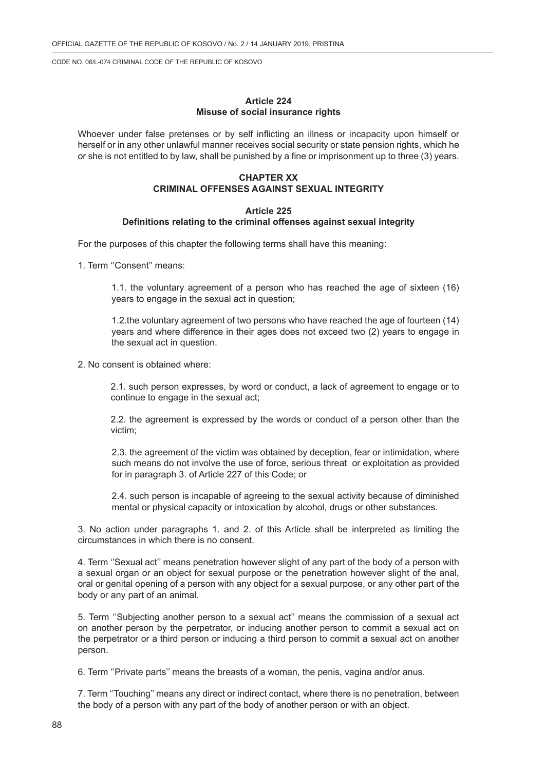#### **Article 224 Misuse of social insurance rights**

Whoever under false pretenses or by self inflicting an illness or incapacity upon himself or herself or in any other unlawful manner receives social security or state pension rights, which he or she is not entitled to by law, shall be punished by a fine or imprisonment up to three (3) years.

### **CHAPTER XX CRIMINAL OFFENSES AGAINST SEXUAL INTEGRITY**

#### **Article 225 Definitions relating to the criminal offenses against sexual integrity**

For the purposes of this chapter the following terms shall have this meaning:

1. Term ''Consent'' means:

1.1. the voluntary agreement of a person who has reached the age of sixteen (16) years to engage in the sexual act in question;

1.2.the voluntary agreement of two persons who have reached the age of fourteen (14) years and where difference in their ages does not exceed two (2) years to engage in the sexual act in question.

2. No consent is obtained where:

2.1. such person expresses, by word or conduct, a lack of agreement to engage or to continue to engage in the sexual act;

2.2. the agreement is expressed by the words or conduct of a person other than the victim;

2.3. the agreement of the victim was obtained by deception, fear or intimidation, where such means do not involve the use of force, serious threat or exploitation as provided for in paragraph 3. of Article 227 of this Code; or

2.4. such person is incapable of agreeing to the sexual activity because of diminished mental or physical capacity or intoxication by alcohol, drugs or other substances.

3. No action under paragraphs 1. and 2. of this Article shall be interpreted as limiting the circumstances in which there is no consent.

4. Term ''Sexual act'' means penetration however slight of any part of the body of a person with a sexual organ or an object for sexual purpose or the penetration however slight of the anal, oral or genital opening of a person with any object for a sexual purpose, or any other part of the body or any part of an animal.

5. Term ''Subjecting another person to a sexual act'' means the commission of a sexual act on another person by the perpetrator, or inducing another person to commit a sexual act on the perpetrator or a third person or inducing a third person to commit a sexual act on another person.

6. Term ''Private parts'' means the breasts of a woman, the penis, vagina and/or anus.

7. Term ''Touching'' means any direct or indirect contact, where there is no penetration, between the body of a person with any part of the body of another person or with an object.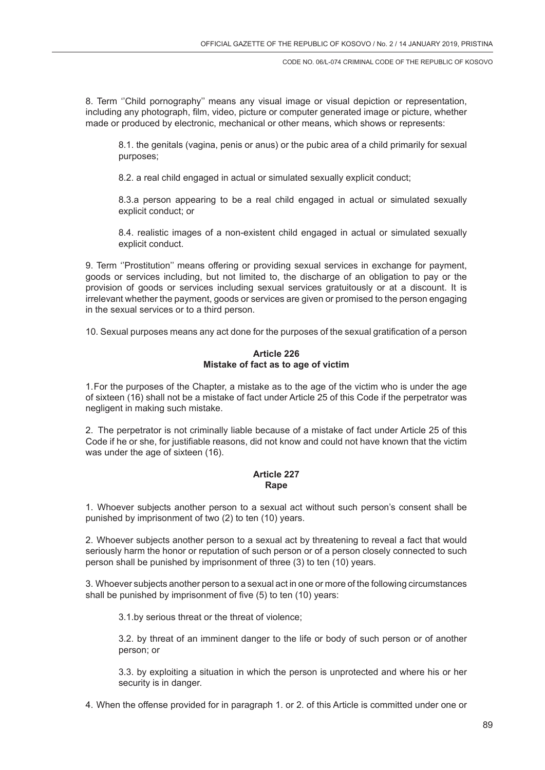8. Term ''Child pornography'' means any visual image or visual depiction or representation, including any photograph, film, video, picture or computer generated image or picture, whether made or produced by electronic, mechanical or other means, which shows or represents:

8.1. the genitals (vagina, penis or anus) or the pubic area of a child primarily for sexual purposes;

8.2. a real child engaged in actual or simulated sexually explicit conduct;

8.3.a person appearing to be a real child engaged in actual or simulated sexually explicit conduct; or

8.4. realistic images of a non-existent child engaged in actual or simulated sexually explicit conduct.

9. Term ''Prostitution'' means offering or providing sexual services in exchange for payment, goods or services including, but not limited to, the discharge of an obligation to pay or the provision of goods or services including sexual services gratuitously or at a discount. It is irrelevant whether the payment, goods or services are given or promised to the person engaging in the sexual services or to a third person.

10. Sexual purposes means any act done for the purposes of the sexual gratification of a person

# **Article 226 Mistake of fact as to age of victim**

1.For the purposes of the Chapter, a mistake as to the age of the victim who is under the age of sixteen (16) shall not be a mistake of fact under Article 25 of this Code if the perpetrator was negligent in making such mistake.

2. The perpetrator is not criminally liable because of a mistake of fact under Article 25 of this Code if he or she, for justifiable reasons, did not know and could not have known that the victim was under the age of sixteen (16).

## **Article 227 Rape**

1. Whoever subjects another person to a sexual act without such person's consent shall be punished by imprisonment of two (2) to ten (10) years.

2. Whoever subjects another person to a sexual act by threatening to reveal a fact that would seriously harm the honor or reputation of such person or of a person closely connected to such person shall be punished by imprisonment of three (3) to ten (10) years.

3. Whoever subjects another person to a sexual act in one or more of the following circumstances shall be punished by imprisonment of five (5) to ten (10) years:

3.1.by serious threat or the threat of violence;

3.2. by threat of an imminent danger to the life or body of such person or of another person; or

3.3. by exploiting a situation in which the person is unprotected and where his or her security is in danger.

4. When the offense provided for in paragraph 1. or 2. of this Article is committed under one or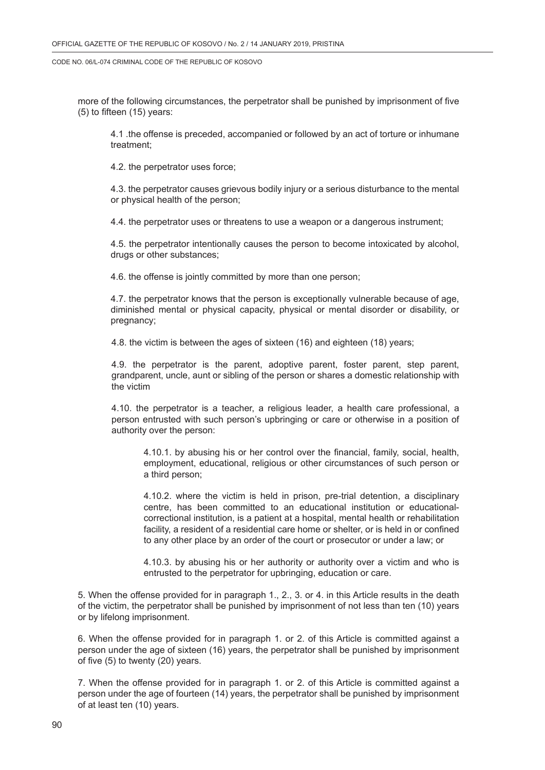more of the following circumstances, the perpetrator shall be punished by imprisonment of five (5) to fifteen (15) years:

4.1 .the offense is preceded, accompanied or followed by an act of torture or inhumane treatment;

4.2. the perpetrator uses force;

4.3. the perpetrator causes grievous bodily injury or a serious disturbance to the mental or physical health of the person;

4.4. the perpetrator uses or threatens to use a weapon or a dangerous instrument;

4.5. the perpetrator intentionally causes the person to become intoxicated by alcohol, drugs or other substances;

4.6. the offense is jointly committed by more than one person;

4.7. the perpetrator knows that the person is exceptionally vulnerable because of age, diminished mental or physical capacity, physical or mental disorder or disability, or pregnancy;

4.8. the victim is between the ages of sixteen (16) and eighteen (18) years;

4.9. the perpetrator is the parent, adoptive parent, foster parent, step parent, grandparent, uncle, aunt or sibling of the person or shares a domestic relationship with the victim

4.10. the perpetrator is a teacher, a religious leader, a health care professional, a person entrusted with such person's upbringing or care or otherwise in a position of authority over the person:

4.10.1. by abusing his or her control over the financial, family, social, health, employment, educational, religious or other circumstances of such person or a third person;

4.10.2. where the victim is held in prison, pre-trial detention, a disciplinary centre, has been committed to an educational institution or educationalcorrectional institution, is a patient at a hospital, mental health or rehabilitation facility, a resident of a residential care home or shelter, or is held in or confined to any other place by an order of the court or prosecutor or under a law; or

4.10.3. by abusing his or her authority or authority over a victim and who is entrusted to the perpetrator for upbringing, education or care.

5. When the offense provided for in paragraph 1., 2., 3. or 4. in this Article results in the death of the victim, the perpetrator shall be punished by imprisonment of not less than ten (10) years or by lifelong imprisonment.

6. When the offense provided for in paragraph 1. or 2. of this Article is committed against a person under the age of sixteen (16) years, the perpetrator shall be punished by imprisonment of five (5) to twenty (20) years.

7. When the offense provided for in paragraph 1. or 2. of this Article is committed against a person under the age of fourteen (14) years, the perpetrator shall be punished by imprisonment of at least ten (10) years.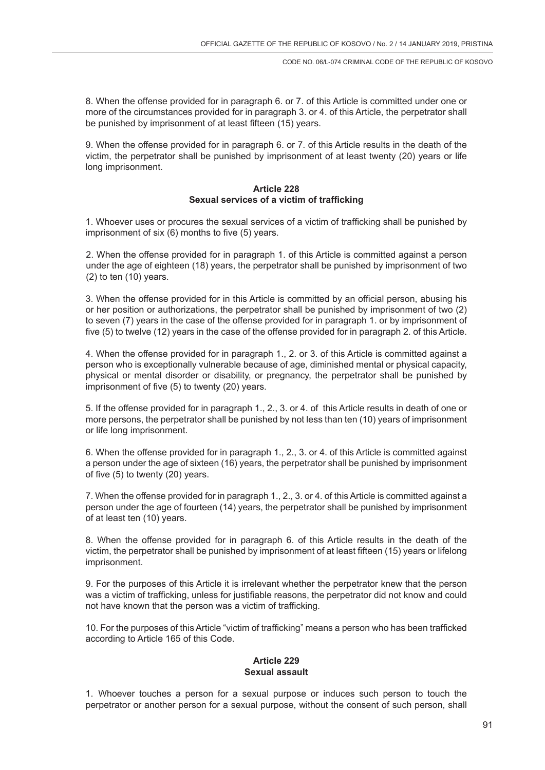8. When the offense provided for in paragraph 6. or 7. of this Article is committed under one or more of the circumstances provided for in paragraph 3. or 4. of this Article, the perpetrator shall be punished by imprisonment of at least fifteen (15) years.

9. When the offense provided for in paragraph 6. or 7. of this Article results in the death of the victim, the perpetrator shall be punished by imprisonment of at least twenty (20) years or life long imprisonment.

## **Article 228 Sexual services of a victim of trafficking**

1. Whoever uses or procures the sexual services of a victim of trafficking shall be punished by imprisonment of six (6) months to five (5) years.

2. When the offense provided for in paragraph 1. of this Article is committed against a person under the age of eighteen (18) years, the perpetrator shall be punished by imprisonment of two (2) to ten (10) years.

3. When the offense provided for in this Article is committed by an official person, abusing his or her position or authorizations, the perpetrator shall be punished by imprisonment of two (2) to seven (7) years in the case of the offense provided for in paragraph 1. or by imprisonment of five (5) to twelve (12) years in the case of the offense provided for in paragraph 2. of this Article.

4. When the offense provided for in paragraph 1., 2. or 3. of this Article is committed against a person who is exceptionally vulnerable because of age, diminished mental or physical capacity, physical or mental disorder or disability, or pregnancy, the perpetrator shall be punished by imprisonment of five (5) to twenty (20) years.

5. If the offense provided for in paragraph 1., 2., 3. or 4. of this Article results in death of one or more persons, the perpetrator shall be punished by not less than ten (10) years of imprisonment or life long imprisonment.

6. When the offense provided for in paragraph 1., 2., 3. or 4. of this Article is committed against a person under the age of sixteen (16) years, the perpetrator shall be punished by imprisonment of five (5) to twenty (20) years.

7. When the offense provided for in paragraph 1., 2., 3. or 4. of this Article is committed against a person under the age of fourteen (14) years, the perpetrator shall be punished by imprisonment of at least ten (10) years.

8. When the offense provided for in paragraph 6. of this Article results in the death of the victim, the perpetrator shall be punished by imprisonment of at least fifteen (15) years or lifelong imprisonment.

9. For the purposes of this Article it is irrelevant whether the perpetrator knew that the person was a victim of trafficking, unless for justifiable reasons, the perpetrator did not know and could not have known that the person was a victim of trafficking.

10. For the purposes of this Article "victim of trafficking" means a person who has been trafficked according to Article 165 of this Code.

## **Article 229 Sexual assault**

1. Whoever touches a person for a sexual purpose or induces such person to touch the perpetrator or another person for a sexual purpose, without the consent of such person, shall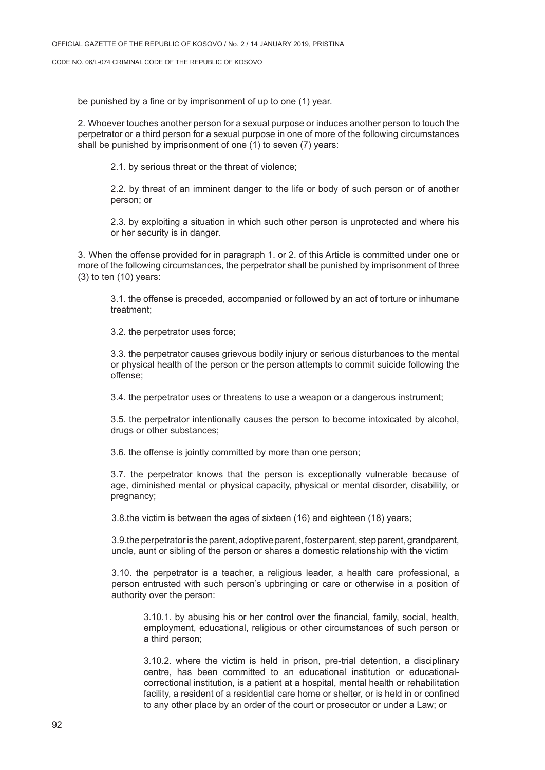be punished by a fine or by imprisonment of up to one (1) year.

2. Whoever touches another person for a sexual purpose or induces another person to touch the perpetrator or a third person for a sexual purpose in one of more of the following circumstances shall be punished by imprisonment of one (1) to seven (7) years:

2.1. by serious threat or the threat of violence;

2.2. by threat of an imminent danger to the life or body of such person or of another person; or

2.3. by exploiting a situation in which such other person is unprotected and where his or her security is in danger.

3. When the offense provided for in paragraph 1. or 2. of this Article is committed under one or more of the following circumstances, the perpetrator shall be punished by imprisonment of three  $(3)$  to ten  $(10)$  years:

3.1. the offense is preceded, accompanied or followed by an act of torture or inhumane treatment;

3.2. the perpetrator uses force;

3.3. the perpetrator causes grievous bodily injury or serious disturbances to the mental or physical health of the person or the person attempts to commit suicide following the offense;

3.4. the perpetrator uses or threatens to use a weapon or a dangerous instrument;

3.5. the perpetrator intentionally causes the person to become intoxicated by alcohol, drugs or other substances;

3.6. the offense is jointly committed by more than one person;

3.7. the perpetrator knows that the person is exceptionally vulnerable because of age, diminished mental or physical capacity, physical or mental disorder, disability, or pregnancy;

3.8.the victim is between the ages of sixteen (16) and eighteen (18) years;

3.9.the perpetrator is the parent, adoptive parent, foster parent, step parent, grandparent, uncle, aunt or sibling of the person or shares a domestic relationship with the victim

3.10. the perpetrator is a teacher, a religious leader, a health care professional, a person entrusted with such person's upbringing or care or otherwise in a position of authority over the person:

3.10.1. by abusing his or her control over the financial, family, social, health, employment, educational, religious or other circumstances of such person or a third person;

3.10.2. where the victim is held in prison, pre-trial detention, a disciplinary centre, has been committed to an educational institution or educationalcorrectional institution, is a patient at a hospital, mental health or rehabilitation facility, a resident of a residential care home or shelter, or is held in or confined to any other place by an order of the court or prosecutor or under a Law; or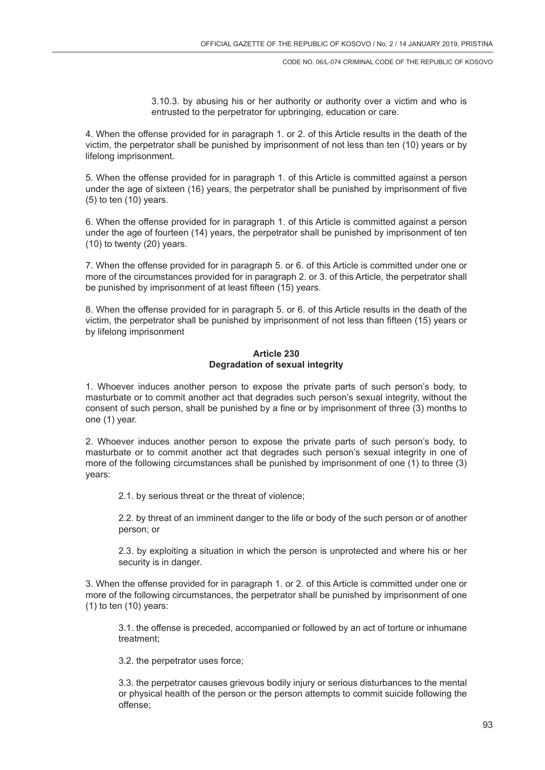3.10.3. by abusing his or her authority or authority over a victim and who is entrusted to the perpetrator for upbringing, education or care.

4. When the offense provided for in paragraph 1. or 2. of this Article results in the death of the victim, the perpetrator shall be punished by imprisonment of not less than ten (10) years or by lifelong imprisonment.

5. When the offense provided for in paragraph 1. of this Article is committed against a person under the age of sixteen (16) years, the perpetrator shall be punished by imprisonment of five (5) to ten (10) years.

6. When the offense provided for in paragraph 1. of this Article is committed against a person under the age of fourteen (14) years, the perpetrator shall be punished by imprisonment of ten (10) to twenty (20) years.

7. When the offense provided for in paragraph 5. or 6. of this Article is committed under one or more of the circumstances provided for in paragraph 2. or 3. of this Article, the perpetrator shall be punished by imprisonment of at least fifteen (15) years.

8. When the offense provided for in paragraph 5. or 6. of this Article results in the death of the victim, the perpetrator shall be punished by imprisonment of not less than fifteen (15) years or by lifelong imprisonment

## **Article 230 Degradation of sexual integrity**

1. Whoever induces another person to expose the private parts of such person's body, to masturbate or to commit another act that degrades such person's sexual integrity, without the consent of such person, shall be punished by a fine or by imprisonment of three (3) months to one (1) year.

2. Whoever induces another person to expose the private parts of such person's body, to masturbate or to commit another act that degrades such person's sexual integrity in one of more of the following circumstances shall be punished by imprisonment of one (1) to three (3) years:

2.1. by serious threat or the threat of violence;

2.2. by threat of an imminent danger to the life or body of the such person or of another person; or

2.3. by exploiting a situation in which the person is unprotected and where his or her security is in danger.

3. When the offense provided for in paragraph 1. or 2. of this Article is committed under one or more of the following circumstances, the perpetrator shall be punished by imprisonment of one  $(1)$  to ten  $(10)$  years:

3.1. the offense is preceded, accompanied or followed by an act of torture or inhumane treatment;

3.2. the perpetrator uses force;

3.3. the perpetrator causes grievous bodily injury or serious disturbances to the mental or physical health of the person or the person attempts to commit suicide following the offense;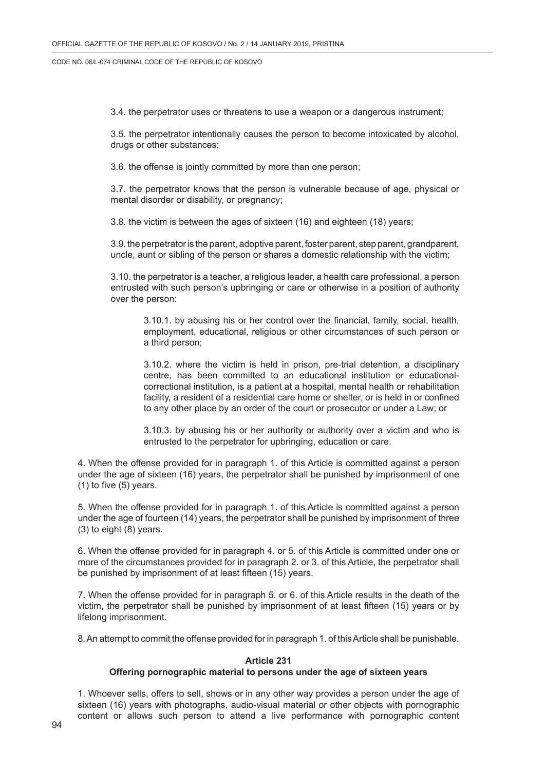3.4. the perpetrator uses or threatens to use a weapon or a dangerous instrument;

3.5. the perpetrator intentionally causes the person to become intoxicated by alcohol, drugs or other substances;

3.6. the offense is jointly committed by more than one person;

3.7. the perpetrator knows that the person is vulnerable because of age, physical or mental disorder or disability, or pregnancy;

3.8. the victim is between the ages of sixteen (16) and eighteen (18) years;

3.9. the perpetrator is the parent, adoptive parent, foster parent, step parent, grandparent, uncle, aunt or sibling of the person or shares a domestic relationship with the victim;

3.10. the perpetrator is a teacher, a religious leader, a health care professional, a person entrusted with such person's upbringing or care or otherwise in a position of authority over the person:

3.10.1. by abusing his or her control over the financial, family, social, health, employment, educational, religious or other circumstances of such person or a third person;

3.10.2. where the victim is held in prison, pre-trial detention, a disciplinary centre, has been committed to an educational institution or educationalcorrectional institution, is a patient at a hospital, mental health or rehabilitation facility, a resident of a residential care home or shelter, or is held in or confined to any other place by an order of the court or prosecutor or under a Law; or

3.10.3. by abusing his or her authority or authority over a victim and who is entrusted to the perpetrator for upbringing, education or care.

4. When the offense provided for in paragraph 1. of this Article is committed against a person under the age of sixteen (16) years, the perpetrator shall be punished by imprisonment of one (1) to five (5) years.

5. When the offense provided for in paragraph 1. of this Article is committed against a person under the age of fourteen (14) years, the perpetrator shall be punished by imprisonment of three (3) to eight (8) years.

6. When the offense provided for in paragraph 4. or 5. of this Article is committed under one or more of the circumstances provided for in paragraph 2. or 3. of this Article, the perpetrator shall be punished by imprisonment of at least fifteen (15) years.

7. When the offense provided for in paragraph 5. or 6. of this Article results in the death of the victim, the perpetrator shall be punished by imprisonment of at least fifteen (15) years or by lifelong imprisonment.

8. An attempt to commit the offense provided for in paragraph 1. of this Article shall be punishable.

## **Article 231**

#### **Offering pornographic material to persons under the age of sixteen years**

1. Whoever sells, offers to sell, shows or in any other way provides a person under the age of sixteen (16) years with photographs, audio-visual material or other objects with pornographic content or allows such person to attend a live performance with pornographic content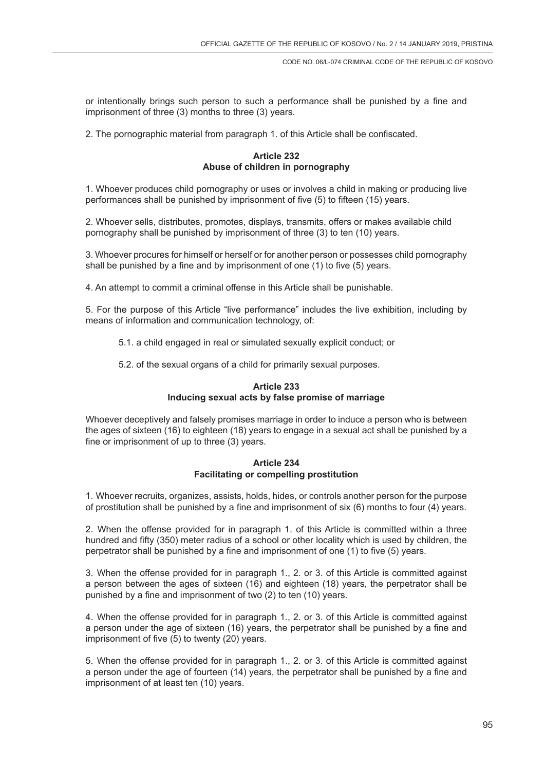or intentionally brings such person to such a performance shall be punished by a fine and imprisonment of three (3) months to three (3) years.

2. The pornographic material from paragraph 1. of this Article shall be confiscated.

### **Article 232 Abuse of children in pornography**

1. Whoever produces child pornography or uses or involves a child in making or producing live performances shall be punished by imprisonment of five (5) to fifteen (15) years.

2. Whoever sells, distributes, promotes, displays, transmits, offers or makes available child pornography shall be punished by imprisonment of three (3) to ten (10) years.

3. Whoever procures for himself or herself or for another person or possesses child pornography shall be punished by a fine and by imprisonment of one (1) to five (5) years.

4. An attempt to commit a criminal offense in this Article shall be punishable.

5. For the purpose of this Article "live performance" includes the live exhibition, including by means of information and communication technology, of:

- 5.1. a child engaged in real or simulated sexually explicit conduct; or
- 5.2. of the sexual organs of a child for primarily sexual purposes.

# **Article 233 Inducing sexual acts by false promise of marriage**

Whoever deceptively and falsely promises marriage in order to induce a person who is between the ages of sixteen (16) to eighteen (18) years to engage in a sexual act shall be punished by a fine or imprisonment of up to three (3) years.

## **Article 234 Facilitating or compelling prostitution**

1. Whoever recruits, organizes, assists, holds, hides, or controls another person for the purpose of prostitution shall be punished by a fine and imprisonment of six (6) months to four (4) years.

2. When the offense provided for in paragraph 1. of this Article is committed within a three hundred and fifty (350) meter radius of a school or other locality which is used by children, the perpetrator shall be punished by a fine and imprisonment of one (1) to five (5) years.

3. When the offense provided for in paragraph 1., 2. or 3. of this Article is committed against a person between the ages of sixteen (16) and eighteen (18) years, the perpetrator shall be punished by a fine and imprisonment of two (2) to ten (10) years.

4. When the offense provided for in paragraph 1., 2. or 3. of this Article is committed against a person under the age of sixteen (16) years, the perpetrator shall be punished by a fine and imprisonment of five (5) to twenty (20) years.

5. When the offense provided for in paragraph 1., 2. or 3. of this Article is committed against a person under the age of fourteen (14) years, the perpetrator shall be punished by a fine and imprisonment of at least ten (10) years.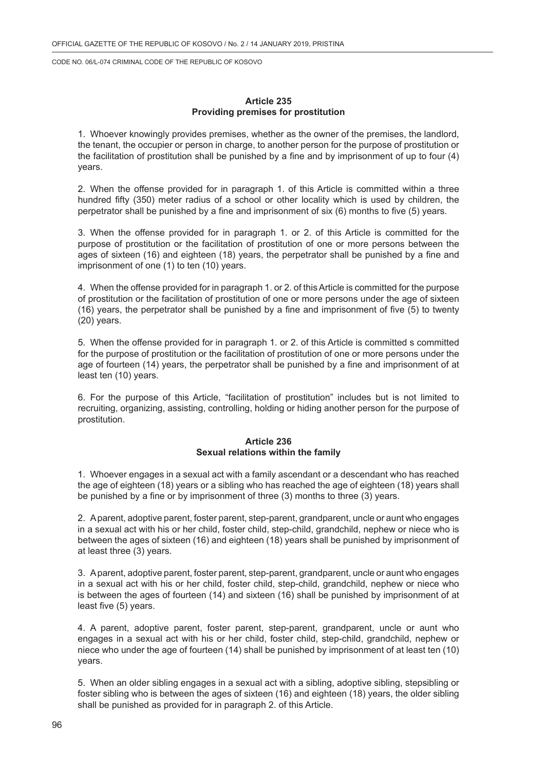### **Article 235 Providing premises for prostitution**

1. Whoever knowingly provides premises, whether as the owner of the premises, the landlord, the tenant, the occupier or person in charge, to another person for the purpose of prostitution or the facilitation of prostitution shall be punished by a fine and by imprisonment of up to four (4) years.

2. When the offense provided for in paragraph 1. of this Article is committed within a three hundred fifty (350) meter radius of a school or other locality which is used by children, the perpetrator shall be punished by a fine and imprisonment of six (6) months to five (5) years.

3. When the offense provided for in paragraph 1. or 2. of this Article is committed for the purpose of prostitution or the facilitation of prostitution of one or more persons between the ages of sixteen (16) and eighteen (18) years, the perpetrator shall be punished by a fine and imprisonment of one (1) to ten (10) years.

4. When the offense provided for in paragraph 1. or 2. of this Article is committed for the purpose of prostitution or the facilitation of prostitution of one or more persons under the age of sixteen (16) years, the perpetrator shall be punished by a fine and imprisonment of five (5) to twenty (20) years.

5. When the offense provided for in paragraph 1. or 2. of this Article is committed s committed for the purpose of prostitution or the facilitation of prostitution of one or more persons under the age of fourteen (14) years, the perpetrator shall be punished by a fine and imprisonment of at least ten (10) years.

6. For the purpose of this Article, "facilitation of prostitution" includes but is not limited to recruiting, organizing, assisting, controlling, holding or hiding another person for the purpose of prostitution.

#### **Article 236 Sexual relations within the family**

1. Whoever engages in a sexual act with a family ascendant or a descendant who has reached the age of eighteen (18) years or a sibling who has reached the age of eighteen (18) years shall be punished by a fine or by imprisonment of three (3) months to three (3) years.

2. A parent, adoptive parent, foster parent, step-parent, grandparent, uncle or aunt who engages in a sexual act with his or her child, foster child, step-child, grandchild, nephew or niece who is between the ages of sixteen (16) and eighteen (18) years shall be punished by imprisonment of at least three (3) years.

3. A parent, adoptive parent, foster parent, step-parent, grandparent, uncle or aunt who engages in a sexual act with his or her child, foster child, step-child, grandchild, nephew or niece who is between the ages of fourteen (14) and sixteen (16) shall be punished by imprisonment of at least five (5) years.

4. A parent, adoptive parent, foster parent, step-parent, grandparent, uncle or aunt who engages in a sexual act with his or her child, foster child, step-child, grandchild, nephew or niece who under the age of fourteen (14) shall be punished by imprisonment of at least ten (10) years.

5. When an older sibling engages in a sexual act with a sibling, adoptive sibling, stepsibling or foster sibling who is between the ages of sixteen (16) and eighteen (18) years, the older sibling shall be punished as provided for in paragraph 2. of this Article.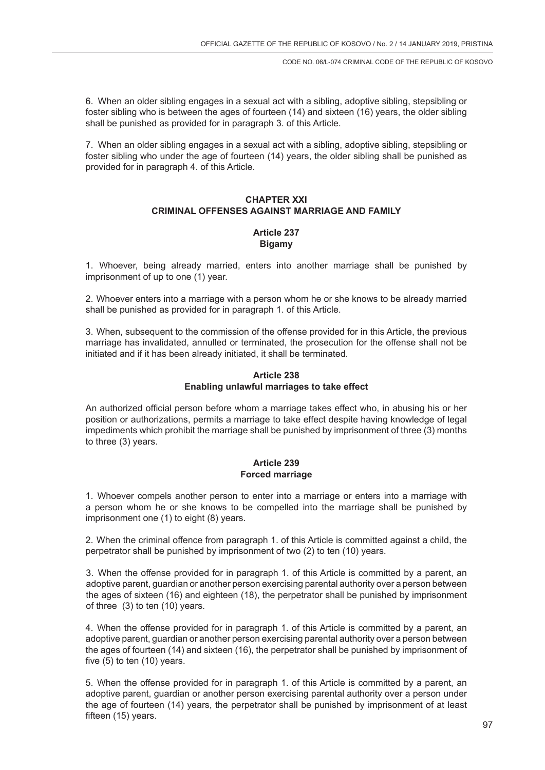6. When an older sibling engages in a sexual act with a sibling, adoptive sibling, stepsibling or foster sibling who is between the ages of fourteen (14) and sixteen (16) years, the older sibling shall be punished as provided for in paragraph 3. of this Article.

7. When an older sibling engages in a sexual act with a sibling, adoptive sibling, stepsibling or foster sibling who under the age of fourteen (14) years, the older sibling shall be punished as provided for in paragraph 4. of this Article.

## **CHAPTER XXI CRIMINAL OFFENSES AGAINST MARRIAGE AND FAMILY**

# **Article 237 Bigamy**

1. Whoever, being already married, enters into another marriage shall be punished by imprisonment of up to one (1) year.

2. Whoever enters into a marriage with a person whom he or she knows to be already married shall be punished as provided for in paragraph 1. of this Article.

3. When, subsequent to the commission of the offense provided for in this Article, the previous marriage has invalidated, annulled or terminated, the prosecution for the offense shall not be initiated and if it has been already initiated, it shall be terminated.

## **Article 238 Enabling unlawful marriages to take effect**

An authorized official person before whom a marriage takes effect who, in abusing his or her position or authorizations, permits a marriage to take effect despite having knowledge of legal impediments which prohibit the marriage shall be punished by imprisonment of three (3) months to three (3) years.

## **Article 239 Forced marriage**

1. Whoever compels another person to enter into a marriage or enters into a marriage with a person whom he or she knows to be compelled into the marriage shall be punished by imprisonment one (1) to eight (8) years.

2. When the criminal offence from paragraph 1. of this Article is committed against a child, the perpetrator shall be punished by imprisonment of two (2) to ten (10) years.

3. When the offense provided for in paragraph 1. of this Article is committed by a parent, an adoptive parent, guardian or another person exercising parental authority over a person between the ages of sixteen (16) and eighteen (18), the perpetrator shall be punished by imprisonment of three (3) to ten (10) years.

4. When the offense provided for in paragraph 1. of this Article is committed by a parent, an adoptive parent, guardian or another person exercising parental authority over a person between the ages of fourteen (14) and sixteen (16), the perpetrator shall be punished by imprisonment of five (5) to ten (10) years.

5. When the offense provided for in paragraph 1. of this Article is committed by a parent, an adoptive parent, guardian or another person exercising parental authority over a person under the age of fourteen (14) years, the perpetrator shall be punished by imprisonment of at least fifteen (15) years.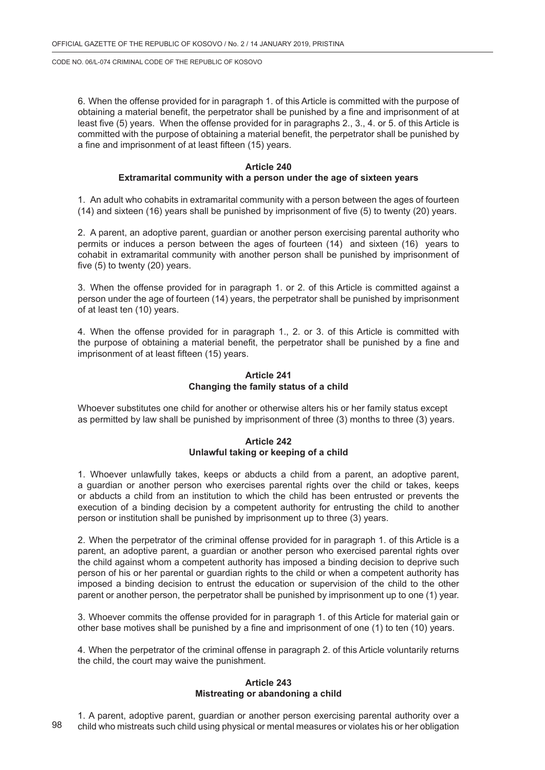6. When the offense provided for in paragraph 1. of this Article is committed with the purpose of obtaining a material benefit, the perpetrator shall be punished by a fine and imprisonment of at least five (5) years. When the offense provided for in paragraphs 2., 3., 4. or 5. of this Article is committed with the purpose of obtaining a material benefit, the perpetrator shall be punished by a fine and imprisonment of at least fifteen (15) years.

#### **Article 240**

## **Extramarital community with a person under the age of sixteen years**

1. An adult who cohabits in extramarital community with a person between the ages of fourteen (14) and sixteen (16) years shall be punished by imprisonment of five (5) to twenty (20) years.

2. A parent, an adoptive parent, guardian or another person exercising parental authority who permits or induces a person between the ages of fourteen (14) and sixteen (16) years to cohabit in extramarital community with another person shall be punished by imprisonment of five (5) to twenty (20) years.

3. When the offense provided for in paragraph 1. or 2. of this Article is committed against a person under the age of fourteen (14) years, the perpetrator shall be punished by imprisonment of at least ten (10) years.

4. When the offense provided for in paragraph 1., 2. or 3. of this Article is committed with the purpose of obtaining a material benefit, the perpetrator shall be punished by a fine and imprisonment of at least fifteen (15) years.

## **Article 241 Changing the family status of a child**

Whoever substitutes one child for another or otherwise alters his or her family status except as permitted by law shall be punished by imprisonment of three (3) months to three (3) years.

## **Article 242 Unlawful taking or keeping of a child**

1. Whoever unlawfully takes, keeps or abducts a child from a parent, an adoptive parent, a guardian or another person who exercises parental rights over the child or takes, keeps or abducts a child from an institution to which the child has been entrusted or prevents the execution of a binding decision by a competent authority for entrusting the child to another person or institution shall be punished by imprisonment up to three (3) years.

2. When the perpetrator of the criminal offense provided for in paragraph 1. of this Article is a parent, an adoptive parent, a guardian or another person who exercised parental rights over the child against whom a competent authority has imposed a binding decision to deprive such person of his or her parental or guardian rights to the child or when a competent authority has imposed a binding decision to entrust the education or supervision of the child to the other parent or another person, the perpetrator shall be punished by imprisonment up to one (1) year.

3. Whoever commits the offense provided for in paragraph 1. of this Article for material gain or other base motives shall be punished by a fine and imprisonment of one (1) to ten (10) years.

4. When the perpetrator of the criminal offense in paragraph 2. of this Article voluntarily returns the child, the court may waive the punishment.

#### **Article 243 Mistreating or abandoning a child**

1. A parent, adoptive parent, guardian or another person exercising parental authority over a child who mistreats such child using physical or mental measures or violates his or her obligation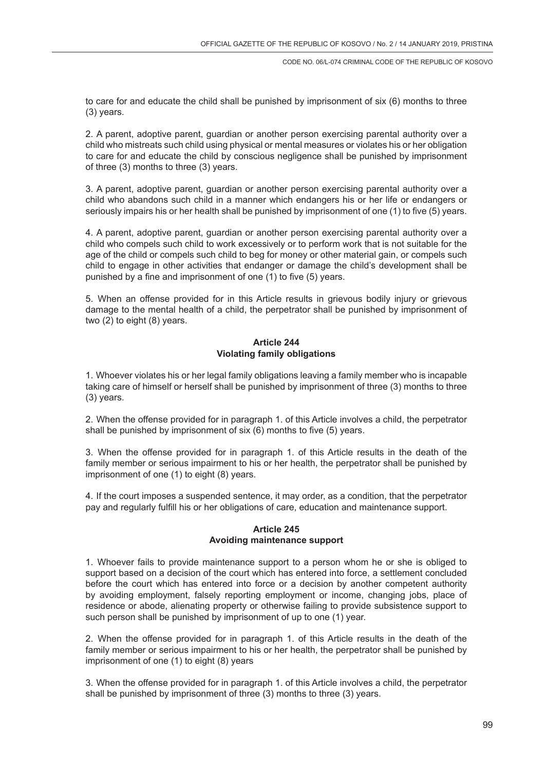to care for and educate the child shall be punished by imprisonment of six (6) months to three (3) years.

2. A parent, adoptive parent, guardian or another person exercising parental authority over a child who mistreats such child using physical or mental measures or violates his or her obligation to care for and educate the child by conscious negligence shall be punished by imprisonment of three (3) months to three (3) years.

3. A parent, adoptive parent, guardian or another person exercising parental authority over a child who abandons such child in a manner which endangers his or her life or endangers or seriously impairs his or her health shall be punished by imprisonment of one (1) to five (5) years.

4. A parent, adoptive parent, guardian or another person exercising parental authority over a child who compels such child to work excessively or to perform work that is not suitable for the age of the child or compels such child to beg for money or other material gain, or compels such child to engage in other activities that endanger or damage the child's development shall be punished by a fine and imprisonment of one (1) to five (5) years.

5. When an offense provided for in this Article results in grievous bodily injury or grievous damage to the mental health of a child, the perpetrator shall be punished by imprisonment of two (2) to eight (8) years.

## **Article 244 Violating family obligations**

1. Whoever violates his or her legal family obligations leaving a family member who is incapable taking care of himself or herself shall be punished by imprisonment of three (3) months to three (3) years.

2. When the offense provided for in paragraph 1. of this Article involves a child, the perpetrator shall be punished by imprisonment of six (6) months to five (5) years.

3. When the offense provided for in paragraph 1. of this Article results in the death of the family member or serious impairment to his or her health, the perpetrator shall be punished by imprisonment of one (1) to eight (8) years.

4. If the court imposes a suspended sentence, it may order, as a condition, that the perpetrator pay and regularly fulfill his or her obligations of care, education and maintenance support.

## **Article 245 Avoiding maintenance support**

1. Whoever fails to provide maintenance support to a person whom he or she is obliged to support based on a decision of the court which has entered into force, a settlement concluded before the court which has entered into force or a decision by another competent authority by avoiding employment, falsely reporting employment or income, changing jobs, place of residence or abode, alienating property or otherwise failing to provide subsistence support to such person shall be punished by imprisonment of up to one (1) year.

2. When the offense provided for in paragraph 1. of this Article results in the death of the family member or serious impairment to his or her health, the perpetrator shall be punished by imprisonment of one (1) to eight (8) years

3. When the offense provided for in paragraph 1. of this Article involves a child, the perpetrator shall be punished by imprisonment of three (3) months to three (3) years.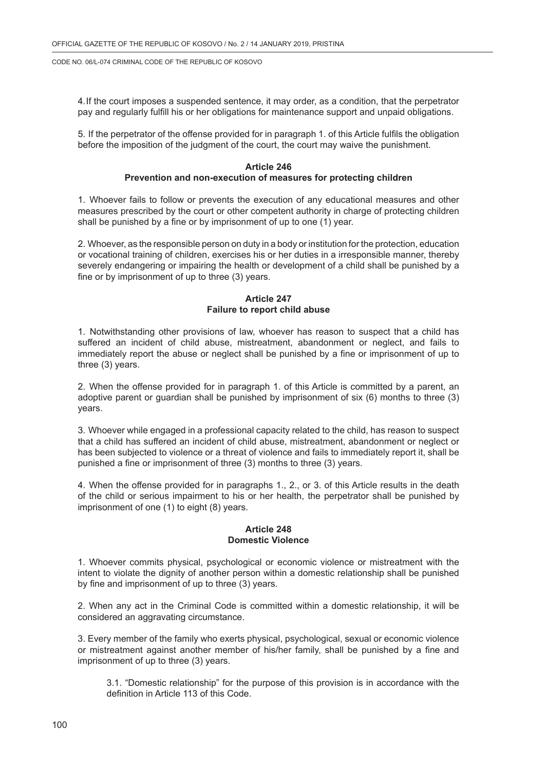4.If the court imposes a suspended sentence, it may order, as a condition, that the perpetrator pay and regularly fulfill his or her obligations for maintenance support and unpaid obligations.

5. If the perpetrator of the offense provided for in paragraph 1. of this Article fulfils the obligation before the imposition of the judgment of the court, the court may waive the punishment.

### **Article 246 Prevention and non-execution of measures for protecting children**

1. Whoever fails to follow or prevents the execution of any educational measures and other measures prescribed by the court or other competent authority in charge of protecting children shall be punished by a fine or by imprisonment of up to one (1) year.

2. Whoever, as the responsible person on duty in a body or institution for the protection, education or vocational training of children, exercises his or her duties in a irresponsible manner, thereby severely endangering or impairing the health or development of a child shall be punished by a fine or by imprisonment of up to three (3) years.

## **Article 247 Failure to report child abuse**

1. Notwithstanding other provisions of law, whoever has reason to suspect that a child has suffered an incident of child abuse, mistreatment, abandonment or neglect, and fails to immediately report the abuse or neglect shall be punished by a fine or imprisonment of up to three (3) years.

2. When the offense provided for in paragraph 1. of this Article is committed by a parent, an adoptive parent or guardian shall be punished by imprisonment of six (6) months to three (3) years.

3. Whoever while engaged in a professional capacity related to the child, has reason to suspect that a child has suffered an incident of child abuse, mistreatment, abandonment or neglect or has been subjected to violence or a threat of violence and fails to immediately report it, shall be punished a fine or imprisonment of three (3) months to three (3) years.

4. When the offense provided for in paragraphs 1., 2., or 3. of this Article results in the death of the child or serious impairment to his or her health, the perpetrator shall be punished by imprisonment of one (1) to eight (8) years.

## **Article 248 Domestic Violence**

1. Whoever commits physical, psychological or economic violence or mistreatment with the intent to violate the dignity of another person within a domestic relationship shall be punished by fine and imprisonment of up to three (3) years.

2. When any act in the Criminal Code is committed within a domestic relationship, it will be considered an aggravating circumstance.

3. Every member of the family who exerts physical, psychological, sexual or economic violence or mistreatment against another member of his/her family, shall be punished by a fine and imprisonment of up to three (3) years.

3.1. "Domestic relationship" for the purpose of this provision is in accordance with the definition in Article 113 of this Code.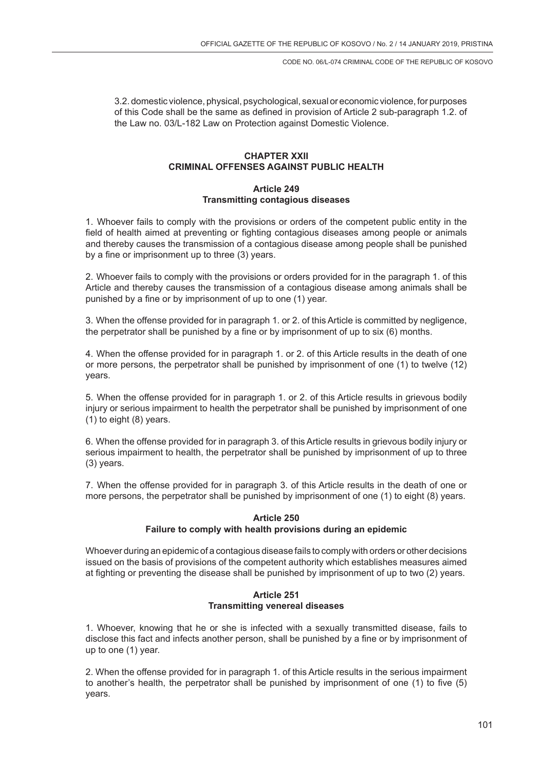3.2. domestic violence, physical, psychological, sexual or economic violence, for purposes of this Code shall be the same as defined in provision of Article 2 sub-paragraph 1.2. of the Law no. 03/L-182 Law on Protection against Domestic Violence.

# **CHAPTER XXII CRIMINAL OFFENSES AGAINST PUBLIC HEALTH**

## **Article 249 Transmitting contagious diseases**

1. Whoever fails to comply with the provisions or orders of the competent public entity in the field of health aimed at preventing or fighting contagious diseases among people or animals and thereby causes the transmission of a contagious disease among people shall be punished by a fine or imprisonment up to three (3) years.

2. Whoever fails to comply with the provisions or orders provided for in the paragraph 1. of this Article and thereby causes the transmission of a contagious disease among animals shall be punished by a fine or by imprisonment of up to one (1) year.

3. When the offense provided for in paragraph 1. or 2. of this Article is committed by negligence, the perpetrator shall be punished by a fine or by imprisonment of up to six (6) months.

4. When the offense provided for in paragraph 1. or 2. of this Article results in the death of one or more persons, the perpetrator shall be punished by imprisonment of one (1) to twelve (12) years.

5. When the offense provided for in paragraph 1. or 2. of this Article results in grievous bodily injury or serious impairment to health the perpetrator shall be punished by imprisonment of one (1) to eight (8) years.

6. When the offense provided for in paragraph 3. of this Article results in grievous bodily injury or serious impairment to health, the perpetrator shall be punished by imprisonment of up to three (3) years.

7. When the offense provided for in paragraph 3. of this Article results in the death of one or more persons, the perpetrator shall be punished by imprisonment of one (1) to eight (8) years.

## **Article 250 Failure to comply with health provisions during an epidemic**

Whoever during an epidemic of a contagious disease fails to comply with orders or other decisions issued on the basis of provisions of the competent authority which establishes measures aimed at fighting or preventing the disease shall be punished by imprisonment of up to two (2) years.

# **Article 251 Transmitting venereal diseases**

1. Whoever, knowing that he or she is infected with a sexually transmitted disease, fails to disclose this fact and infects another person, shall be punished by a fine or by imprisonment of up to one (1) year.

2. When the offense provided for in paragraph 1. of this Article results in the serious impairment to another's health, the perpetrator shall be punished by imprisonment of one (1) to five (5) years.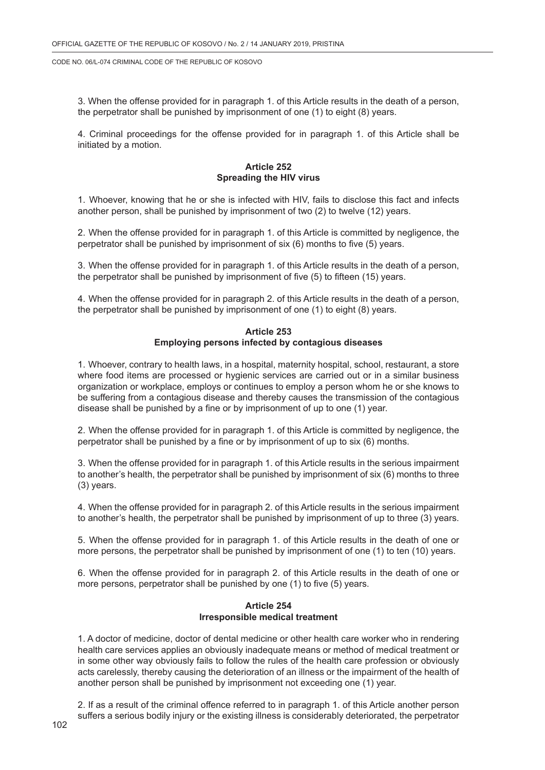3. When the offense provided for in paragraph 1. of this Article results in the death of a person, the perpetrator shall be punished by imprisonment of one (1) to eight (8) years.

4. Criminal proceedings for the offense provided for in paragraph 1. of this Article shall be initiated by a motion.

## **Article 252 Spreading the HIV virus**

1. Whoever, knowing that he or she is infected with HIV, fails to disclose this fact and infects another person, shall be punished by imprisonment of two (2) to twelve (12) years.

2. When the offense provided for in paragraph 1. of this Article is committed by negligence, the perpetrator shall be punished by imprisonment of six (6) months to five (5) years.

3. When the offense provided for in paragraph 1. of this Article results in the death of a person, the perpetrator shall be punished by imprisonment of five (5) to fifteen (15) years.

4. When the offense provided for in paragraph 2. of this Article results in the death of a person, the perpetrator shall be punished by imprisonment of one (1) to eight (8) years.

### **Article 253 Employing persons infected by contagious diseases**

1. Whoever, contrary to health laws, in a hospital, maternity hospital, school, restaurant, a store where food items are processed or hygienic services are carried out or in a similar business organization or workplace, employs or continues to employ a person whom he or she knows to be suffering from a contagious disease and thereby causes the transmission of the contagious disease shall be punished by a fine or by imprisonment of up to one (1) year.

2. When the offense provided for in paragraph 1. of this Article is committed by negligence, the perpetrator shall be punished by a fine or by imprisonment of up to six (6) months.

3. When the offense provided for in paragraph 1. of this Article results in the serious impairment to another's health, the perpetrator shall be punished by imprisonment of six (6) months to three (3) years.

4. When the offense provided for in paragraph 2. of this Article results in the serious impairment to another's health, the perpetrator shall be punished by imprisonment of up to three (3) years.

5. When the offense provided for in paragraph 1. of this Article results in the death of one or more persons, the perpetrator shall be punished by imprisonment of one (1) to ten (10) years.

6. When the offense provided for in paragraph 2. of this Article results in the death of one or more persons, perpetrator shall be punished by one (1) to five (5) years.

#### **Article 254 Irresponsible medical treatment**

1. A doctor of medicine, doctor of dental medicine or other health care worker who in rendering health care services applies an obviously inadequate means or method of medical treatment or in some other way obviously fails to follow the rules of the health care profession or obviously acts carelessly, thereby causing the deterioration of an illness or the impairment of the health of another person shall be punished by imprisonment not exceeding one (1) year.

2. If as a result of the criminal offence referred to in paragraph 1. of this Article another person suffers a serious bodily injury or the existing illness is considerably deteriorated, the perpetrator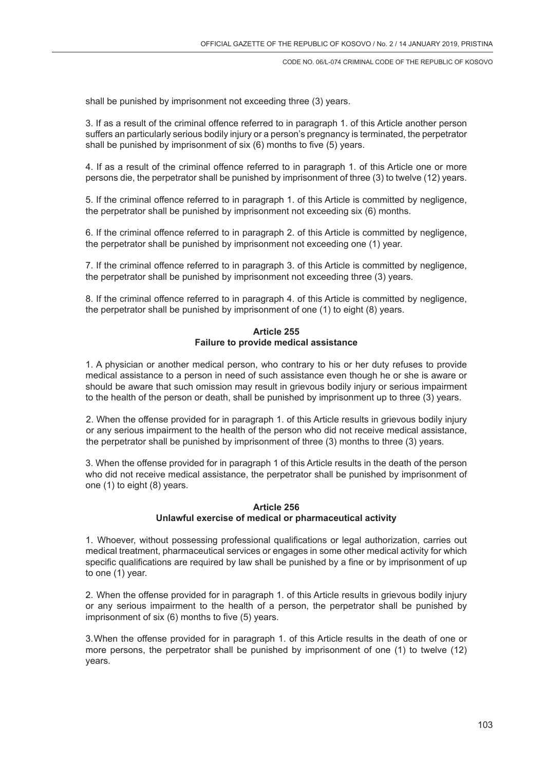shall be punished by imprisonment not exceeding three (3) years.

3. If as a result of the criminal offence referred to in paragraph 1. of this Article another person suffers an particularly serious bodily injury or a person's pregnancy is terminated, the perpetrator shall be punished by imprisonment of six (6) months to five (5) years.

4. If as a result of the criminal offence referred to in paragraph 1. of this Article one or more persons die, the perpetrator shall be punished by imprisonment of three (3) to twelve (12) years.

5. If the criminal offence referred to in paragraph 1. of this Article is committed by negligence, the perpetrator shall be punished by imprisonment not exceeding six (6) months.

6. If the criminal offence referred to in paragraph 2. of this Article is committed by negligence, the perpetrator shall be punished by imprisonment not exceeding one (1) year.

7. If the criminal offence referred to in paragraph 3. of this Article is committed by negligence, the perpetrator shall be punished by imprisonment not exceeding three (3) years.

8. If the criminal offence referred to in paragraph 4. of this Article is committed by negligence, the perpetrator shall be punished by imprisonment of one (1) to eight (8) years.

### **Article 255 Failure to provide medical assistance**

1. A physician or another medical person, who contrary to his or her duty refuses to provide medical assistance to a person in need of such assistance even though he or she is aware or should be aware that such omission may result in grievous bodily injury or serious impairment to the health of the person or death, shall be punished by imprisonment up to three (3) years.

2. When the offense provided for in paragraph 1. of this Article results in grievous bodily injury or any serious impairment to the health of the person who did not receive medical assistance, the perpetrator shall be punished by imprisonment of three (3) months to three (3) years.

3. When the offense provided for in paragraph 1 of this Article results in the death of the person who did not receive medical assistance, the perpetrator shall be punished by imprisonment of one (1) to eight (8) years.

## **Article 256 Unlawful exercise of medical or pharmaceutical activity**

1. Whoever, without possessing professional qualifications or legal authorization, carries out medical treatment, pharmaceutical services or engages in some other medical activity for which specific qualifications are required by law shall be punished by a fine or by imprisonment of up to one (1) year.

2. When the offense provided for in paragraph 1. of this Article results in grievous bodily injury or any serious impairment to the health of a person, the perpetrator shall be punished by imprisonment of six (6) months to five (5) years.

3.When the offense provided for in paragraph 1. of this Article results in the death of one or more persons, the perpetrator shall be punished by imprisonment of one (1) to twelve (12) years.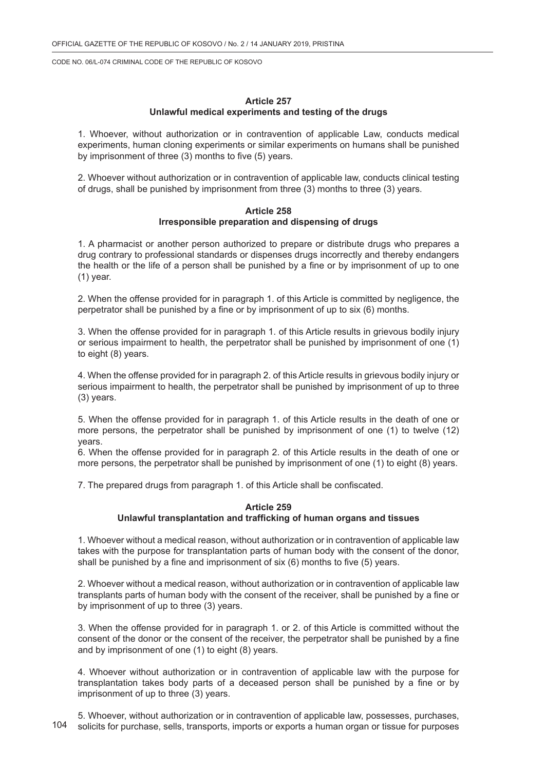#### **Article 257 Unlawful medical experiments and testing of the drugs**

1. Whoever, without authorization or in contravention of applicable Law, conducts medical experiments, human cloning experiments or similar experiments on humans shall be punished by imprisonment of three (3) months to five (5) years.

2. Whoever without authorization or in contravention of applicable law, conducts clinical testing of drugs, shall be punished by imprisonment from three (3) months to three (3) years.

#### **Article 258 Irresponsible preparation and dispensing of drugs**

1. A pharmacist or another person authorized to prepare or distribute drugs who prepares a drug contrary to professional standards or dispenses drugs incorrectly and thereby endangers the health or the life of a person shall be punished by a fine or by imprisonment of up to one (1) year.

2. When the offense provided for in paragraph 1. of this Article is committed by negligence, the perpetrator shall be punished by a fine or by imprisonment of up to six (6) months.

3. When the offense provided for in paragraph 1. of this Article results in grievous bodily injury or serious impairment to health, the perpetrator shall be punished by imprisonment of one (1) to eight (8) years.

4. When the offense provided for in paragraph 2. of this Article results in grievous bodily injury or serious impairment to health, the perpetrator shall be punished by imprisonment of up to three (3) years.

5. When the offense provided for in paragraph 1. of this Article results in the death of one or more persons, the perpetrator shall be punished by imprisonment of one (1) to twelve (12) years.

6. When the offense provided for in paragraph 2. of this Article results in the death of one or more persons, the perpetrator shall be punished by imprisonment of one (1) to eight (8) years.

7. The prepared drugs from paragraph 1. of this Article shall be confiscated.

#### **Article 259 Unlawful transplantation and trafficking of human organs and tissues**

1. Whoever without a medical reason, without authorization or in contravention of applicable law takes with the purpose for transplantation parts of human body with the consent of the donor, shall be punished by a fine and imprisonment of six (6) months to five (5) years.

2. Whoever without a medical reason, without authorization or in contravention of applicable law transplants parts of human body with the consent of the receiver, shall be punished by a fine or by imprisonment of up to three (3) years.

3. When the offense provided for in paragraph 1. or 2. of this Article is committed without the consent of the donor or the consent of the receiver, the perpetrator shall be punished by a fine and by imprisonment of one (1) to eight (8) years.

4. Whoever without authorization or in contravention of applicable law with the purpose for transplantation takes body parts of a deceased person shall be punished by a fine or by imprisonment of up to three (3) years.

104 5. Whoever, without authorization or in contravention of applicable law, possesses, purchases, solicits for purchase, sells, transports, imports or exports a human organ or tissue for purposes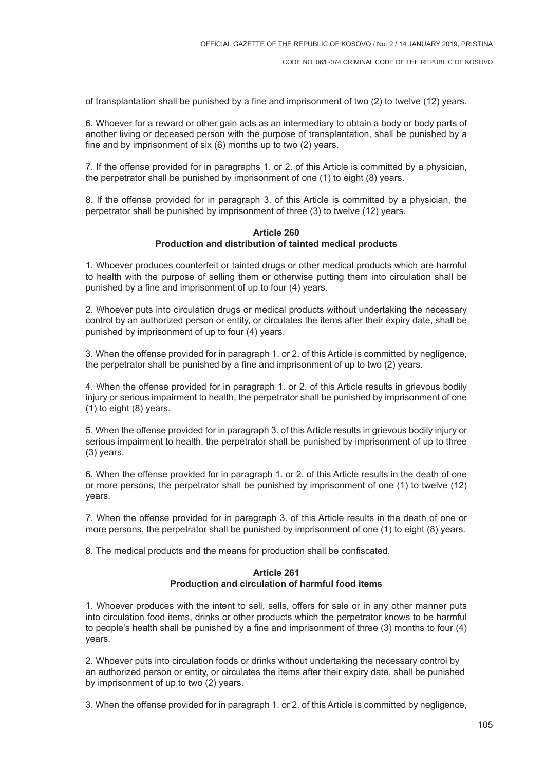of transplantation shall be punished by a fine and imprisonment of two (2) to twelve (12) years.

6. Whoever for a reward or other gain acts as an intermediary to obtain a body or body parts of another living or deceased person with the purpose of transplantation, shall be punished by a fine and by imprisonment of six (6) months up to two (2) years.

7. If the offense provided for in paragraphs 1. or 2. of this Article is committed by a physician, the perpetrator shall be punished by imprisonment of one (1) to eight (8) years.

8. If the offense provided for in paragraph 3. of this Article is committed by a physician, the perpetrator shall be punished by imprisonment of three (3) to twelve (12) years.

#### **Article 260 Production and distribution of tainted medical products**

1. Whoever produces counterfeit or tainted drugs or other medical products which are harmful to health with the purpose of selling them or otherwise putting them into circulation shall be punished by a fine and imprisonment of up to four (4) years.

2. Whoever puts into circulation drugs or medical products without undertaking the necessary control by an authorized person or entity, or circulates the items after their expiry date, shall be punished by imprisonment of up to four (4) years.

3. When the offense provided for in paragraph 1. or 2. of this Article is committed by negligence, the perpetrator shall be punished by a fine and imprisonment of up to two (2) years.

4. When the offense provided for in paragraph 1. or 2. of this Article results in grievous bodily injury or serious impairment to health, the perpetrator shall be punished by imprisonment of one (1) to eight (8) years.

5. When the offense provided for in paragraph 3. of this Article results in grievous bodily injury or serious impairment to health, the perpetrator shall be punished by imprisonment of up to three (3) years.

6. When the offense provided for in paragraph 1. or 2. of this Article results in the death of one or more persons, the perpetrator shall be punished by imprisonment of one (1) to twelve (12) years.

7. When the offense provided for in paragraph 3. of this Article results in the death of one or more persons, the perpetrator shall be punished by imprisonment of one (1) to eight (8) years.

8. The medical products and the means for production shall be confiscated.

### **Article 261 Production and circulation of harmful food items**

1. Whoever produces with the intent to sell, sells, offers for sale or in any other manner puts into circulation food items, drinks or other products which the perpetrator knows to be harmful to people's health shall be punished by a fine and imprisonment of three (3) months to four (4) years.

2. Whoever puts into circulation foods or drinks without undertaking the necessary control by an authorized person or entity, or circulates the items after their expiry date, shall be punished by imprisonment of up to two (2) years.

3. When the offense provided for in paragraph 1. or 2. of this Article is committed by negligence,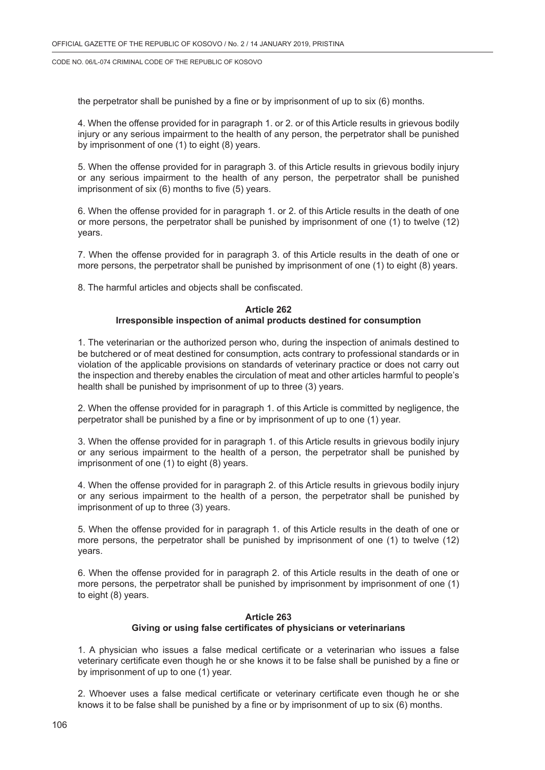the perpetrator shall be punished by a fine or by imprisonment of up to six (6) months.

4. When the offense provided for in paragraph 1. or 2. or of this Article results in grievous bodily injury or any serious impairment to the health of any person, the perpetrator shall be punished by imprisonment of one (1) to eight (8) years.

5. When the offense provided for in paragraph 3. of this Article results in grievous bodily injury or any serious impairment to the health of any person, the perpetrator shall be punished imprisonment of six (6) months to five (5) years.

6. When the offense provided for in paragraph 1. or 2. of this Article results in the death of one or more persons, the perpetrator shall be punished by imprisonment of one (1) to twelve (12) years.

7. When the offense provided for in paragraph 3. of this Article results in the death of one or more persons, the perpetrator shall be punished by imprisonment of one (1) to eight (8) years.

8. The harmful articles and objects shall be confiscated.

## **Article 262**

#### **Irresponsible inspection of animal products destined for consumption**

1. The veterinarian or the authorized person who, during the inspection of animals destined to be butchered or of meat destined for consumption, acts contrary to professional standards or in violation of the applicable provisions on standards of veterinary practice or does not carry out the inspection and thereby enables the circulation of meat and other articles harmful to people's health shall be punished by imprisonment of up to three (3) years.

2. When the offense provided for in paragraph 1. of this Article is committed by negligence, the perpetrator shall be punished by a fine or by imprisonment of up to one (1) year.

3. When the offense provided for in paragraph 1. of this Article results in grievous bodily injury or any serious impairment to the health of a person, the perpetrator shall be punished by imprisonment of one (1) to eight (8) years.

4. When the offense provided for in paragraph 2. of this Article results in grievous bodily injury or any serious impairment to the health of a person, the perpetrator shall be punished by imprisonment of up to three (3) years.

5. When the offense provided for in paragraph 1. of this Article results in the death of one or more persons, the perpetrator shall be punished by imprisonment of one (1) to twelve (12) years.

6. When the offense provided for in paragraph 2. of this Article results in the death of one or more persons, the perpetrator shall be punished by imprisonment by imprisonment of one (1) to eight (8) years.

## **Article 263 Giving or using false certificates of physicians or veterinarians**

1. A physician who issues a false medical certificate or a veterinarian who issues a false veterinary certificate even though he or she knows it to be false shall be punished by a fine or by imprisonment of up to one (1) year.

2. Whoever uses a false medical certificate or veterinary certificate even though he or she knows it to be false shall be punished by a fine or by imprisonment of up to six (6) months.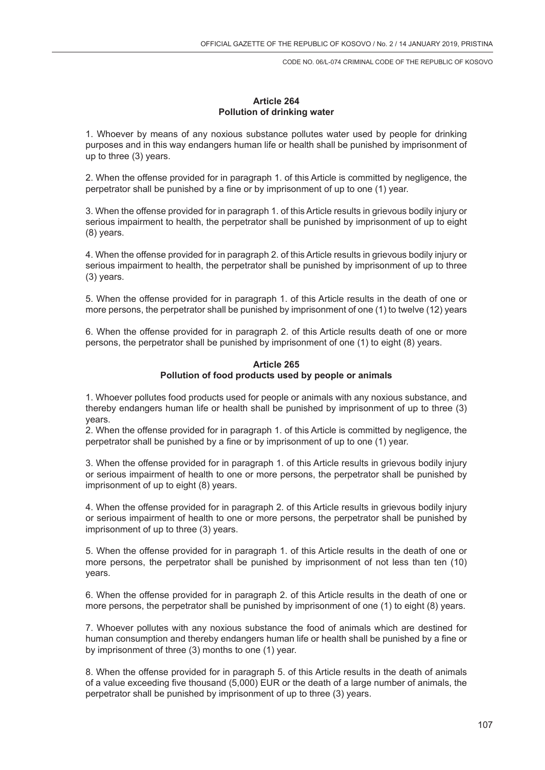## **Article 264 Pollution of drinking water**

1. Whoever by means of any noxious substance pollutes water used by people for drinking purposes and in this way endangers human life or health shall be punished by imprisonment of up to three (3) years.

2. When the offense provided for in paragraph 1. of this Article is committed by negligence, the perpetrator shall be punished by a fine or by imprisonment of up to one (1) year.

3. When the offense provided for in paragraph 1. of this Article results in grievous bodily injury or serious impairment to health, the perpetrator shall be punished by imprisonment of up to eight (8) years.

4. When the offense provided for in paragraph 2. of this Article results in grievous bodily injury or serious impairment to health, the perpetrator shall be punished by imprisonment of up to three (3) years.

5. When the offense provided for in paragraph 1. of this Article results in the death of one or more persons, the perpetrator shall be punished by imprisonment of one (1) to twelve (12) years

6. When the offense provided for in paragraph 2. of this Article results death of one or more persons, the perpetrator shall be punished by imprisonment of one (1) to eight (8) years.

## **Article 265 Pollution of food products used by people or animals**

1. Whoever pollutes food products used for people or animals with any noxious substance, and thereby endangers human life or health shall be punished by imprisonment of up to three (3) years.

2. When the offense provided for in paragraph 1. of this Article is committed by negligence, the perpetrator shall be punished by a fine or by imprisonment of up to one (1) year.

3. When the offense provided for in paragraph 1. of this Article results in grievous bodily injury or serious impairment of health to one or more persons, the perpetrator shall be punished by imprisonment of up to eight (8) years.

4. When the offense provided for in paragraph 2. of this Article results in grievous bodily injury or serious impairment of health to one or more persons, the perpetrator shall be punished by imprisonment of up to three (3) years.

5. When the offense provided for in paragraph 1. of this Article results in the death of one or more persons, the perpetrator shall be punished by imprisonment of not less than ten (10) years.

6. When the offense provided for in paragraph 2. of this Article results in the death of one or more persons, the perpetrator shall be punished by imprisonment of one (1) to eight (8) years.

7. Whoever pollutes with any noxious substance the food of animals which are destined for human consumption and thereby endangers human life or health shall be punished by a fine or by imprisonment of three (3) months to one (1) year.

8. When the offense provided for in paragraph 5. of this Article results in the death of animals of a value exceeding five thousand (5,000) EUR or the death of a large number of animals, the perpetrator shall be punished by imprisonment of up to three (3) years.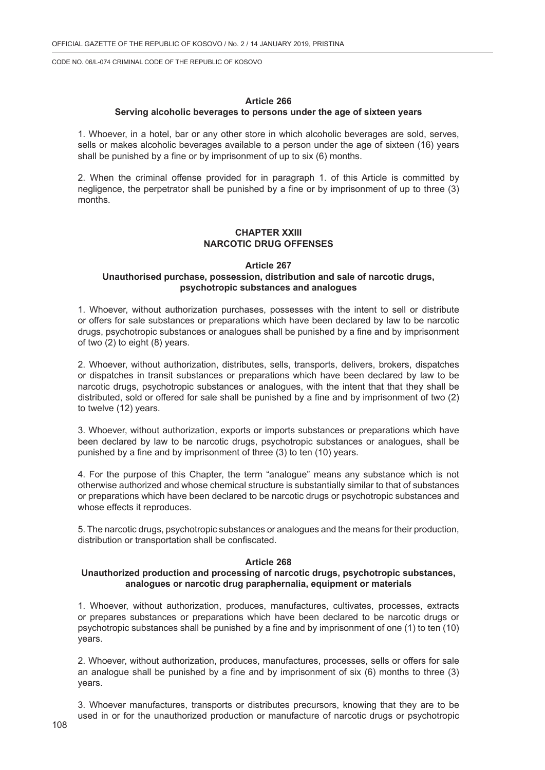## **Article 266**

#### **Serving alcoholic beverages to persons under the age of sixteen years**

1. Whoever, in a hotel, bar or any other store in which alcoholic beverages are sold, serves, sells or makes alcoholic beverages available to a person under the age of sixteen (16) years shall be punished by a fine or by imprisonment of up to six (6) months.

2. When the criminal offense provided for in paragraph 1. of this Article is committed by negligence, the perpetrator shall be punished by a fine or by imprisonment of up to three (3) months.

### **CHAPTER XXIII NARCOTIC DRUG OFFENSES**

#### **Article 267 Unauthorised purchase, possession, distribution and sale of narcotic drugs, psychotropic substances and analogues**

1. Whoever, without authorization purchases, possesses with the intent to sell or distribute or offers for sale substances or preparations which have been declared by law to be narcotic drugs, psychotropic substances or analogues shall be punished by a fine and by imprisonment of two (2) to eight (8) years.

2. Whoever, without authorization, distributes, sells, transports, delivers, brokers, dispatches or dispatches in transit substances or preparations which have been declared by law to be narcotic drugs, psychotropic substances or analogues, with the intent that that they shall be distributed, sold or offered for sale shall be punished by a fine and by imprisonment of two (2) to twelve (12) years.

3. Whoever, without authorization, exports or imports substances or preparations which have been declared by law to be narcotic drugs, psychotropic substances or analogues, shall be punished by a fine and by imprisonment of three (3) to ten (10) years.

4. For the purpose of this Chapter, the term "analogue" means any substance which is not otherwise authorized and whose chemical structure is substantially similar to that of substances or preparations which have been declared to be narcotic drugs or psychotropic substances and whose effects it reproduces.

5. The narcotic drugs, psychotropic substances or analogues and the means for their production, distribution or transportation shall be confiscated.

#### **Article 268**

#### **Unauthorized production and processing of narcotic drugs, psychotropic substances, analogues or narcotic drug paraphernalia, equipment or materials**

1. Whoever, without authorization, produces, manufactures, cultivates, processes, extracts or prepares substances or preparations which have been declared to be narcotic drugs or psychotropic substances shall be punished by a fine and by imprisonment of one (1) to ten (10) years.

2. Whoever, without authorization, produces, manufactures, processes, sells or offers for sale an analogue shall be punished by a fine and by imprisonment of six (6) months to three (3) years.

3. Whoever manufactures, transports or distributes precursors, knowing that they are to be used in or for the unauthorized production or manufacture of narcotic drugs or psychotropic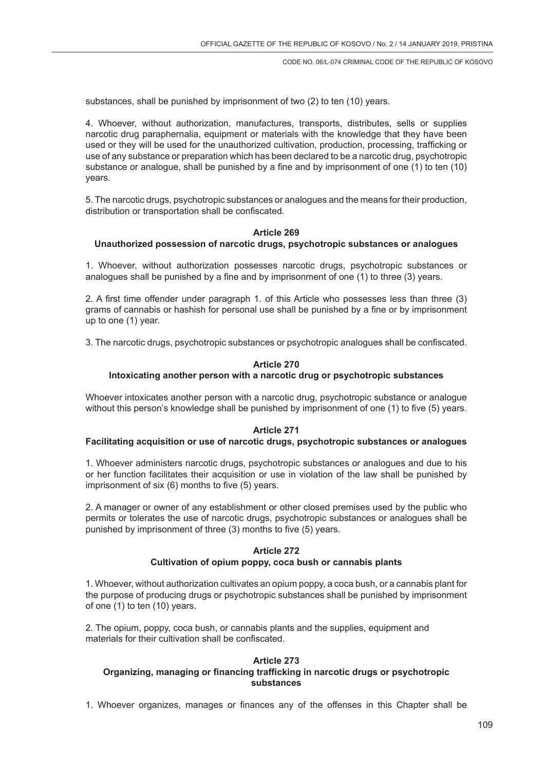substances, shall be punished by imprisonment of two (2) to ten (10) years.

4. Whoever, without authorization, manufactures, transports, distributes, sells or supplies narcotic drug paraphernalia, equipment or materials with the knowledge that they have been used or they will be used for the unauthorized cultivation, production, processing, trafficking or use of any substance or preparation which has been declared to be a narcotic drug, psychotropic substance or analogue, shall be punished by a fine and by imprisonment of one (1) to ten (10) years.

5. The narcotic drugs, psychotropic substances or analogues and the means for their production, distribution or transportation shall be confiscated.

# **Article 269**

### **Unauthorized possession of narcotic drugs, psychotropic substances or analogues**

1. Whoever, without authorization possesses narcotic drugs, psychotropic substances or analogues shall be punished by a fine and by imprisonment of one (1) to three (3) years.

2. A first time offender under paragraph 1. of this Article who possesses less than three (3) grams of cannabis or hashish for personal use shall be punished by a fine or by imprisonment up to one (1) year.

3. The narcotic drugs, psychotropic substances or psychotropic analogues shall be confiscated.

### **Article 270**

# **Intoxicating another person with a narcotic drug or psychotropic substances**

Whoever intoxicates another person with a narcotic drug, psychotropic substance or analogue without this person's knowledge shall be punished by imprisonment of one (1) to five (5) years.

# **Article 271**

#### **Facilitating acquisition or use of narcotic drugs, psychotropic substances or analogues**

1. Whoever administers narcotic drugs, psychotropic substances or analogues and due to his or her function facilitates their acquisition or use in violation of the law shall be punished by imprisonment of six (6) months to five (5) years.

2. A manager or owner of any establishment or other closed premises used by the public who permits or tolerates the use of narcotic drugs, psychotropic substances or analogues shall be punished by imprisonment of three (3) months to five (5) years.

#### **Article 272**

#### **Cultivation of opium poppy, coca bush or cannabis plants**

1. Whoever, without authorization cultivates an opium poppy, a coca bush, or a cannabis plant for the purpose of producing drugs or psychotropic substances shall be punished by imprisonment of one (1) to ten (10) years.

2. The opium, poppy, coca bush, or cannabis plants and the supplies, equipment and materials for their cultivation shall be confiscated.

### **Article 273 Organizing, managing or financing trafficking in narcotic drugs or psychotropic substances**

1. Whoever organizes, manages or finances any of the offenses in this Chapter shall be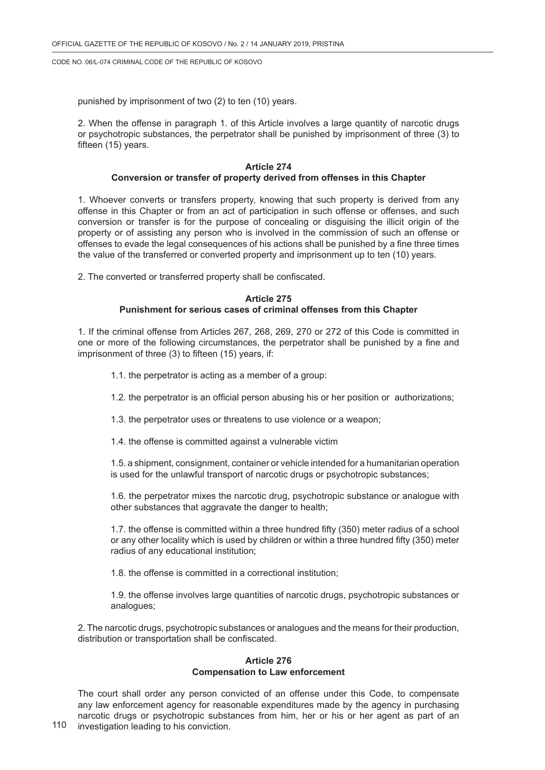punished by imprisonment of two (2) to ten (10) years.

2. When the offense in paragraph 1. of this Article involves a large quantity of narcotic drugs or psychotropic substances, the perpetrator shall be punished by imprisonment of three (3) to fifteen (15) years.

### **Article 274 Conversion or transfer of property derived from offenses in this Chapter**

1. Whoever converts or transfers property, knowing that such property is derived from any offense in this Chapter or from an act of participation in such offense or offenses, and such conversion or transfer is for the purpose of concealing or disguising the illicit origin of the property or of assisting any person who is involved in the commission of such an offense or offenses to evade the legal consequences of his actions shall be punished by a fine three times the value of the transferred or converted property and imprisonment up to ten (10) years.

2. The converted or transferred property shall be confiscated.

# **Article 275 Punishment for serious cases of criminal offenses from this Chapter**

1. If the criminal offense from Articles 267, 268, 269, 270 or 272 of this Code is committed in one or more of the following circumstances, the perpetrator shall be punished by a fine and imprisonment of three (3) to fifteen (15) years, if:

- 1.1. the perpetrator is acting as a member of a group:
- 1.2. the perpetrator is an official person abusing his or her position or authorizations;
- 1.3. the perpetrator uses or threatens to use violence or a weapon;
- 1.4. the offense is committed against a vulnerable victim

1.5. a shipment, consignment, container or vehicle intended for a humanitarian operation is used for the unlawful transport of narcotic drugs or psychotropic substances;

1.6. the perpetrator mixes the narcotic drug, psychotropic substance or analogue with other substances that aggravate the danger to health;

1.7. the offense is committed within a three hundred fifty (350) meter radius of a school or any other locality which is used by children or within a three hundred fifty (350) meter radius of any educational institution;

1.8. the offense is committed in a correctional institution;

1.9. the offense involves large quantities of narcotic drugs, psychotropic substances or analogues;

2. The narcotic drugs, psychotropic substances or analogues and the means for their production, distribution or transportation shall be confiscated.

# **Article 276 Compensation to Law enforcement**

The court shall order any person convicted of an offense under this Code, to compensate any law enforcement agency for reasonable expenditures made by the agency in purchasing narcotic drugs or psychotropic substances from him, her or his or her agent as part of an investigation leading to his conviction.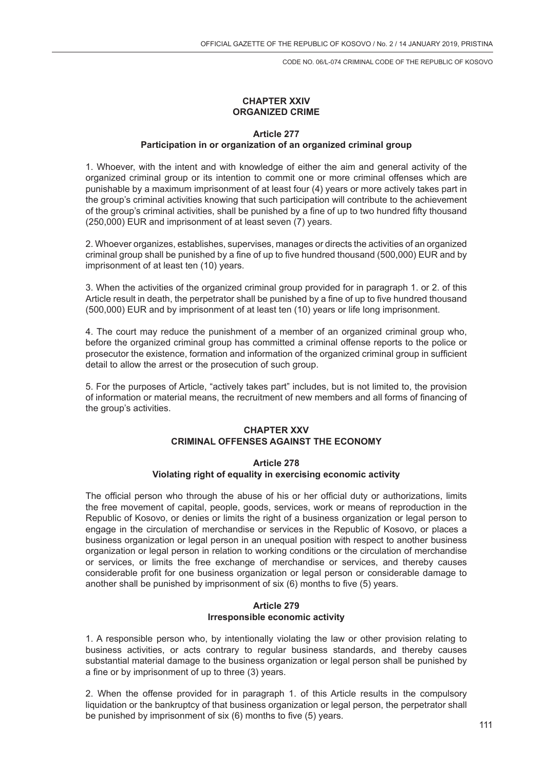### **CHAPTER XXIV ORGANIZED CRIME**

### **Article 277**

# **Participation in or organization of an organized criminal group**

1. Whoever, with the intent and with knowledge of either the aim and general activity of the organized criminal group or its intention to commit one or more criminal offenses which are punishable by a maximum imprisonment of at least four (4) years or more actively takes part in the group's criminal activities knowing that such participation will contribute to the achievement of the group's criminal activities, shall be punished by a fine of up to two hundred fifty thousand (250,000) EUR and imprisonment of at least seven (7) years.

2. Whoever organizes, establishes, supervises, manages or directs the activities of an organized criminal group shall be punished by a fine of up to five hundred thousand (500,000) EUR and by imprisonment of at least ten (10) years.

3. When the activities of the organized criminal group provided for in paragraph 1. or 2. of this Article result in death, the perpetrator shall be punished by a fine of up to five hundred thousand (500,000) EUR and by imprisonment of at least ten (10) years or life long imprisonment.

4. The court may reduce the punishment of a member of an organized criminal group who, before the organized criminal group has committed a criminal offense reports to the police or prosecutor the existence, formation and information of the organized criminal group in sufficient detail to allow the arrest or the prosecution of such group.

5. For the purposes of Article, "actively takes part" includes, but is not limited to, the provision of information or material means, the recruitment of new members and all forms of financing of the group's activities.

### **CHAPTER XXV CRIMINAL OFFENSES AGAINST THE ECONOMY**

#### **Article 278**

# **Violating right of equality in exercising economic activity**

The official person who through the abuse of his or her official duty or authorizations, limits the free movement of capital, people, goods, services, work or means of reproduction in the Republic of Kosovo, or denies or limits the right of a business organization or legal person to engage in the circulation of merchandise or services in the Republic of Kosovo, or places a business organization or legal person in an unequal position with respect to another business organization or legal person in relation to working conditions or the circulation of merchandise or services, or limits the free exchange of merchandise or services, and thereby causes considerable profit for one business organization or legal person or considerable damage to another shall be punished by imprisonment of six (6) months to five (5) years.

#### **Article 279 Irresponsible economic activity**

1. A responsible person who, by intentionally violating the law or other provision relating to business activities, or acts contrary to regular business standards, and thereby causes substantial material damage to the business organization or legal person shall be punished by a fine or by imprisonment of up to three (3) years.

2. When the offense provided for in paragraph 1. of this Article results in the compulsory liquidation or the bankruptcy of that business organization or legal person, the perpetrator shall be punished by imprisonment of six (6) months to five (5) years.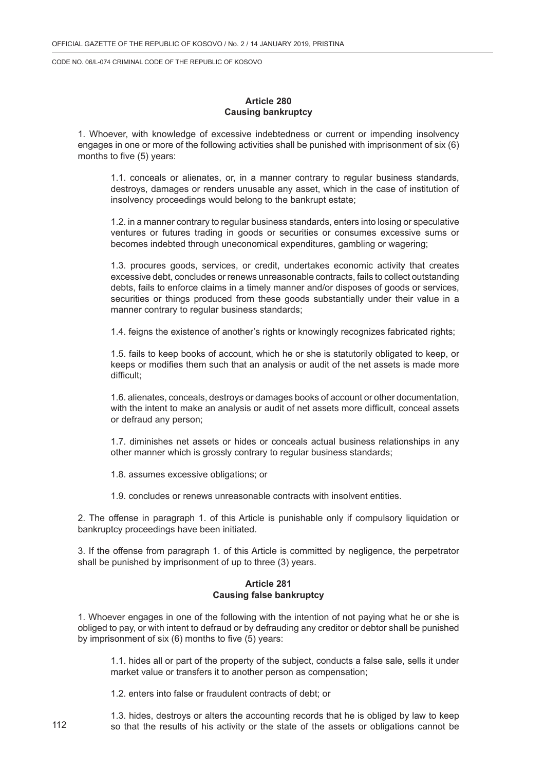#### **Article 280 Causing bankruptcy**

1. Whoever, with knowledge of excessive indebtedness or current or impending insolvency engages in one or more of the following activities shall be punished with imprisonment of six (6) months to five (5) years:

1.1. conceals or alienates, or, in a manner contrary to regular business standards, destroys, damages or renders unusable any asset, which in the case of institution of insolvency proceedings would belong to the bankrupt estate;

1.2. in a manner contrary to regular business standards, enters into losing or speculative ventures or futures trading in goods or securities or consumes excessive sums or becomes indebted through uneconomical expenditures, gambling or wagering;

1.3. procures goods, services, or credit, undertakes economic activity that creates excessive debt, concludes or renews unreasonable contracts, fails to collect outstanding debts, fails to enforce claims in a timely manner and/or disposes of goods or services, securities or things produced from these goods substantially under their value in a manner contrary to regular business standards;

1.4. feigns the existence of another's rights or knowingly recognizes fabricated rights;

1.5. fails to keep books of account, which he or she is statutorily obligated to keep, or keeps or modifies them such that an analysis or audit of the net assets is made more difficult;

1.6. alienates, conceals, destroys or damages books of account or other documentation, with the intent to make an analysis or audit of net assets more difficult, conceal assets or defraud any person;

1.7. diminishes net assets or hides or conceals actual business relationships in any other manner which is grossly contrary to regular business standards;

1.8. assumes excessive obligations; or

1.9. concludes or renews unreasonable contracts with insolvent entities.

2. The offense in paragraph 1. of this Article is punishable only if compulsory liquidation or bankruptcy proceedings have been initiated.

3. If the offense from paragraph 1. of this Article is committed by negligence, the perpetrator shall be punished by imprisonment of up to three (3) years.

#### **Article 281 Causing false bankruptcy**

1. Whoever engages in one of the following with the intention of not paying what he or she is obliged to pay, or with intent to defraud or by defrauding any creditor or debtor shall be punished by imprisonment of six (6) months to five (5) years:

1.1. hides all or part of the property of the subject, conducts a false sale, sells it under market value or transfers it to another person as compensation;

1.2. enters into false or fraudulent contracts of debt; or

1.3. hides, destroys or alters the accounting records that he is obliged by law to keep so that the results of his activity or the state of the assets or obligations cannot be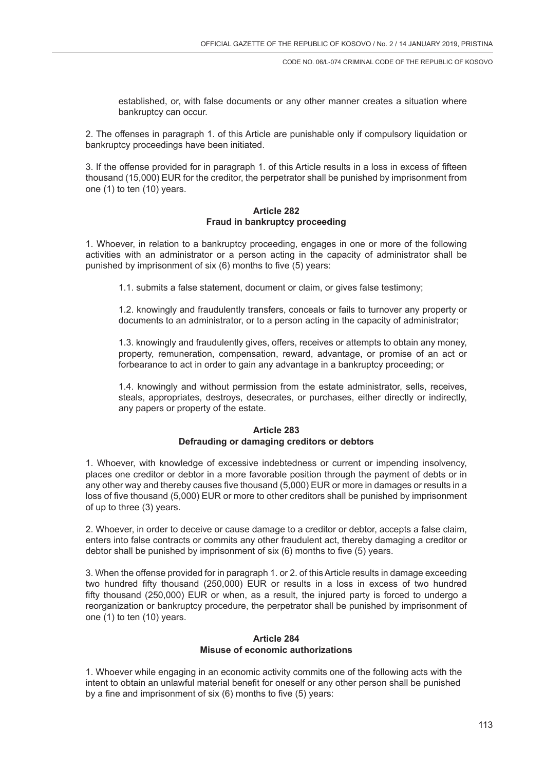established, or, with false documents or any other manner creates a situation where bankruptcy can occur.

2. The offenses in paragraph 1. of this Article are punishable only if compulsory liquidation or bankruptcy proceedings have been initiated.

3. If the offense provided for in paragraph 1. of this Article results in a loss in excess of fifteen thousand (15,000) EUR for the creditor, the perpetrator shall be punished by imprisonment from one (1) to ten (10) years.

# **Article 282 Fraud in bankruptcy proceeding**

1. Whoever, in relation to a bankruptcy proceeding, engages in one or more of the following activities with an administrator or a person acting in the capacity of administrator shall be punished by imprisonment of six (6) months to five (5) years:

1.1. submits a false statement, document or claim, or gives false testimony;

1.2. knowingly and fraudulently transfers, conceals or fails to turnover any property or documents to an administrator, or to a person acting in the capacity of administrator;

1.3. knowingly and fraudulently gives, offers, receives or attempts to obtain any money, property, remuneration, compensation, reward, advantage, or promise of an act or forbearance to act in order to gain any advantage in a bankruptcy proceeding; or

1.4. knowingly and without permission from the estate administrator, sells, receives, steals, appropriates, destroys, desecrates, or purchases, either directly or indirectly, any papers or property of the estate.

### **Article 283 Defrauding or damaging creditors or debtors**

1. Whoever, with knowledge of excessive indebtedness or current or impending insolvency, places one creditor or debtor in a more favorable position through the payment of debts or in any other way and thereby causes five thousand (5,000) EUR or more in damages or results in a loss of five thousand (5,000) EUR or more to other creditors shall be punished by imprisonment of up to three (3) years.

2. Whoever, in order to deceive or cause damage to a creditor or debtor, accepts a false claim, enters into false contracts or commits any other fraudulent act, thereby damaging a creditor or debtor shall be punished by imprisonment of six (6) months to five (5) years.

3. When the offense provided for in paragraph 1. or 2. of this Article results in damage exceeding two hundred fifty thousand (250,000) EUR or results in a loss in excess of two hundred fifty thousand (250,000) EUR or when, as a result, the injured party is forced to undergo a reorganization or bankruptcy procedure, the perpetrator shall be punished by imprisonment of one (1) to ten (10) years.

# **Article 284 Misuse of economic authorizations**

1. Whoever while engaging in an economic activity commits one of the following acts with the intent to obtain an unlawful material benefit for oneself or any other person shall be punished by a fine and imprisonment of six (6) months to five (5) years: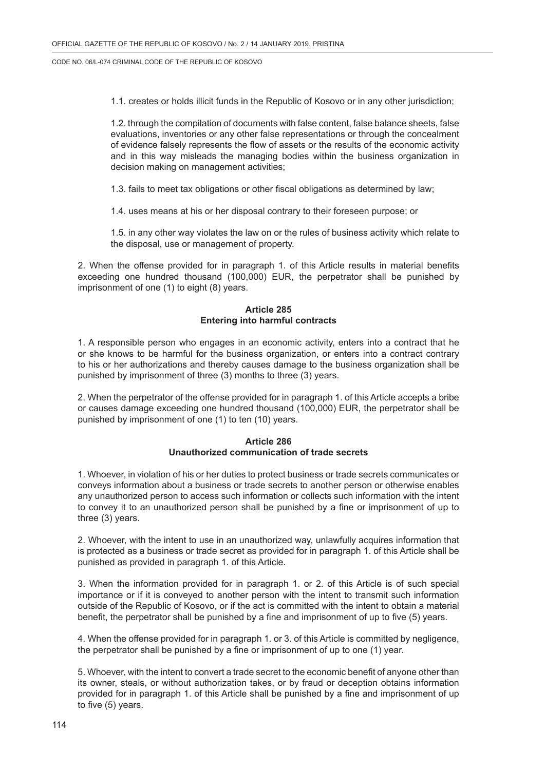1.1. creates or holds illicit funds in the Republic of Kosovo or in any other jurisdiction;

1.2. through the compilation of documents with false content, false balance sheets, false evaluations, inventories or any other false representations or through the concealment of evidence falsely represents the flow of assets or the results of the economic activity and in this way misleads the managing bodies within the business organization in decision making on management activities;

1.3. fails to meet tax obligations or other fiscal obligations as determined by law;

1.4. uses means at his or her disposal contrary to their foreseen purpose; or

1.5. in any other way violates the law on or the rules of business activity which relate to the disposal, use or management of property.

2. When the offense provided for in paragraph 1. of this Article results in material benefits exceeding one hundred thousand (100,000) EUR, the perpetrator shall be punished by imprisonment of one (1) to eight (8) years.

# **Article 285 Entering into harmful contracts**

1. A responsible person who engages in an economic activity, enters into a contract that he or she knows to be harmful for the business organization, or enters into a contract contrary to his or her authorizations and thereby causes damage to the business organization shall be punished by imprisonment of three (3) months to three (3) years.

2. When the perpetrator of the offense provided for in paragraph 1. of this Article accepts a bribe or causes damage exceeding one hundred thousand (100,000) EUR, the perpetrator shall be punished by imprisonment of one (1) to ten (10) years.

### **Article 286 Unauthorized communication of trade secrets**

1. Whoever, in violation of his or her duties to protect business or trade secrets communicates or conveys information about a business or trade secrets to another person or otherwise enables any unauthorized person to access such information or collects such information with the intent to convey it to an unauthorized person shall be punished by a fine or imprisonment of up to three (3) years.

2. Whoever, with the intent to use in an unauthorized way, unlawfully acquires information that is protected as a business or trade secret as provided for in paragraph 1. of this Article shall be punished as provided in paragraph 1. of this Article.

3. When the information provided for in paragraph 1. or 2. of this Article is of such special importance or if it is conveyed to another person with the intent to transmit such information outside of the Republic of Kosovo, or if the act is committed with the intent to obtain a material benefit, the perpetrator shall be punished by a fine and imprisonment of up to five (5) years.

4. When the offense provided for in paragraph 1. or 3. of this Article is committed by negligence, the perpetrator shall be punished by a fine or imprisonment of up to one (1) year.

5. Whoever, with the intent to convert a trade secret to the economic benefit of anyone other than its owner, steals, or without authorization takes, or by fraud or deception obtains information provided for in paragraph 1. of this Article shall be punished by a fine and imprisonment of up to five (5) years.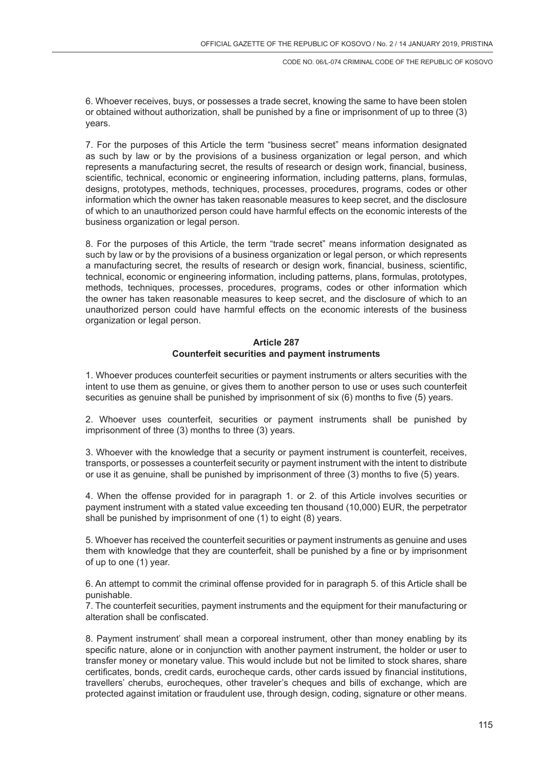6. Whoever receives, buys, or possesses a trade secret, knowing the same to have been stolen or obtained without authorization, shall be punished by a fine or imprisonment of up to three (3) years.

7. For the purposes of this Article the term "business secret" means information designated as such by law or by the provisions of a business organization or legal person, and which represents a manufacturing secret, the results of research or design work, financial, business, scientific, technical, economic or engineering information, including patterns, plans, formulas, designs, prototypes, methods, techniques, processes, procedures, programs, codes or other information which the owner has taken reasonable measures to keep secret, and the disclosure of which to an unauthorized person could have harmful effects on the economic interests of the business organization or legal person.

8. For the purposes of this Article, the term "trade secret" means information designated as such by law or by the provisions of a business organization or legal person, or which represents a manufacturing secret, the results of research or design work, financial, business, scientific, technical, economic or engineering information, including patterns, plans, formulas, prototypes, methods, techniques, processes, procedures, programs, codes or other information which the owner has taken reasonable measures to keep secret, and the disclosure of which to an unauthorized person could have harmful effects on the economic interests of the business organization or legal person.

# **Article 287 Counterfeit securities and payment instruments**

1. Whoever produces counterfeit securities or payment instruments or alters securities with the intent to use them as genuine, or gives them to another person to use or uses such counterfeit securities as genuine shall be punished by imprisonment of six (6) months to five (5) years.

2. Whoever uses counterfeit, securities or payment instruments shall be punished by imprisonment of three (3) months to three (3) years.

3. Whoever with the knowledge that a security or payment instrument is counterfeit, receives, transports, or possesses a counterfeit security or payment instrument with the intent to distribute or use it as genuine, shall be punished by imprisonment of three (3) months to five (5) years.

4. When the offense provided for in paragraph 1. or 2. of this Article involves securities or payment instrument with a stated value exceeding ten thousand (10,000) EUR, the perpetrator shall be punished by imprisonment of one (1) to eight (8) years.

5. Whoever has received the counterfeit securities or payment instruments as genuine and uses them with knowledge that they are counterfeit, shall be punished by a fine or by imprisonment of up to one (1) year.

6. An attempt to commit the criminal offense provided for in paragraph 5. of this Article shall be punishable.

7. The counterfeit securities, payment instruments and the equipment for their manufacturing or alteration shall be confiscated.

8. Payment instrument' shall mean a corporeal instrument, other than money enabling by its specific nature, alone or in conjunction with another payment instrument, the holder or user to transfer money or monetary value. This would include but not be limited to stock shares, share certificates, bonds, credit cards, eurocheque cards, other cards issued by financial institutions, travellers' cherubs, eurocheques, other traveler's cheques and bills of exchange, which are protected against imitation or fraudulent use, through design, coding, signature or other means.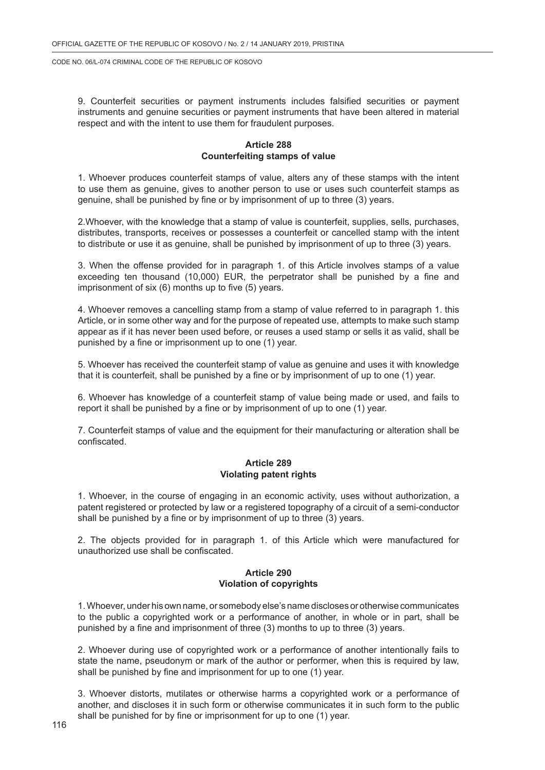9. Counterfeit securities or payment instruments includes falsified securities or payment instruments and genuine securities or payment instruments that have been altered in material respect and with the intent to use them for fraudulent purposes.

# **Article 288 Counterfeiting stamps of value**

1. Whoever produces counterfeit stamps of value, alters any of these stamps with the intent to use them as genuine, gives to another person to use or uses such counterfeit stamps as genuine, shall be punished by fine or by imprisonment of up to three (3) years.

2.Whoever, with the knowledge that a stamp of value is counterfeit, supplies, sells, purchases, distributes, transports, receives or possesses a counterfeit or cancelled stamp with the intent to distribute or use it as genuine, shall be punished by imprisonment of up to three (3) years.

3. When the offense provided for in paragraph 1. of this Article involves stamps of a value exceeding ten thousand (10,000) EUR, the perpetrator shall be punished by a fine and imprisonment of six (6) months up to five (5) years.

4. Whoever removes a cancelling stamp from a stamp of value referred to in paragraph 1. this Article, or in some other way and for the purpose of repeated use, attempts to make such stamp appear as if it has never been used before, or reuses a used stamp or sells it as valid, shall be punished by a fine or imprisonment up to one (1) year.

5. Whoever has received the counterfeit stamp of value as genuine and uses it with knowledge that it is counterfeit, shall be punished by a fine or by imprisonment of up to one (1) year.

6. Whoever has knowledge of a counterfeit stamp of value being made or used, and fails to report it shall be punished by a fine or by imprisonment of up to one (1) year.

7. Counterfeit stamps of value and the equipment for their manufacturing or alteration shall be confiscated.

### **Article 289 Violating patent rights**

1. Whoever, in the course of engaging in an economic activity, uses without authorization, a patent registered or protected by law or a registered topography of a circuit of a semi-conductor shall be punished by a fine or by imprisonment of up to three (3) years.

2. The objects provided for in paragraph 1. of this Article which were manufactured for unauthorized use shall be confiscated.

### **Article 290 Violation of copyrights**

1. Whoever, under his own name, or somebody else's name discloses or otherwise communicates to the public a copyrighted work or a performance of another, in whole or in part, shall be punished by a fine and imprisonment of three (3) months to up to three (3) years.

2. Whoever during use of copyrighted work or a performance of another intentionally fails to state the name, pseudonym or mark of the author or performer, when this is required by law, shall be punished by fine and imprisonment for up to one (1) year.

3. Whoever distorts, mutilates or otherwise harms a copyrighted work or a performance of another, and discloses it in such form or otherwise communicates it in such form to the public shall be punished for by fine or imprisonment for up to one (1) year.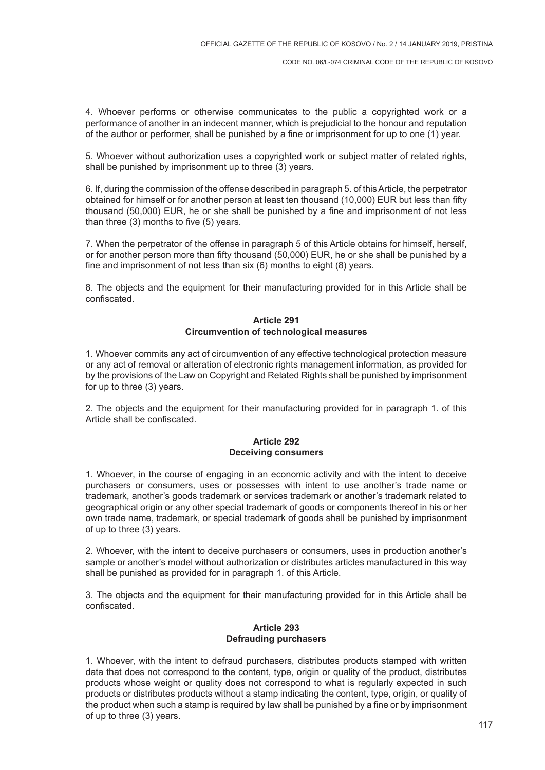4. Whoever performs or otherwise communicates to the public a copyrighted work or a performance of another in an indecent manner, which is prejudicial to the honour and reputation of the author or performer, shall be punished by a fine or imprisonment for up to one (1) year.

5. Whoever without authorization uses a copyrighted work or subject matter of related rights, shall be punished by imprisonment up to three (3) years.

6. If, during the commission of the offense described in paragraph 5. of this Article, the perpetrator obtained for himself or for another person at least ten thousand (10,000) EUR but less than fifty thousand (50,000) EUR, he or she shall be punished by a fine and imprisonment of not less than three (3) months to five (5) years.

7. When the perpetrator of the offense in paragraph 5 of this Article obtains for himself, herself, or for another person more than fifty thousand (50,000) EUR, he or she shall be punished by a fine and imprisonment of not less than six (6) months to eight (8) years.

8. The objects and the equipment for their manufacturing provided for in this Article shall be confiscated.

### **Article 291 Circumvention of technological measures**

1. Whoever commits any act of circumvention of any effective technological protection measure or any act of removal or alteration of electronic rights management information, as provided for by the provisions of the Law on Copyright and Related Rights shall be punished by imprisonment for up to three (3) years.

2. The objects and the equipment for their manufacturing provided for in paragraph 1. of this Article shall be confiscated.

#### **Article 292 Deceiving consumers**

1. Whoever, in the course of engaging in an economic activity and with the intent to deceive purchasers or consumers, uses or possesses with intent to use another's trade name or trademark, another's goods trademark or services trademark or another's trademark related to geographical origin or any other special trademark of goods or components thereof in his or her own trade name, trademark, or special trademark of goods shall be punished by imprisonment of up to three (3) years.

2. Whoever, with the intent to deceive purchasers or consumers, uses in production another's sample or another's model without authorization or distributes articles manufactured in this way shall be punished as provided for in paragraph 1. of this Article.

3. The objects and the equipment for their manufacturing provided for in this Article shall be confiscated.

# **Article 293 Defrauding purchasers**

1. Whoever, with the intent to defraud purchasers, distributes products stamped with written data that does not correspond to the content, type, origin or quality of the product, distributes products whose weight or quality does not correspond to what is regularly expected in such products or distributes products without a stamp indicating the content, type, origin, or quality of the product when such a stamp is required by law shall be punished by a fine or by imprisonment of up to three (3) years.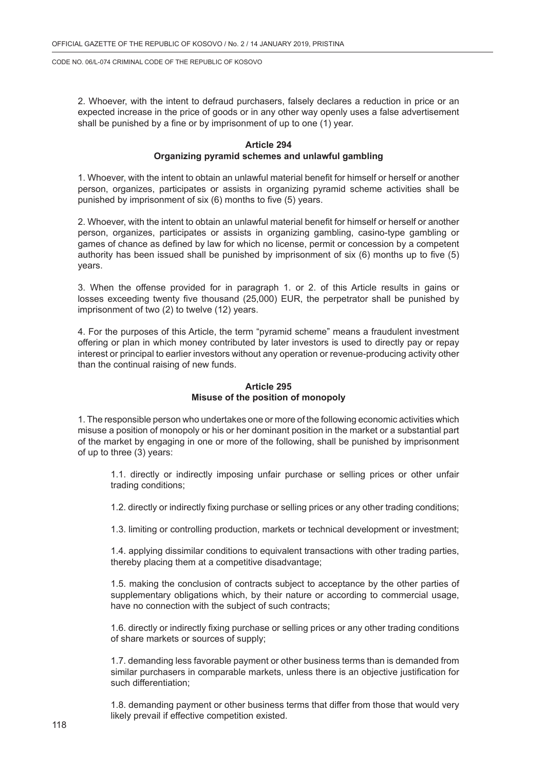2. Whoever, with the intent to defraud purchasers, falsely declares a reduction in price or an expected increase in the price of goods or in any other way openly uses a false advertisement shall be punished by a fine or by imprisonment of up to one (1) year.

### **Article 294 Organizing pyramid schemes and unlawful gambling**

1. Whoever, with the intent to obtain an unlawful material benefit for himself or herself or another person, organizes, participates or assists in organizing pyramid scheme activities shall be punished by imprisonment of six (6) months to five (5) years.

2. Whoever, with the intent to obtain an unlawful material benefit for himself or herself or another person, organizes, participates or assists in organizing gambling, casino-type gambling or games of chance as defined by law for which no license, permit or concession by a competent authority has been issued shall be punished by imprisonment of six (6) months up to five (5) years.

3. When the offense provided for in paragraph 1. or 2. of this Article results in gains or losses exceeding twenty five thousand (25,000) EUR, the perpetrator shall be punished by imprisonment of two (2) to twelve (12) years.

4. For the purposes of this Article, the term "pyramid scheme" means a fraudulent investment offering or plan in which money contributed by later investors is used to directly pay or repay interest or principal to earlier investors without any operation or revenue-producing activity other than the continual raising of new funds.

# **Article 295 Misuse of the position of monopoly**

1. The responsible person who undertakes one or more of the following economic activities which misuse a position of monopoly or his or her dominant position in the market or a substantial part of the market by engaging in one or more of the following, shall be punished by imprisonment of up to three (3) years:

1.1. directly or indirectly imposing unfair purchase or selling prices or other unfair trading conditions;

1.2. directly or indirectly fixing purchase or selling prices or any other trading conditions;

1.3. limiting or controlling production, markets or technical development or investment;

1.4. applying dissimilar conditions to equivalent transactions with other trading parties, thereby placing them at a competitive disadvantage;

1.5. making the conclusion of contracts subject to acceptance by the other parties of supplementary obligations which, by their nature or according to commercial usage, have no connection with the subject of such contracts;

1.6. directly or indirectly fixing purchase or selling prices or any other trading conditions of share markets or sources of supply;

1.7. demanding less favorable payment or other business terms than is demanded from similar purchasers in comparable markets, unless there is an objective justification for such differentiation;

1.8. demanding payment or other business terms that differ from those that would very likely prevail if effective competition existed.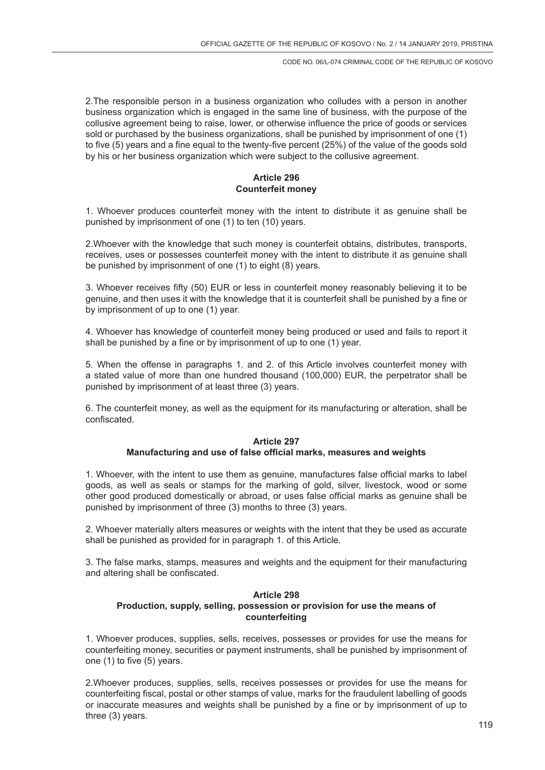2.The responsible person in a business organization who colludes with a person in another business organization which is engaged in the same line of business, with the purpose of the collusive agreement being to raise, lower, or otherwise influence the price of goods or services sold or purchased by the business organizations, shall be punished by imprisonment of one (1) to five (5) years and a fine equal to the twenty-five percent (25%) of the value of the goods sold by his or her business organization which were subject to the collusive agreement.

# **Article 296 Counterfeit money**

1. Whoever produces counterfeit money with the intent to distribute it as genuine shall be punished by imprisonment of one (1) to ten (10) years.

2.Whoever with the knowledge that such money is counterfeit obtains, distributes, transports, receives, uses or possesses counterfeit money with the intent to distribute it as genuine shall be punished by imprisonment of one (1) to eight (8) years.

3. Whoever receives fifty (50) EUR or less in counterfeit money reasonably believing it to be genuine, and then uses it with the knowledge that it is counterfeit shall be punished by a fine or by imprisonment of up to one (1) year.

4. Whoever has knowledge of counterfeit money being produced or used and fails to report it shall be punished by a fine or by imprisonment of up to one (1) year.

5. When the offense in paragraphs 1. and 2. of this Article involves counterfeit money with a stated value of more than one hundred thousand (100,000) EUR, the perpetrator shall be punished by imprisonment of at least three (3) years.

6. The counterfeit money, as well as the equipment for its manufacturing or alteration, shall be confiscated.

### **Article 297 Manufacturing and use of false official marks, measures and weights**

1. Whoever, with the intent to use them as genuine, manufactures false official marks to label goods, as well as seals or stamps for the marking of gold, silver, livestock, wood or some other good produced domestically or abroad, or uses false official marks as genuine shall be punished by imprisonment of three (3) months to three (3) years.

2. Whoever materially alters measures or weights with the intent that they be used as accurate shall be punished as provided for in paragraph 1. of this Article.

3. The false marks, stamps, measures and weights and the equipment for their manufacturing and altering shall be confiscated.

# **Article 298 Production, supply, selling, possession or provision for use the means of counterfeiting**

1. Whoever produces, supplies, sells, receives, possesses or provides for use the means for counterfeiting money, securities or payment instruments, shall be punished by imprisonment of one (1) to five (5) years.

2.Whoever produces, supplies, sells, receives possesses or provides for use the means for counterfeiting fiscal, postal or other stamps of value, marks for the fraudulent labelling of goods or inaccurate measures and weights shall be punished by a fine or by imprisonment of up to three (3) years.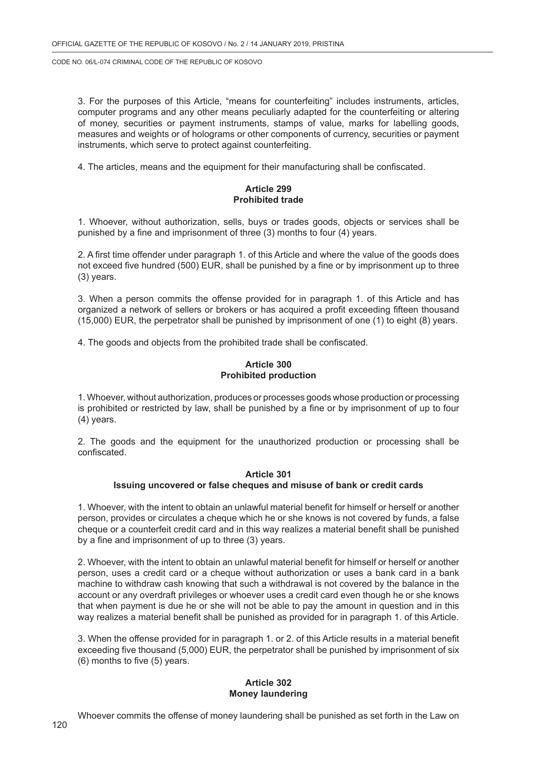3. For the purposes of this Article, "means for counterfeiting" includes instruments, articles, computer programs and any other means peculiarly adapted for the counterfeiting or altering of money, securities or payment instruments, stamps of value, marks for labelling goods, measures and weights or of holograms or other components of currency, securities or payment instruments, which serve to protect against counterfeiting.

4. The articles, means and the equipment for their manufacturing shall be confiscated.

### **Article 299 Prohibited trade**

1. Whoever, without authorization, sells, buys or trades goods, objects or services shall be punished by a fine and imprisonment of three (3) months to four (4) years.

2. A first time offender under paragraph 1. of this Article and where the value of the goods does not exceed five hundred (500) EUR, shall be punished by a fine or by imprisonment up to three (3) years.

3. When a person commits the offense provided for in paragraph 1. of this Article and has organized a network of sellers or brokers or has acquired a profit exceeding fifteen thousand  $(15,000)$  EUR, the perpetrator shall be punished by imprisonment of one  $(1)$  to eight  $(8)$  years.

4. The goods and objects from the prohibited trade shall be confiscated.

### **Article 300 Prohibited production**

1. Whoever, without authorization, produces or processes goods whose production or processing is prohibited or restricted by law, shall be punished by a fine or by imprisonment of up to four (4) years.

2. The goods and the equipment for the unauthorized production or processing shall be confiscated.

### **Article 301 Issuing uncovered or false cheques and misuse of bank or credit cards**

1. Whoever, with the intent to obtain an unlawful material benefit for himself or herself or another person, provides or circulates a cheque which he or she knows is not covered by funds, a false cheque or a counterfeit credit card and in this way realizes a material benefit shall be punished by a fine and imprisonment of up to three (3) years.

2. Whoever, with the intent to obtain an unlawful material benefit for himself or herself or another person, uses a credit card or a cheque without authorization or uses a bank card in a bank machine to withdraw cash knowing that such a withdrawal is not covered by the balance in the account or any overdraft privileges or whoever uses a credit card even though he or she knows that when payment is due he or she will not be able to pay the amount in question and in this way realizes a material benefit shall be punished as provided for in paragraph 1. of this Article.

3. When the offense provided for in paragraph 1. or 2. of this Article results in a material benefit exceeding five thousand (5,000) EUR, the perpetrator shall be punished by imprisonment of six (6) months to five (5) years.

#### **Article 302 Money laundering**

Whoever commits the offense of money laundering shall be punished as set forth in the Law on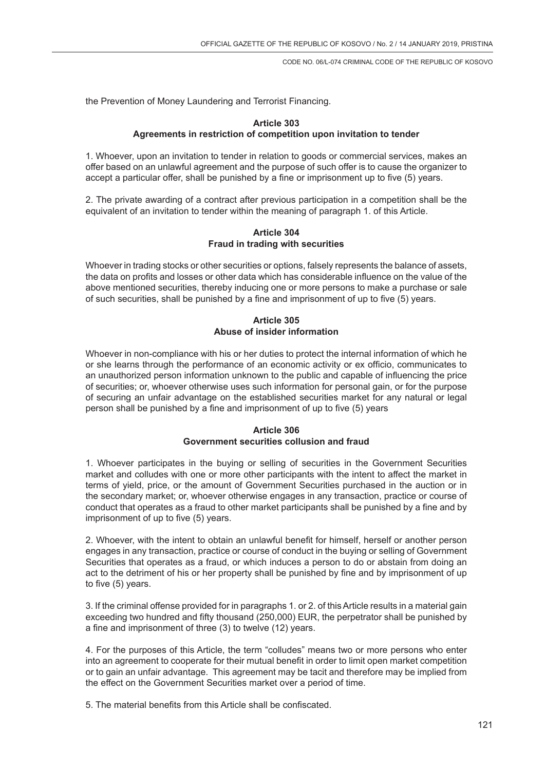the Prevention of Money Laundering and Terrorist Financing.

### **Article 303 Agreements in restriction of competition upon invitation to tender**

1. Whoever, upon an invitation to tender in relation to goods or commercial services, makes an offer based on an unlawful agreement and the purpose of such offer is to cause the organizer to accept a particular offer, shall be punished by a fine or imprisonment up to five (5) years.

2. The private awarding of a contract after previous participation in a competition shall be the equivalent of an invitation to tender within the meaning of paragraph 1. of this Article.

# **Article 304 Fraud in trading with securities**

Whoever in trading stocks or other securities or options, falsely represents the balance of assets, the data on profits and losses or other data which has considerable influence on the value of the above mentioned securities, thereby inducing one or more persons to make a purchase or sale of such securities, shall be punished by a fine and imprisonment of up to five (5) years.

# **Article 305 Abuse of insider information**

Whoever in non-compliance with his or her duties to protect the internal information of which he or she learns through the performance of an economic activity or ex officio, communicates to an unauthorized person information unknown to the public and capable of influencing the price of securities; or, whoever otherwise uses such information for personal gain, or for the purpose of securing an unfair advantage on the established securities market for any natural or legal person shall be punished by a fine and imprisonment of up to five (5) years

# **Article 306 Government securities collusion and fraud**

1. Whoever participates in the buying or selling of securities in the Government Securities market and colludes with one or more other participants with the intent to affect the market in terms of yield, price, or the amount of Government Securities purchased in the auction or in the secondary market; or, whoever otherwise engages in any transaction, practice or course of conduct that operates as a fraud to other market participants shall be punished by a fine and by imprisonment of up to five (5) years.

2. Whoever, with the intent to obtain an unlawful benefit for himself, herself or another person engages in any transaction, practice or course of conduct in the buying or selling of Government Securities that operates as a fraud, or which induces a person to do or abstain from doing an act to the detriment of his or her property shall be punished by fine and by imprisonment of up to five (5) years.

3. If the criminal offense provided for in paragraphs 1. or 2. of this Article results in a material gain exceeding two hundred and fifty thousand (250,000) EUR, the perpetrator shall be punished by a fine and imprisonment of three (3) to twelve (12) years.

4. For the purposes of this Article, the term "colludes" means two or more persons who enter into an agreement to cooperate for their mutual benefit in order to limit open market competition or to gain an unfair advantage. This agreement may be tacit and therefore may be implied from the effect on the Government Securities market over a period of time.

5. The material benefits from this Article shall be confiscated.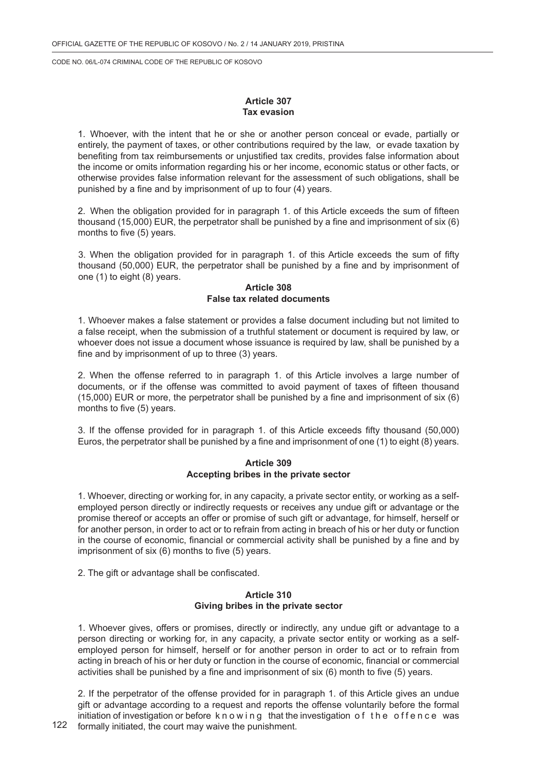# **Article 307 Tax evasion**

1. Whoever, with the intent that he or she or another person conceal or evade, partially or entirely, the payment of taxes, or other contributions required by the law, or evade taxation by benefiting from tax reimbursements or unjustified tax credits, provides false information about the income or omits information regarding his or her income, economic status or other facts, or otherwise provides false information relevant for the assessment of such obligations, shall be punished by a fine and by imprisonment of up to four (4) years.

2. When the obligation provided for in paragraph 1. of this Article exceeds the sum of fifteen thousand (15,000) EUR, the perpetrator shall be punished by a fine and imprisonment of six (6) months to five (5) years.

3. When the obligation provided for in paragraph 1. of this Article exceeds the sum of fifty thousand (50,000) EUR, the perpetrator shall be punished by a fine and by imprisonment of one (1) to eight (8) years.

# **Article 308 False tax related documents**

1. Whoever makes a false statement or provides a false document including but not limited to a false receipt, when the submission of a truthful statement or document is required by law, or whoever does not issue a document whose issuance is required by law, shall be punished by a fine and by imprisonment of up to three (3) years.

2. When the offense referred to in paragraph 1. of this Article involves a large number of documents, or if the offense was committed to avoid payment of taxes of fifteen thousand (15,000) EUR or more, the perpetrator shall be punished by a fine and imprisonment of six (6) months to five (5) years.

3. If the offense provided for in paragraph 1. of this Article exceeds fifty thousand (50,000) Euros, the perpetrator shall be punished by a fine and imprisonment of one (1) to eight (8) years.

### **Article 309 Accepting bribes in the private sector**

1. Whoever, directing or working for, in any capacity, a private sector entity, or working as a selfemployed person directly or indirectly requests or receives any undue gift or advantage or the promise thereof or accepts an offer or promise of such gift or advantage, for himself, herself or for another person, in order to act or to refrain from acting in breach of his or her duty or function in the course of economic, financial or commercial activity shall be punished by a fine and by imprisonment of six (6) months to five (5) years.

2. The gift or advantage shall be confiscated.

### **Article 310 Giving bribes in the private sector**

1. Whoever gives, offers or promises, directly or indirectly, any undue gift or advantage to a person directing or working for, in any capacity, a private sector entity or working as a selfemployed person for himself, herself or for another person in order to act or to refrain from acting in breach of his or her duty or function in the course of economic, financial or commercial activities shall be punished by a fine and imprisonment of six (6) month to five (5) years.

2. If the perpetrator of the offense provided for in paragraph 1. of this Article gives an undue gift or advantage according to a request and reports the offense voluntarily before the formal initiation of investigation or before knowing that the investigation of the offence was formally initiated, the court may waive the punishment.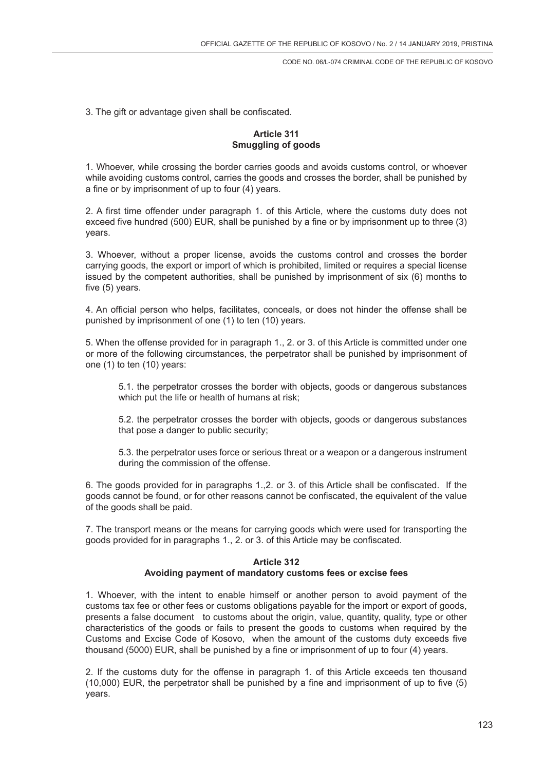3. The gift or advantage given shall be confiscated.

# **Article 311 Smuggling of goods**

1. Whoever, while crossing the border carries goods and avoids customs control, or whoever while avoiding customs control, carries the goods and crosses the border, shall be punished by a fine or by imprisonment of up to four (4) years.

2. A first time offender under paragraph 1. of this Article, where the customs duty does not exceed five hundred (500) EUR, shall be punished by a fine or by imprisonment up to three (3) years.

3. Whoever, without a proper license, avoids the customs control and crosses the border carrying goods, the export or import of which is prohibited, limited or requires a special license issued by the competent authorities, shall be punished by imprisonment of six (6) months to five (5) years.

4. An official person who helps, facilitates, conceals, or does not hinder the offense shall be punished by imprisonment of one (1) to ten (10) years.

5. When the offense provided for in paragraph 1., 2. or 3. of this Article is committed under one or more of the following circumstances, the perpetrator shall be punished by imprisonment of one (1) to ten (10) years:

5.1. the perpetrator crosses the border with objects, goods or dangerous substances which put the life or health of humans at risk;

5.2. the perpetrator crosses the border with objects, goods or dangerous substances that pose a danger to public security;

5.3. the perpetrator uses force or serious threat or a weapon or a dangerous instrument during the commission of the offense.

6. The goods provided for in paragraphs 1.,2. or 3. of this Article shall be confiscated. If the goods cannot be found, or for other reasons cannot be confiscated, the equivalent of the value of the goods shall be paid.

7. The transport means or the means for carrying goods which were used for transporting the goods provided for in paragraphs 1., 2. or 3. of this Article may be confiscated.

# **Article 312 Avoiding payment of mandatory customs fees or excise fees**

1. Whoever, with the intent to enable himself or another person to avoid payment of the customs tax fee or other fees or customs obligations payable for the import or export of goods, presents a false document to customs about the origin, value, quantity, quality, type or other characteristics of the goods or fails to present the goods to customs when required by the Customs and Excise Code of Kosovo, when the amount of the customs duty exceeds five thousand (5000) EUR, shall be punished by a fine or imprisonment of up to four (4) years.

2. If the customs duty for the offense in paragraph 1. of this Article exceeds ten thousand (10,000) EUR, the perpetrator shall be punished by a fine and imprisonment of up to five (5) years.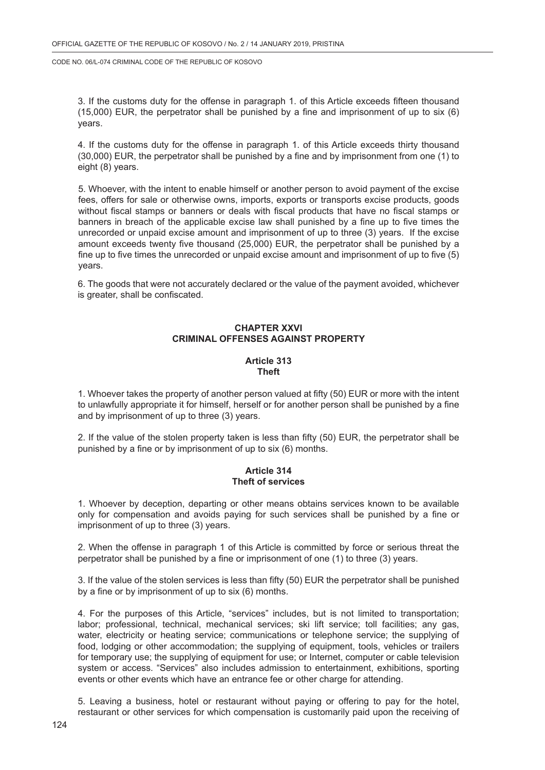3. If the customs duty for the offense in paragraph 1. of this Article exceeds fifteen thousand (15,000) EUR, the perpetrator shall be punished by a fine and imprisonment of up to six (6) years.

4. If the customs duty for the offense in paragraph 1. of this Article exceeds thirty thousand (30,000) EUR, the perpetrator shall be punished by a fine and by imprisonment from one (1) to eight (8) years.

5. Whoever, with the intent to enable himself or another person to avoid payment of the excise fees, offers for sale or otherwise owns, imports, exports or transports excise products, goods without fiscal stamps or banners or deals with fiscal products that have no fiscal stamps or banners in breach of the applicable excise law shall punished by a fine up to five times the unrecorded or unpaid excise amount and imprisonment of up to three (3) years. If the excise amount exceeds twenty five thousand (25,000) EUR, the perpetrator shall be punished by a fine up to five times the unrecorded or unpaid excise amount and imprisonment of up to five (5) years.

6. The goods that were not accurately declared or the value of the payment avoided, whichever is greater, shall be confiscated.

# **CHAPTER XXVI CRIMINAL OFFENSES AGAINST PROPERTY**

### **Article 313 Theft**

1. Whoever takes the property of another person valued at fifty (50) EUR or more with the intent to unlawfully appropriate it for himself, herself or for another person shall be punished by a fine and by imprisonment of up to three (3) years.

2. If the value of the stolen property taken is less than fifty (50) EUR, the perpetrator shall be punished by a fine or by imprisonment of up to six (6) months.

### **Article 314 Theft of services**

1. Whoever by deception, departing or other means obtains services known to be available only for compensation and avoids paying for such services shall be punished by a fine or imprisonment of up to three (3) years.

2. When the offense in paragraph 1 of this Article is committed by force or serious threat the perpetrator shall be punished by a fine or imprisonment of one (1) to three (3) years.

3. If the value of the stolen services is less than fifty (50) EUR the perpetrator shall be punished by a fine or by imprisonment of up to six (6) months.

4. For the purposes of this Article, "services" includes, but is not limited to transportation; labor; professional, technical, mechanical services; ski lift service; toll facilities; any gas, water, electricity or heating service; communications or telephone service; the supplying of food, lodging or other accommodation; the supplying of equipment, tools, vehicles or trailers for temporary use; the supplying of equipment for use; or Internet, computer or cable television system or access. "Services" also includes admission to entertainment, exhibitions, sporting events or other events which have an entrance fee or other charge for attending.

5. Leaving a business, hotel or restaurant without paying or offering to pay for the hotel, restaurant or other services for which compensation is customarily paid upon the receiving of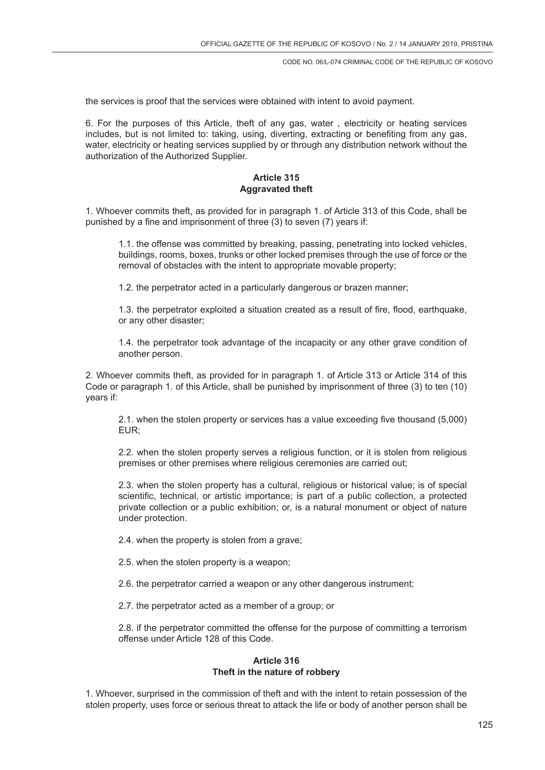the services is proof that the services were obtained with intent to avoid payment.

6. For the purposes of this Article, theft of any gas, water , electricity or heating services includes, but is not limited to: taking, using, diverting, extracting or benefiting from any gas, water, electricity or heating services supplied by or through any distribution network without the authorization of the Authorized Supplier.

### **Article 315 Aggravated theft**

1. Whoever commits theft, as provided for in paragraph 1. of Article 313 of this Code, shall be punished by a fine and imprisonment of three (3) to seven (7) years if:

1.1. the offense was committed by breaking, passing, penetrating into locked vehicles, buildings, rooms, boxes, trunks or other locked premises through the use of force or the removal of obstacles with the intent to appropriate movable property;

1.2. the perpetrator acted in a particularly dangerous or brazen manner;

1.3. the perpetrator exploited a situation created as a result of fire, flood, earthquake, or any other disaster;

1.4. the perpetrator took advantage of the incapacity or any other grave condition of another person.

2. Whoever commits theft, as provided for in paragraph 1. of Article 313 or Article 314 of this Code or paragraph 1. of this Article, shall be punished by imprisonment of three (3) to ten (10) years if:

2.1. when the stolen property or services has a value exceeding five thousand (5,000) EUR;

2.2. when the stolen property serves a religious function, or it is stolen from religious premises or other premises where religious ceremonies are carried out;

2.3. when the stolen property has a cultural, religious or historical value; is of special scientific, technical, or artistic importance; is part of a public collection, a protected private collection or a public exhibition; or, is a natural monument or object of nature under protection.

2.4. when the property is stolen from a grave;

2.5. when the stolen property is a weapon;

- 2.6. the perpetrator carried a weapon or any other dangerous instrument;
- 2.7. the perpetrator acted as a member of a group; or

2.8. if the perpetrator committed the offense for the purpose of committing a terrorism offense under Article 128 of this Code.

# **Article 316 Theft in the nature of robbery**

1. Whoever, surprised in the commission of theft and with the intent to retain possession of the stolen property, uses force or serious threat to attack the life or body of another person shall be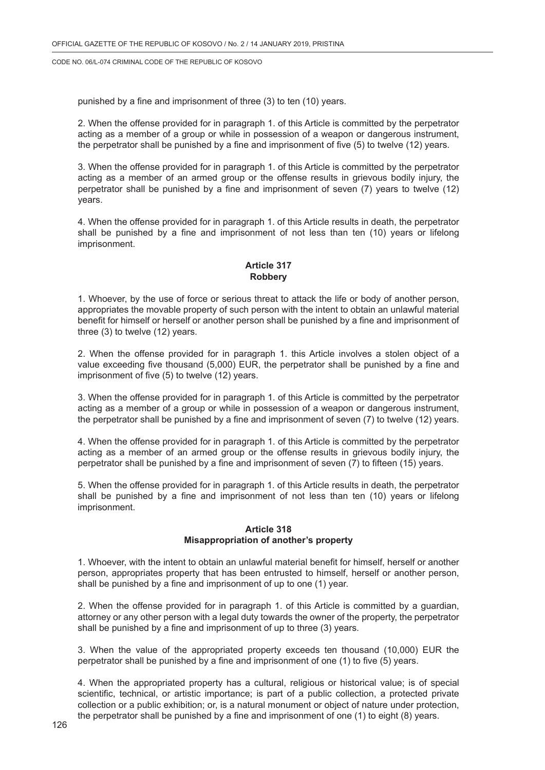punished by a fine and imprisonment of three (3) to ten (10) years.

2. When the offense provided for in paragraph 1. of this Article is committed by the perpetrator acting as a member of a group or while in possession of a weapon or dangerous instrument, the perpetrator shall be punished by a fine and imprisonment of five (5) to twelve (12) years.

3. When the offense provided for in paragraph 1. of this Article is committed by the perpetrator acting as a member of an armed group or the offense results in grievous bodily injury, the perpetrator shall be punished by a fine and imprisonment of seven (7) years to twelve (12) years.

4. When the offense provided for in paragraph 1. of this Article results in death, the perpetrator shall be punished by a fine and imprisonment of not less than ten (10) years or lifelong imprisonment.

# **Article 317 Robbery**

1. Whoever, by the use of force or serious threat to attack the life or body of another person, appropriates the movable property of such person with the intent to obtain an unlawful material benefit for himself or herself or another person shall be punished by a fine and imprisonment of three (3) to twelve (12) years.

2. When the offense provided for in paragraph 1. this Article involves a stolen object of a value exceeding five thousand (5,000) EUR, the perpetrator shall be punished by a fine and imprisonment of five (5) to twelve (12) years.

3. When the offense provided for in paragraph 1. of this Article is committed by the perpetrator acting as a member of a group or while in possession of a weapon or dangerous instrument, the perpetrator shall be punished by a fine and imprisonment of seven (7) to twelve (12) years.

4. When the offense provided for in paragraph 1. of this Article is committed by the perpetrator acting as a member of an armed group or the offense results in grievous bodily injury, the perpetrator shall be punished by a fine and imprisonment of seven (7) to fifteen (15) years.

5. When the offense provided for in paragraph 1. of this Article results in death, the perpetrator shall be punished by a fine and imprisonment of not less than ten (10) years or lifelong imprisonment.

# **Article 318 Misappropriation of another's property**

1. Whoever, with the intent to obtain an unlawful material benefit for himself, herself or another person, appropriates property that has been entrusted to himself, herself or another person, shall be punished by a fine and imprisonment of up to one (1) year.

2. When the offense provided for in paragraph 1. of this Article is committed by a guardian, attorney or any other person with a legal duty towards the owner of the property, the perpetrator shall be punished by a fine and imprisonment of up to three (3) years.

3. When the value of the appropriated property exceeds ten thousand (10,000) EUR the perpetrator shall be punished by a fine and imprisonment of one (1) to five (5) years.

4. When the appropriated property has a cultural, religious or historical value; is of special scientific, technical, or artistic importance; is part of a public collection, a protected private collection or a public exhibition; or, is a natural monument or object of nature under protection, the perpetrator shall be punished by a fine and imprisonment of one (1) to eight (8) years.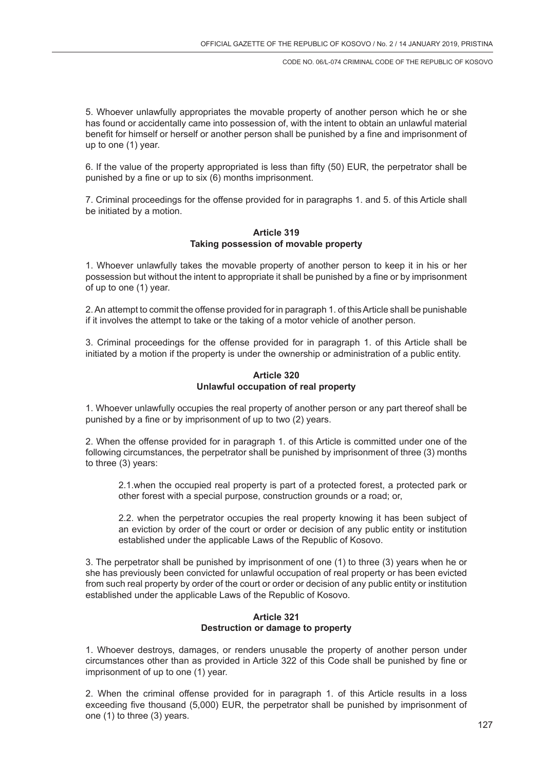5. Whoever unlawfully appropriates the movable property of another person which he or she has found or accidentally came into possession of, with the intent to obtain an unlawful material benefit for himself or herself or another person shall be punished by a fine and imprisonment of up to one (1) year.

6. If the value of the property appropriated is less than fifty (50) EUR, the perpetrator shall be punished by a fine or up to six (6) months imprisonment.

7. Criminal proceedings for the offense provided for in paragraphs 1. and 5. of this Article shall be initiated by a motion.

### **Article 319 Taking possession of movable property**

1. Whoever unlawfully takes the movable property of another person to keep it in his or her possession but without the intent to appropriate it shall be punished by a fine or by imprisonment of up to one (1) year.

2. An attempt to commit the offense provided for in paragraph 1. of this Article shall be punishable if it involves the attempt to take or the taking of a motor vehicle of another person.

3. Criminal proceedings for the offense provided for in paragraph 1. of this Article shall be initiated by a motion if the property is under the ownership or administration of a public entity.

# **Article 320 Unlawful occupation of real property**

1. Whoever unlawfully occupies the real property of another person or any part thereof shall be punished by a fine or by imprisonment of up to two (2) years.

2. When the offense provided for in paragraph 1. of this Article is committed under one of the following circumstances, the perpetrator shall be punished by imprisonment of three (3) months to three (3) years:

2.1.when the occupied real property is part of a protected forest, a protected park or other forest with a special purpose, construction grounds or a road; or,

2.2. when the perpetrator occupies the real property knowing it has been subject of an eviction by order of the court or order or decision of any public entity or institution established under the applicable Laws of the Republic of Kosovo.

3. The perpetrator shall be punished by imprisonment of one (1) to three (3) years when he or she has previously been convicted for unlawful occupation of real property or has been evicted from such real property by order of the court or order or decision of any public entity or institution established under the applicable Laws of the Republic of Kosovo.

# **Article 321 Destruction or damage to property**

1. Whoever destroys, damages, or renders unusable the property of another person under circumstances other than as provided in Article 322 of this Code shall be punished by fine or imprisonment of up to one (1) year.

2. When the criminal offense provided for in paragraph 1. of this Article results in a loss exceeding five thousand (5,000) EUR, the perpetrator shall be punished by imprisonment of one (1) to three (3) years.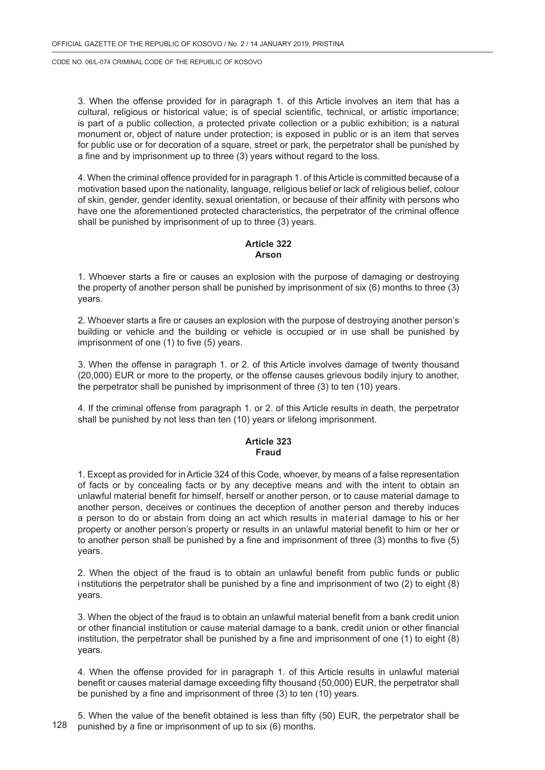3. When the offense provided for in paragraph 1. of this Article involves an item that has a cultural, religious or historical value; is of special scientific, technical, or artistic importance; is part of a public collection, a protected private collection or a public exhibition; is a natural monument or, object of nature under protection; is exposed in public or is an item that serves for public use or for decoration of a square, street or park, the perpetrator shall be punished by a fine and by imprisonment up to three (3) years without regard to the loss.

4. When the criminal offence provided for in paragraph 1. of this Article is committed because of a motivation based upon the nationality, language, religious belief or lack of religious belief, colour of skin, gender, gender identity, sexual orientation, or because of their affinity with persons who have one the aforementioned protected characteristics, the perpetrator of the criminal offence shall be punished by imprisonment of up to three (3) years.

# **Article 322 Arson**

1. Whoever starts a fire or causes an explosion with the purpose of damaging or destroying the property of another person shall be punished by imprisonment of six (6) months to three (3) years.

2. Whoever starts a fire or causes an explosion with the purpose of destroying another person's building or vehicle and the building or vehicle is occupied or in use shall be punished by imprisonment of one (1) to five (5) years.

3. When the offense in paragraph 1. or 2. of this Article involves damage of twenty thousand (20,000) EUR or more to the property, or the offense causes grievous bodily injury to another, the perpetrator shall be punished by imprisonment of three (3) to ten (10) years.

4. If the criminal offense from paragraph 1. or 2. of this Article results in death, the perpetrator shall be punished by not less than ten (10) years or lifelong imprisonment.

#### **Article 323 Fraud**

1. Except as provided for in Article 324 of this Code, whoever, by means of a false representation of facts or by concealing facts or by any deceptive means and with the intent to obtain an unlawful material benefit for himself, herself or another person, or to cause material damage to another person, deceives or continues the deception of another person and thereby induces a person to do or abstain from doing an act which results in material damage to his or her property or another person's property or results in an unlawful material benefit to him or her or to another person shall be punished by a fine and imprisonment of three (3) months to five (5) years.

2. When the object of the fraud is to obtain an unlawful benefit from public funds or public i nstitutions the perpetrator shall be punished by a fine and imprisonment of two (2) to eight (8) years.

3. When the object of the fraud is to obtain an unlawful material benefit from a bank credit union or other financial institution or cause material damage to a bank, credit union or other financial institution, the perpetrator shall be punished by a fine and imprisonment of one (1) to eight (8) years.

4. When the offense provided for in paragraph 1. of this Article results in unlawful material benefit or causes material damage exceeding fifty thousand (50,000) EUR, the perpetrator shall be punished by a fine and imprisonment of three (3) to ten (10) years.

128 5. When the value of the benefit obtained is less than fifty (50) EUR, the perpetrator shall be punished by a fine or imprisonment of up to six (6) months.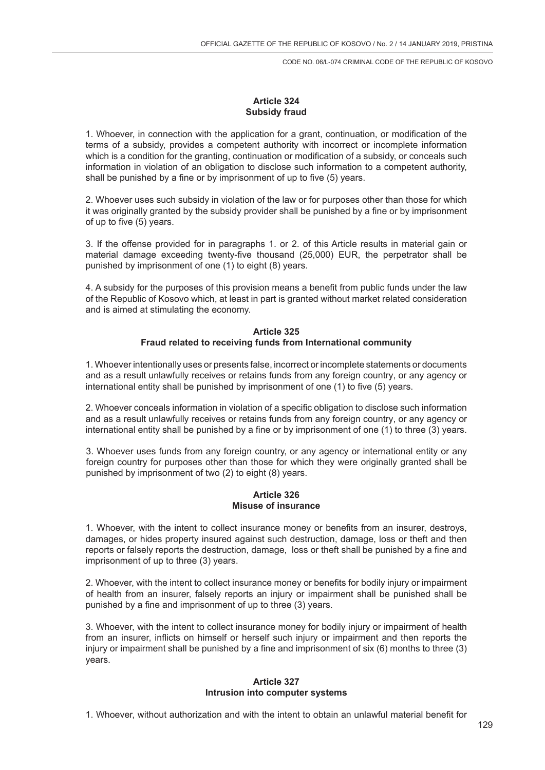# **Article 324 Subsidy fraud**

1. Whoever, in connection with the application for a grant, continuation, or modification of the terms of a subsidy, provides a competent authority with incorrect or incomplete information which is a condition for the granting, continuation or modification of a subsidy, or conceals such information in violation of an obligation to disclose such information to a competent authority, shall be punished by a fine or by imprisonment of up to five (5) years.

2. Whoever uses such subsidy in violation of the law or for purposes other than those for which it was originally granted by the subsidy provider shall be punished by a fine or by imprisonment of up to five (5) years.

3. If the offense provided for in paragraphs 1. or 2. of this Article results in material gain or material damage exceeding twenty-five thousand (25,000) EUR, the perpetrator shall be punished by imprisonment of one (1) to eight (8) years.

4. A subsidy for the purposes of this provision means a benefit from public funds under the law of the Republic of Kosovo which, at least in part is granted without market related consideration and is aimed at stimulating the economy.

# **Article 325 Fraud related to receiving funds from International community**

1. Whoever intentionally uses or presents false, incorrect or incomplete statements or documents and as a result unlawfully receives or retains funds from any foreign country, or any agency or international entity shall be punished by imprisonment of one (1) to five (5) years.

2. Whoever conceals information in violation of a specific obligation to disclose such information and as a result unlawfully receives or retains funds from any foreign country, or any agency or international entity shall be punished by a fine or by imprisonment of one (1) to three (3) years.

3. Whoever uses funds from any foreign country, or any agency or international entity or any foreign country for purposes other than those for which they were originally granted shall be punished by imprisonment of two (2) to eight (8) years.

### **Article 326 Misuse of insurance**

1. Whoever, with the intent to collect insurance money or benefits from an insurer, destroys, damages, or hides property insured against such destruction, damage, loss or theft and then reports or falsely reports the destruction, damage, loss or theft shall be punished by a fine and imprisonment of up to three (3) years.

2. Whoever, with the intent to collect insurance money or benefits for bodily injury or impairment of health from an insurer, falsely reports an injury or impairment shall be punished shall be punished by a fine and imprisonment of up to three (3) years.

3. Whoever, with the intent to collect insurance money for bodily injury or impairment of health from an insurer, inflicts on himself or herself such injury or impairment and then reports the injury or impairment shall be punished by a fine and imprisonment of six (6) months to three (3) years.

#### **Article 327 Intrusion into computer systems**

1. Whoever, without authorization and with the intent to obtain an unlawful material benefit for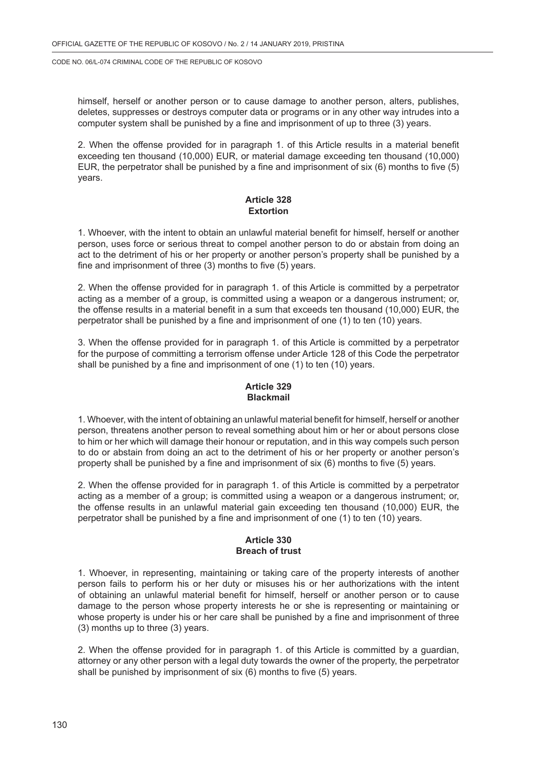himself, herself or another person or to cause damage to another person, alters, publishes, deletes, suppresses or destroys computer data or programs or in any other way intrudes into a computer system shall be punished by a fine and imprisonment of up to three (3) years.

2. When the offense provided for in paragraph 1. of this Article results in a material benefit exceeding ten thousand (10,000) EUR, or material damage exceeding ten thousand (10,000) EUR, the perpetrator shall be punished by a fine and imprisonment of six (6) months to five (5) years.

# **Article 328 Extortion**

1. Whoever, with the intent to obtain an unlawful material benefit for himself, herself or another person, uses force or serious threat to compel another person to do or abstain from doing an act to the detriment of his or her property or another person's property shall be punished by a fine and imprisonment of three (3) months to five (5) years.

2. When the offense provided for in paragraph 1. of this Article is committed by a perpetrator acting as a member of a group, is committed using a weapon or a dangerous instrument; or, the offense results in a material benefit in a sum that exceeds ten thousand (10,000) EUR, the perpetrator shall be punished by a fine and imprisonment of one (1) to ten (10) years.

3. When the offense provided for in paragraph 1. of this Article is committed by a perpetrator for the purpose of committing a terrorism offense under Article 128 of this Code the perpetrator shall be punished by a fine and imprisonment of one (1) to ten (10) years.

# **Article 329 Blackmail**

1. Whoever, with the intent of obtaining an unlawful material benefit for himself, herself or another person, threatens another person to reveal something about him or her or about persons close to him or her which will damage their honour or reputation, and in this way compels such person to do or abstain from doing an act to the detriment of his or her property or another person's property shall be punished by a fine and imprisonment of six (6) months to five (5) years.

2. When the offense provided for in paragraph 1. of this Article is committed by a perpetrator acting as a member of a group; is committed using a weapon or a dangerous instrument; or, the offense results in an unlawful material gain exceeding ten thousand (10,000) EUR, the perpetrator shall be punished by a fine and imprisonment of one (1) to ten (10) years.

### **Article 330 Breach of trust**

1. Whoever, in representing, maintaining or taking care of the property interests of another person fails to perform his or her duty or misuses his or her authorizations with the intent of obtaining an unlawful material benefit for himself, herself or another person or to cause damage to the person whose property interests he or she is representing or maintaining or whose property is under his or her care shall be punished by a fine and imprisonment of three (3) months up to three (3) years.

2. When the offense provided for in paragraph 1. of this Article is committed by a guardian, attorney or any other person with a legal duty towards the owner of the property, the perpetrator shall be punished by imprisonment of six (6) months to five (5) years.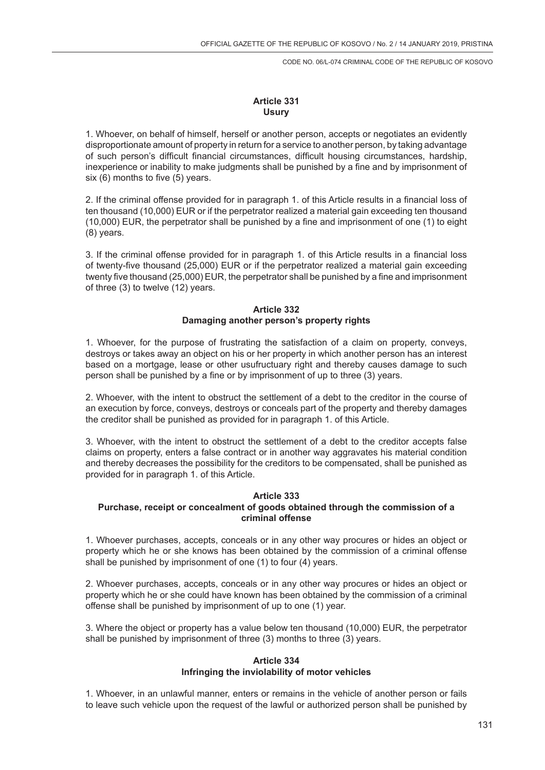# **Article 331 Usury**

1. Whoever, on behalf of himself, herself or another person, accepts or negotiates an evidently disproportionate amount of property in return for a service to another person, by taking advantage of such person's difficult financial circumstances, difficult housing circumstances, hardship, inexperience or inability to make judgments shall be punished by a fine and by imprisonment of six (6) months to five (5) years.

2. If the criminal offense provided for in paragraph 1. of this Article results in a financial loss of ten thousand (10,000) EUR or if the perpetrator realized a material gain exceeding ten thousand (10,000) EUR, the perpetrator shall be punished by a fine and imprisonment of one (1) to eight (8) years.

3. If the criminal offense provided for in paragraph 1. of this Article results in a financial loss of twenty-five thousand (25,000) EUR or if the perpetrator realized a material gain exceeding twenty five thousand (25,000) EUR, the perpetrator shall be punished by a fine and imprisonment of three (3) to twelve (12) years.

# **Article 332 Damaging another person's property rights**

1. Whoever, for the purpose of frustrating the satisfaction of a claim on property, conveys, destroys or takes away an object on his or her property in which another person has an interest based on a mortgage, lease or other usufructuary right and thereby causes damage to such person shall be punished by a fine or by imprisonment of up to three (3) years.

2. Whoever, with the intent to obstruct the settlement of a debt to the creditor in the course of an execution by force, conveys, destroys or conceals part of the property and thereby damages the creditor shall be punished as provided for in paragraph 1. of this Article.

3. Whoever, with the intent to obstruct the settlement of a debt to the creditor accepts false claims on property, enters a false contract or in another way aggravates his material condition and thereby decreases the possibility for the creditors to be compensated, shall be punished as provided for in paragraph 1. of this Article.

# **Article 333**

# **Purchase, receipt or concealment of goods obtained through the commission of a criminal offense**

1. Whoever purchases, accepts, conceals or in any other way procures or hides an object or property which he or she knows has been obtained by the commission of a criminal offense shall be punished by imprisonment of one (1) to four (4) years.

2. Whoever purchases, accepts, conceals or in any other way procures or hides an object or property which he or she could have known has been obtained by the commission of a criminal offense shall be punished by imprisonment of up to one (1) year.

3. Where the object or property has a value below ten thousand (10,000) EUR, the perpetrator shall be punished by imprisonment of three (3) months to three (3) years.

# **Article 334 Infringing the inviolability of motor vehicles**

1. Whoever, in an unlawful manner, enters or remains in the vehicle of another person or fails to leave such vehicle upon the request of the lawful or authorized person shall be punished by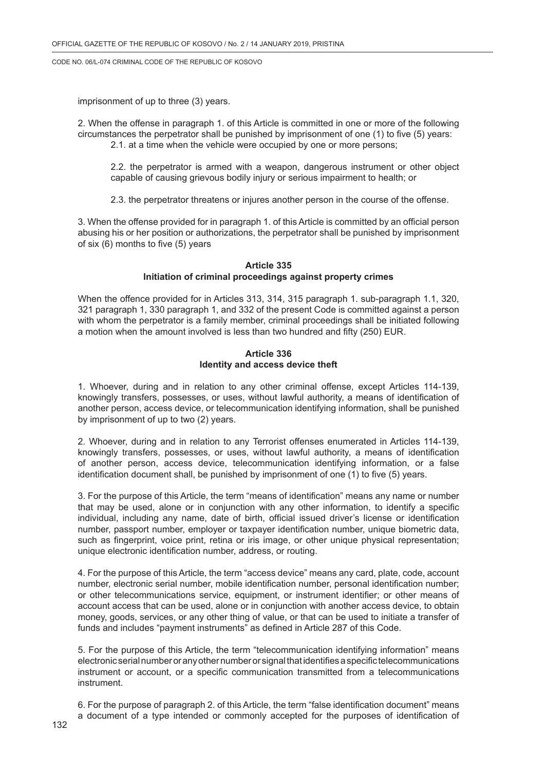imprisonment of up to three (3) years.

2. When the offense in paragraph 1. of this Article is committed in one or more of the following circumstances the perpetrator shall be punished by imprisonment of one (1) to five (5) years: 2.1. at a time when the vehicle were occupied by one or more persons;

2.2. the perpetrator is armed with a weapon, dangerous instrument or other object capable of causing grievous bodily injury or serious impairment to health; or

2.3. the perpetrator threatens or injures another person in the course of the offense.

3. When the offense provided for in paragraph 1. of this Article is committed by an official person abusing his or her position or authorizations, the perpetrator shall be punished by imprisonment of six (6) months to five (5) years

# **Article 335 Initiation of criminal proceedings against property crimes**

When the offence provided for in Articles 313, 314, 315 paragraph 1. sub-paragraph 1.1, 320, 321 paragraph 1, 330 paragraph 1, and 332 of the present Code is committed against a person with whom the perpetrator is a family member, criminal proceedings shall be initiated following a motion when the amount involved is less than two hundred and fifty (250) EUR.

### **Article 336 Identity and access device theft**

1. Whoever, during and in relation to any other criminal offense, except Articles 114-139, knowingly transfers, possesses, or uses, without lawful authority, a means of identification of another person, access device, or telecommunication identifying information, shall be punished by imprisonment of up to two (2) years.

2. Whoever, during and in relation to any Terrorist offenses enumerated in Articles 114-139, knowingly transfers, possesses, or uses, without lawful authority, a means of identification of another person, access device, telecommunication identifying information, or a false identification document shall, be punished by imprisonment of one (1) to five (5) years.

3. For the purpose of this Article, the term "means of identification" means any name or number that may be used, alone or in conjunction with any other information, to identify a specific individual, including any name, date of birth, official issued driver's license or identification number, passport number, employer or taxpayer identification number, unique biometric data, such as fingerprint, voice print, retina or iris image, or other unique physical representation; unique electronic identification number, address, or routing.

4. For the purpose of this Article, the term "access device" means any card, plate, code, account number, electronic serial number, mobile identification number, personal identification number; or other telecommunications service, equipment, or instrument identifier; or other means of account access that can be used, alone or in conjunction with another access device, to obtain money, goods, services, or any other thing of value, or that can be used to initiate a transfer of funds and includes "payment instruments" as defined in Article 287 of this Code.

5. For the purpose of this Article, the term "telecommunication identifying information" means electronic serial number or any other number or signal that identifies a specific telecommunications instrument or account, or a specific communication transmitted from a telecommunications instrument.

6. For the purpose of paragraph 2. of this Article, the term "false identification document" means a document of a type intended or commonly accepted for the purposes of identification of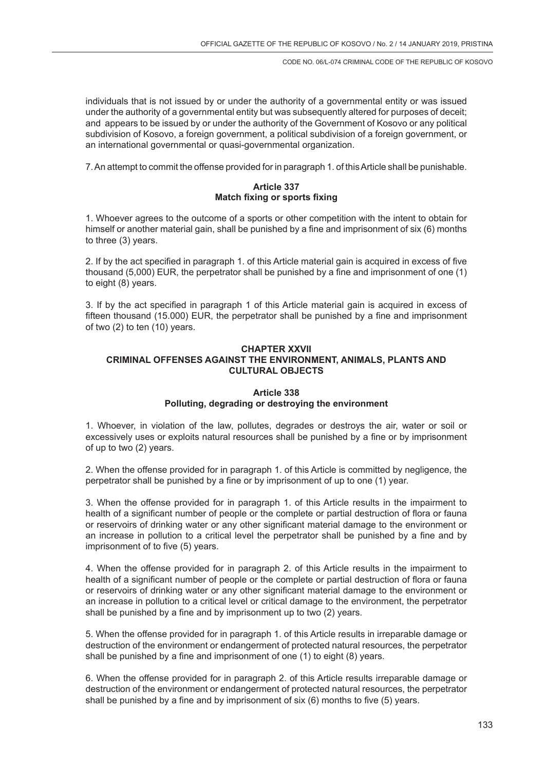individuals that is not issued by or under the authority of a governmental entity or was issued under the authority of a governmental entity but was subsequently altered for purposes of deceit; and appears to be issued by or under the authority of the Government of Kosovo or any political subdivision of Kosovo, a foreign government, a political subdivision of a foreign government, or an international governmental or quasi-governmental organization.

7. An attempt to commit the offense provided for in paragraph 1. of this Article shall be punishable.

### **Article 337 Match fixing or sports fixing**

1. Whoever agrees to the outcome of a sports or other competition with the intent to obtain for himself or another material gain, shall be punished by a fine and imprisonment of six (6) months to three (3) years.

2. If by the act specified in paragraph 1. of this Article material gain is acquired in excess of five thousand (5,000) EUR, the perpetrator shall be punished by a fine and imprisonment of one (1) to eight (8) years.

3. If by the act specified in paragraph 1 of this Article material gain is acquired in excess of fifteen thousand (15.000) EUR, the perpetrator shall be punished by a fine and imprisonment of two (2) to ten (10) years.

# **CHAPTER XXVII CRIMINAL OFFENSES AGAINST THE ENVIRONMENT, ANIMALS, PLANTS AND CULTURAL OBJECTS**

# **Article 338 Polluting, degrading or destroying the environment**

1. Whoever, in violation of the law, pollutes, degrades or destroys the air, water or soil or excessively uses or exploits natural resources shall be punished by a fine or by imprisonment of up to two (2) years.

2. When the offense provided for in paragraph 1. of this Article is committed by negligence, the perpetrator shall be punished by a fine or by imprisonment of up to one (1) year.

3. When the offense provided for in paragraph 1. of this Article results in the impairment to health of a significant number of people or the complete or partial destruction of flora or fauna or reservoirs of drinking water or any other significant material damage to the environment or an increase in pollution to a critical level the perpetrator shall be punished by a fine and by imprisonment of to five (5) years.

4. When the offense provided for in paragraph 2. of this Article results in the impairment to health of a significant number of people or the complete or partial destruction of flora or fauna or reservoirs of drinking water or any other significant material damage to the environment or an increase in pollution to a critical level or critical damage to the environment, the perpetrator shall be punished by a fine and by imprisonment up to two (2) years.

5. When the offense provided for in paragraph 1. of this Article results in irreparable damage or destruction of the environment or endangerment of protected natural resources, the perpetrator shall be punished by a fine and imprisonment of one (1) to eight (8) years.

6. When the offense provided for in paragraph 2. of this Article results irreparable damage or destruction of the environment or endangerment of protected natural resources, the perpetrator shall be punished by a fine and by imprisonment of six (6) months to five (5) years.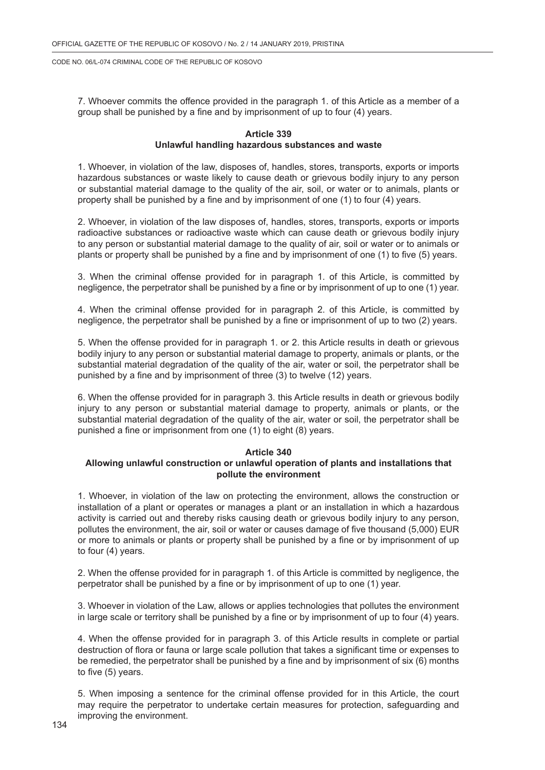7. Whoever commits the offence provided in the paragraph 1. of this Article as a member of a group shall be punished by a fine and by imprisonment of up to four (4) years.

#### **Article 339 Unlawful handling hazardous substances and waste**

1. Whoever, in violation of the law, disposes of, handles, stores, transports, exports or imports hazardous substances or waste likely to cause death or grievous bodily injury to any person or substantial material damage to the quality of the air, soil, or water or to animals, plants or property shall be punished by a fine and by imprisonment of one (1) to four (4) years.

2. Whoever, in violation of the law disposes of, handles, stores, transports, exports or imports radioactive substances or radioactive waste which can cause death or grievous bodily injury to any person or substantial material damage to the quality of air, soil or water or to animals or plants or property shall be punished by a fine and by imprisonment of one (1) to five (5) years.

3. When the criminal offense provided for in paragraph 1. of this Article, is committed by negligence, the perpetrator shall be punished by a fine or by imprisonment of up to one (1) year.

4. When the criminal offense provided for in paragraph 2. of this Article, is committed by negligence, the perpetrator shall be punished by a fine or imprisonment of up to two (2) years.

5. When the offense provided for in paragraph 1. or 2. this Article results in death or grievous bodily injury to any person or substantial material damage to property, animals or plants, or the substantial material degradation of the quality of the air, water or soil, the perpetrator shall be punished by a fine and by imprisonment of three (3) to twelve (12) years.

6. When the offense provided for in paragraph 3. this Article results in death or grievous bodily injury to any person or substantial material damage to property, animals or plants, or the substantial material degradation of the quality of the air, water or soil, the perpetrator shall be punished a fine or imprisonment from one (1) to eight (8) years.

#### **Article 340**

### **Allowing unlawful construction or unlawful operation of plants and installations that pollute the environment**

1. Whoever, in violation of the law on protecting the environment, allows the construction or installation of a plant or operates or manages a plant or an installation in which a hazardous activity is carried out and thereby risks causing death or grievous bodily injury to any person, pollutes the environment, the air, soil or water or causes damage of five thousand (5,000) EUR or more to animals or plants or property shall be punished by a fine or by imprisonment of up to four (4) years.

2. When the offense provided for in paragraph 1. of this Article is committed by negligence, the perpetrator shall be punished by a fine or by imprisonment of up to one (1) year.

3. Whoever in violation of the Law, allows or applies technologies that pollutes the environment in large scale or territory shall be punished by a fine or by imprisonment of up to four (4) years.

4. When the offense provided for in paragraph 3. of this Article results in complete or partial destruction of flora or fauna or large scale pollution that takes a significant time or expenses to be remedied, the perpetrator shall be punished by a fine and by imprisonment of six (6) months to five (5) years.

5. When imposing a sentence for the criminal offense provided for in this Article, the court may require the perpetrator to undertake certain measures for protection, safeguarding and improving the environment.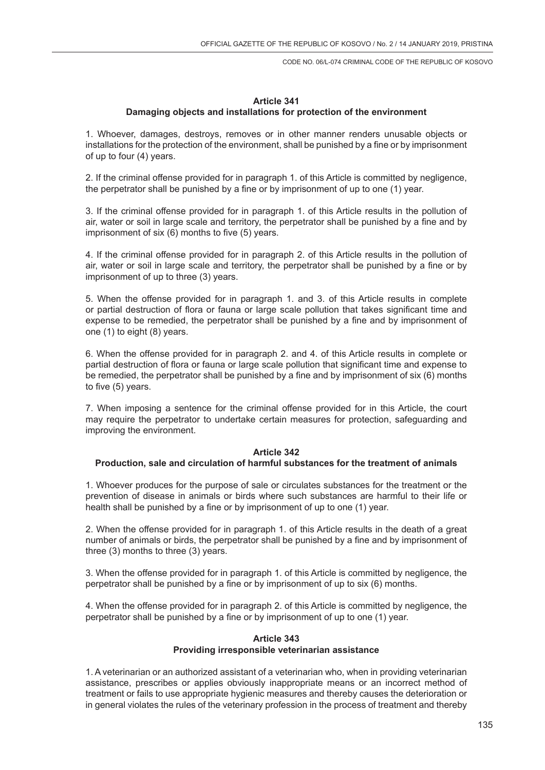# **Article 341 Damaging objects and installations for protection of the environment**

1. Whoever, damages, destroys, removes or in other manner renders unusable objects or installations for the protection of the environment, shall be punished by a fine or by imprisonment of up to four (4) years.

2. If the criminal offense provided for in paragraph 1. of this Article is committed by negligence, the perpetrator shall be punished by a fine or by imprisonment of up to one (1) year.

3. If the criminal offense provided for in paragraph 1. of this Article results in the pollution of air, water or soil in large scale and territory, the perpetrator shall be punished by a fine and by imprisonment of six (6) months to five (5) years.

4. If the criminal offense provided for in paragraph 2. of this Article results in the pollution of air, water or soil in large scale and territory, the perpetrator shall be punished by a fine or by imprisonment of up to three (3) years.

5. When the offense provided for in paragraph 1. and 3. of this Article results in complete or partial destruction of flora or fauna or large scale pollution that takes significant time and expense to be remedied, the perpetrator shall be punished by a fine and by imprisonment of one (1) to eight (8) years.

6. When the offense provided for in paragraph 2. and 4. of this Article results in complete or partial destruction of flora or fauna or large scale pollution that significant time and expense to be remedied, the perpetrator shall be punished by a fine and by imprisonment of six (6) months to five (5) years.

7. When imposing a sentence for the criminal offense provided for in this Article, the court may require the perpetrator to undertake certain measures for protection, safeguarding and improving the environment.

#### **Article 342**

# **Production, sale and circulation of harmful substances for the treatment of animals**

1. Whoever produces for the purpose of sale or circulates substances for the treatment or the prevention of disease in animals or birds where such substances are harmful to their life or health shall be punished by a fine or by imprisonment of up to one (1) year.

2. When the offense provided for in paragraph 1. of this Article results in the death of a great number of animals or birds, the perpetrator shall be punished by a fine and by imprisonment of three (3) months to three (3) years.

3. When the offense provided for in paragraph 1. of this Article is committed by negligence, the perpetrator shall be punished by a fine or by imprisonment of up to six (6) months.

4. When the offense provided for in paragraph 2. of this Article is committed by negligence, the perpetrator shall be punished by a fine or by imprisonment of up to one (1) year.

# **Article 343 Providing irresponsible veterinarian assistance**

1. A veterinarian or an authorized assistant of a veterinarian who, when in providing veterinarian assistance, prescribes or applies obviously inappropriate means or an incorrect method of treatment or fails to use appropriate hygienic measures and thereby causes the deterioration or in general violates the rules of the veterinary profession in the process of treatment and thereby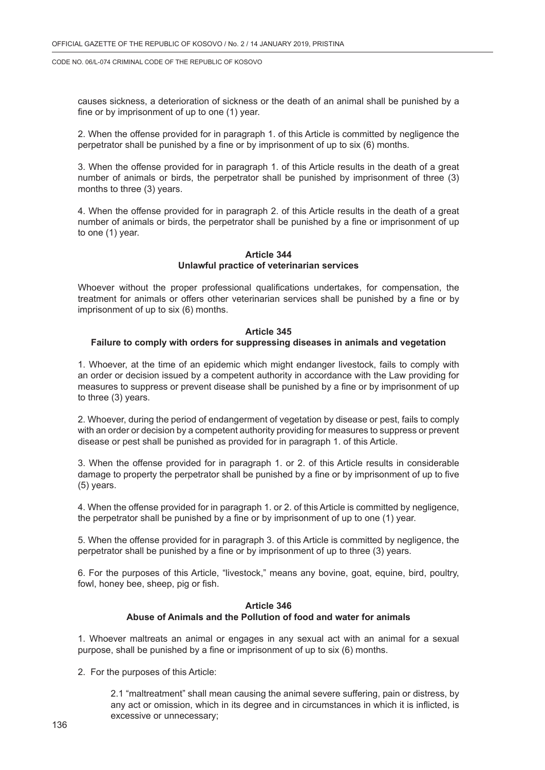causes sickness, a deterioration of sickness or the death of an animal shall be punished by a fine or by imprisonment of up to one (1) year.

2. When the offense provided for in paragraph 1. of this Article is committed by negligence the perpetrator shall be punished by a fine or by imprisonment of up to six (6) months.

3. When the offense provided for in paragraph 1. of this Article results in the death of a great number of animals or birds, the perpetrator shall be punished by imprisonment of three (3) months to three (3) years.

4. When the offense provided for in paragraph 2. of this Article results in the death of a great number of animals or birds, the perpetrator shall be punished by a fine or imprisonment of up to one (1) year.

# **Article 344 Unlawful practice of veterinarian services**

Whoever without the proper professional qualifications undertakes, for compensation, the treatment for animals or offers other veterinarian services shall be punished by a fine or by imprisonment of up to six (6) months.

#### **Article 345**

### **Failure to comply with orders for suppressing diseases in animals and vegetation**

1. Whoever, at the time of an epidemic which might endanger livestock, fails to comply with an order or decision issued by a competent authority in accordance with the Law providing for measures to suppress or prevent disease shall be punished by a fine or by imprisonment of up to three (3) years.

2. Whoever, during the period of endangerment of vegetation by disease or pest, fails to comply with an order or decision by a competent authority providing for measures to suppress or prevent disease or pest shall be punished as provided for in paragraph 1. of this Article.

3. When the offense provided for in paragraph 1. or 2. of this Article results in considerable damage to property the perpetrator shall be punished by a fine or by imprisonment of up to five (5) years.

4. When the offense provided for in paragraph 1. or 2. of this Article is committed by negligence, the perpetrator shall be punished by a fine or by imprisonment of up to one (1) year.

5. When the offense provided for in paragraph 3. of this Article is committed by negligence, the perpetrator shall be punished by a fine or by imprisonment of up to three (3) years.

6. For the purposes of this Article, "livestock," means any bovine, goat, equine, bird, poultry, fowl, honey bee, sheep, pig or fish.

#### **Article 346 Abuse of Animals and the Pollution of food and water for animals**

1. Whoever maltreats an animal or engages in any sexual act with an animal for a sexual purpose, shall be punished by a fine or imprisonment of up to six (6) months.

2. For the purposes of this Article:

2.1 "maltreatment" shall mean causing the animal severe suffering, pain or distress, by any act or omission, which in its degree and in circumstances in which it is inflicted, is excessive or unnecessary;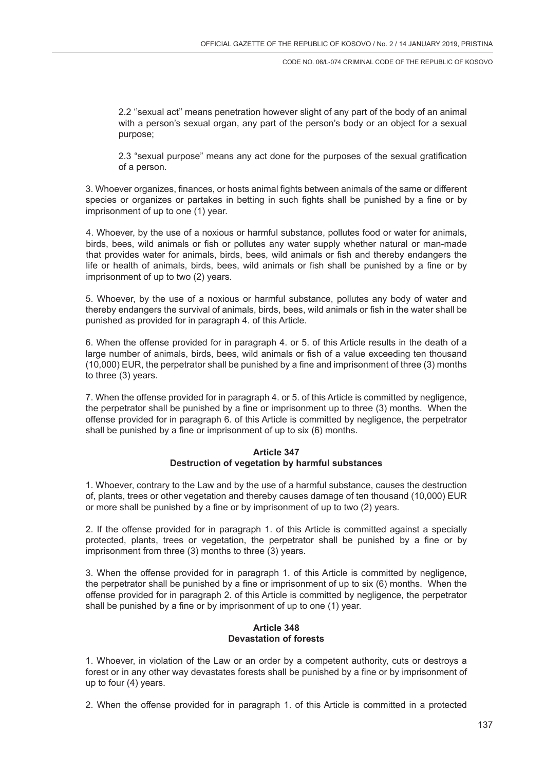2.2 ''sexual act'' means penetration however slight of any part of the body of an animal with a person's sexual organ, any part of the person's body or an object for a sexual purpose;

2.3 "sexual purpose" means any act done for the purposes of the sexual gratification of a person.

3. Whoever organizes, finances, or hosts animal fights between animals of the same or different species or organizes or partakes in betting in such fights shall be punished by a fine or by imprisonment of up to one (1) year.

4. Whoever, by the use of a noxious or harmful substance, pollutes food or water for animals, birds, bees, wild animals or fish or pollutes any water supply whether natural or man-made that provides water for animals, birds, bees, wild animals or fish and thereby endangers the life or health of animals, birds, bees, wild animals or fish shall be punished by a fine or by imprisonment of up to two (2) years.

5. Whoever, by the use of a noxious or harmful substance, pollutes any body of water and thereby endangers the survival of animals, birds, bees, wild animals or fish in the water shall be punished as provided for in paragraph 4. of this Article.

6. When the offense provided for in paragraph 4. or 5. of this Article results in the death of a large number of animals, birds, bees, wild animals or fish of a value exceeding ten thousand (10,000) EUR, the perpetrator shall be punished by a fine and imprisonment of three (3) months to three (3) years.

7. When the offense provided for in paragraph 4. or 5. of this Article is committed by negligence, the perpetrator shall be punished by a fine or imprisonment up to three (3) months. When the offense provided for in paragraph 6. of this Article is committed by negligence, the perpetrator shall be punished by a fine or imprisonment of up to six (6) months.

# **Article 347 Destruction of vegetation by harmful substances**

1. Whoever, contrary to the Law and by the use of a harmful substance, causes the destruction of, plants, trees or other vegetation and thereby causes damage of ten thousand (10,000) EUR or more shall be punished by a fine or by imprisonment of up to two (2) years.

2. If the offense provided for in paragraph 1. of this Article is committed against a specially protected, plants, trees or vegetation, the perpetrator shall be punished by a fine or by imprisonment from three (3) months to three (3) years.

3. When the offense provided for in paragraph 1. of this Article is committed by negligence, the perpetrator shall be punished by a fine or imprisonment of up to six (6) months. When the offense provided for in paragraph 2. of this Article is committed by negligence, the perpetrator shall be punished by a fine or by imprisonment of up to one (1) year.

# **Article 348 Devastation of forests**

1. Whoever, in violation of the Law or an order by a competent authority, cuts or destroys a forest or in any other way devastates forests shall be punished by a fine or by imprisonment of up to four (4) years.

2. When the offense provided for in paragraph 1. of this Article is committed in a protected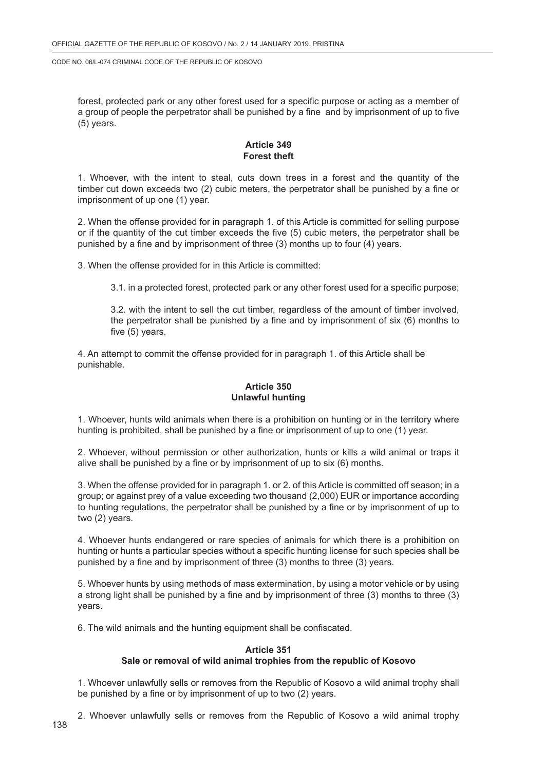forest, protected park or any other forest used for a specific purpose or acting as a member of a group of people the perpetrator shall be punished by a fine and by imprisonment of up to five (5) years.

# **Article 349 Forest theft**

1. Whoever, with the intent to steal, cuts down trees in a forest and the quantity of the timber cut down exceeds two (2) cubic meters, the perpetrator shall be punished by a fine or imprisonment of up one (1) year.

2. When the offense provided for in paragraph 1. of this Article is committed for selling purpose or if the quantity of the cut timber exceeds the five (5) cubic meters, the perpetrator shall be punished by a fine and by imprisonment of three (3) months up to four (4) years.

3. When the offense provided for in this Article is committed:

3.1. in a protected forest, protected park or any other forest used for a specific purpose;

3.2. with the intent to sell the cut timber, regardless of the amount of timber involved, the perpetrator shall be punished by a fine and by imprisonment of six (6) months to five (5) years.

4. An attempt to commit the offense provided for in paragraph 1. of this Article shall be punishable.

# **Article 350 Unlawful hunting**

1. Whoever, hunts wild animals when there is a prohibition on hunting or in the territory where hunting is prohibited, shall be punished by a fine or imprisonment of up to one (1) year.

2. Whoever, without permission or other authorization, hunts or kills a wild animal or traps it alive shall be punished by a fine or by imprisonment of up to six (6) months.

3. When the offense provided for in paragraph 1. or 2. of this Article is committed off season; in a group; or against prey of a value exceeding two thousand (2,000) EUR or importance according to hunting regulations, the perpetrator shall be punished by a fine or by imprisonment of up to two (2) years.

4. Whoever hunts endangered or rare species of animals for which there is a prohibition on hunting or hunts a particular species without a specific hunting license for such species shall be punished by a fine and by imprisonment of three (3) months to three (3) years.

5. Whoever hunts by using methods of mass extermination, by using a motor vehicle or by using a strong light shall be punished by a fine and by imprisonment of three (3) months to three (3) years.

6. The wild animals and the hunting equipment shall be confiscated.

#### **Article 351**

#### **Sale or removal of wild animal trophies from the republic of Kosovo**

1. Whoever unlawfully sells or removes from the Republic of Kosovo a wild animal trophy shall be punished by a fine or by imprisonment of up to two (2) years.

2. Whoever unlawfully sells or removes from the Republic of Kosovo a wild animal trophy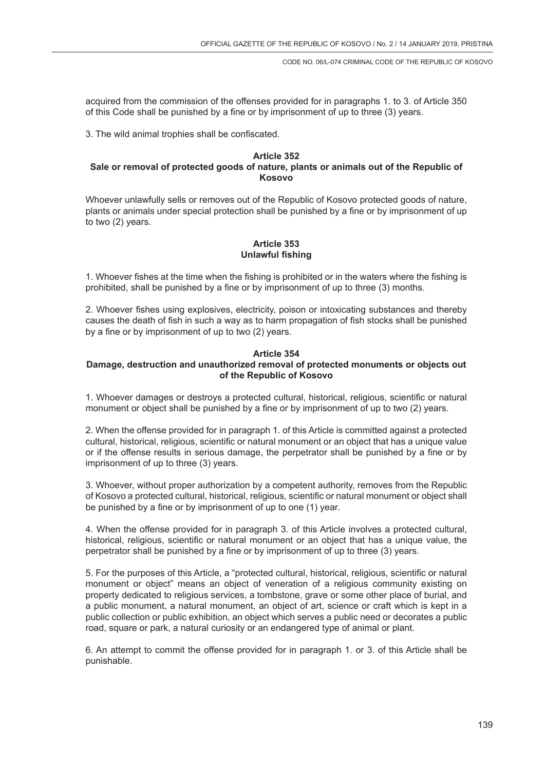acquired from the commission of the offenses provided for in paragraphs 1. to 3. of Article 350 of this Code shall be punished by a fine or by imprisonment of up to three (3) years.

3. The wild animal trophies shall be confiscated.

#### **Article 352 Sale or removal of protected goods of nature, plants or animals out of the Republic of Kosovo**

Whoever unlawfully sells or removes out of the Republic of Kosovo protected goods of nature, plants or animals under special protection shall be punished by a fine or by imprisonment of up to two (2) years.

# **Article 353 Unlawful fishing**

1. Whoever fishes at the time when the fishing is prohibited or in the waters where the fishing is prohibited, shall be punished by a fine or by imprisonment of up to three (3) months.

2. Whoever fishes using explosives, electricity, poison or intoxicating substances and thereby causes the death of fish in such a way as to harm propagation of fish stocks shall be punished by a fine or by imprisonment of up to two (2) years.

# **Article 354**

# **Damage, destruction and unauthorized removal of protected monuments or objects out of the Republic of Kosovo**

1. Whoever damages or destroys a protected cultural, historical, religious, scientific or natural monument or object shall be punished by a fine or by imprisonment of up to two (2) years.

2. When the offense provided for in paragraph 1. of this Article is committed against a protected cultural, historical, religious, scientific or natural monument or an object that has a unique value or if the offense results in serious damage, the perpetrator shall be punished by a fine or by imprisonment of up to three (3) years.

3. Whoever, without proper authorization by a competent authority, removes from the Republic of Kosovo a protected cultural, historical, religious, scientific or natural monument or object shall be punished by a fine or by imprisonment of up to one (1) year.

4. When the offense provided for in paragraph 3. of this Article involves a protected cultural, historical, religious, scientific or natural monument or an object that has a unique value, the perpetrator shall be punished by a fine or by imprisonment of up to three (3) years.

5. For the purposes of this Article, a "protected cultural, historical, religious, scientific or natural monument or object" means an object of veneration of a religious community existing on property dedicated to religious services, a tombstone, grave or some other place of burial, and a public monument, a natural monument, an object of art, science or craft which is kept in a public collection or public exhibition, an object which serves a public need or decorates a public road, square or park, a natural curiosity or an endangered type of animal or plant.

6. An attempt to commit the offense provided for in paragraph 1. or 3. of this Article shall be punishable.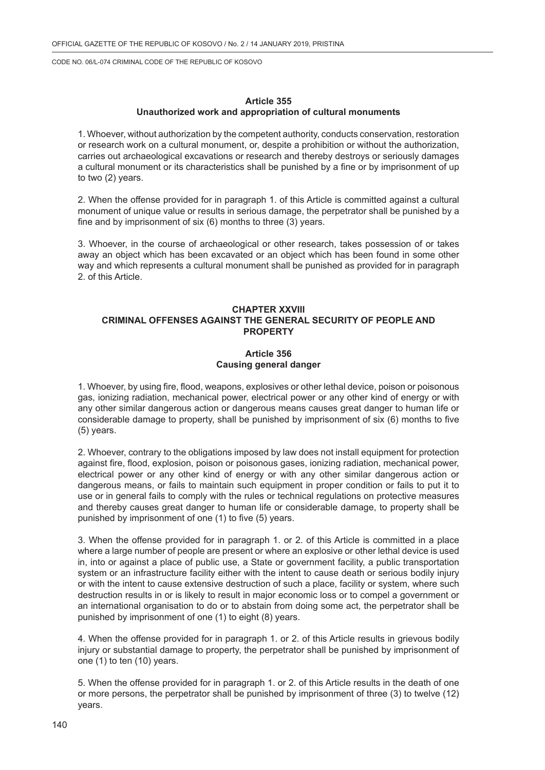### **Article 355 Unauthorized work and appropriation of cultural monuments**

1. Whoever, without authorization by the competent authority, conducts conservation, restoration or research work on a cultural monument, or, despite a prohibition or without the authorization, carries out archaeological excavations or research and thereby destroys or seriously damages a cultural monument or its characteristics shall be punished by a fine or by imprisonment of up to two (2) years.

2. When the offense provided for in paragraph 1. of this Article is committed against a cultural monument of unique value or results in serious damage, the perpetrator shall be punished by a fine and by imprisonment of six (6) months to three (3) years.

3. Whoever, in the course of archaeological or other research, takes possession of or takes away an object which has been excavated or an object which has been found in some other way and which represents a cultural monument shall be punished as provided for in paragraph 2. of this Article.

# **CHAPTER XXVIII CRIMINAL OFFENSES AGAINST THE GENERAL SECURITY OF PEOPLE AND PROPERTY**

### **Article 356 Causing general danger**

1. Whoever, by using fire, flood, weapons, explosives or other lethal device, poison or poisonous gas, ionizing radiation, mechanical power, electrical power or any other kind of energy or with any other similar dangerous action or dangerous means causes great danger to human life or considerable damage to property, shall be punished by imprisonment of six (6) months to five (5) years.

2. Whoever, contrary to the obligations imposed by law does not install equipment for protection against fire, flood, explosion, poison or poisonous gases, ionizing radiation, mechanical power, electrical power or any other kind of energy or with any other similar dangerous action or dangerous means, or fails to maintain such equipment in proper condition or fails to put it to use or in general fails to comply with the rules or technical regulations on protective measures and thereby causes great danger to human life or considerable damage, to property shall be punished by imprisonment of one (1) to five (5) years.

3. When the offense provided for in paragraph 1. or 2. of this Article is committed in a place where a large number of people are present or where an explosive or other lethal device is used in, into or against a place of public use, a State or government facility, a public transportation system or an infrastructure facility either with the intent to cause death or serious bodily injury or with the intent to cause extensive destruction of such a place, facility or system, where such destruction results in or is likely to result in major economic loss or to compel a government or an international organisation to do or to abstain from doing some act, the perpetrator shall be punished by imprisonment of one (1) to eight (8) years.

4. When the offense provided for in paragraph 1. or 2. of this Article results in grievous bodily injury or substantial damage to property, the perpetrator shall be punished by imprisonment of one (1) to ten (10) years.

5. When the offense provided for in paragraph 1. or 2. of this Article results in the death of one or more persons, the perpetrator shall be punished by imprisonment of three (3) to twelve (12) years.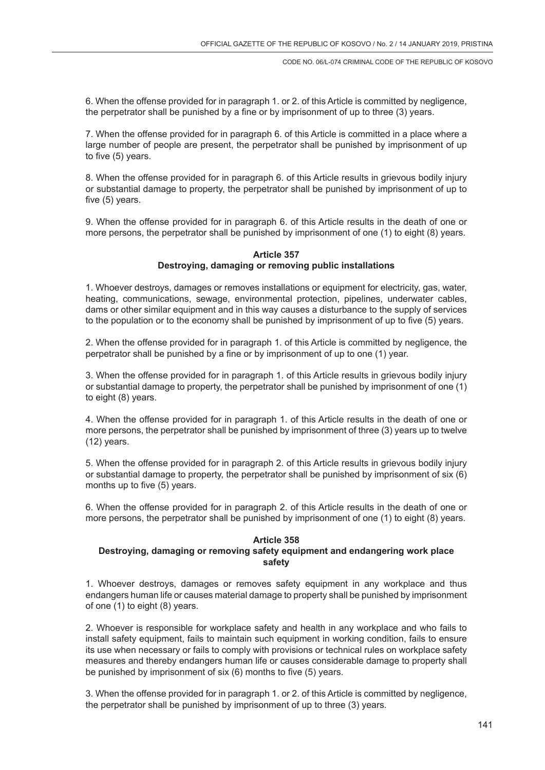6. When the offense provided for in paragraph 1. or 2. of this Article is committed by negligence, the perpetrator shall be punished by a fine or by imprisonment of up to three (3) years.

7. When the offense provided for in paragraph 6. of this Article is committed in a place where a large number of people are present, the perpetrator shall be punished by imprisonment of up to five (5) years.

8. When the offense provided for in paragraph 6. of this Article results in grievous bodily injury or substantial damage to property, the perpetrator shall be punished by imprisonment of up to five (5) years.

9. When the offense provided for in paragraph 6. of this Article results in the death of one or more persons, the perpetrator shall be punished by imprisonment of one (1) to eight (8) years.

#### **Article 357 Destroying, damaging or removing public installations**

1. Whoever destroys, damages or removes installations or equipment for electricity, gas, water, heating, communications, sewage, environmental protection, pipelines, underwater cables, dams or other similar equipment and in this way causes a disturbance to the supply of services to the population or to the economy shall be punished by imprisonment of up to five (5) years.

2. When the offense provided for in paragraph 1. of this Article is committed by negligence, the perpetrator shall be punished by a fine or by imprisonment of up to one (1) year.

3. When the offense provided for in paragraph 1. of this Article results in grievous bodily injury or substantial damage to property, the perpetrator shall be punished by imprisonment of one (1) to eight (8) years.

4. When the offense provided for in paragraph 1. of this Article results in the death of one or more persons, the perpetrator shall be punished by imprisonment of three (3) years up to twelve (12) years.

5. When the offense provided for in paragraph 2. of this Article results in grievous bodily injury or substantial damage to property, the perpetrator shall be punished by imprisonment of six (6) months up to five (5) years.

6. When the offense provided for in paragraph 2. of this Article results in the death of one or more persons, the perpetrator shall be punished by imprisonment of one (1) to eight (8) years.

#### **Article 358**

# **Destroying, damaging or removing safety equipment and endangering work place safety**

1. Whoever destroys, damages or removes safety equipment in any workplace and thus endangers human life or causes material damage to property shall be punished by imprisonment of one (1) to eight (8) years.

2. Whoever is responsible for workplace safety and health in any workplace and who fails to install safety equipment, fails to maintain such equipment in working condition, fails to ensure its use when necessary or fails to comply with provisions or technical rules on workplace safety measures and thereby endangers human life or causes considerable damage to property shall be punished by imprisonment of six (6) months to five (5) years.

3. When the offense provided for in paragraph 1. or 2. of this Article is committed by negligence, the perpetrator shall be punished by imprisonment of up to three (3) years.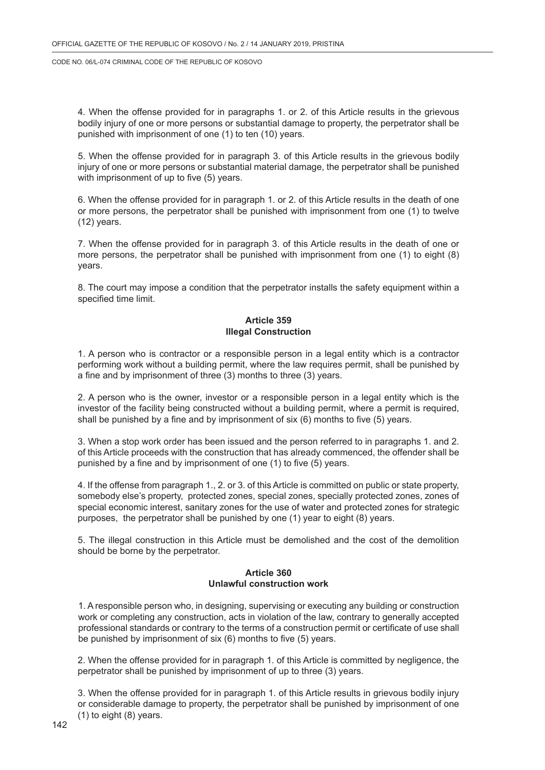4. When the offense provided for in paragraphs 1. or 2. of this Article results in the grievous bodily injury of one or more persons or substantial damage to property, the perpetrator shall be punished with imprisonment of one (1) to ten (10) years.

5. When the offense provided for in paragraph 3. of this Article results in the grievous bodily injury of one or more persons or substantial material damage, the perpetrator shall be punished with imprisonment of up to five (5) years.

6. When the offense provided for in paragraph 1. or 2. of this Article results in the death of one or more persons, the perpetrator shall be punished with imprisonment from one (1) to twelve (12) years.

7. When the offense provided for in paragraph 3. of this Article results in the death of one or more persons, the perpetrator shall be punished with imprisonment from one (1) to eight (8) years.

8. The court may impose a condition that the perpetrator installs the safety equipment within a specified time limit.

# **Article 359 Illegal Construction**

1. A person who is contractor or a responsible person in a legal entity which is a contractor performing work without a building permit, where the law requires permit, shall be punished by a fine and by imprisonment of three (3) months to three (3) years.

2. A person who is the owner, investor or a responsible person in a legal entity which is the investor of the facility being constructed without a building permit, where a permit is required, shall be punished by a fine and by imprisonment of six (6) months to five (5) years.

3. When a stop work order has been issued and the person referred to in paragraphs 1. and 2. of this Article proceeds with the construction that has already commenced, the offender shall be punished by a fine and by imprisonment of one (1) to five (5) years.

4. If the offense from paragraph 1., 2. or 3. of this Article is committed on public or state property, somebody else's property, protected zones, special zones, specially protected zones, zones of special economic interest, sanitary zones for the use of water and protected zones for strategic purposes, the perpetrator shall be punished by one (1) year to eight (8) years.

5. The illegal construction in this Article must be demolished and the cost of the demolition should be borne by the perpetrator.

### **Article 360 Unlawful construction work**

1. A responsible person who, in designing, supervising or executing any building or construction work or completing any construction, acts in violation of the law, contrary to generally accepted professional standards or contrary to the terms of a construction permit or certificate of use shall be punished by imprisonment of six (6) months to five (5) years.

2. When the offense provided for in paragraph 1. of this Article is committed by negligence, the perpetrator shall be punished by imprisonment of up to three (3) years.

3. When the offense provided for in paragraph 1. of this Article results in grievous bodily injury or considerable damage to property, the perpetrator shall be punished by imprisonment of one (1) to eight (8) years.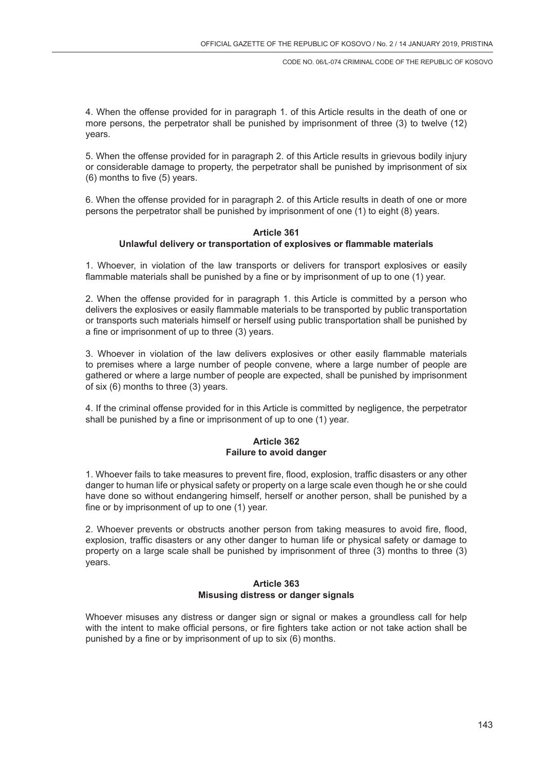4. When the offense provided for in paragraph 1. of this Article results in the death of one or more persons, the perpetrator shall be punished by imprisonment of three (3) to twelve (12) years.

5. When the offense provided for in paragraph 2. of this Article results in grievous bodily injury or considerable damage to property, the perpetrator shall be punished by imprisonment of six (6) months to five (5) years.

6. When the offense provided for in paragraph 2. of this Article results in death of one or more persons the perpetrator shall be punished by imprisonment of one (1) to eight (8) years.

### **Article 361 Unlawful delivery or transportation of explosives or flammable materials**

1. Whoever, in violation of the law transports or delivers for transport explosives or easily flammable materials shall be punished by a fine or by imprisonment of up to one (1) year.

2. When the offense provided for in paragraph 1. this Article is committed by a person who delivers the explosives or easily flammable materials to be transported by public transportation or transports such materials himself or herself using public transportation shall be punished by a fine or imprisonment of up to three (3) years.

3. Whoever in violation of the law delivers explosives or other easily flammable materials to premises where a large number of people convene, where a large number of people are gathered or where a large number of people are expected, shall be punished by imprisonment of six (6) months to three (3) years.

4. If the criminal offense provided for in this Article is committed by negligence, the perpetrator shall be punished by a fine or imprisonment of up to one (1) year.

### **Article 362 Failure to avoid danger**

1. Whoever fails to take measures to prevent fire, flood, explosion, traffic disasters or any other danger to human life or physical safety or property on a large scale even though he or she could have done so without endangering himself, herself or another person, shall be punished by a fine or by imprisonment of up to one (1) year.

2. Whoever prevents or obstructs another person from taking measures to avoid fire, flood, explosion, traffic disasters or any other danger to human life or physical safety or damage to property on a large scale shall be punished by imprisonment of three (3) months to three (3) years.

### **Article 363 Misusing distress or danger signals**

Whoever misuses any distress or danger sign or signal or makes a groundless call for help with the intent to make official persons, or fire fighters take action or not take action shall be punished by a fine or by imprisonment of up to six (6) months.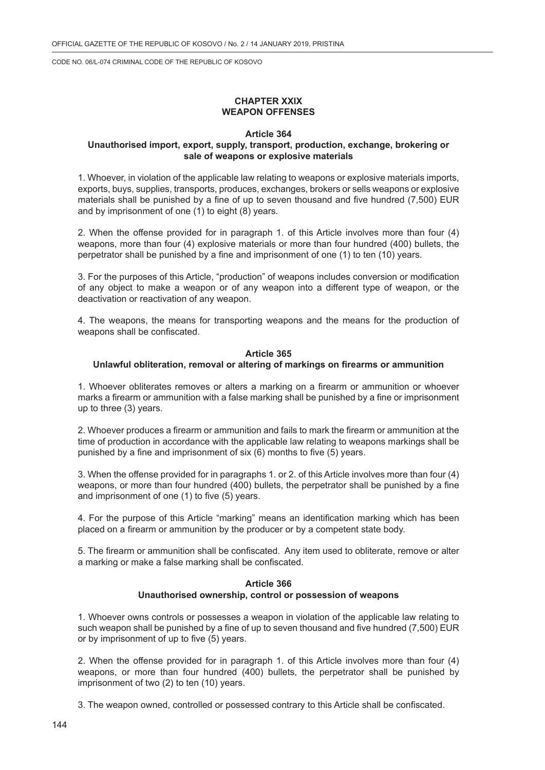# **CHAPTER XXIX WEAPON OFFENSES**

### **Article 364**

# **Unauthorised import, export, supply, transport, production, exchange, brokering or sale of weapons or explosive materials**

1. Whoever, in violation of the applicable law relating to weapons or explosive materials imports, exports, buys, supplies, transports, produces, exchanges, brokers or sells weapons or explosive materials shall be punished by a fine of up to seven thousand and five hundred (7,500) EUR and by imprisonment of one (1) to eight (8) years.

2. When the offense provided for in paragraph 1. of this Article involves more than four (4) weapons, more than four (4) explosive materials or more than four hundred (400) bullets, the perpetrator shall be punished by a fine and imprisonment of one (1) to ten (10) years.

3. For the purposes of this Article, "production" of weapons includes conversion or modification of any object to make a weapon or of any weapon into a different type of weapon, or the deactivation or reactivation of any weapon.

4. The weapons, the means for transporting weapons and the means for the production of weapons shall be confiscated.

### **Article 365 Unlawful obliteration, removal or altering of markings on firearms or ammunition**

1. Whoever obliterates removes or alters a marking on a firearm or ammunition or whoever marks a firearm or ammunition with a false marking shall be punished by a fine or imprisonment up to three (3) years.

2. Whoever produces a firearm or ammunition and fails to mark the firearm or ammunition at the time of production in accordance with the applicable law relating to weapons markings shall be punished by a fine and imprisonment of six (6) months to five (5) years.

3. When the offense provided for in paragraphs 1. or 2. of this Article involves more than four (4) weapons, or more than four hundred (400) bullets, the perpetrator shall be punished by a fine and imprisonment of one (1) to five (5) years.

4. For the purpose of this Article "marking" means an identification marking which has been placed on a firearm or ammunition by the producer or by a competent state body.

5. The firearm or ammunition shall be confiscated. Any item used to obliterate, remove or alter a marking or make a false marking shall be confiscated.

### **Article 366 Unauthorised ownership, control or possession of weapons**

1. Whoever owns controls or possesses a weapon in violation of the applicable law relating to such weapon shall be punished by a fine of up to seven thousand and five hundred (7,500) EUR or by imprisonment of up to five (5) years.

2. When the offense provided for in paragraph 1. of this Article involves more than four (4) weapons, or more than four hundred (400) bullets, the perpetrator shall be punished by imprisonment of two (2) to ten (10) years.

3. The weapon owned, controlled or possessed contrary to this Article shall be confiscated.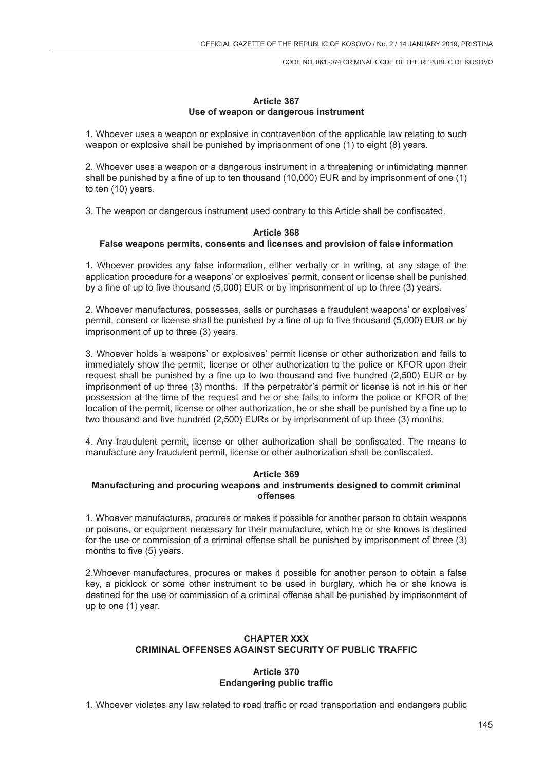### **Article 367 Use of weapon or dangerous instrument**

1. Whoever uses a weapon or explosive in contravention of the applicable law relating to such weapon or explosive shall be punished by imprisonment of one (1) to eight (8) years.

2. Whoever uses a weapon or a dangerous instrument in a threatening or intimidating manner shall be punished by a fine of up to ten thousand (10,000) EUR and by imprisonment of one (1) to ten (10) years.

3. The weapon or dangerous instrument used contrary to this Article shall be confiscated.

#### **Article 368 False weapons permits, consents and licenses and provision of false information**

1. Whoever provides any false information, either verbally or in writing, at any stage of the application procedure for a weapons' or explosives' permit, consent or license shall be punished by a fine of up to five thousand (5,000) EUR or by imprisonment of up to three (3) years.

2. Whoever manufactures, possesses, sells or purchases a fraudulent weapons' or explosives' permit, consent or license shall be punished by a fine of up to five thousand (5,000) EUR or by imprisonment of up to three (3) years.

3. Whoever holds a weapons' or explosives' permit license or other authorization and fails to immediately show the permit, license or other authorization to the police or KFOR upon their request shall be punished by a fine up to two thousand and five hundred (2,500) EUR or by imprisonment of up three (3) months. If the perpetrator's permit or license is not in his or her possession at the time of the request and he or she fails to inform the police or KFOR of the location of the permit, license or other authorization, he or she shall be punished by a fine up to two thousand and five hundred (2,500) EURs or by imprisonment of up three (3) months.

4. Any fraudulent permit, license or other authorization shall be confiscated. The means to manufacture any fraudulent permit, license or other authorization shall be confiscated.

#### **Article 369**

### **Manufacturing and procuring weapons and instruments designed to commit criminal offenses**

1. Whoever manufactures, procures or makes it possible for another person to obtain weapons or poisons, or equipment necessary for their manufacture, which he or she knows is destined for the use or commission of a criminal offense shall be punished by imprisonment of three (3) months to five (5) years.

2.Whoever manufactures, procures or makes it possible for another person to obtain a false key, a picklock or some other instrument to be used in burglary, which he or she knows is destined for the use or commission of a criminal offense shall be punished by imprisonment of up to one (1) year.

### **CHAPTER XXX CRIMINAL OFFENSES AGAINST SECURITY OF PUBLIC TRAFFIC**

#### **Article 370 Endangering public traffic**

1. Whoever violates any law related to road traffic or road transportation and endangers public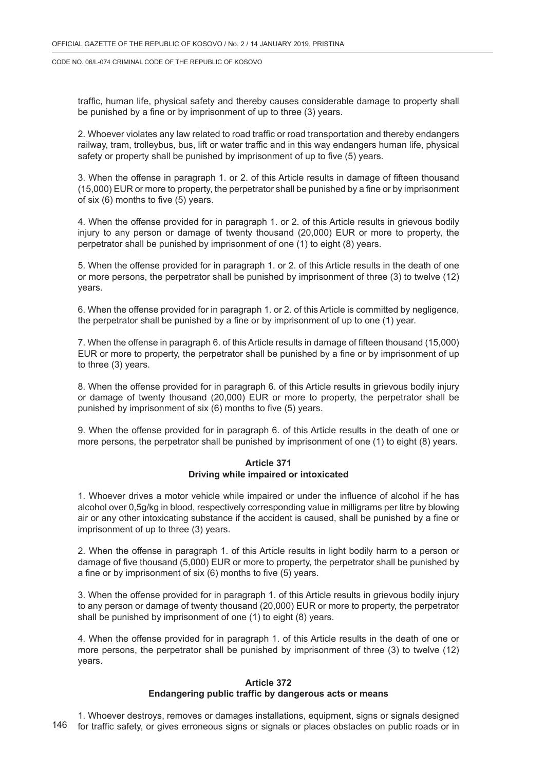traffic, human life, physical safety and thereby causes considerable damage to property shall be punished by a fine or by imprisonment of up to three (3) years.

2. Whoever violates any law related to road traffic or road transportation and thereby endangers railway, tram, trolleybus, bus, lift or water traffic and in this way endangers human life, physical safety or property shall be punished by imprisonment of up to five (5) years.

3. When the offense in paragraph 1. or 2. of this Article results in damage of fifteen thousand (15,000) EUR or more to property, the perpetrator shall be punished by a fine or by imprisonment of six (6) months to five (5) years.

4. When the offense provided for in paragraph 1. or 2. of this Article results in grievous bodily injury to any person or damage of twenty thousand (20,000) EUR or more to property, the perpetrator shall be punished by imprisonment of one (1) to eight (8) years.

5. When the offense provided for in paragraph 1. or 2. of this Article results in the death of one or more persons, the perpetrator shall be punished by imprisonment of three (3) to twelve (12) years.

6. When the offense provided for in paragraph 1. or 2. of this Article is committed by negligence, the perpetrator shall be punished by a fine or by imprisonment of up to one (1) year.

7. When the offense in paragraph 6. of this Article results in damage of fifteen thousand (15,000) EUR or more to property, the perpetrator shall be punished by a fine or by imprisonment of up to three (3) years.

8. When the offense provided for in paragraph 6. of this Article results in grievous bodily injury or damage of twenty thousand (20,000) EUR or more to property, the perpetrator shall be punished by imprisonment of six (6) months to five (5) years.

9. When the offense provided for in paragraph 6. of this Article results in the death of one or more persons, the perpetrator shall be punished by imprisonment of one (1) to eight (8) years.

#### **Article 371 Driving while impaired or intoxicated**

1. Whoever drives a motor vehicle while impaired or under the influence of alcohol if he has alcohol over 0,5g/kg in blood, respectively corresponding value in milligrams per litre by blowing air or any other intoxicating substance if the accident is caused, shall be punished by a fine or imprisonment of up to three (3) years.

2. When the offense in paragraph 1. of this Article results in light bodily harm to a person or damage of five thousand (5,000) EUR or more to property, the perpetrator shall be punished by a fine or by imprisonment of six (6) months to five (5) years.

3. When the offense provided for in paragraph 1. of this Article results in grievous bodily injury to any person or damage of twenty thousand (20,000) EUR or more to property, the perpetrator shall be punished by imprisonment of one (1) to eight (8) years.

4. When the offense provided for in paragraph 1. of this Article results in the death of one or more persons, the perpetrator shall be punished by imprisonment of three (3) to twelve (12) years.

#### **Article 372 Endangering public traffic by dangerous acts or means**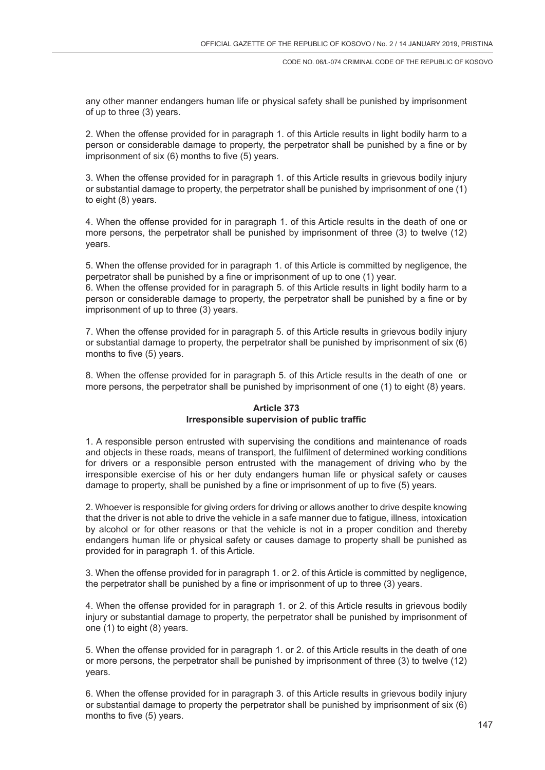any other manner endangers human life or physical safety shall be punished by imprisonment of up to three (3) years.

2. When the offense provided for in paragraph 1. of this Article results in light bodily harm to a person or considerable damage to property, the perpetrator shall be punished by a fine or by imprisonment of six (6) months to five (5) years.

3. When the offense provided for in paragraph 1. of this Article results in grievous bodily injury or substantial damage to property, the perpetrator shall be punished by imprisonment of one (1) to eight (8) years.

4. When the offense provided for in paragraph 1. of this Article results in the death of one or more persons, the perpetrator shall be punished by imprisonment of three (3) to twelve (12) years.

5. When the offense provided for in paragraph 1. of this Article is committed by negligence, the perpetrator shall be punished by a fine or imprisonment of up to one (1) year.

6. When the offense provided for in paragraph 5. of this Article results in light bodily harm to a person or considerable damage to property, the perpetrator shall be punished by a fine or by imprisonment of up to three (3) years.

7. When the offense provided for in paragraph 5. of this Article results in grievous bodily injury or substantial damage to property, the perpetrator shall be punished by imprisonment of six (6) months to five (5) years.

8. When the offense provided for in paragraph 5. of this Article results in the death of one or more persons, the perpetrator shall be punished by imprisonment of one (1) to eight (8) years.

# **Article 373 Irresponsible supervision of public traffic**

1. A responsible person entrusted with supervising the conditions and maintenance of roads and objects in these roads, means of transport, the fulfilment of determined working conditions for drivers or a responsible person entrusted with the management of driving who by the irresponsible exercise of his or her duty endangers human life or physical safety or causes damage to property, shall be punished by a fine or imprisonment of up to five (5) years.

2. Whoever is responsible for giving orders for driving or allows another to drive despite knowing that the driver is not able to drive the vehicle in a safe manner due to fatigue, illness, intoxication by alcohol or for other reasons or that the vehicle is not in a proper condition and thereby endangers human life or physical safety or causes damage to property shall be punished as provided for in paragraph 1. of this Article.

3. When the offense provided for in paragraph 1. or 2. of this Article is committed by negligence, the perpetrator shall be punished by a fine or imprisonment of up to three (3) years.

4. When the offense provided for in paragraph 1. or 2. of this Article results in grievous bodily injury or substantial damage to property, the perpetrator shall be punished by imprisonment of one (1) to eight (8) years.

5. When the offense provided for in paragraph 1. or 2. of this Article results in the death of one or more persons, the perpetrator shall be punished by imprisonment of three (3) to twelve (12) years.

6. When the offense provided for in paragraph 3. of this Article results in grievous bodily injury or substantial damage to property the perpetrator shall be punished by imprisonment of six (6) months to five (5) years.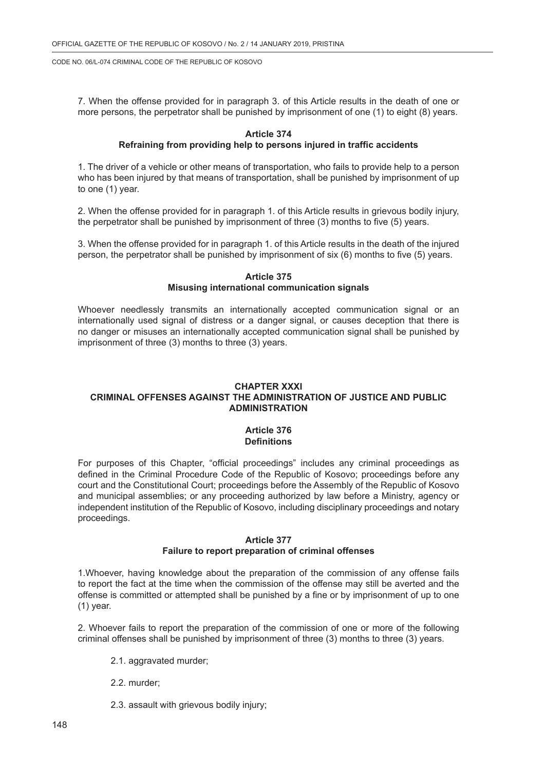7. When the offense provided for in paragraph 3. of this Article results in the death of one or more persons, the perpetrator shall be punished by imprisonment of one (1) to eight (8) years.

#### **Article 374**

### **Refraining from providing help to persons injured in traffic accidents**

1. The driver of a vehicle or other means of transportation, who fails to provide help to a person who has been injured by that means of transportation, shall be punished by imprisonment of up to one (1) year.

2. When the offense provided for in paragraph 1. of this Article results in grievous bodily injury, the perpetrator shall be punished by imprisonment of three (3) months to five (5) years.

3. When the offense provided for in paragraph 1. of this Article results in the death of the injured person, the perpetrator shall be punished by imprisonment of six (6) months to five (5) years.

#### **Article 375 Misusing international communication signals**

Whoever needlessly transmits an internationally accepted communication signal or an internationally used signal of distress or a danger signal, or causes deception that there is no danger or misuses an internationally accepted communication signal shall be punished by imprisonment of three (3) months to three (3) years.

# **CHAPTER XXXI CRIMINAL OFFENSES AGAINST THE ADMINISTRATION OF JUSTICE AND PUBLIC ADMINISTRATION**

### **Article 376 Definitions**

For purposes of this Chapter, "official proceedings" includes any criminal proceedings as defined in the Criminal Procedure Code of the Republic of Kosovo; proceedings before any court and the Constitutional Court; proceedings before the Assembly of the Republic of Kosovo and municipal assemblies; or any proceeding authorized by law before a Ministry, agency or independent institution of the Republic of Kosovo, including disciplinary proceedings and notary proceedings.

#### **Article 377**

#### **Failure to report preparation of criminal offenses**

1.Whoever, having knowledge about the preparation of the commission of any offense fails to report the fact at the time when the commission of the offense may still be averted and the offense is committed or attempted shall be punished by a fine or by imprisonment of up to one (1) year.

2. Whoever fails to report the preparation of the commission of one or more of the following criminal offenses shall be punished by imprisonment of three (3) months to three (3) years.

- 2.1. aggravated murder;
- 2.2. murder;
- 2.3. assault with grievous bodily injury;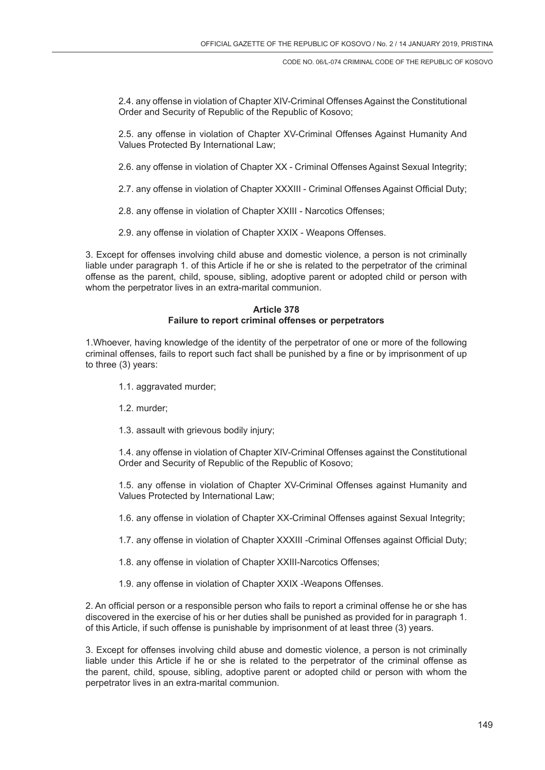2.4. any offense in violation of Chapter XIV-Criminal Offenses Against the Constitutional Order and Security of Republic of the Republic of Kosovo;

2.5. any offense in violation of Chapter XV-Criminal Offenses Against Humanity And Values Protected By International Law;

2.6. any offense in violation of Chapter XX - Criminal Offenses Against Sexual Integrity;

2.7. any offense in violation of Chapter XXXIII - Criminal Offenses Against Official Duty;

2.8. any offense in violation of Chapter XXIII - Narcotics Offenses;

2.9. any offense in violation of Chapter XXIX - Weapons Offenses.

3. Except for offenses involving child abuse and domestic violence, a person is not criminally liable under paragraph 1. of this Article if he or she is related to the perpetrator of the criminal offense as the parent, child, spouse, sibling, adoptive parent or adopted child or person with whom the perpetrator lives in an extra-marital communion.

# **Article 378 Failure to report criminal offenses or perpetrators**

1.Whoever, having knowledge of the identity of the perpetrator of one or more of the following criminal offenses, fails to report such fact shall be punished by a fine or by imprisonment of up to three (3) years:

- 1.1. aggravated murder;
- 1.2. murder;
- 1.3. assault with grievous bodily injury;

1.4. any offense in violation of Chapter XIV-Criminal Offenses against the Constitutional Order and Security of Republic of the Republic of Kosovo;

1.5. any offense in violation of Chapter XV-Criminal Offenses against Humanity and Values Protected by International Law;

1.6. any offense in violation of Chapter XX-Criminal Offenses against Sexual Integrity;

1.7. any offense in violation of Chapter XXXIII -Criminal Offenses against Official Duty;

- 1.8. any offense in violation of Chapter XXIII-Narcotics Offenses;
- 1.9. any offense in violation of Chapter XXIX -Weapons Offenses.

2. An official person or a responsible person who fails to report a criminal offense he or she has discovered in the exercise of his or her duties shall be punished as provided for in paragraph 1. of this Article, if such offense is punishable by imprisonment of at least three (3) years.

3. Except for offenses involving child abuse and domestic violence, a person is not criminally liable under this Article if he or she is related to the perpetrator of the criminal offense as the parent, child, spouse, sibling, adoptive parent or adopted child or person with whom the perpetrator lives in an extra-marital communion.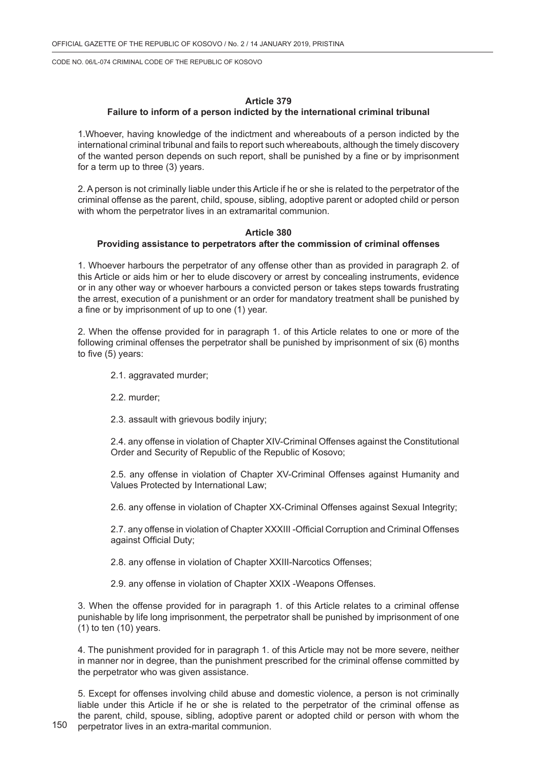#### **Article 379**

### **Failure to inform of a person indicted by the international criminal tribunal**

1.Whoever, having knowledge of the indictment and whereabouts of a person indicted by the international criminal tribunal and fails to report such whereabouts, although the timely discovery of the wanted person depends on such report, shall be punished by a fine or by imprisonment for a term up to three (3) years.

2. A person is not criminally liable under this Article if he or she is related to the perpetrator of the criminal offense as the parent, child, spouse, sibling, adoptive parent or adopted child or person with whom the perpetrator lives in an extramarital communion.

#### **Article 380**

### **Providing assistance to perpetrators after the commission of criminal offenses**

1. Whoever harbours the perpetrator of any offense other than as provided in paragraph 2. of this Article or aids him or her to elude discovery or arrest by concealing instruments, evidence or in any other way or whoever harbours a convicted person or takes steps towards frustrating the arrest, execution of a punishment or an order for mandatory treatment shall be punished by a fine or by imprisonment of up to one (1) year.

2. When the offense provided for in paragraph 1. of this Article relates to one or more of the following criminal offenses the perpetrator shall be punished by imprisonment of six (6) months to five (5) years:

- 2.1. aggravated murder;
- 2.2. murder;

2.3. assault with grievous bodily injury;

2.4. any offense in violation of Chapter XIV-Criminal Offenses against the Constitutional Order and Security of Republic of the Republic of Kosovo;

2.5. any offense in violation of Chapter XV-Criminal Offenses against Humanity and Values Protected by International Law;

2.6. any offense in violation of Chapter XX-Criminal Offenses against Sexual Integrity;

2.7. any offense in violation of Chapter XXXIII -Official Corruption and Criminal Offenses against Official Duty;

2.8. any offense in violation of Chapter XXIII-Narcotics Offenses;

2.9. any offense in violation of Chapter XXIX -Weapons Offenses.

3. When the offense provided for in paragraph 1. of this Article relates to a criminal offense punishable by life long imprisonment, the perpetrator shall be punished by imprisonment of one  $(1)$  to ten  $(10)$  years.

4. The punishment provided for in paragraph 1. of this Article may not be more severe, neither in manner nor in degree, than the punishment prescribed for the criminal offense committed by the perpetrator who was given assistance.

5. Except for offenses involving child abuse and domestic violence, a person is not criminally liable under this Article if he or she is related to the perpetrator of the criminal offense as the parent, child, spouse, sibling, adoptive parent or adopted child or person with whom the perpetrator lives in an extra-marital communion.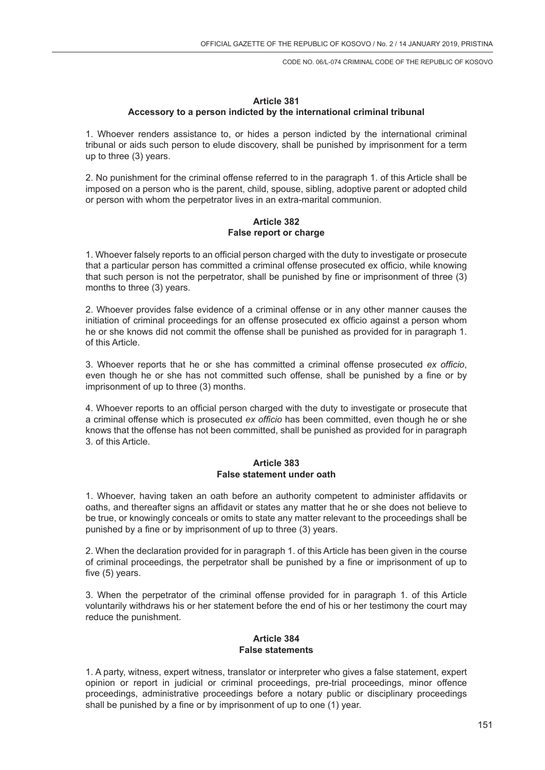# **Article 381 Accessory to a person indicted by the international criminal tribunal**

1. Whoever renders assistance to, or hides a person indicted by the international criminal tribunal or aids such person to elude discovery, shall be punished by imprisonment for a term up to three (3) years.

2. No punishment for the criminal offense referred to in the paragraph 1. of this Article shall be imposed on a person who is the parent, child, spouse, sibling, adoptive parent or adopted child or person with whom the perpetrator lives in an extra-marital communion.

#### **Article 382 False report or charge**

1. Whoever falsely reports to an official person charged with the duty to investigate or prosecute that a particular person has committed a criminal offense prosecuted ex officio, while knowing that such person is not the perpetrator, shall be punished by fine or imprisonment of three (3) months to three (3) years.

2. Whoever provides false evidence of a criminal offense or in any other manner causes the initiation of criminal proceedings for an offense prosecuted ex officio against a person whom he or she knows did not commit the offense shall be punished as provided for in paragraph 1. of this Article.

3. Whoever reports that he or she has committed a criminal offense prosecuted *ex officio*, even though he or she has not committed such offense, shall be punished by a fine or by imprisonment of up to three (3) months.

4. Whoever reports to an official person charged with the duty to investigate or prosecute that a criminal offense which is prosecuted *ex officio* has been committed, even though he or she knows that the offense has not been committed, shall be punished as provided for in paragraph 3. of this Article.

### **Article 383 False statement under oath**

1. Whoever, having taken an oath before an authority competent to administer affidavits or oaths, and thereafter signs an affidavit or states any matter that he or she does not believe to be true, or knowingly conceals or omits to state any matter relevant to the proceedings shall be punished by a fine or by imprisonment of up to three (3) years.

2. When the declaration provided for in paragraph 1. of this Article has been given in the course of criminal proceedings, the perpetrator shall be punished by a fine or imprisonment of up to five (5) years.

3. When the perpetrator of the criminal offense provided for in paragraph 1. of this Article voluntarily withdraws his or her statement before the end of his or her testimony the court may reduce the punishment.

### **Article 384 False statements**

1. A party, witness, expert witness, translator or interpreter who gives a false statement, expert opinion or report in judicial or criminal proceedings, pre-trial proceedings, minor offence proceedings, administrative proceedings before a notary public or disciplinary proceedings shall be punished by a fine or by imprisonment of up to one (1) year.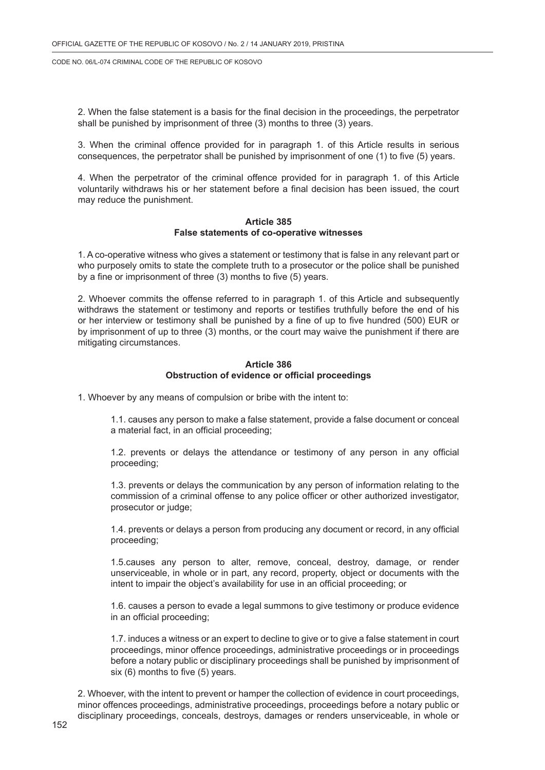2. When the false statement is a basis for the final decision in the proceedings, the perpetrator shall be punished by imprisonment of three (3) months to three (3) years.

3. When the criminal offence provided for in paragraph 1. of this Article results in serious consequences, the perpetrator shall be punished by imprisonment of one (1) to five (5) years.

4. When the perpetrator of the criminal offence provided for in paragraph 1. of this Article voluntarily withdraws his or her statement before a final decision has been issued, the court may reduce the punishment.

#### **Article 385 False statements of co-operative witnesses**

1. A co-operative witness who gives a statement or testimony that is false in any relevant part or who purposely omits to state the complete truth to a prosecutor or the police shall be punished by a fine or imprisonment of three (3) months to five (5) years.

2. Whoever commits the offense referred to in paragraph 1. of this Article and subsequently withdraws the statement or testimony and reports or testifies truthfully before the end of his or her interview or testimony shall be punished by a fine of up to five hundred (500) EUR or by imprisonment of up to three (3) months, or the court may waive the punishment if there are mitigating circumstances.

#### **Article 386 Obstruction of evidence or official proceedings**

1. Whoever by any means of compulsion or bribe with the intent to:

1.1. causes any person to make a false statement, provide a false document or conceal a material fact, in an official proceeding;

1.2. prevents or delays the attendance or testimony of any person in any official proceeding;

1.3. prevents or delays the communication by any person of information relating to the commission of a criminal offense to any police officer or other authorized investigator, prosecutor or judge;

1.4. prevents or delays a person from producing any document or record, in any official proceeding;

1.5.causes any person to alter, remove, conceal, destroy, damage, or render unserviceable, in whole or in part, any record, property, object or documents with the intent to impair the object's availability for use in an official proceeding; or

1.6. causes a person to evade a legal summons to give testimony or produce evidence in an official proceeding;

1.7. induces a witness or an expert to decline to give or to give a false statement in court proceedings, minor offence proceedings, administrative proceedings or in proceedings before a notary public or disciplinary proceedings shall be punished by imprisonment of six (6) months to five (5) years.

2. Whoever, with the intent to prevent or hamper the collection of evidence in court proceedings, minor offences proceedings, administrative proceedings, proceedings before a notary public or disciplinary proceedings, conceals, destroys, damages or renders unserviceable, in whole or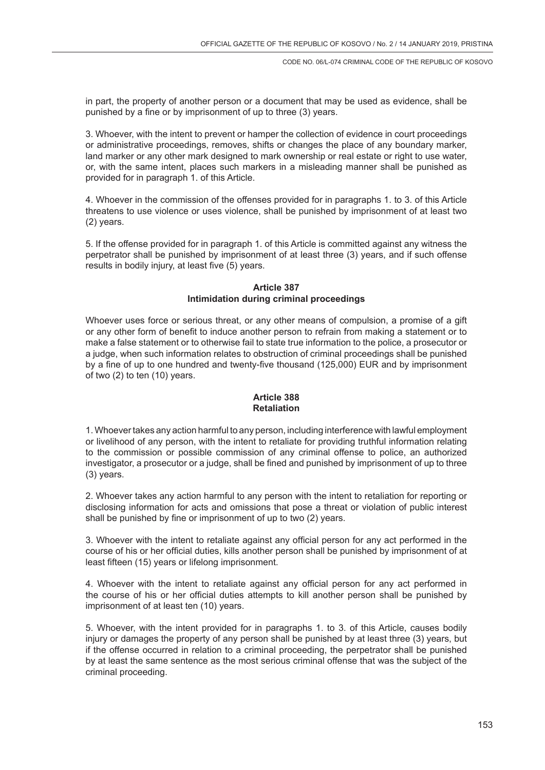in part, the property of another person or a document that may be used as evidence, shall be punished by a fine or by imprisonment of up to three (3) years.

3. Whoever, with the intent to prevent or hamper the collection of evidence in court proceedings or administrative proceedings, removes, shifts or changes the place of any boundary marker, land marker or any other mark designed to mark ownership or real estate or right to use water, or, with the same intent, places such markers in a misleading manner shall be punished as provided for in paragraph 1. of this Article.

4. Whoever in the commission of the offenses provided for in paragraphs 1. to 3. of this Article threatens to use violence or uses violence, shall be punished by imprisonment of at least two (2) years.

5. If the offense provided for in paragraph 1. of this Article is committed against any witness the perpetrator shall be punished by imprisonment of at least three (3) years, and if such offense results in bodily injury, at least five (5) years.

### **Article 387 Intimidation during criminal proceedings**

Whoever uses force or serious threat, or any other means of compulsion, a promise of a gift or any other form of benefit to induce another person to refrain from making a statement or to make a false statement or to otherwise fail to state true information to the police, a prosecutor or a judge, when such information relates to obstruction of criminal proceedings shall be punished by a fine of up to one hundred and twenty-five thousand (125,000) EUR and by imprisonment of two (2) to ten (10) years.

### **Article 388 Retaliation**

1. Whoever takes any action harmful to any person, including interference with lawful employment or livelihood of any person, with the intent to retaliate for providing truthful information relating to the commission or possible commission of any criminal offense to police, an authorized investigator, a prosecutor or a judge, shall be fined and punished by imprisonment of up to three (3) years.

2. Whoever takes any action harmful to any person with the intent to retaliation for reporting or disclosing information for acts and omissions that pose a threat or violation of public interest shall be punished by fine or imprisonment of up to two (2) years.

3. Whoever with the intent to retaliate against any official person for any act performed in the course of his or her official duties, kills another person shall be punished by imprisonment of at least fifteen (15) years or lifelong imprisonment.

4. Whoever with the intent to retaliate against any official person for any act performed in the course of his or her official duties attempts to kill another person shall be punished by imprisonment of at least ten (10) years.

5. Whoever, with the intent provided for in paragraphs 1. to 3. of this Article, causes bodily injury or damages the property of any person shall be punished by at least three (3) years, but if the offense occurred in relation to a criminal proceeding, the perpetrator shall be punished by at least the same sentence as the most serious criminal offense that was the subject of the criminal proceeding.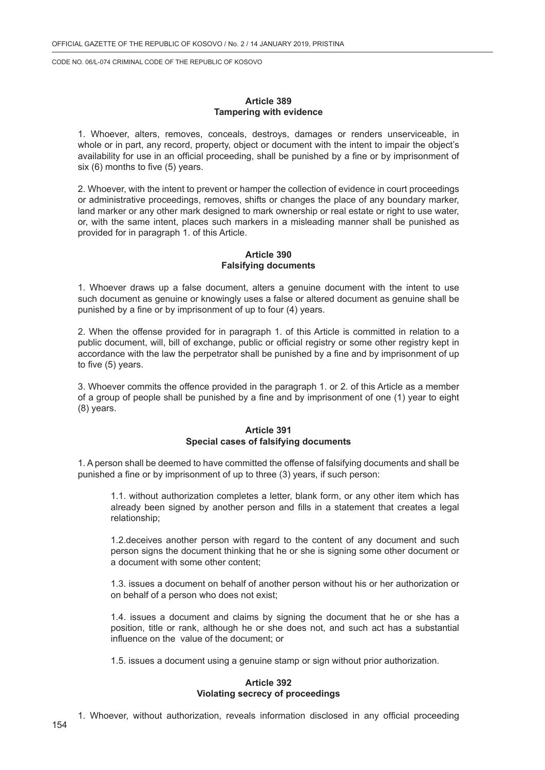#### **Article 389 Tampering with evidence**

1. Whoever, alters, removes, conceals, destroys, damages or renders unserviceable, in whole or in part, any record, property, object or document with the intent to impair the object's availability for use in an official proceeding, shall be punished by a fine or by imprisonment of six (6) months to five (5) years.

2. Whoever, with the intent to prevent or hamper the collection of evidence in court proceedings or administrative proceedings, removes, shifts or changes the place of any boundary marker, land marker or any other mark designed to mark ownership or real estate or right to use water, or, with the same intent, places such markers in a misleading manner shall be punished as provided for in paragraph 1. of this Article.

### **Article 390 Falsifying documents**

1. Whoever draws up a false document, alters a genuine document with the intent to use such document as genuine or knowingly uses a false or altered document as genuine shall be punished by a fine or by imprisonment of up to four (4) years.

2. When the offense provided for in paragraph 1. of this Article is committed in relation to a public document, will, bill of exchange, public or official registry or some other registry kept in accordance with the law the perpetrator shall be punished by a fine and by imprisonment of up to five (5) years.

3. Whoever commits the offence provided in the paragraph 1. or 2. of this Article as a member of a group of people shall be punished by a fine and by imprisonment of one (1) year to eight (8) years.

### **Article 391 Special cases of falsifying documents**

1. A person shall be deemed to have committed the offense of falsifying documents and shall be punished a fine or by imprisonment of up to three (3) years, if such person:

1.1. without authorization completes a letter, blank form, or any other item which has already been signed by another person and fills in a statement that creates a legal relationship;

1.2.deceives another person with regard to the content of any document and such person signs the document thinking that he or she is signing some other document or a document with some other content;

1.3. issues a document on behalf of another person without his or her authorization or on behalf of a person who does not exist;

1.4. issues a document and claims by signing the document that he or she has a position, title or rank, although he or she does not, and such act has a substantial influence on the value of the document; or

1.5. issues a document using a genuine stamp or sign without prior authorization.

#### **Article 392 Violating secrecy of proceedings**

1. Whoever, without authorization, reveals information disclosed in any official proceeding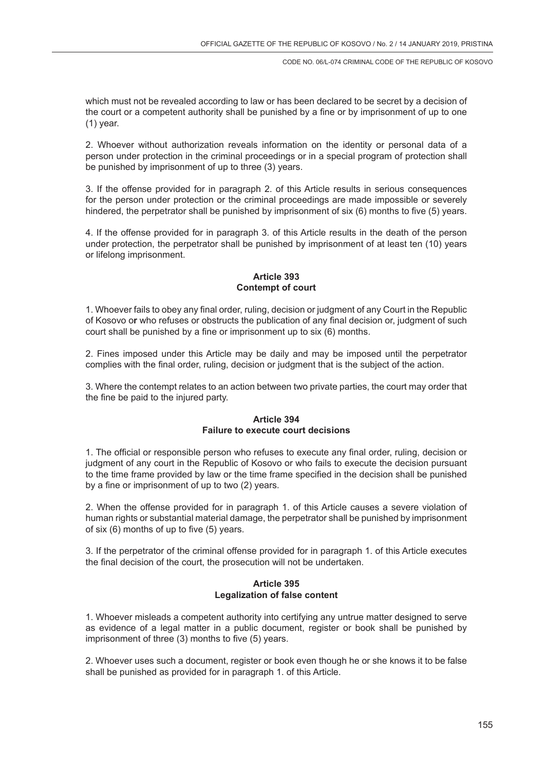which must not be revealed according to law or has been declared to be secret by a decision of the court or a competent authority shall be punished by a fine or by imprisonment of up to one (1) year.

2. Whoever without authorization reveals information on the identity or personal data of a person under protection in the criminal proceedings or in a special program of protection shall be punished by imprisonment of up to three (3) years.

3. If the offense provided for in paragraph 2. of this Article results in serious consequences for the person under protection or the criminal proceedings are made impossible or severely hindered, the perpetrator shall be punished by imprisonment of six (6) months to five (5) years.

4. If the offense provided for in paragraph 3. of this Article results in the death of the person under protection, the perpetrator shall be punished by imprisonment of at least ten (10) years or lifelong imprisonment.

# **Article 393 Contempt of court**

1. Whoever fails to obey any final order, ruling, decision or judgment of any Court in the Republic of Kosovo o**r** who refuses or obstructs the publication of any final decision or, judgment of such court shall be punished by a fine or imprisonment up to six (6) months.

2. Fines imposed under this Article may be daily and may be imposed until the perpetrator complies with the final order, ruling, decision or judgment that is the subject of the action.

3. Where the contempt relates to an action between two private parties, the court may order that the fine be paid to the injured party.

# **Article 394 Failure to execute court decisions**

1. The official or responsible person who refuses to execute any final order, ruling, decision or judgment of any court in the Republic of Kosovo or who fails to execute the decision pursuant to the time frame provided by law or the time frame specified in the decision shall be punished by a fine or imprisonment of up to two (2) years.

2. When the offense provided for in paragraph 1. of this Article causes a severe violation of human rights or substantial material damage, the perpetrator shall be punished by imprisonment of six (6) months of up to five (5) years.

3. If the perpetrator of the criminal offense provided for in paragraph 1. of this Article executes the final decision of the court, the prosecution will not be undertaken.

# **Article 395 Legalization of false content**

1. Whoever misleads a competent authority into certifying any untrue matter designed to serve as evidence of a legal matter in a public document, register or book shall be punished by imprisonment of three (3) months to five (5) years.

2. Whoever uses such a document, register or book even though he or she knows it to be false shall be punished as provided for in paragraph 1. of this Article.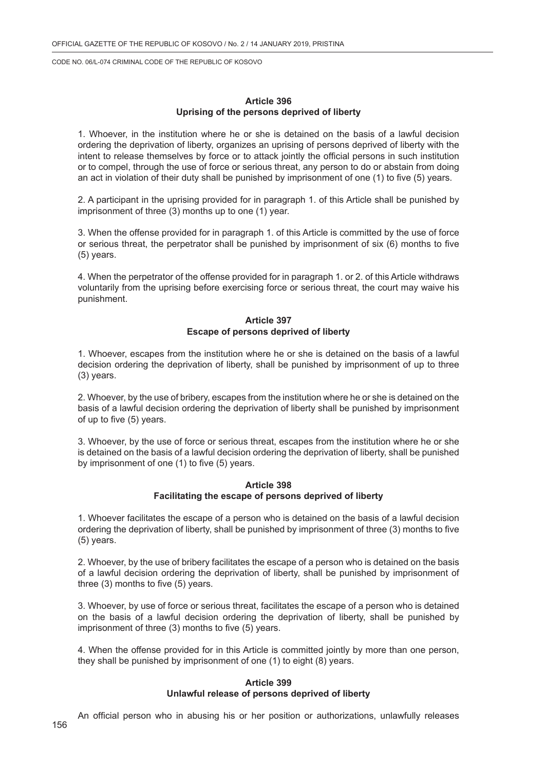#### **Article 396 Uprising of the persons deprived of liberty**

1. Whoever, in the institution where he or she is detained on the basis of a lawful decision ordering the deprivation of liberty, organizes an uprising of persons deprived of liberty with the intent to release themselves by force or to attack jointly the official persons in such institution or to compel, through the use of force or serious threat, any person to do or abstain from doing an act in violation of their duty shall be punished by imprisonment of one (1) to five (5) years.

2. A participant in the uprising provided for in paragraph 1. of this Article shall be punished by imprisonment of three (3) months up to one (1) year.

3. When the offense provided for in paragraph 1. of this Article is committed by the use of force or serious threat, the perpetrator shall be punished by imprisonment of six (6) months to five (5) years.

4. When the perpetrator of the offense provided for in paragraph 1. or 2. of this Article withdraws voluntarily from the uprising before exercising force or serious threat, the court may waive his punishment.

### **Article 397 Escape of persons deprived of liberty**

1. Whoever, escapes from the institution where he or she is detained on the basis of a lawful decision ordering the deprivation of liberty, shall be punished by imprisonment of up to three (3) years.

2. Whoever, by the use of bribery, escapes from the institution where he or she is detained on the basis of a lawful decision ordering the deprivation of liberty shall be punished by imprisonment of up to five (5) years.

3. Whoever, by the use of force or serious threat, escapes from the institution where he or she is detained on the basis of a lawful decision ordering the deprivation of liberty, shall be punished by imprisonment of one (1) to five (5) years.

#### **Article 398 Facilitating the escape of persons deprived of liberty**

1. Whoever facilitates the escape of a person who is detained on the basis of a lawful decision ordering the deprivation of liberty, shall be punished by imprisonment of three (3) months to five (5) years.

2. Whoever, by the use of bribery facilitates the escape of a person who is detained on the basis of a lawful decision ordering the deprivation of liberty, shall be punished by imprisonment of three (3) months to five (5) years.

3. Whoever, by use of force or serious threat, facilitates the escape of a person who is detained on the basis of a lawful decision ordering the deprivation of liberty, shall be punished by imprisonment of three (3) months to five (5) years.

4. When the offense provided for in this Article is committed jointly by more than one person, they shall be punished by imprisonment of one (1) to eight (8) years.

#### **Article 399 Unlawful release of persons deprived of liberty**

An official person who in abusing his or her position or authorizations, unlawfully releases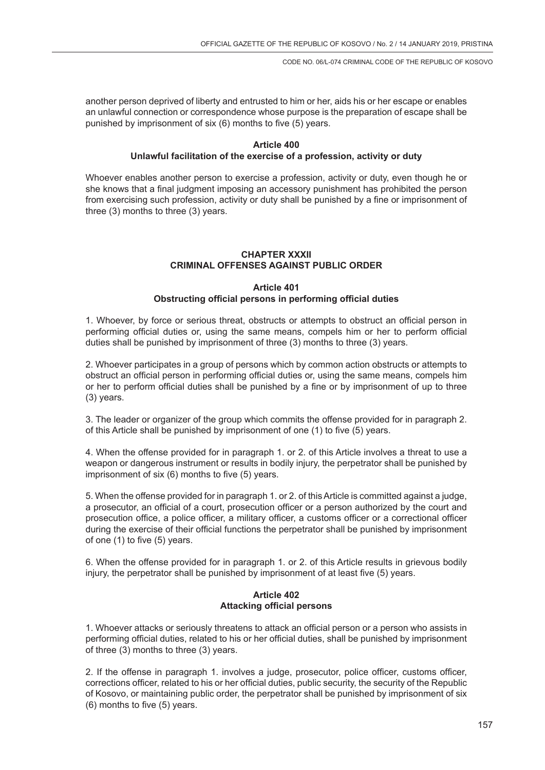another person deprived of liberty and entrusted to him or her, aids his or her escape or enables an unlawful connection or correspondence whose purpose is the preparation of escape shall be punished by imprisonment of six (6) months to five (5) years.

### **Article 400 Unlawful facilitation of the exercise of a profession, activity or duty**

Whoever enables another person to exercise a profession, activity or duty, even though he or she knows that a final judgment imposing an accessory punishment has prohibited the person from exercising such profession, activity or duty shall be punished by a fine or imprisonment of three (3) months to three (3) years.

# **CHAPTER XXXII CRIMINAL OFFENSES AGAINST PUBLIC ORDER**

# **Article 401 Obstructing official persons in performing official duties**

1. Whoever, by force or serious threat, obstructs or attempts to obstruct an official person in performing official duties or, using the same means, compels him or her to perform official duties shall be punished by imprisonment of three (3) months to three (3) years.

2. Whoever participates in a group of persons which by common action obstructs or attempts to obstruct an official person in performing official duties or, using the same means, compels him or her to perform official duties shall be punished by a fine or by imprisonment of up to three (3) years.

3. The leader or organizer of the group which commits the offense provided for in paragraph 2. of this Article shall be punished by imprisonment of one (1) to five (5) years.

4. When the offense provided for in paragraph 1. or 2. of this Article involves a threat to use a weapon or dangerous instrument or results in bodily injury, the perpetrator shall be punished by imprisonment of six (6) months to five (5) years.

5. When the offense provided for in paragraph 1. or 2. of this Article is committed against a judge, a prosecutor, an official of a court, prosecution officer or a person authorized by the court and prosecution office, a police officer, a military officer, a customs officer or a correctional officer during the exercise of their official functions the perpetrator shall be punished by imprisonment of one (1) to five (5) years.

6. When the offense provided for in paragraph 1. or 2. of this Article results in grievous bodily injury, the perpetrator shall be punished by imprisonment of at least five (5) years.

# **Article 402 Attacking official persons**

1. Whoever attacks or seriously threatens to attack an official person or a person who assists in performing official duties, related to his or her official duties, shall be punished by imprisonment of three (3) months to three (3) years.

2. If the offense in paragraph 1. involves a judge, prosecutor, police officer, customs officer, corrections officer, related to his or her official duties, public security, the security of the Republic of Kosovo, or maintaining public order, the perpetrator shall be punished by imprisonment of six (6) months to five (5) years.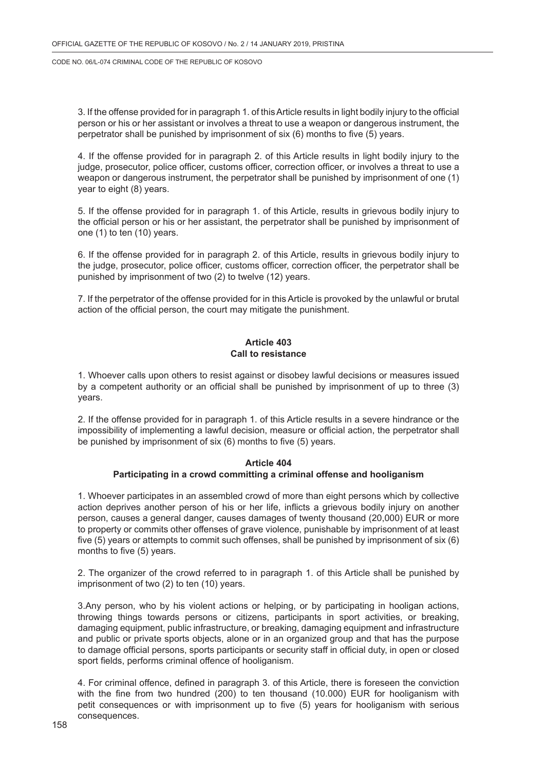3. If the offense provided for in paragraph 1. of this Article results in light bodily injury to the official person or his or her assistant or involves a threat to use a weapon or dangerous instrument, the perpetrator shall be punished by imprisonment of six (6) months to five (5) years.

4. If the offense provided for in paragraph 2. of this Article results in light bodily injury to the judge, prosecutor, police officer, customs officer, correction officer, or involves a threat to use a weapon or dangerous instrument, the perpetrator shall be punished by imprisonment of one (1) year to eight (8) years.

5. If the offense provided for in paragraph 1. of this Article, results in grievous bodily injury to the official person or his or her assistant, the perpetrator shall be punished by imprisonment of one (1) to ten (10) years.

6. If the offense provided for in paragraph 2. of this Article, results in grievous bodily injury to the judge, prosecutor, police officer, customs officer, correction officer, the perpetrator shall be punished by imprisonment of two (2) to twelve (12) years.

7. If the perpetrator of the offense provided for in this Article is provoked by the unlawful or brutal action of the official person, the court may mitigate the punishment.

### **Article 403 Call to resistance**

1. Whoever calls upon others to resist against or disobey lawful decisions or measures issued by a competent authority or an official shall be punished by imprisonment of up to three (3) years.

2. If the offense provided for in paragraph 1. of this Article results in a severe hindrance or the impossibility of implementing a lawful decision, measure or official action, the perpetrator shall be punished by imprisonment of six (6) months to five (5) years.

### **Article 404 Participating in a crowd committing a criminal offense and hooliganism**

1. Whoever participates in an assembled crowd of more than eight persons which by collective action deprives another person of his or her life, inflicts a grievous bodily injury on another person, causes a general danger, causes damages of twenty thousand (20,000) EUR or more to property or commits other offenses of grave violence, punishable by imprisonment of at least five (5) years or attempts to commit such offenses, shall be punished by imprisonment of six (6) months to five (5) years.

2. The organizer of the crowd referred to in paragraph 1. of this Article shall be punished by imprisonment of two (2) to ten (10) years.

3.Any person, who by his violent actions or helping, or by participating in hooligan actions, throwing things towards persons or citizens, participants in sport activities, or breaking, damaging equipment, public infrastructure, or breaking, damaging equipment and infrastructure and public or private sports objects, alone or in an organized group and that has the purpose to damage official persons, sports participants or security staff in official duty, in open or closed sport fields, performs criminal offence of hooliganism.

4. For criminal offence, defined in paragraph 3. of this Article, there is foreseen the conviction with the fine from two hundred (200) to ten thousand (10.000) EUR for hooliganism with petit consequences or with imprisonment up to five (5) years for hooliganism with serious consequences.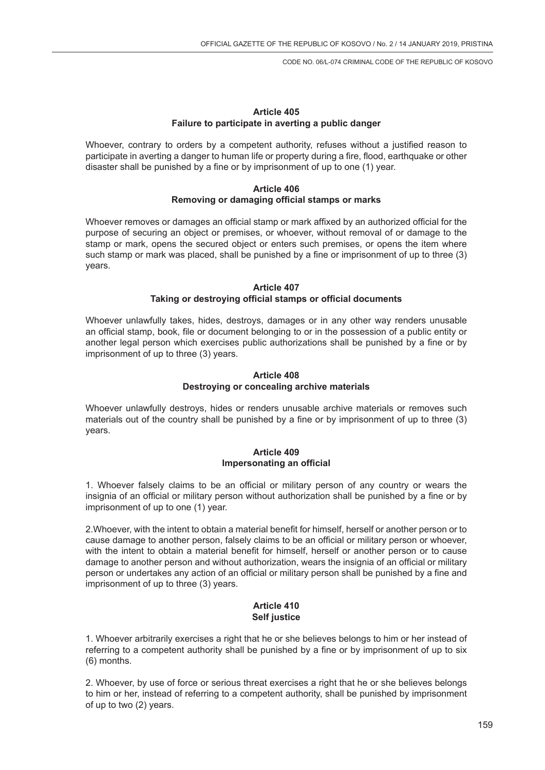### **Article 405 Failure to participate in averting a public danger**

Whoever, contrary to orders by a competent authority, refuses without a justified reason to participate in averting a danger to human life or property during a fire, flood, earthquake or other disaster shall be punished by a fine or by imprisonment of up to one (1) year.

#### **Article 406 Removing or damaging official stamps or marks**

Whoever removes or damages an official stamp or mark affixed by an authorized official for the purpose of securing an object or premises, or whoever, without removal of or damage to the stamp or mark, opens the secured object or enters such premises, or opens the item where such stamp or mark was placed, shall be punished by a fine or imprisonment of up to three (3) years.

### **Article 407 Taking or destroying official stamps or official documents**

Whoever unlawfully takes, hides, destroys, damages or in any other way renders unusable an official stamp, book, file or document belonging to or in the possession of a public entity or another legal person which exercises public authorizations shall be punished by a fine or by imprisonment of up to three (3) years.

### **Article 408 Destroying or concealing archive materials**

Whoever unlawfully destroys, hides or renders unusable archive materials or removes such materials out of the country shall be punished by a fine or by imprisonment of up to three (3) years.

# **Article 409 Impersonating an official**

1. Whoever falsely claims to be an official or military person of any country or wears the insignia of an official or military person without authorization shall be punished by a fine or by imprisonment of up to one (1) year.

2.Whoever, with the intent to obtain a material benefit for himself, herself or another person or to cause damage to another person, falsely claims to be an official or military person or whoever, with the intent to obtain a material benefit for himself, herself or another person or to cause damage to another person and without authorization, wears the insignia of an official or military person or undertakes any action of an official or military person shall be punished by a fine and imprisonment of up to three (3) years.

### **Article 410 Self justice**

1. Whoever arbitrarily exercises a right that he or she believes belongs to him or her instead of referring to a competent authority shall be punished by a fine or by imprisonment of up to six (6) months.

2. Whoever, by use of force or serious threat exercises a right that he or she believes belongs to him or her, instead of referring to a competent authority, shall be punished by imprisonment of up to two (2) years.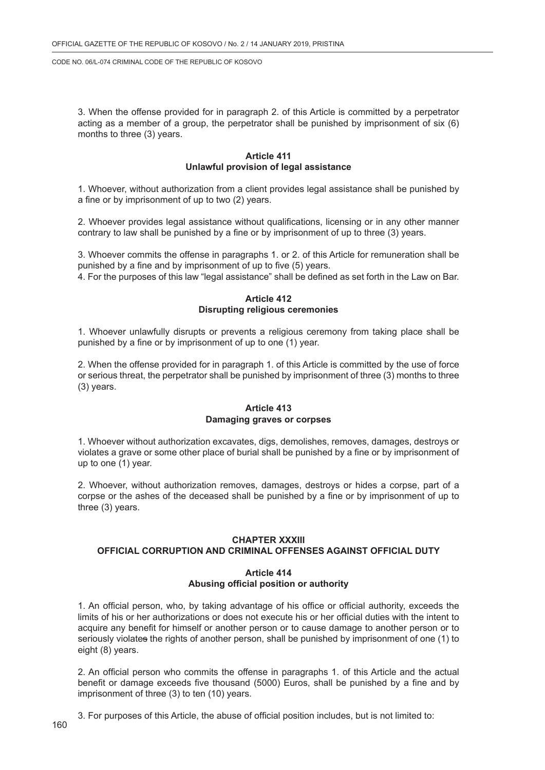3. When the offense provided for in paragraph 2. of this Article is committed by a perpetrator acting as a member of a group, the perpetrator shall be punished by imprisonment of six (6) months to three (3) years.

### **Article 411 Unlawful provision of legal assistance**

1. Whoever, without authorization from a client provides legal assistance shall be punished by a fine or by imprisonment of up to two (2) years.

2. Whoever provides legal assistance without qualifications, licensing or in any other manner contrary to law shall be punished by a fine or by imprisonment of up to three (3) years.

3. Whoever commits the offense in paragraphs 1. or 2. of this Article for remuneration shall be punished by a fine and by imprisonment of up to five (5) years.

4. For the purposes of this law "legal assistance" shall be defined as set forth in the Law on Bar.

### **Article 412 Disrupting religious ceremonies**

1. Whoever unlawfully disrupts or prevents a religious ceremony from taking place shall be punished by a fine or by imprisonment of up to one (1) year.

2. When the offense provided for in paragraph 1. of this Article is committed by the use of force or serious threat, the perpetrator shall be punished by imprisonment of three (3) months to three (3) years.

#### **Article 413 Damaging graves or corpses**

1. Whoever without authorization excavates, digs, demolishes, removes, damages, destroys or violates a grave or some other place of burial shall be punished by a fine or by imprisonment of up to one (1) year.

2. Whoever, without authorization removes, damages, destroys or hides a corpse, part of a corpse or the ashes of the deceased shall be punished by a fine or by imprisonment of up to three (3) years.

#### **CHAPTER XXXIII**

# **OFFICIAL CORRUPTION AND CRIMINAL OFFENSES AGAINST OFFICIAL DUTY**

#### **Article 414 Abusing official position or authority**

1. An official person, who, by taking advantage of his office or official authority, exceeds the limits of his or her authorizations or does not execute his or her official duties with the intent to acquire any benefit for himself or another person or to cause damage to another person or to seriously violates the rights of another person, shall be punished by imprisonment of one (1) to eight (8) years.

2. An official person who commits the offense in paragraphs 1. of this Article and the actual benefit or damage exceeds five thousand (5000) Euros, shall be punished by a fine and by imprisonment of three (3) to ten (10) years.

3. For purposes of this Article, the abuse of official position includes, but is not limited to: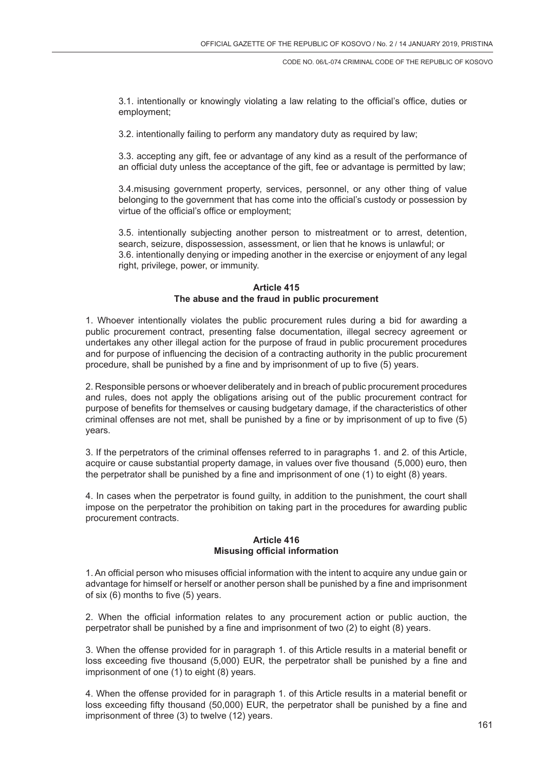3.1. intentionally or knowingly violating a law relating to the official's office, duties or employment;

3.2. intentionally failing to perform any mandatory duty as required by law;

3.3. accepting any gift, fee or advantage of any kind as a result of the performance of an official duty unless the acceptance of the gift, fee or advantage is permitted by law;

3.4.misusing government property, services, personnel, or any other thing of value belonging to the government that has come into the official's custody or possession by virtue of the official's office or employment;

3.5. intentionally subjecting another person to mistreatment or to arrest, detention, search, seizure, dispossession, assessment, or lien that he knows is unlawful; or 3.6. intentionally denying or impeding another in the exercise or enjoyment of any legal right, privilege, power, or immunity.

### **Article 415 The abuse and the fraud in public procurement**

1. Whoever intentionally violates the public procurement rules during a bid for awarding a public procurement contract, presenting false documentation, illegal secrecy agreement or undertakes any other illegal action for the purpose of fraud in public procurement procedures and for purpose of influencing the decision of a contracting authority in the public procurement procedure, shall be punished by a fine and by imprisonment of up to five (5) years.

2. Responsible persons or whoever deliberately and in breach of public procurement procedures and rules, does not apply the obligations arising out of the public procurement contract for purpose of benefits for themselves or causing budgetary damage, if the characteristics of other criminal offenses are not met, shall be punished by a fine or by imprisonment of up to five (5) years.

3. If the perpetrators of the criminal offenses referred to in paragraphs 1. and 2. of this Article, acquire or cause substantial property damage, in values over five thousand (5,000) euro, then the perpetrator shall be punished by a fine and imprisonment of one (1) to eight (8) years.

4. In cases when the perpetrator is found guilty, in addition to the punishment, the court shall impose on the perpetrator the prohibition on taking part in the procedures for awarding public procurement contracts.

### **Article 416 Misusing official information**

1. An official person who misuses official information with the intent to acquire any undue gain or advantage for himself or herself or another person shall be punished by a fine and imprisonment of six (6) months to five (5) years.

2. When the official information relates to any procurement action or public auction, the perpetrator shall be punished by a fine and imprisonment of two (2) to eight (8) years.

3. When the offense provided for in paragraph 1. of this Article results in a material benefit or loss exceeding five thousand (5,000) EUR, the perpetrator shall be punished by a fine and imprisonment of one (1) to eight (8) years.

4. When the offense provided for in paragraph 1. of this Article results in a material benefit or loss exceeding fifty thousand (50,000) EUR, the perpetrator shall be punished by a fine and imprisonment of three (3) to twelve (12) years.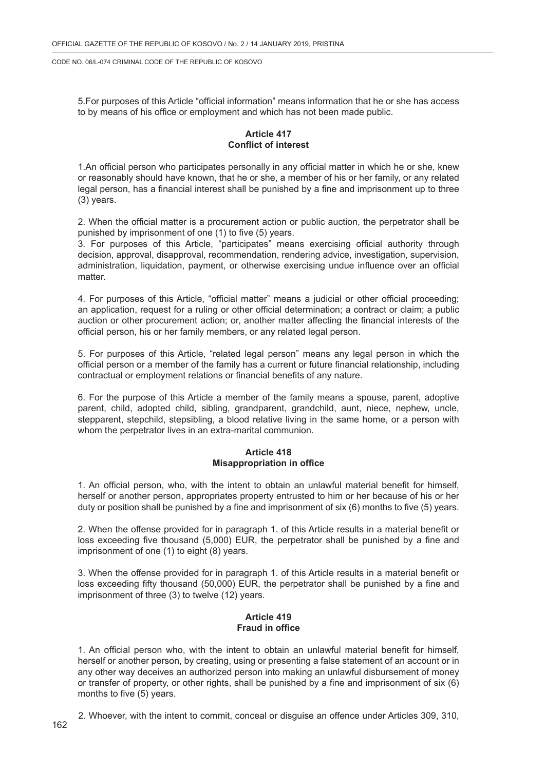5.For purposes of this Article "official information" means information that he or she has access to by means of his office or employment and which has not been made public.

# **Article 417 Conflict of interest**

1.An official person who participates personally in any official matter in which he or she, knew or reasonably should have known, that he or she, a member of his or her family, or any related legal person, has a financial interest shall be punished by a fine and imprisonment up to three (3) years.

2. When the official matter is a procurement action or public auction, the perpetrator shall be punished by imprisonment of one (1) to five (5) years.

3. For purposes of this Article, "participates" means exercising official authority through decision, approval, disapproval, recommendation, rendering advice, investigation, supervision, administration, liquidation, payment, or otherwise exercising undue influence over an official matter.

4. For purposes of this Article, "official matter" means a judicial or other official proceeding; an application, request for a ruling or other official determination; a contract or claim; a public auction or other procurement action; or, another matter affecting the financial interests of the official person, his or her family members, or any related legal person.

5. For purposes of this Article, "related legal person" means any legal person in which the official person or a member of the family has a current or future financial relationship, including contractual or employment relations or financial benefits of any nature.

6. For the purpose of this Article a member of the family means a spouse, parent, adoptive parent, child, adopted child, sibling, grandparent, grandchild, aunt, niece, nephew, uncle, stepparent, stepchild, stepsibling, a blood relative living in the same home, or a person with whom the perpetrator lives in an extra-marital communion.

# **Article 418 Misappropriation in office**

1. An official person, who, with the intent to obtain an unlawful material benefit for himself, herself or another person, appropriates property entrusted to him or her because of his or her duty or position shall be punished by a fine and imprisonment of six (6) months to five (5) years.

2. When the offense provided for in paragraph 1. of this Article results in a material benefit or loss exceeding five thousand (5,000) EUR, the perpetrator shall be punished by a fine and imprisonment of one (1) to eight (8) years.

3. When the offense provided for in paragraph 1. of this Article results in a material benefit or loss exceeding fifty thousand (50,000) EUR, the perpetrator shall be punished by a fine and imprisonment of three (3) to twelve (12) years.

### **Article 419 Fraud in office**

1. An official person who, with the intent to obtain an unlawful material benefit for himself, herself or another person, by creating, using or presenting a false statement of an account or in any other way deceives an authorized person into making an unlawful disbursement of money or transfer of property, or other rights, shall be punished by a fine and imprisonment of six (6) months to five (5) years.

2. Whoever, with the intent to commit, conceal or disguise an offence under Articles 309, 310,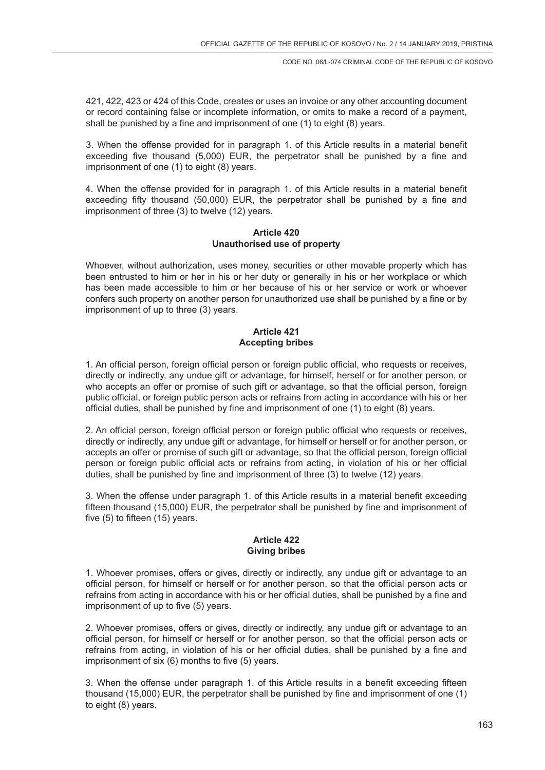421, 422, 423 or 424 of this Code, creates or uses an invoice or any other accounting document or record containing false or incomplete information, or omits to make a record of a payment, shall be punished by a fine and imprisonment of one (1) to eight (8) years.

3. When the offense provided for in paragraph 1. of this Article results in a material benefit exceeding five thousand (5,000) EUR, the perpetrator shall be punished by a fine and imprisonment of one (1) to eight (8) years.

4. When the offense provided for in paragraph 1. of this Article results in a material benefit exceeding fifty thousand (50,000) EUR, the perpetrator shall be punished by a fine and imprisonment of three (3) to twelve (12) years.

### **Article 420 Unauthorised use of property**

Whoever, without authorization, uses money, securities or other movable property which has been entrusted to him or her in his or her duty or generally in his or her workplace or which has been made accessible to him or her because of his or her service or work or whoever confers such property on another person for unauthorized use shall be punished by a fine or by imprisonment of up to three (3) years.

### **Article 421 Accepting bribes**

1. An official person, foreign official person or foreign public official, who requests or receives, directly or indirectly, any undue gift or advantage, for himself, herself or for another person, or who accepts an offer or promise of such gift or advantage, so that the official person, foreign public official, or foreign public person acts or refrains from acting in accordance with his or her official duties, shall be punished by fine and imprisonment of one (1) to eight (8) years.

2. An official person, foreign official person or foreign public official who requests or receives, directly or indirectly, any undue gift or advantage, for himself or herself or for another person, or accepts an offer or promise of such gift or advantage, so that the official person, foreign official person or foreign public official acts or refrains from acting, in violation of his or her official duties, shall be punished by fine and imprisonment of three (3) to twelve (12) years.

3. When the offense under paragraph 1. of this Article results in a material benefit exceeding fifteen thousand (15,000) EUR, the perpetrator shall be punished by fine and imprisonment of five (5) to fifteen (15) years.

### **Article 422 Giving bribes**

1. Whoever promises, offers or gives, directly or indirectly, any undue gift or advantage to an official person, for himself or herself or for another person, so that the official person acts or refrains from acting in accordance with his or her official duties, shall be punished by a fine and imprisonment of up to five (5) years.

2. Whoever promises, offers or gives, directly or indirectly, any undue gift or advantage to an official person, for himself or herself or for another person, so that the official person acts or refrains from acting, in violation of his or her official duties, shall be punished by a fine and imprisonment of six (6) months to five (5) years.

3. When the offense under paragraph 1. of this Article results in a benefit exceeding fifteen thousand (15,000) EUR, the perpetrator shall be punished by fine and imprisonment of one (1) to eight (8) years.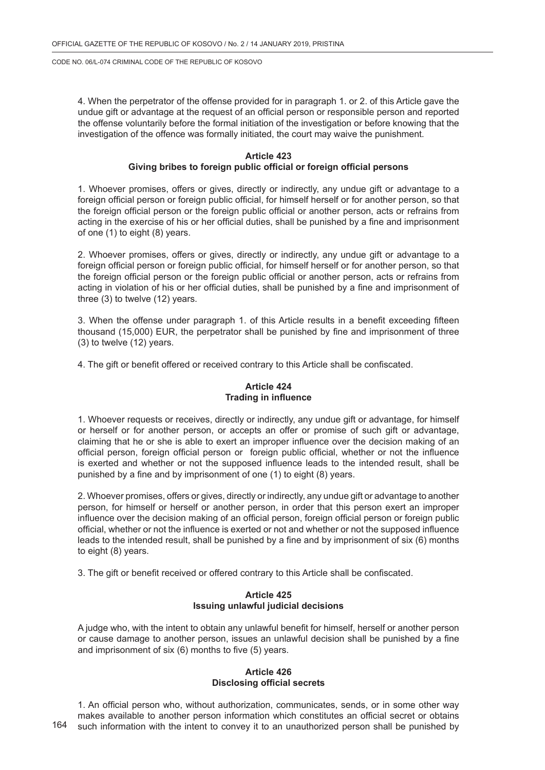4. When the perpetrator of the offense provided for in paragraph 1. or 2. of this Article gave the undue gift or advantage at the request of an official person or responsible person and reported the offense voluntarily before the formal initiation of the investigation or before knowing that the investigation of the offence was formally initiated, the court may waive the punishment.

#### **Article 423**

#### **Giving bribes to foreign public official or foreign official persons**

1. Whoever promises, offers or gives, directly or indirectly, any undue gift or advantage to a foreign official person or foreign public official, for himself herself or for another person, so that the foreign official person or the foreign public official or another person, acts or refrains from acting in the exercise of his or her official duties, shall be punished by a fine and imprisonment of one (1) to eight (8) years.

2. Whoever promises, offers or gives, directly or indirectly, any undue gift or advantage to a foreign official person or foreign public official, for himself herself or for another person, so that the foreign official person or the foreign public official or another person, acts or refrains from acting in violation of his or her official duties, shall be punished by a fine and imprisonment of three (3) to twelve (12) years.

3. When the offense under paragraph 1. of this Article results in a benefit exceeding fifteen thousand (15,000) EUR, the perpetrator shall be punished by fine and imprisonment of three (3) to twelve (12) years.

4. The gift or benefit offered or received contrary to this Article shall be confiscated.

# **Article 424 Trading in influence**

1. Whoever requests or receives, directly or indirectly, any undue gift or advantage, for himself or herself or for another person, or accepts an offer or promise of such gift or advantage, claiming that he or she is able to exert an improper influence over the decision making of an official person, foreign official person or foreign public official, whether or not the influence is exerted and whether or not the supposed influence leads to the intended result, shall be punished by a fine and by imprisonment of one (1) to eight (8) years.

2. Whoever promises, offers or gives, directly or indirectly, any undue gift or advantage to another person, for himself or herself or another person, in order that this person exert an improper influence over the decision making of an official person, foreign official person or foreign public official, whether or not the influence is exerted or not and whether or not the supposed influence leads to the intended result, shall be punished by a fine and by imprisonment of six (6) months to eight (8) years.

3. The gift or benefit received or offered contrary to this Article shall be confiscated.

# **Article 425 Issuing unlawful judicial decisions**

A judge who, with the intent to obtain any unlawful benefit for himself, herself or another person or cause damage to another person, issues an unlawful decision shall be punished by a fine and imprisonment of six (6) months to five (5) years.

#### **Article 426 Disclosing official secrets**

1. An official person who, without authorization, communicates, sends, or in some other way makes available to another person information which constitutes an official secret or obtains such information with the intent to convey it to an unauthorized person shall be punished by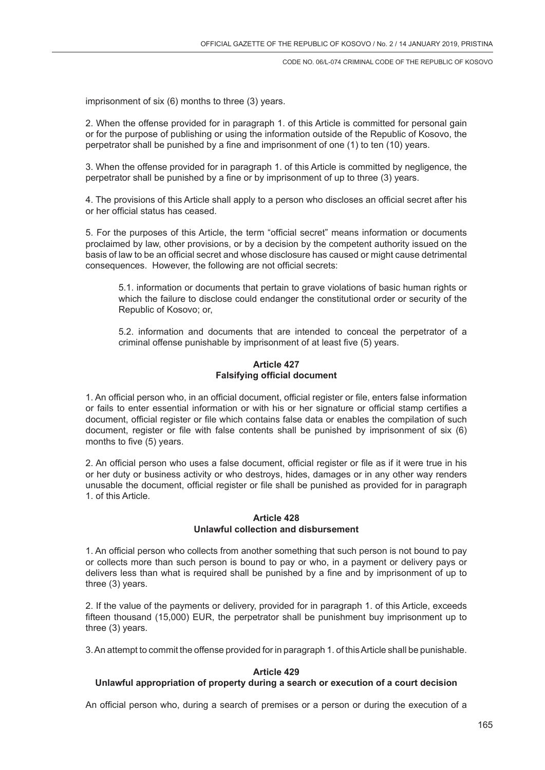imprisonment of six (6) months to three (3) years.

2. When the offense provided for in paragraph 1. of this Article is committed for personal gain or for the purpose of publishing or using the information outside of the Republic of Kosovo, the perpetrator shall be punished by a fine and imprisonment of one (1) to ten (10) years.

3. When the offense provided for in paragraph 1. of this Article is committed by negligence, the perpetrator shall be punished by a fine or by imprisonment of up to three (3) years.

4. The provisions of this Article shall apply to a person who discloses an official secret after his or her official status has ceased.

5. For the purposes of this Article, the term "official secret" means information or documents proclaimed by law, other provisions, or by a decision by the competent authority issued on the basis of law to be an official secret and whose disclosure has caused or might cause detrimental consequences. However, the following are not official secrets:

5.1. information or documents that pertain to grave violations of basic human rights or which the failure to disclose could endanger the constitutional order or security of the Republic of Kosovo; or,

5.2. information and documents that are intended to conceal the perpetrator of a criminal offense punishable by imprisonment of at least five (5) years.

#### **Article 427 Falsifying official document**

1. An official person who, in an official document, official register or file, enters false information or fails to enter essential information or with his or her signature or official stamp certifies a document, official register or file which contains false data or enables the compilation of such document, register or file with false contents shall be punished by imprisonment of six (6) months to five (5) years.

2. An official person who uses a false document, official register or file as if it were true in his or her duty or business activity or who destroys, hides, damages or in any other way renders unusable the document, official register or file shall be punished as provided for in paragraph 1. of this Article.

### **Article 428 Unlawful collection and disbursement**

1. An official person who collects from another something that such person is not bound to pay or collects more than such person is bound to pay or who, in a payment or delivery pays or delivers less than what is required shall be punished by a fine and by imprisonment of up to three (3) years.

2. If the value of the payments or delivery, provided for in paragraph 1. of this Article, exceeds fifteen thousand (15,000) EUR, the perpetrator shall be punishment buy imprisonment up to three (3) years.

3. An attempt to commit the offense provided for in paragraph 1. of this Article shall be punishable.

# **Article 429**

# **Unlawful appropriation of property during a search or execution of a court decision**

An official person who, during a search of premises or a person or during the execution of a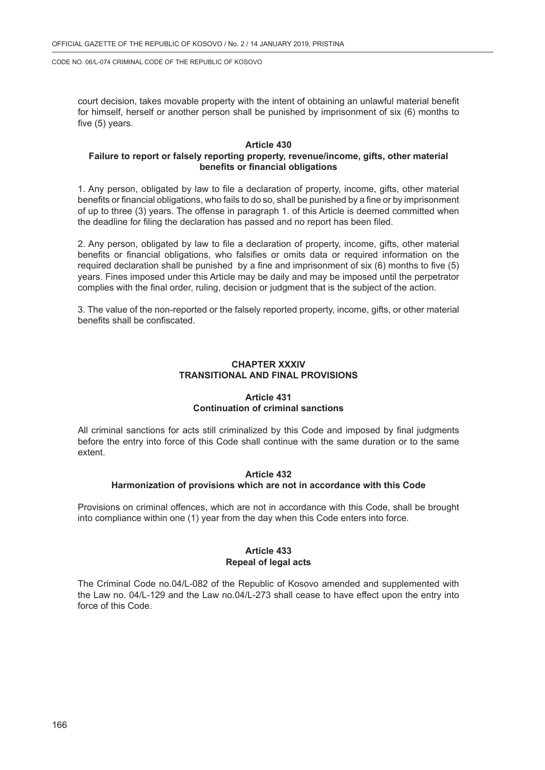court decision, takes movable property with the intent of obtaining an unlawful material benefit for himself, herself or another person shall be punished by imprisonment of six (6) months to five (5) years.

### **Article 430**

### **Failure to report or falsely reporting property, revenue/income, gifts, other material benefits or financial obligations**

1. Any person, obligated by law to file a declaration of property, income, gifts, other material benefits or financial obligations, who fails to do so, shall be punished by a fine or by imprisonment of up to three (3) years. The offense in paragraph 1. of this Article is deemed committed when the deadline for filing the declaration has passed and no report has been filed.

2. Any person, obligated by law to file a declaration of property, income, gifts, other material benefits or financial obligations, who falsifies or omits data or required information on the required declaration shall be punished by a fine and imprisonment of six (6) months to five (5) years. Fines imposed under this Article may be daily and may be imposed until the perpetrator complies with the final order, ruling, decision or judgment that is the subject of the action.

3. The value of the non-reported or the falsely reported property, income, gifts, or other material benefits shall be confiscated.

#### **CHAPTER XXXIV TRANSITIONAL AND FINAL PROVISIONS**

### **Article 431 Continuation of criminal sanctions**

All criminal sanctions for acts still criminalized by this Code and imposed by final judgments before the entry into force of this Code shall continue with the same duration or to the same extent.

### **Article 432 Harmonization of provisions which are not in accordance with this Code**

Provisions on criminal offences, which are not in accordance with this Code, shall be brought into compliance within one (1) year from the day when this Code enters into force.

#### **Article 433 Repeal of legal acts**

The Criminal Code no.04/L-082 of the Republic of Kosovo amended and supplemented with the Law no. 04/L-129 and the Law no.04/L-273 shall cease to have effect upon the entry into force of this Code.